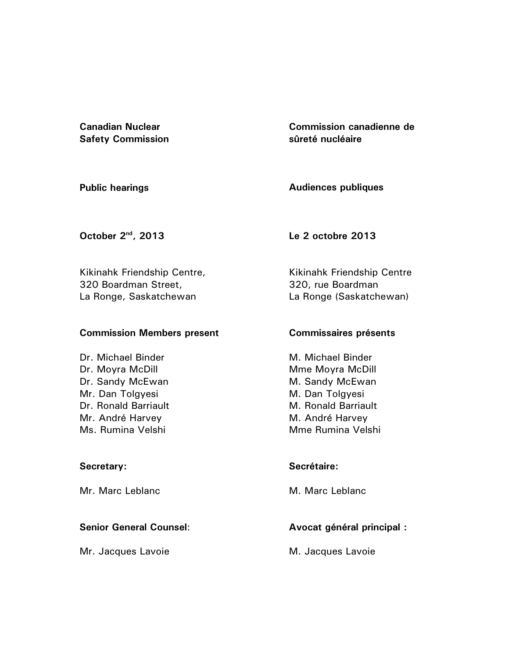**Canadian Nuclear Safety Commission**  **Commission canadienne de sûreté nucléaire** 

**Public hearings** 

**Audiences publiques** 

**October 2nd, 2013** 

**Le 2 octobre 2013** 

Kikinahk Friendship Centre, 320 Boardman Street, La Ronge, Saskatchewan

## **Commission Members present**

Dr. Michael Binder Dr. Moyra McDill Dr. Sandy McEwan Mr. Dan Tolgyesi Dr. Ronald Barriault Mr. André Harvey Ms. Rumina Velshi

## **Secretary:**

Mr. Marc Leblanc

## **Senior General Counsel**:

Mr. Jacques Lavoie

Kikinahk Friendship Centre 320, rue Boardman La Ronge (Saskatchewan)

## **Commissaires présents**

M. Michael Binder Mme Moyra McDill M. Sandy McEwan M. Dan Tolgyesi M. Ronald Barriault M. André Harvey Mme Rumina Velshi

## **Secrétaire:**

M. Marc Leblanc

# **Avocat général principal :**

M. Jacques Lavoie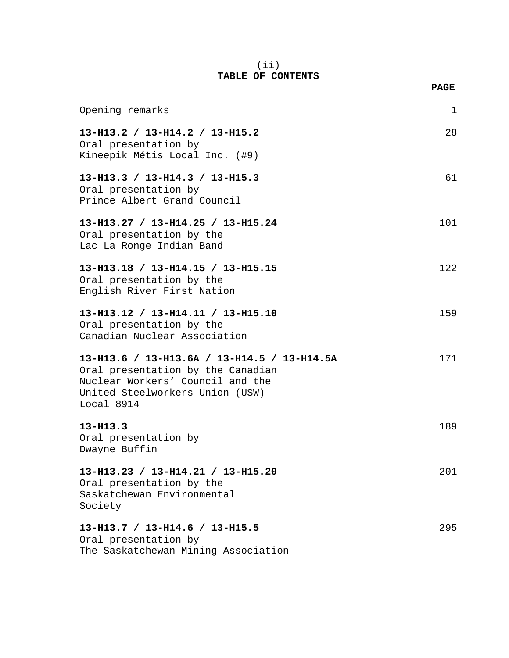## (ii) **TABLE OF CONTENTS**

|                                                                                                                                                                       | <b>PAGE</b> |
|-----------------------------------------------------------------------------------------------------------------------------------------------------------------------|-------------|
| Opening remarks                                                                                                                                                       | 1           |
| 13-H13.2 / 13-H14.2 / 13-H15.2<br>Oral presentation by<br>Kineepik Métis Local Inc. (#9)                                                                              | 28          |
| 13-H13.3 / 13-H14.3 / 13-H15.3<br>Oral presentation by<br>Prince Albert Grand Council                                                                                 | 61          |
| 13-H13.27 / 13-H14.25 / 13-H15.24<br>Oral presentation by the<br>Lac La Ronge Indian Band                                                                             | 101         |
| 13-H13.18 / 13-H14.15 / 13-H15.15<br>Oral presentation by the<br>English River First Nation                                                                           | 122         |
| 13-H13.12 / 13-H14.11 / 13-H15.10<br>Oral presentation by the<br>Canadian Nuclear Association                                                                         | 159         |
| 13-H13.6 / 13-H13.6A / 13-H14.5 / 13-H14.5A<br>Oral presentation by the Canadian<br>Nuclear Workers' Council and the<br>United Steelworkers Union (USW)<br>Local 8914 | 171         |
| $13 - H13.3$<br>Oral presentation by<br>Dwayne Buffin                                                                                                                 | 189         |
| 13-H13.23 / 13-H14.21 / 13-H15.20<br>Oral presentation by the<br>Saskatchewan Environmental<br>Society                                                                | 201         |
| 13-H13.7 / 13-H14.6 / 13-H15.5<br>Oral presentation by                                                                                                                | 295         |

The Saskatchewan Mining Association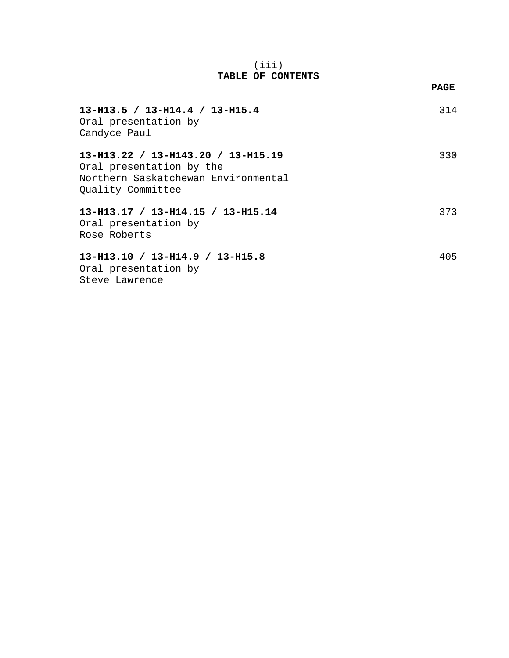## (iii) **TABLE OF CONTENTS**

**PAGE**

| $13-H13.5 / 13-H14.4 / 13-H15.4$<br>Oral presentation by<br>Candyce Paul                                                   | 314 |
|----------------------------------------------------------------------------------------------------------------------------|-----|
| 13-H13.22 / 13-H143.20 / 13-H15.19<br>Oral presentation by the<br>Northern Saskatchewan Environmental<br>Quality Committee | 330 |
| 13-H13.17 / 13-H14.15 / 13-H15.14<br>Oral presentation by<br>Rose Roberts                                                  | 373 |
| 13-H13.10 / 13-H14.9 / 13-H15.8<br>Oral presentation by<br>Steve Lawrence                                                  | 405 |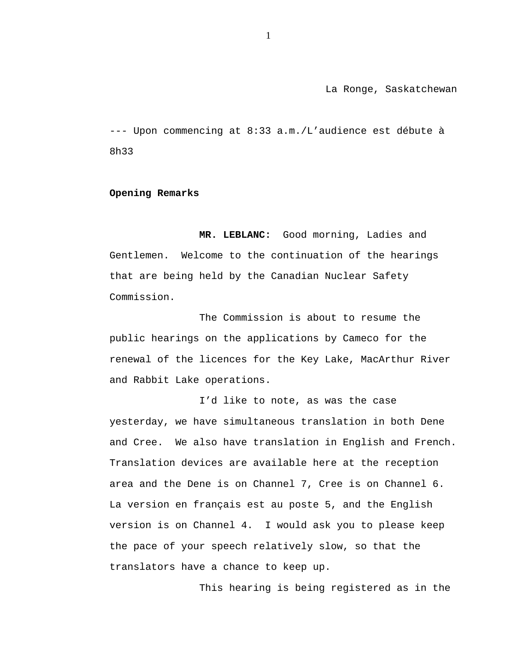La Ronge, Saskatchewan

--- Upon commencing at 8:33 a.m./L'audience est débute à 8h33

#### **Opening Remarks**

**MR. LEBLANC:** Good morning, Ladies and Gentlemen. Welcome to the continuation of the hearings that are being held by the Canadian Nuclear Safety Commission.

The Commission is about to resume the public hearings on the applications by Cameco for the renewal of the licences for the Key Lake, MacArthur River and Rabbit Lake operations.

I'd like to note, as was the case yesterday, we have simultaneous translation in both Dene and Cree. We also have translation in English and French. Translation devices are available here at the reception area and the Dene is on Channel 7, Cree is on Channel 6. La version en français est au poste 5, and the English version is on Channel 4. I would ask you to please keep the pace of your speech relatively slow, so that the translators have a chance to keep up.

This hearing is being registered as in the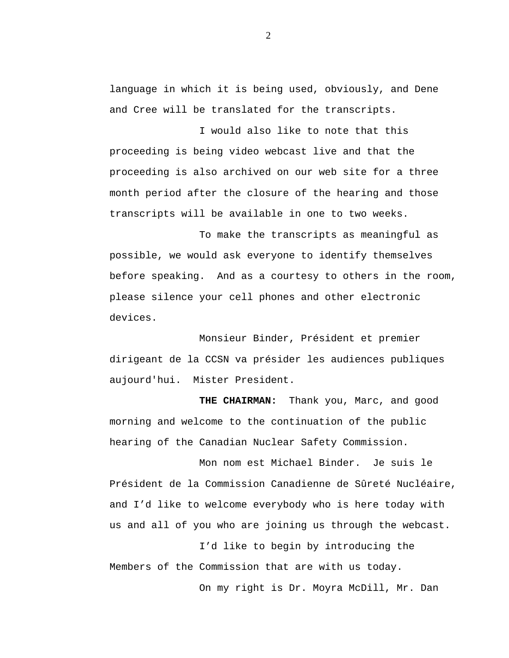language in which it is being used, obviously, and Dene and Cree will be translated for the transcripts.

I would also like to note that this proceeding is being video webcast live and that the proceeding is also archived on our web site for a three month period after the closure of the hearing and those transcripts will be available in one to two weeks.

To make the transcripts as meaningful as possible, we would ask everyone to identify themselves before speaking. And as a courtesy to others in the room, please silence your cell phones and other electronic devices.

Monsieur Binder, Président et premier dirigeant de la CCSN va présider les audiences publiques aujourd'hui. Mister President.

**THE CHAIRMAN:** Thank you, Marc, and good morning and welcome to the continuation of the public hearing of the Canadian Nuclear Safety Commission.

Mon nom est Michael Binder. Je suis le Président de la Commission Canadienne de Sûreté Nucléaire, and I'd like to welcome everybody who is here today with us and all of you who are joining us through the webcast.

I'd like to begin by introducing the Members of the Commission that are with us today. On my right is Dr. Moyra McDill, Mr. Dan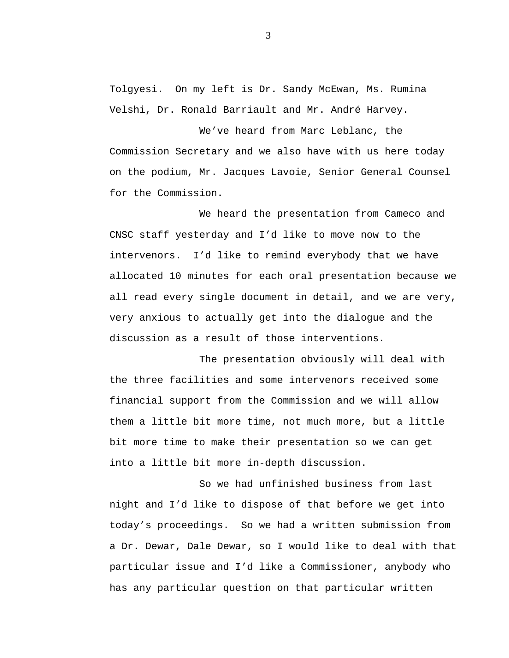Tolgyesi. On my left is Dr. Sandy McEwan, Ms. Rumina Velshi, Dr. Ronald Barriault and Mr. André Harvey.

We've heard from Marc Leblanc, the Commission Secretary and we also have with us here today on the podium, Mr. Jacques Lavoie, Senior General Counsel for the Commission.

We heard the presentation from Cameco and CNSC staff yesterday and I'd like to move now to the intervenors. I'd like to remind everybody that we have allocated 10 minutes for each oral presentation because we all read every single document in detail, and we are very, very anxious to actually get into the dialogue and the discussion as a result of those interventions.

The presentation obviously will deal with the three facilities and some intervenors received some financial support from the Commission and we will allow them a little bit more time, not much more, but a little bit more time to make their presentation so we can get into a little bit more in-depth discussion.

So we had unfinished business from last night and I'd like to dispose of that before we get into today's proceedings. So we had a written submission from a Dr. Dewar, Dale Dewar, so I would like to deal with that particular issue and I'd like a Commissioner, anybody who has any particular question on that particular written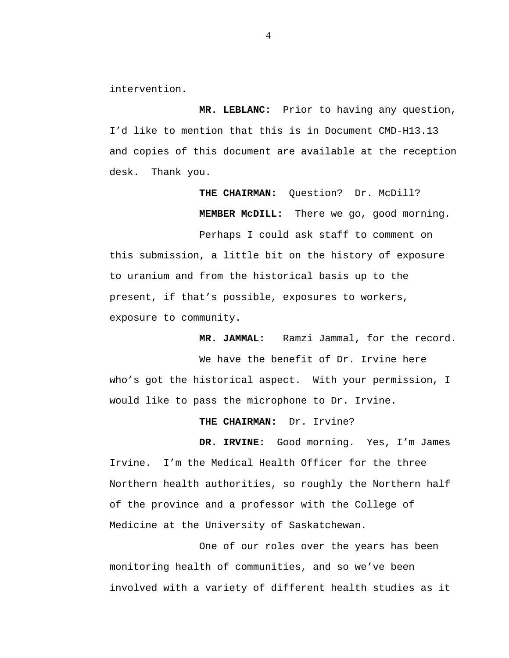intervention.

**MR. LEBLANC:** Prior to having any question, I'd like to mention that this is in Document CMD-H13.13 and copies of this document are available at the reception desk. Thank you.

> **THE CHAIRMAN:** Question? Dr. McDill? **MEMBER McDILL:** There we go, good morning.

Perhaps I could ask staff to comment on this submission, a little bit on the history of exposure to uranium and from the historical basis up to the present, if that's possible, exposures to workers, exposure to community.

**MR. JAMMAL:** Ramzi Jammal, for the record.

We have the benefit of Dr. Irvine here who's got the historical aspect. With your permission, I would like to pass the microphone to Dr. Irvine.

#### **THE CHAIRMAN:** Dr. Irvine?

**DR. IRVINE:** Good morning. Yes, I'm James Irvine. I'm the Medical Health Officer for the three Northern health authorities, so roughly the Northern half of the province and a professor with the College of Medicine at the University of Saskatchewan.

One of our roles over the years has been monitoring health of communities, and so we've been involved with a variety of different health studies as it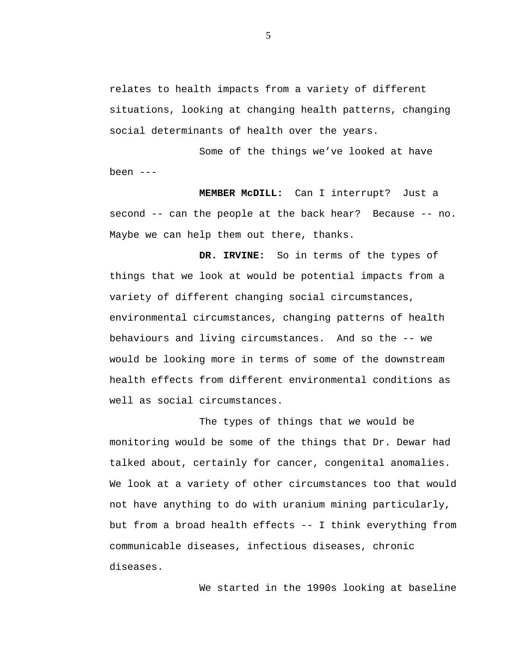relates to health impacts from a variety of different situations, looking at changing health patterns, changing social determinants of health over the years.

Some of the things we've looked at have been ---

**MEMBER McDILL:** Can I interrupt? Just a second -- can the people at the back hear? Because -- no. Maybe we can help them out there, thanks.

**DR. IRVINE:** So in terms of the types of things that we look at would be potential impacts from a variety of different changing social circumstances, environmental circumstances, changing patterns of health behaviours and living circumstances. And so the -- we would be looking more in terms of some of the downstream health effects from different environmental conditions as well as social circumstances.

The types of things that we would be monitoring would be some of the things that Dr. Dewar had talked about, certainly for cancer, congenital anomalies. We look at a variety of other circumstances too that would not have anything to do with uranium mining particularly, but from a broad health effects -- I think everything from communicable diseases, infectious diseases, chronic diseases.

We started in the 1990s looking at baseline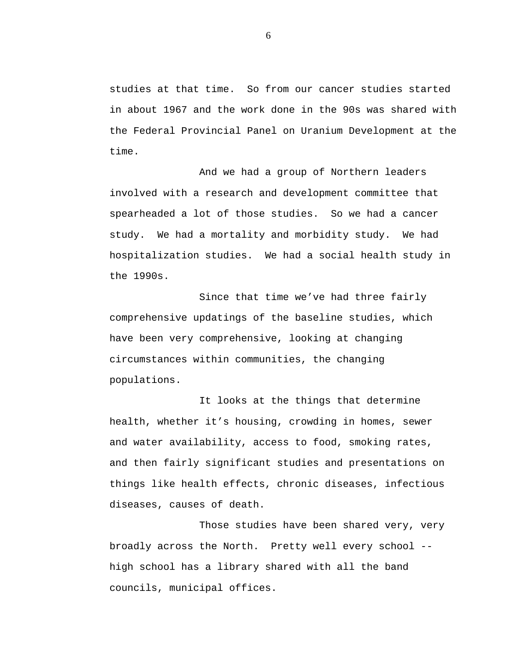studies at that time. So from our cancer studies started in about 1967 and the work done in the 90s was shared with the Federal Provincial Panel on Uranium Development at the time.

And we had a group of Northern leaders involved with a research and development committee that spearheaded a lot of those studies. So we had a cancer study. We had a mortality and morbidity study. We had hospitalization studies. We had a social health study in the 1990s.

Since that time we've had three fairly comprehensive updatings of the baseline studies, which have been very comprehensive, looking at changing circumstances within communities, the changing populations.

It looks at the things that determine health, whether it's housing, crowding in homes, sewer and water availability, access to food, smoking rates, and then fairly significant studies and presentations on things like health effects, chronic diseases, infectious diseases, causes of death.

Those studies have been shared very, very broadly across the North. Pretty well every school - high school has a library shared with all the band councils, municipal offices.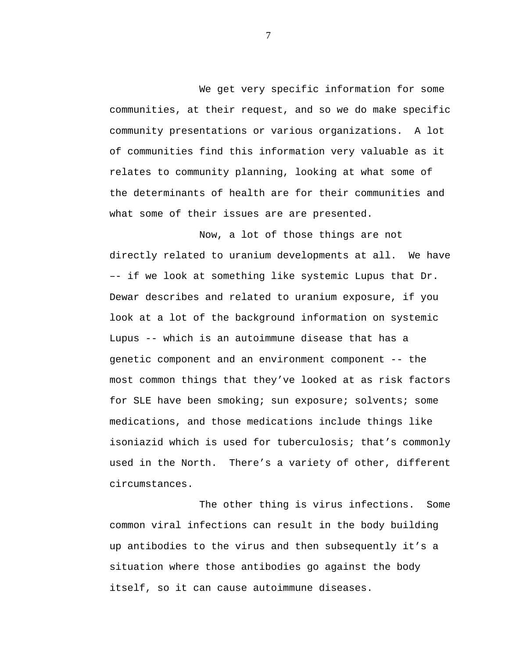We get very specific information for some communities, at their request, and so we do make specific community presentations or various organizations. A lot of communities find this information very valuable as it relates to community planning, looking at what some of the determinants of health are for their communities and what some of their issues are are presented.

Now, a lot of those things are not directly related to uranium developments at all. We have –- if we look at something like systemic Lupus that Dr. Dewar describes and related to uranium exposure, if you look at a lot of the background information on systemic Lupus -- which is an autoimmune disease that has a genetic component and an environment component -- the most common things that they've looked at as risk factors for SLE have been smoking; sun exposure; solvents; some medications, and those medications include things like isoniazid which is used for tuberculosis; that's commonly used in the North. There's a variety of other, different circumstances.

The other thing is virus infections. Some common viral infections can result in the body building up antibodies to the virus and then subsequently it's a situation where those antibodies go against the body itself, so it can cause autoimmune diseases.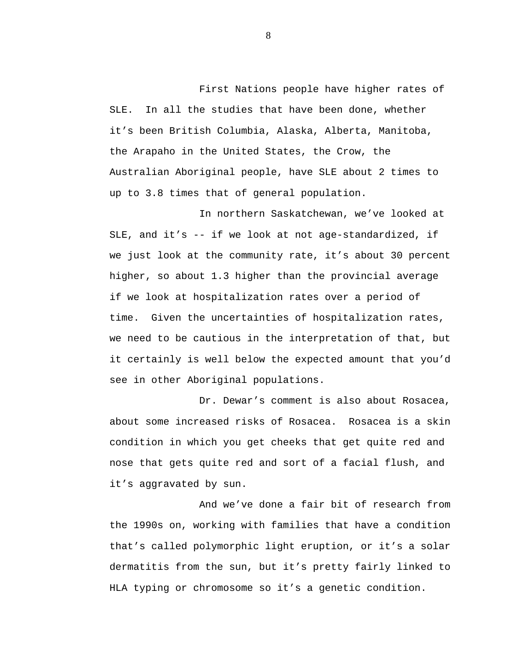First Nations people have higher rates of SLE. In all the studies that have been done, whether it's been British Columbia, Alaska, Alberta, Manitoba, the Arapaho in the United States, the Crow, the Australian Aboriginal people, have SLE about 2 times to up to 3.8 times that of general population.

In northern Saskatchewan, we've looked at SLE, and it's -- if we look at not age-standardized, if we just look at the community rate, it's about 30 percent higher, so about 1.3 higher than the provincial average if we look at hospitalization rates over a period of time. Given the uncertainties of hospitalization rates, we need to be cautious in the interpretation of that, but it certainly is well below the expected amount that you'd see in other Aboriginal populations.

Dr. Dewar's comment is also about Rosacea, about some increased risks of Rosacea. Rosacea is a skin condition in which you get cheeks that get quite red and nose that gets quite red and sort of a facial flush, and it's aggravated by sun.

And we've done a fair bit of research from the 1990s on, working with families that have a condition that's called polymorphic light eruption, or it's a solar dermatitis from the sun, but it's pretty fairly linked to HLA typing or chromosome so it's a genetic condition.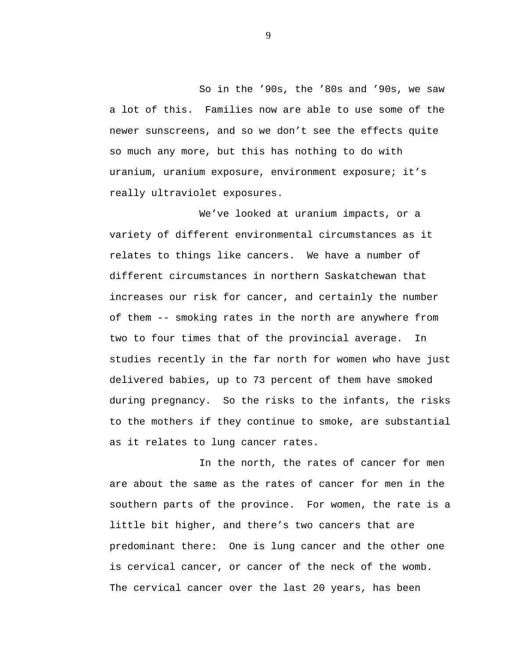So in the '90s, the '80s and '90s, we saw a lot of this. Families now are able to use some of the newer sunscreens, and so we don't see the effects quite so much any more, but this has nothing to do with uranium, uranium exposure, environment exposure; it's really ultraviolet exposures.

We've looked at uranium impacts, or a variety of different environmental circumstances as it relates to things like cancers. We have a number of different circumstances in northern Saskatchewan that increases our risk for cancer, and certainly the number of them -- smoking rates in the north are anywhere from two to four times that of the provincial average. In studies recently in the far north for women who have just delivered babies, up to 73 percent of them have smoked during pregnancy. So the risks to the infants, the risks to the mothers if they continue to smoke, are substantial as it relates to lung cancer rates.

In the north, the rates of cancer for men are about the same as the rates of cancer for men in the southern parts of the province. For women, the rate is a little bit higher, and there's two cancers that are predominant there: One is lung cancer and the other one is cervical cancer, or cancer of the neck of the womb. The cervical cancer over the last 20 years, has been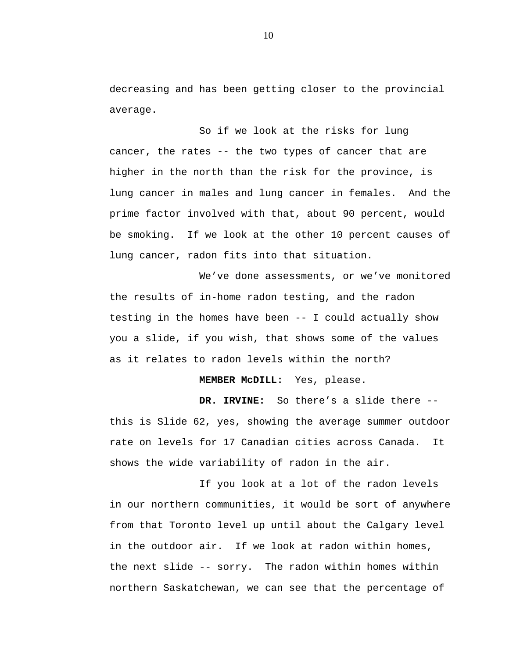decreasing and has been getting closer to the provincial average.

So if we look at the risks for lung cancer, the rates -- the two types of cancer that are higher in the north than the risk for the province, is lung cancer in males and lung cancer in females. And the prime factor involved with that, about 90 percent, would be smoking. If we look at the other 10 percent causes of lung cancer, radon fits into that situation.

We've done assessments, or we've monitored the results of in-home radon testing, and the radon testing in the homes have been -- I could actually show you a slide, if you wish, that shows some of the values as it relates to radon levels within the north?

**MEMBER McDILL:** Yes, please.

**DR. IRVINE:** So there's a slide there - this is Slide 62, yes, showing the average summer outdoor rate on levels for 17 Canadian cities across Canada. It shows the wide variability of radon in the air.

If you look at a lot of the radon levels in our northern communities, it would be sort of anywhere from that Toronto level up until about the Calgary level in the outdoor air. If we look at radon within homes, the next slide -- sorry. The radon within homes within northern Saskatchewan, we can see that the percentage of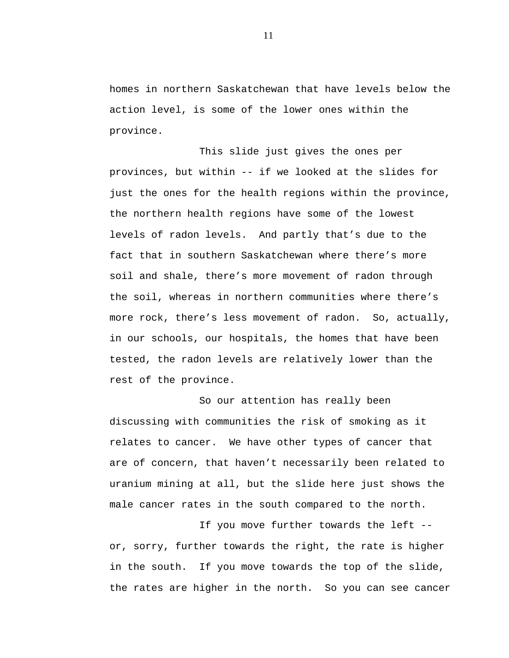homes in northern Saskatchewan that have levels below the action level, is some of the lower ones within the province.

This slide just gives the ones per provinces, but within -- if we looked at the slides for just the ones for the health regions within the province, the northern health regions have some of the lowest levels of radon levels. And partly that's due to the fact that in southern Saskatchewan where there's more soil and shale, there's more movement of radon through the soil, whereas in northern communities where there's more rock, there's less movement of radon. So, actually, in our schools, our hospitals, the homes that have been tested, the radon levels are relatively lower than the rest of the province.

So our attention has really been discussing with communities the risk of smoking as it relates to cancer. We have other types of cancer that are of concern, that haven't necessarily been related to uranium mining at all, but the slide here just shows the male cancer rates in the south compared to the north.

If you move further towards the left - or, sorry, further towards the right, the rate is higher in the south. If you move towards the top of the slide, the rates are higher in the north. So you can see cancer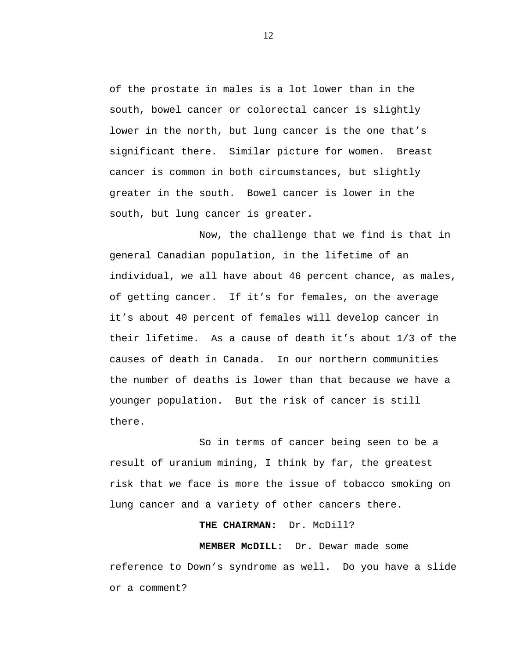of the prostate in males is a lot lower than in the south, bowel cancer or colorectal cancer is slightly lower in the north, but lung cancer is the one that's significant there. Similar picture for women. Breast cancer is common in both circumstances, but slightly greater in the south. Bowel cancer is lower in the south, but lung cancer is greater.

Now, the challenge that we find is that in general Canadian population, in the lifetime of an individual, we all have about 46 percent chance, as males, of getting cancer. If it's for females, on the average it's about 40 percent of females will develop cancer in their lifetime. As a cause of death it's about 1/3 of the causes of death in Canada. In our northern communities the number of deaths is lower than that because we have a younger population. But the risk of cancer is still there.

So in terms of cancer being seen to be a result of uranium mining, I think by far, the greatest risk that we face is more the issue of tobacco smoking on lung cancer and a variety of other cancers there.

#### **THE CHAIRMAN:** Dr. McDill?

**MEMBER McDILL:** Dr. Dewar made some reference to Down's syndrome as well**.** Do you have a slide or a comment?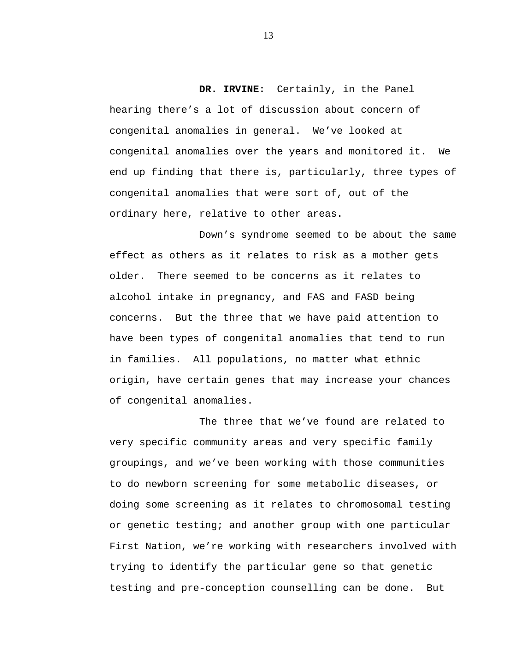**DR. IRVINE:** Certainly, in the Panel hearing there's a lot of discussion about concern of congenital anomalies in general. We've looked at congenital anomalies over the years and monitored it. We end up finding that there is, particularly, three types of congenital anomalies that were sort of, out of the ordinary here, relative to other areas.

Down's syndrome seemed to be about the same effect as others as it relates to risk as a mother gets older. There seemed to be concerns as it relates to alcohol intake in pregnancy, and FAS and FASD being concerns. But the three that we have paid attention to have been types of congenital anomalies that tend to run in families. All populations, no matter what ethnic origin, have certain genes that may increase your chances of congenital anomalies.

The three that we've found are related to very specific community areas and very specific family groupings, and we've been working with those communities to do newborn screening for some metabolic diseases, or doing some screening as it relates to chromosomal testing or genetic testing; and another group with one particular First Nation, we're working with researchers involved with trying to identify the particular gene so that genetic testing and pre-conception counselling can be done. But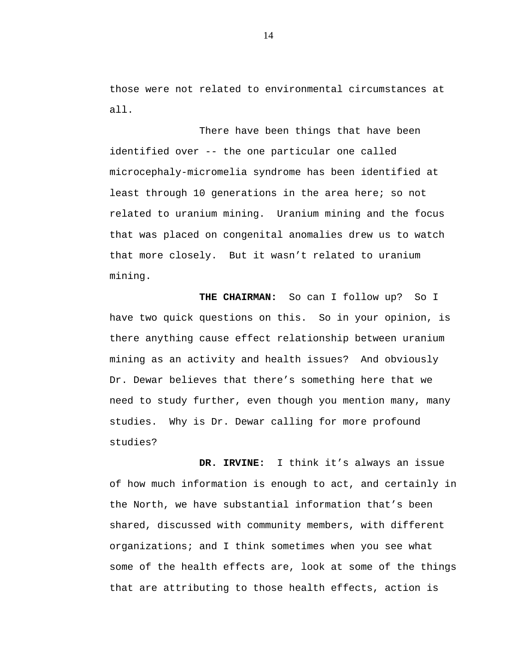those were not related to environmental circumstances at all.

There have been things that have been identified over -- the one particular one called microcephaly-micromelia syndrome has been identified at least through 10 generations in the area here; so not related to uranium mining. Uranium mining and the focus that was placed on congenital anomalies drew us to watch that more closely. But it wasn't related to uranium mining.

THE CHAIRMAN: So can I follow up? So I have two quick questions on this. So in your opinion, is there anything cause effect relationship between uranium mining as an activity and health issues? And obviously Dr. Dewar believes that there's something here that we need to study further, even though you mention many, many studies. Why is Dr. Dewar calling for more profound studies?

**DR. IRVINE:** I think it's always an issue of how much information is enough to act, and certainly in the North, we have substantial information that's been shared, discussed with community members, with different organizations; and I think sometimes when you see what some of the health effects are, look at some of the things that are attributing to those health effects, action is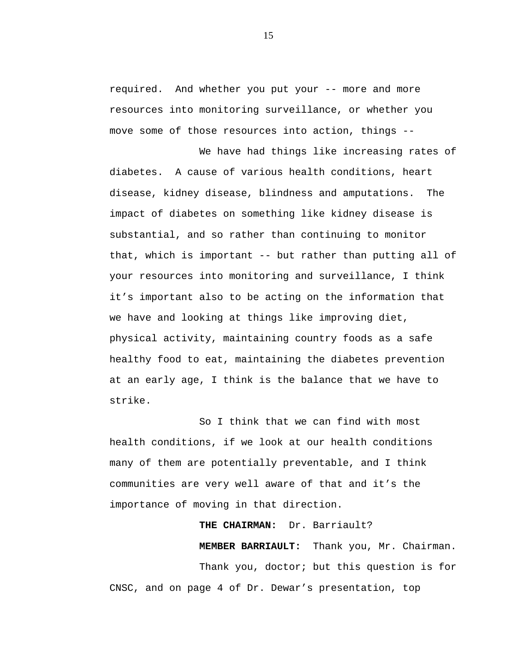required. And whether you put your -- more and more resources into monitoring surveillance, or whether you move some of those resources into action, things --

We have had things like increasing rates of diabetes. A cause of various health conditions, heart disease, kidney disease, blindness and amputations. The impact of diabetes on something like kidney disease is substantial, and so rather than continuing to monitor that, which is important -- but rather than putting all of your resources into monitoring and surveillance, I think it's important also to be acting on the information that we have and looking at things like improving diet, physical activity, maintaining country foods as a safe healthy food to eat, maintaining the diabetes prevention at an early age, I think is the balance that we have to strike.

So I think that we can find with most health conditions, if we look at our health conditions many of them are potentially preventable, and I think communities are very well aware of that and it's the importance of moving in that direction.

CNSC, and on page 4 of Dr. Dewar's presentation, top

# **THE CHAIRMAN:** Dr. Barriault? **MEMBER BARRIAULT:** Thank you, Mr. Chairman. Thank you, doctor; but this question is for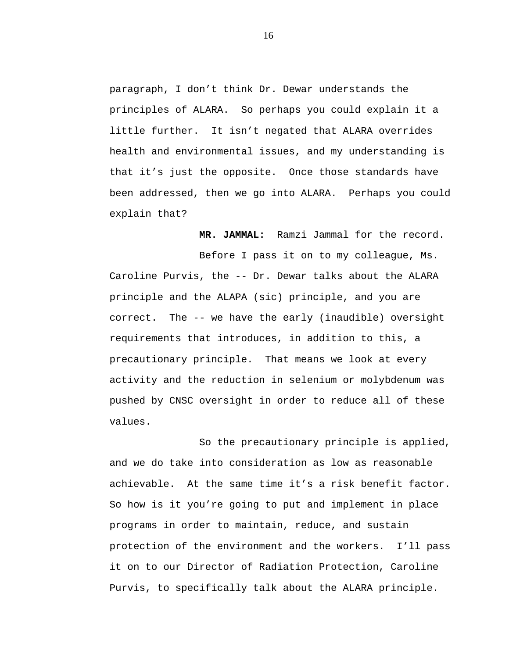paragraph, I don't think Dr. Dewar understands the principles of ALARA. So perhaps you could explain it a little further. It isn't negated that ALARA overrides health and environmental issues, and my understanding is that it's just the opposite. Once those standards have been addressed, then we go into ALARA. Perhaps you could explain that?

**MR. JAMMAL:** Ramzi Jammal for the record.

Before I pass it on to my colleague, Ms. Caroline Purvis, the -- Dr. Dewar talks about the ALARA principle and the ALAPA (sic) principle, and you are correct. The -- we have the early (inaudible) oversight requirements that introduces, in addition to this, a precautionary principle. That means we look at every activity and the reduction in selenium or molybdenum was pushed by CNSC oversight in order to reduce all of these values.

So the precautionary principle is applied, and we do take into consideration as low as reasonable achievable. At the same time it's a risk benefit factor. So how is it you're going to put and implement in place programs in order to maintain, reduce, and sustain protection of the environment and the workers. I'll pass it on to our Director of Radiation Protection, Caroline Purvis, to specifically talk about the ALARA principle.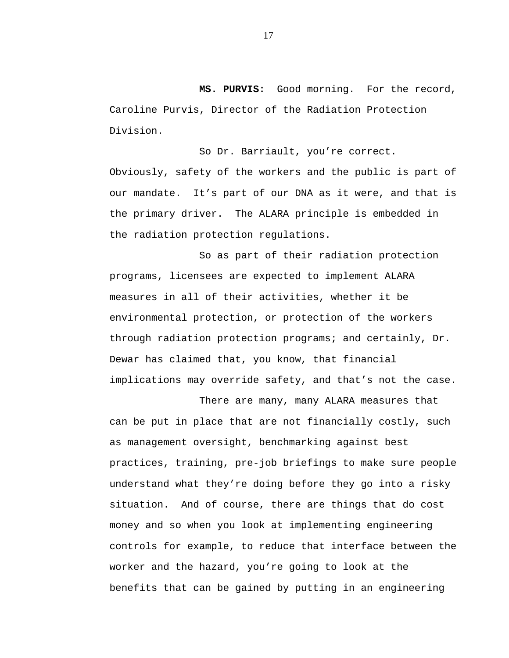**MS. PURVIS:** Good morning. For the record, Caroline Purvis, Director of the Radiation Protection Division.

So Dr. Barriault, you're correct.

Obviously, safety of the workers and the public is part of our mandate. It's part of our DNA as it were, and that is the primary driver. The ALARA principle is embedded in the radiation protection regulations.

So as part of their radiation protection programs, licensees are expected to implement ALARA measures in all of their activities, whether it be environmental protection, or protection of the workers through radiation protection programs; and certainly, Dr. Dewar has claimed that, you know, that financial implications may override safety, and that's not the case.

There are many, many ALARA measures that can be put in place that are not financially costly, such as management oversight, benchmarking against best practices, training, pre-job briefings to make sure people understand what they're doing before they go into a risky situation. And of course, there are things that do cost money and so when you look at implementing engineering controls for example, to reduce that interface between the worker and the hazard, you're going to look at the benefits that can be gained by putting in an engineering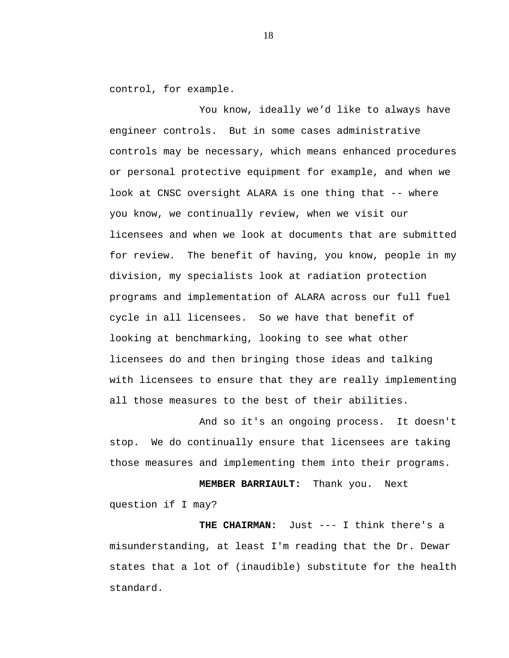control, for example.

You know, ideally we'd like to always have engineer controls. But in some cases administrative controls may be necessary, which means enhanced procedures or personal protective equipment for example, and when we look at CNSC oversight ALARA is one thing that -- where you know, we continually review, when we visit our licensees and when we look at documents that are submitted for review. The benefit of having, you know, people in my division, my specialists look at radiation protection programs and implementation of ALARA across our full fuel cycle in all licensees. So we have that benefit of looking at benchmarking, looking to see what other licensees do and then bringing those ideas and talking with licensees to ensure that they are really implementing all those measures to the best of their abilities.

And so it's an ongoing process. It doesn't stop. We do continually ensure that licensees are taking those measures and implementing them into their programs.

**MEMBER BARRIAULT:** Thank you. Next question if I may?

**THE CHAIRMAN:** Just --- I think there's a misunderstanding, at least I'm reading that the Dr. Dewar states that a lot of (inaudible) substitute for the health standard.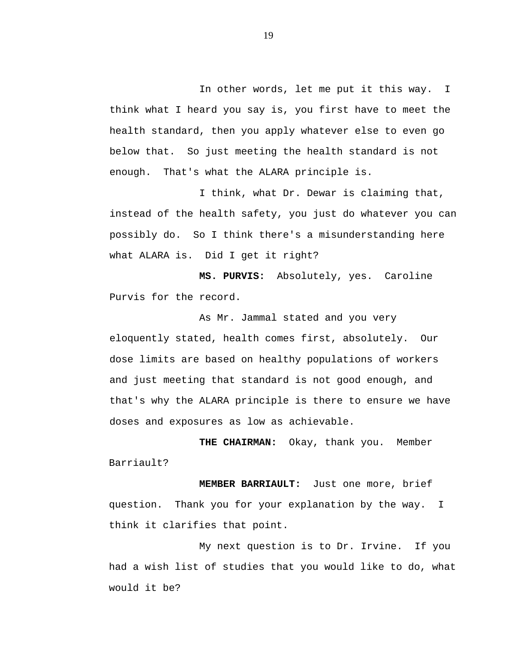In other words, let me put it this way. I think what I heard you say is, you first have to meet the health standard, then you apply whatever else to even go below that. So just meeting the health standard is not enough. That's what the ALARA principle is.

I think, what Dr. Dewar is claiming that, instead of the health safety, you just do whatever you can possibly do. So I think there's a misunderstanding here what ALARA is. Did I get it right?

**MS. PURVIS:** Absolutely, yes. Caroline Purvis for the record.

As Mr. Jammal stated and you very eloquently stated, health comes first, absolutely. Our dose limits are based on healthy populations of workers and just meeting that standard is not good enough, and that's why the ALARA principle is there to ensure we have doses and exposures as low as achievable.

**THE CHAIRMAN:** Okay, thank you. Member Barriault?

**MEMBER BARRIAULT:** Just one more, brief question.Thank you for your explanation by the way. I think it clarifies that point.

My next question is to Dr. Irvine. If you had a wish list of studies that you would like to do, what would it be?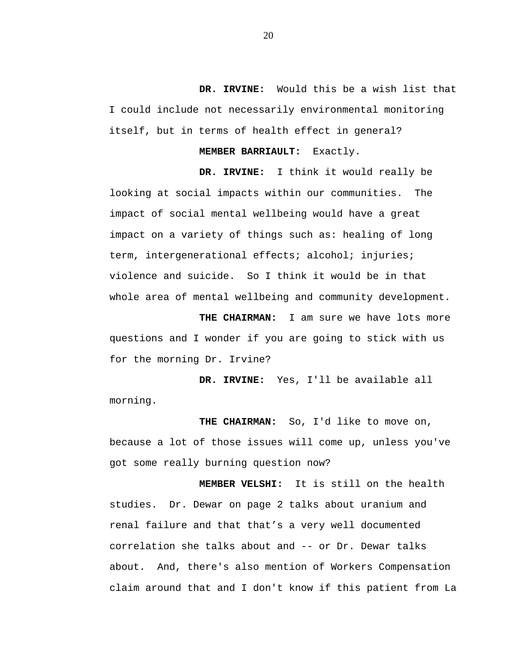**DR. IRVINE:** Would this be a wish list that I could include not necessarily environmental monitoring itself, but in terms of health effect in general?

#### **MEMBER BARRIAULT:** Exactly.

**DR. IRVINE:** I think it would really be looking at social impacts within our communities. The impact of social mental wellbeing would have a great impact on a variety of things such as: healing of long term, intergenerational effects; alcohol; injuries; violence and suicide. So I think it would be in that whole area of mental wellbeing and community development.

**THE CHAIRMAN:** I am sure we have lots more questions and I wonder if you are going to stick with us for the morning Dr. Irvine?

**DR. IRVINE:** Yes, I'll be available all morning.

**THE CHAIRMAN:** So, I'd like to move on, because a lot of those issues will come up, unless you've got some really burning question now?

**MEMBER VELSHI:** It is still on the health studies. Dr. Dewar on page 2 talks about uranium and renal failure and that that's a very well documented correlation she talks about and -- or Dr. Dewar talks about. And, there's also mention of Workers Compensation claim around that and I don't know if this patient from La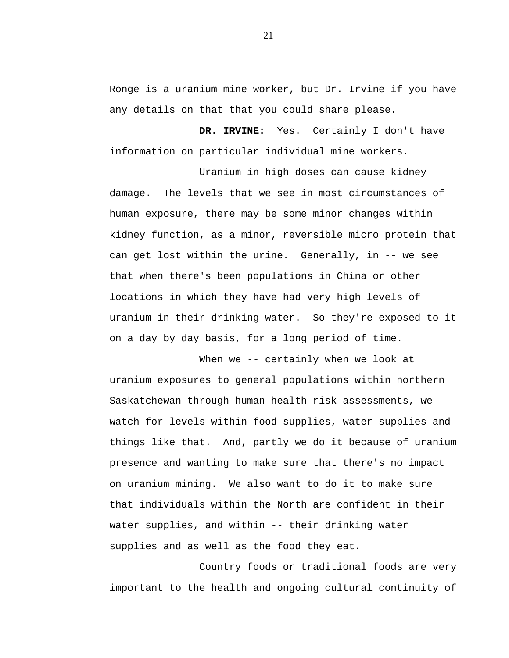Ronge is a uranium mine worker, but Dr. Irvine if you have any details on that that you could share please.

**DR. IRVINE:** Yes. Certainly I don't have information on particular individual mine workers.

Uranium in high doses can cause kidney damage. The levels that we see in most circumstances of human exposure, there may be some minor changes within kidney function, as a minor, reversible micro protein that can get lost within the urine. Generally, in -- we see that when there's been populations in China or other locations in which they have had very high levels of uranium in their drinking water. So they're exposed to it on a day by day basis, for a long period of time.

When we -- certainly when we look at uranium exposures to general populations within northern Saskatchewan through human health risk assessments, we watch for levels within food supplies, water supplies and things like that. And, partly we do it because of uranium presence and wanting to make sure that there's no impact on uranium mining. We also want to do it to make sure that individuals within the North are confident in their water supplies, and within -- their drinking water supplies and as well as the food they eat.

Country foods or traditional foods are very important to the health and ongoing cultural continuity of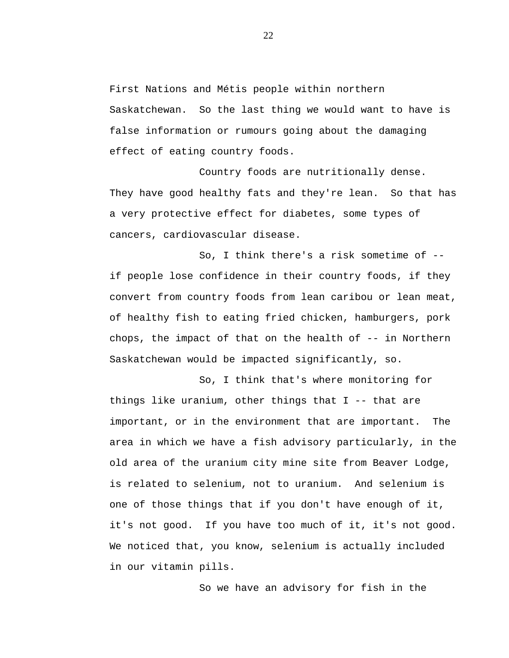First Nations and Métis people within northern Saskatchewan. So the last thing we would want to have is false information or rumours going about the damaging effect of eating country foods.

Country foods are nutritionally dense. They have good healthy fats and they're lean. So that has a very protective effect for diabetes, some types of cancers, cardiovascular disease.

So, I think there's a risk sometime of - if people lose confidence in their country foods, if they convert from country foods from lean caribou or lean meat, of healthy fish to eating fried chicken, hamburgers, pork chops, the impact of that on the health of -- in Northern Saskatchewan would be impacted significantly, so.

So, I think that's where monitoring for things like uranium, other things that I -- that are important, or in the environment that are important. The area in which we have a fish advisory particularly, in the old area of the uranium city mine site from Beaver Lodge, is related to selenium, not to uranium. And selenium is one of those things that if you don't have enough of it, it's not good. If you have too much of it, it's not good. We noticed that, you know, selenium is actually included in our vitamin pills.

So we have an advisory for fish in the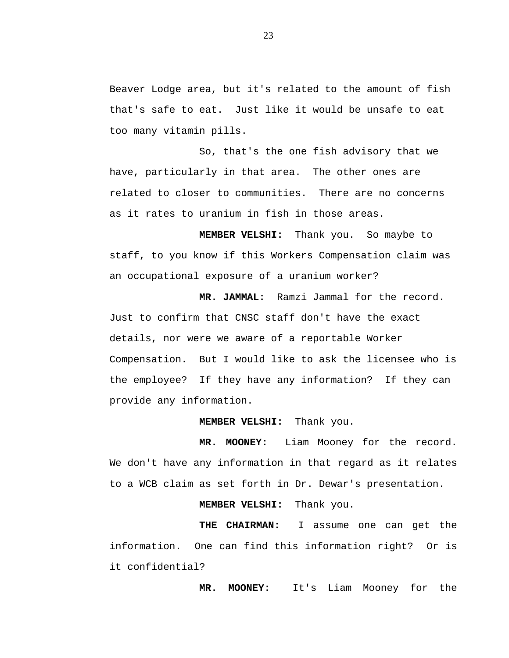Beaver Lodge area, but it's related to the amount of fish that's safe to eat. Just like it would be unsafe to eat too many vitamin pills.

So, that's the one fish advisory that we have, particularly in that area. The other ones are related to closer to communities. There are no concerns as it rates to uranium in fish in those areas.

**MEMBER VELSHI:** Thank you. So maybe to staff, to you know if this Workers Compensation claim was an occupational exposure of a uranium worker?

**MR. JAMMAL:** Ramzi Jammal for the record. Just to confirm that CNSC staff don't have the exact details, nor were we aware of a reportable Worker Compensation. But I would like to ask the licensee who is the employee? If they have any information? If they can provide any information.

#### **MEMBER VELSHI:** Thank you.

**MR. MOONEY:** Liam Mooney for the record. We don't have any information in that regard as it relates to a WCB claim as set forth in Dr. Dewar's presentation.

**MEMBER VELSHI:** Thank you.

**THE CHAIRMAN:** I assume one can get the information. One can find this information right? Or is it confidential?

**MR. MOONEY:** It's Liam Mooney for the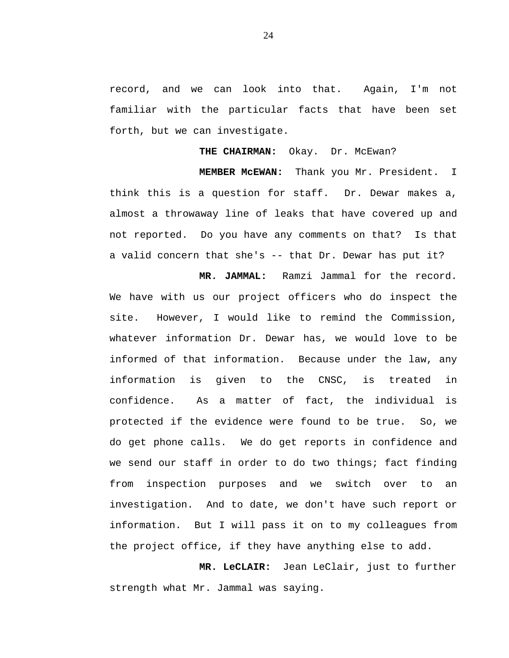record, and we can look into that. Again, I'm not familiar with the particular facts that have been set forth, but we can investigate.

THE CHAIRMAN: Okay. Dr. McEwan?

**MEMBER McEWAN:** Thank you Mr. President. I think this is a question for staff. Dr. Dewar makes a, almost a throwaway line of leaks that have covered up and not reported. Do you have any comments on that? Is that a valid concern that she's -- that Dr. Dewar has put it?

**MR. JAMMAL:** Ramzi Jammal for the record. We have with us our project officers who do inspect the site. However, I would like to remind the Commission, whatever information Dr. Dewar has, we would love to be informed of that information. Because under the law, any information is given to the CNSC, is treated in confidence. As a matter of fact, the individual is protected if the evidence were found to be true. So, we do get phone calls. We do get reports in confidence and we send our staff in order to do two things; fact finding from inspection purposes and we switch over to an investigation. And to date, we don't have such report or information. But I will pass it on to my colleagues from the project office, if they have anything else to add.

**MR. LeCLAIR:** Jean LeClair, just to further strength what Mr. Jammal was saying.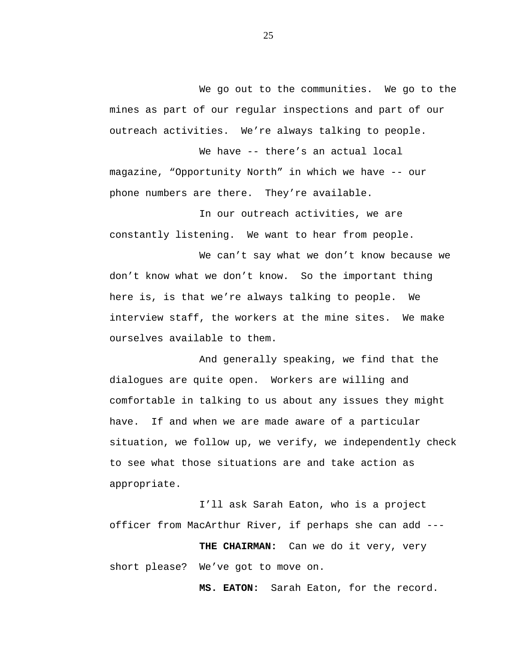We go out to the communities. We go to the mines as part of our regular inspections and part of our outreach activities. We're always talking to people.

We have -- there's an actual local magazine, "Opportunity North" in which we have -- our phone numbers are there. They're available.

In our outreach activities, we are constantly listening. We want to hear from people.

We can't say what we don't know because we don't know what we don't know. So the important thing here is, is that we're always talking to people. We interview staff, the workers at the mine sites. We make ourselves available to them.

And generally speaking, we find that the dialogues are quite open. Workers are willing and comfortable in talking to us about any issues they might have. If and when we are made aware of a particular situation, we follow up, we verify, we independently check to see what those situations are and take action as appropriate.

I'll ask Sarah Eaton, who is a project officer from MacArthur River, if perhaps she can add ---

**THE CHAIRMAN:** Can we do it very, very short please? We've got to move on.

**MS. EATON:** Sarah Eaton, for the record.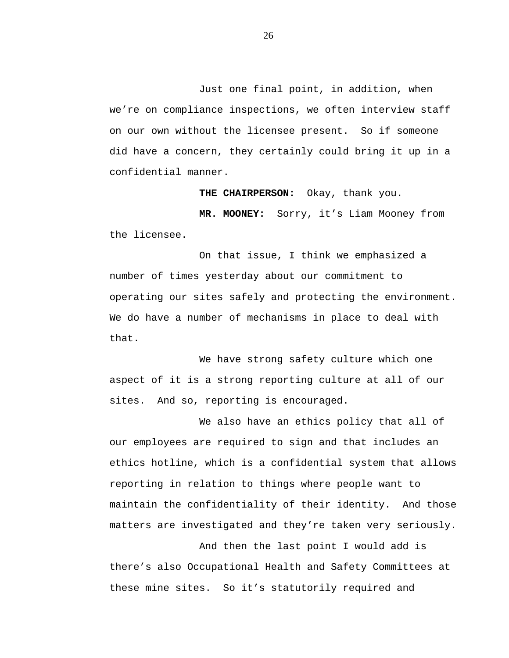Just one final point, in addition, when we're on compliance inspections, we often interview staff on our own without the licensee present. So if someone did have a concern, they certainly could bring it up in a confidential manner.

**THE CHAIRPERSON:** Okay, thank you.

**MR. MOONEY:** Sorry, it's Liam Mooney from the licensee.

On that issue, I think we emphasized a number of times yesterday about our commitment to operating our sites safely and protecting the environment. We do have a number of mechanisms in place to deal with that.

We have strong safety culture which one aspect of it is a strong reporting culture at all of our sites. And so, reporting is encouraged.

We also have an ethics policy that all of our employees are required to sign and that includes an ethics hotline, which is a confidential system that allows reporting in relation to things where people want to maintain the confidentiality of their identity. And those matters are investigated and they're taken very seriously.

And then the last point I would add is there's also Occupational Health and Safety Committees at these mine sites. So it's statutorily required and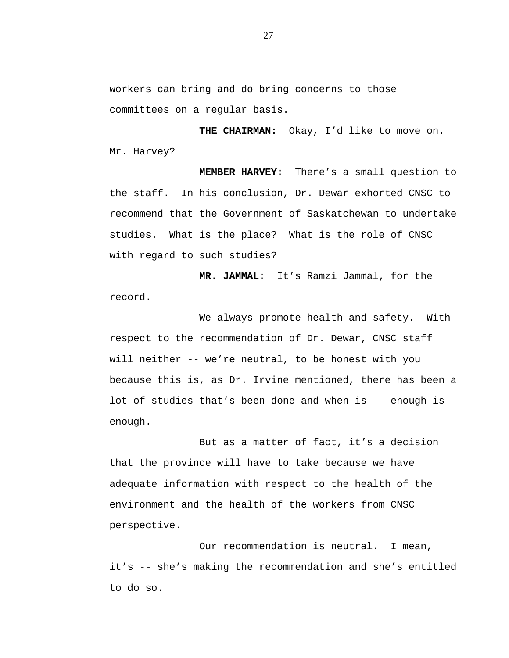workers can bring and do bring concerns to those committees on a regular basis.

**THE CHAIRMAN:** Okay, I'd like to move on. Mr. Harvey?

**MEMBER HARVEY:** There's a small question to the staff. In his conclusion, Dr. Dewar exhorted CNSC to recommend that the Government of Saskatchewan to undertake studies. What is the place? What is the role of CNSC with regard to such studies?

**MR. JAMMAL:** It's Ramzi Jammal, for the record.

We always promote health and safety. With respect to the recommendation of Dr. Dewar, CNSC staff will neither -- we're neutral, to be honest with you because this is, as Dr. Irvine mentioned, there has been a lot of studies that's been done and when is -- enough is enough.

But as a matter of fact, it's a decision that the province will have to take because we have adequate information with respect to the health of the environment and the health of the workers from CNSC perspective.

Our recommendation is neutral. I mean, it's -- she's making the recommendation and she's entitled to do so.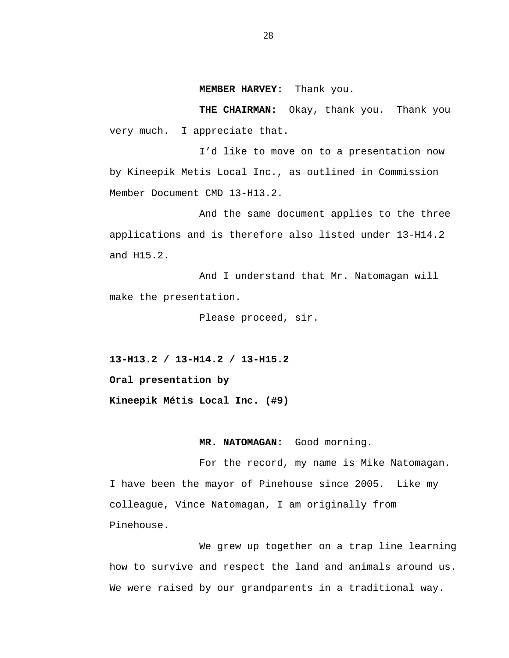#### **MEMBER HARVEY:** Thank you.

**THE CHAIRMAN:** Okay, thank you. Thank you very much. I appreciate that.

I'd like to move on to a presentation now by Kineepik Metis Local Inc., as outlined in Commission Member Document CMD 13-H13.2.

And the same document applies to the three applications and is therefore also listed under 13-H14.2 and H15.2.

And I understand that Mr. Natomagan will make the presentation.

Please proceed, sir.

 **13-H13.2 / 13-H14.2 / 13-H15.2 Oral presentation by Kineepik Métis Local Inc. (#9)**

#### **MR. NATOMAGAN:** Good morning.

For the record, my name is Mike Natomagan. I have been the mayor of Pinehouse since 2005. Like my colleague, Vince Natomagan, I am originally from Pinehouse.

We grew up together on a trap line learning how to survive and respect the land and animals around us. We were raised by our grandparents in a traditional way.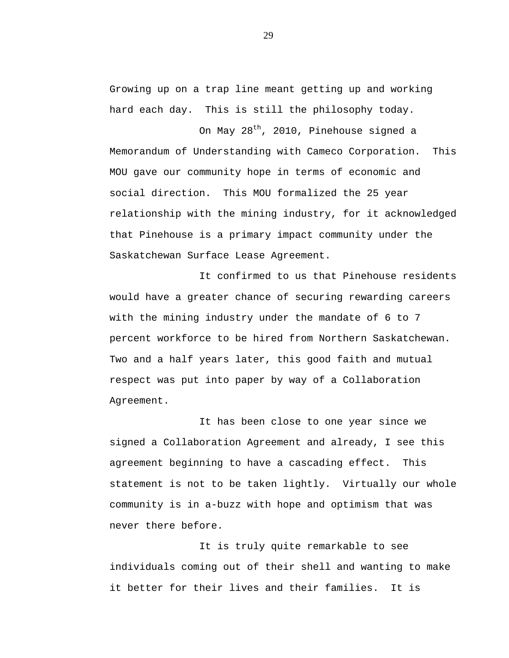Growing up on a trap line meant getting up and working hard each day. This is still the philosophy today.

On May 28<sup>th</sup>, 2010, Pinehouse signed a Memorandum of Understanding with Cameco Corporation. This MOU gave our community hope in terms of economic and social direction. This MOU formalized the 25 year relationship with the mining industry, for it acknowledged that Pinehouse is a primary impact community under the Saskatchewan Surface Lease Agreement.

It confirmed to us that Pinehouse residents would have a greater chance of securing rewarding careers with the mining industry under the mandate of 6 to 7 percent workforce to be hired from Northern Saskatchewan. Two and a half years later, this good faith and mutual respect was put into paper by way of a Collaboration Agreement.

It has been close to one year since we signed a Collaboration Agreement and already, I see this agreement beginning to have a cascading effect. This statement is not to be taken lightly. Virtually our whole community is in a-buzz with hope and optimism that was never there before.

It is truly quite remarkable to see individuals coming out of their shell and wanting to make it better for their lives and their families. It is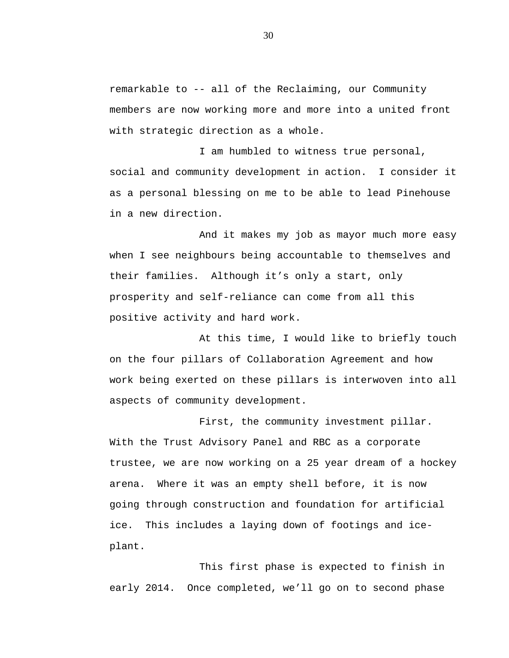remarkable to -- all of the Reclaiming, our Community members are now working more and more into a united front with strategic direction as a whole.

I am humbled to witness true personal, social and community development in action. I consider it as a personal blessing on me to be able to lead Pinehouse in a new direction.

And it makes my job as mayor much more easy when I see neighbours being accountable to themselves and their families. Although it's only a start, only prosperity and self-reliance can come from all this positive activity and hard work.

At this time, I would like to briefly touch on the four pillars of Collaboration Agreement and how work being exerted on these pillars is interwoven into all aspects of community development.

First, the community investment pillar. With the Trust Advisory Panel and RBC as a corporate trustee, we are now working on a 25 year dream of a hockey arena. Where it was an empty shell before, it is now going through construction and foundation for artificial ice. This includes a laying down of footings and iceplant.

This first phase is expected to finish in early 2014. Once completed, we'll go on to second phase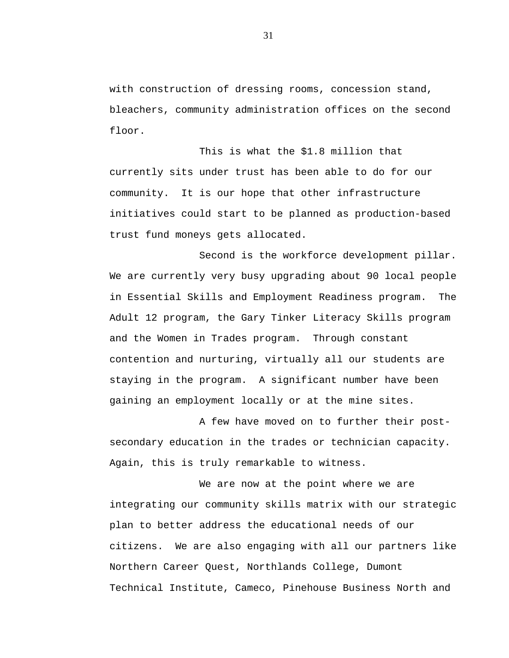with construction of dressing rooms, concession stand, bleachers, community administration offices on the second floor.

This is what the \$1.8 million that currently sits under trust has been able to do for our community. It is our hope that other infrastructure initiatives could start to be planned as production-based trust fund moneys gets allocated.

Second is the workforce development pillar. We are currently very busy upgrading about 90 local people in Essential Skills and Employment Readiness program. The Adult 12 program, the Gary Tinker Literacy Skills program and the Women in Trades program. Through constant contention and nurturing, virtually all our students are staying in the program. A significant number have been gaining an employment locally or at the mine sites.

A few have moved on to further their postsecondary education in the trades or technician capacity. Again, this is truly remarkable to witness.

We are now at the point where we are integrating our community skills matrix with our strategic plan to better address the educational needs of our citizens. We are also engaging with all our partners like Northern Career Quest, Northlands College, Dumont Technical Institute, Cameco, Pinehouse Business North and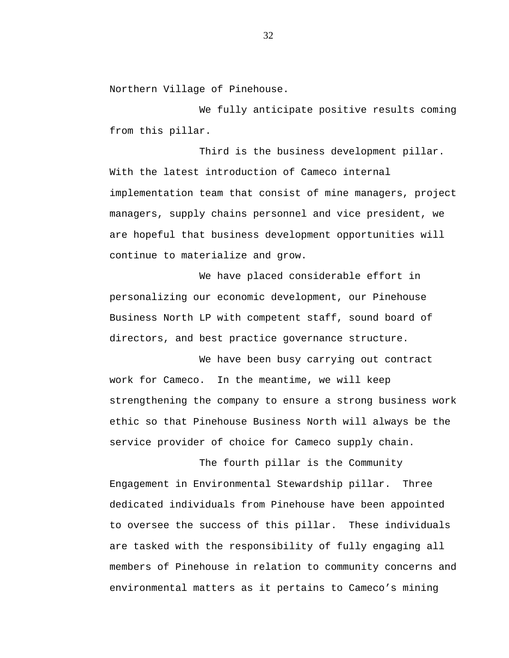Northern Village of Pinehouse.

We fully anticipate positive results coming from this pillar.

Third is the business development pillar. With the latest introduction of Cameco internal implementation team that consist of mine managers, project managers, supply chains personnel and vice president, we are hopeful that business development opportunities will continue to materialize and grow.

We have placed considerable effort in personalizing our economic development, our Pinehouse Business North LP with competent staff, sound board of directors, and best practice governance structure.

We have been busy carrying out contract work for Cameco. In the meantime, we will keep strengthening the company to ensure a strong business work ethic so that Pinehouse Business North will always be the service provider of choice for Cameco supply chain.

The fourth pillar is the Community Engagement in Environmental Stewardship pillar. Three dedicated individuals from Pinehouse have been appointed to oversee the success of this pillar. These individuals are tasked with the responsibility of fully engaging all members of Pinehouse in relation to community concerns and environmental matters as it pertains to Cameco's mining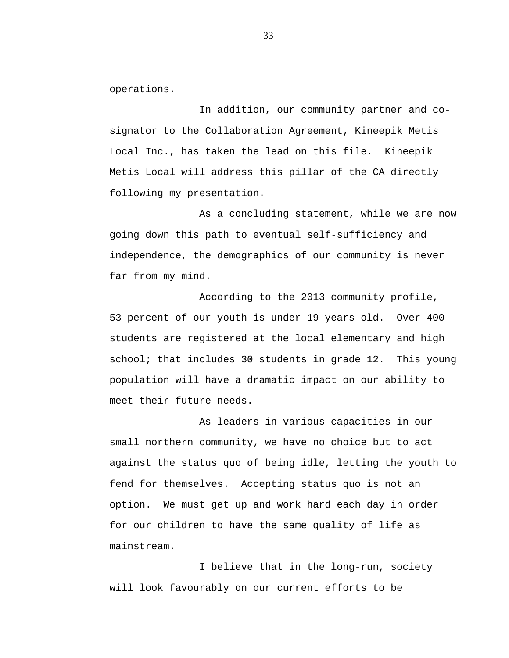operations.

In addition, our community partner and cosignator to the Collaboration Agreement, Kineepik Metis Local Inc., has taken the lead on this file. Kineepik Metis Local will address this pillar of the CA directly following my presentation.

As a concluding statement, while we are now going down this path to eventual self-sufficiency and independence, the demographics of our community is never far from my mind.

According to the 2013 community profile, 53 percent of our youth is under 19 years old. Over 400 students are registered at the local elementary and high school; that includes 30 students in grade 12. This young population will have a dramatic impact on our ability to meet their future needs.

As leaders in various capacities in our small northern community, we have no choice but to act against the status quo of being idle, letting the youth to fend for themselves. Accepting status quo is not an option. We must get up and work hard each day in order for our children to have the same quality of life as mainstream.

I believe that in the long-run, society will look favourably on our current efforts to be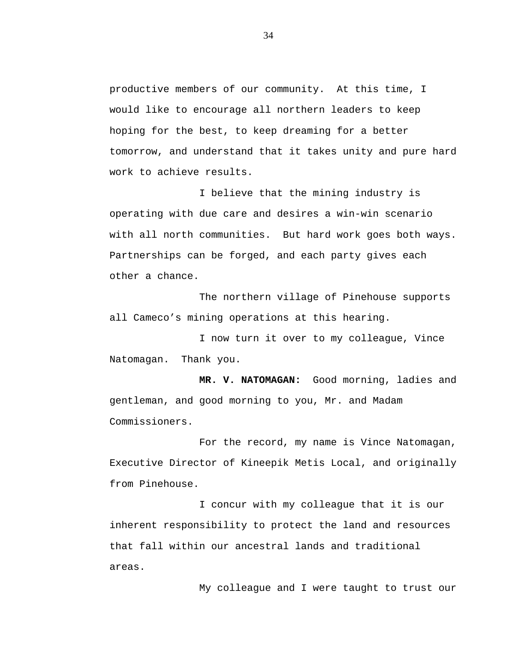productive members of our community. At this time, I would like to encourage all northern leaders to keep hoping for the best, to keep dreaming for a better tomorrow, and understand that it takes unity and pure hard work to achieve results.

I believe that the mining industry is operating with due care and desires a win-win scenario with all north communities. But hard work goes both ways. Partnerships can be forged, and each party gives each other a chance.

The northern village of Pinehouse supports all Cameco's mining operations at this hearing.

I now turn it over to my colleague, Vince Natomagan. Thank you.

**MR. V. NATOMAGAN:** Good morning, ladies and gentleman, and good morning to you, Mr. and Madam Commissioners.

For the record, my name is Vince Natomagan, Executive Director of Kineepik Metis Local, and originally from Pinehouse.

I concur with my colleague that it is our inherent responsibility to protect the land and resources that fall within our ancestral lands and traditional areas.

My colleague and I were taught to trust our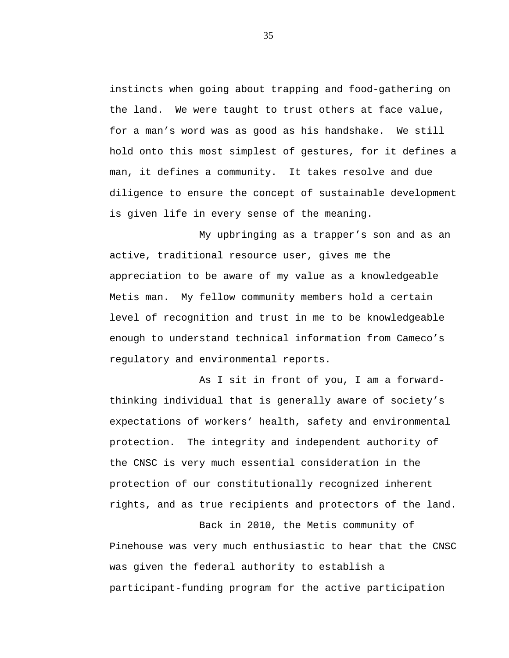instincts when going about trapping and food-gathering on the land. We were taught to trust others at face value, for a man's word was as good as his handshake. We still hold onto this most simplest of gestures, for it defines a man, it defines a community. It takes resolve and due diligence to ensure the concept of sustainable development is given life in every sense of the meaning.

My upbringing as a trapper's son and as an active, traditional resource user, gives me the appreciation to be aware of my value as a knowledgeable Metis man. My fellow community members hold a certain level of recognition and trust in me to be knowledgeable enough to understand technical information from Cameco's regulatory and environmental reports.

As I sit in front of you, I am a forwardthinking individual that is generally aware of society's expectations of workers' health, safety and environmental protection. The integrity and independent authority of the CNSC is very much essential consideration in the protection of our constitutionally recognized inherent rights, and as true recipients and protectors of the land.

Back in 2010, the Metis community of Pinehouse was very much enthusiastic to hear that the CNSC was given the federal authority to establish a participant-funding program for the active participation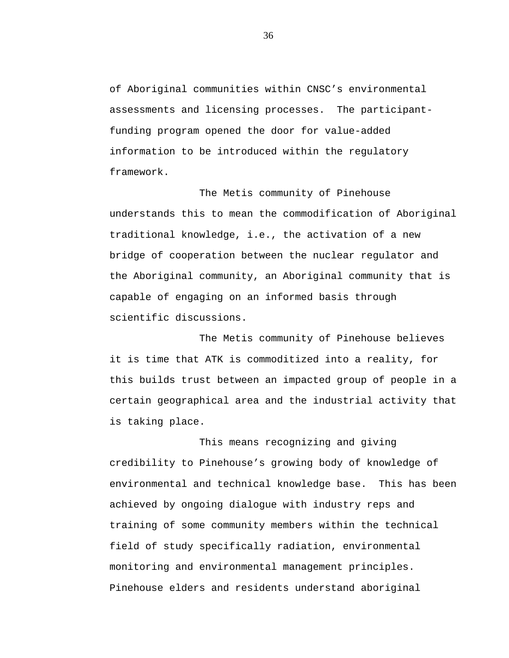of Aboriginal communities within CNSC's environmental assessments and licensing processes. The participantfunding program opened the door for value-added information to be introduced within the regulatory framework.

The Metis community of Pinehouse understands this to mean the commodification of Aboriginal traditional knowledge, i.e., the activation of a new bridge of cooperation between the nuclear regulator and the Aboriginal community, an Aboriginal community that is capable of engaging on an informed basis through scientific discussions.

The Metis community of Pinehouse believes it is time that ATK is commoditized into a reality, for this builds trust between an impacted group of people in a certain geographical area and the industrial activity that is taking place.

This means recognizing and giving credibility to Pinehouse's growing body of knowledge of environmental and technical knowledge base. This has been achieved by ongoing dialogue with industry reps and training of some community members within the technical field of study specifically radiation, environmental monitoring and environmental management principles. Pinehouse elders and residents understand aboriginal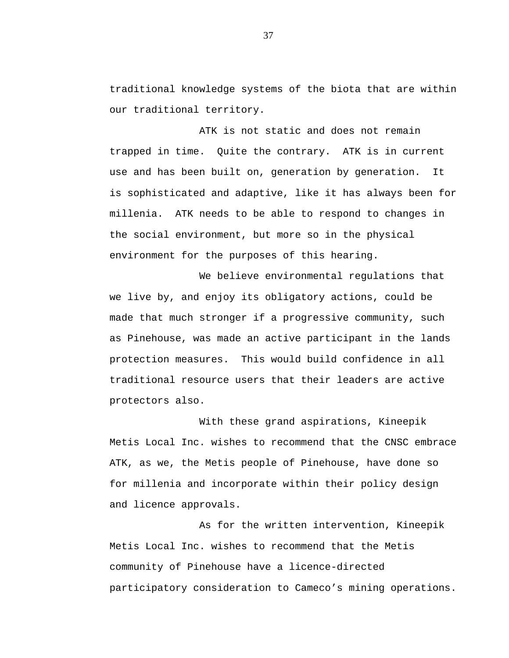traditional knowledge systems of the biota that are within our traditional territory.

ATK is not static and does not remain trapped in time. Quite the contrary. ATK is in current use and has been built on, generation by generation. It is sophisticated and adaptive, like it has always been for millenia. ATK needs to be able to respond to changes in the social environment, but more so in the physical environment for the purposes of this hearing.

We believe environmental regulations that we live by, and enjoy its obligatory actions, could be made that much stronger if a progressive community, such as Pinehouse, was made an active participant in the lands protection measures. This would build confidence in all traditional resource users that their leaders are active protectors also.

With these grand aspirations, Kineepik Metis Local Inc. wishes to recommend that the CNSC embrace ATK, as we, the Metis people of Pinehouse, have done so for millenia and incorporate within their policy design and licence approvals.

As for the written intervention, Kineepik Metis Local Inc. wishes to recommend that the Metis community of Pinehouse have a licence-directed participatory consideration to Cameco's mining operations.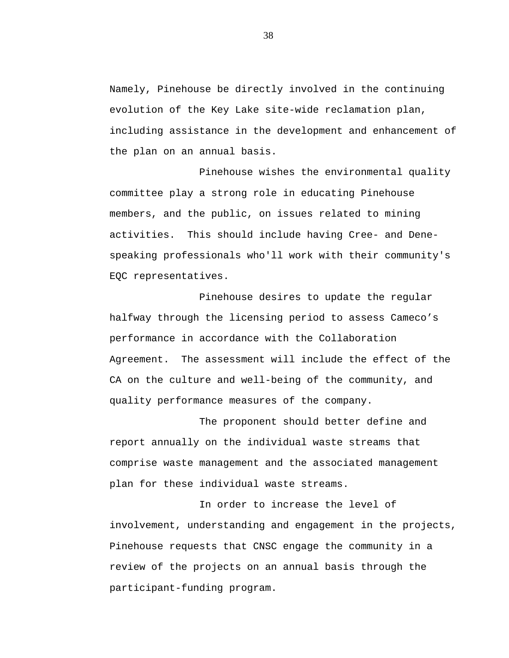Namely, Pinehouse be directly involved in the continuing evolution of the Key Lake site-wide reclamation plan, including assistance in the development and enhancement of the plan on an annual basis.

Pinehouse wishes the environmental quality committee play a strong role in educating Pinehouse members, and the public, on issues related to mining activities. This should include having Cree- and Denespeaking professionals who'll work with their community's EQC representatives.

Pinehouse desires to update the regular halfway through the licensing period to assess Cameco's performance in accordance with the Collaboration Agreement. The assessment will include the effect of the CA on the culture and well-being of the community, and quality performance measures of the company.

The proponent should better define and report annually on the individual waste streams that comprise waste management and the associated management plan for these individual waste streams.

In order to increase the level of involvement, understanding and engagement in the projects, Pinehouse requests that CNSC engage the community in a review of the projects on an annual basis through the participant-funding program.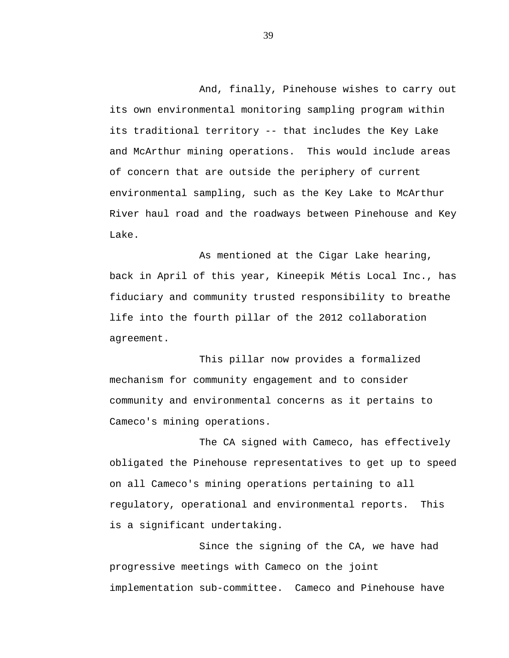And, finally, Pinehouse wishes to carry out its own environmental monitoring sampling program within its traditional territory -- that includes the Key Lake and McArthur mining operations. This would include areas of concern that are outside the periphery of current environmental sampling, such as the Key Lake to McArthur River haul road and the roadways between Pinehouse and Key Lake.

As mentioned at the Cigar Lake hearing, back in April of this year, Kineepik Métis Local Inc., has fiduciary and community trusted responsibility to breathe life into the fourth pillar of the 2012 collaboration agreement.

This pillar now provides a formalized mechanism for community engagement and to consider community and environmental concerns as it pertains to Cameco's mining operations.

The CA signed with Cameco, has effectively obligated the Pinehouse representatives to get up to speed on all Cameco's mining operations pertaining to all regulatory, operational and environmental reports. This is a significant undertaking.

Since the signing of the CA, we have had progressive meetings with Cameco on the joint implementation sub-committee. Cameco and Pinehouse have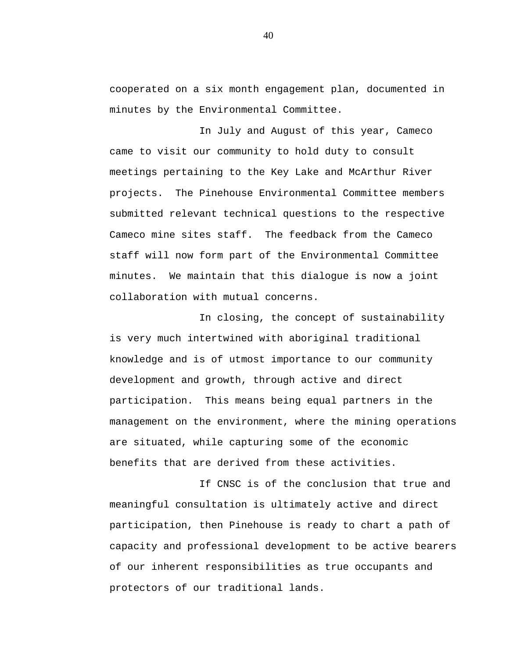cooperated on a six month engagement plan, documented in minutes by the Environmental Committee.

In July and August of this year, Cameco came to visit our community to hold duty to consult meetings pertaining to the Key Lake and McArthur River projects. The Pinehouse Environmental Committee members submitted relevant technical questions to the respective Cameco mine sites staff. The feedback from the Cameco staff will now form part of the Environmental Committee minutes. We maintain that this dialogue is now a joint collaboration with mutual concerns.

In closing, the concept of sustainability is very much intertwined with aboriginal traditional knowledge and is of utmost importance to our community development and growth, through active and direct participation. This means being equal partners in the management on the environment, where the mining operations are situated, while capturing some of the economic benefits that are derived from these activities.

If CNSC is of the conclusion that true and meaningful consultation is ultimately active and direct participation, then Pinehouse is ready to chart a path of capacity and professional development to be active bearers of our inherent responsibilities as true occupants and protectors of our traditional lands.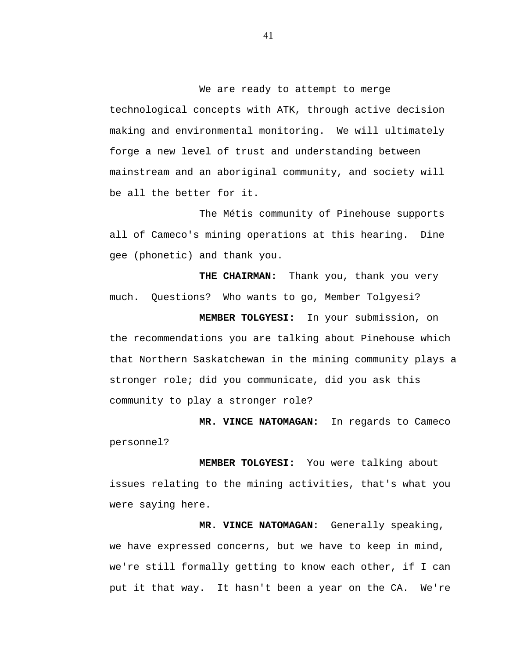We are ready to attempt to merge technological concepts with ATK, through active decision making and environmental monitoring. We will ultimately forge a new level of trust and understanding between mainstream and an aboriginal community, and society will be all the better for it.

The Métis community of Pinehouse supports all of Cameco's mining operations at this hearing. Dine gee (phonetic) and thank you.

**THE CHAIRMAN:** Thank you, thank you very much. Questions? Who wants to go, Member Tolgyesi?

**MEMBER TOLGYESI:** In your submission, on the recommendations you are talking about Pinehouse which that Northern Saskatchewan in the mining community plays a stronger role; did you communicate, did you ask this community to play a stronger role?

**MR. VINCE NATOMAGAN:** In regards to Cameco personnel?

**MEMBER TOLGYESI:** You were talking about issues relating to the mining activities, that's what you were saying here.

**MR. VINCE NATOMAGAN:** Generally speaking, we have expressed concerns, but we have to keep in mind, we're still formally getting to know each other, if I can put it that way. It hasn't been a year on the CA. We're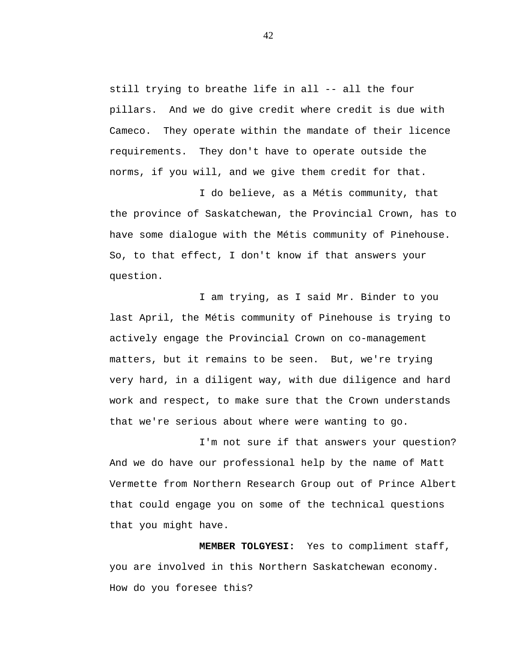still trying to breathe life in all -- all the four pillars. And we do give credit where credit is due with Cameco. They operate within the mandate of their licence requirements. They don't have to operate outside the norms, if you will, and we give them credit for that.

I do believe, as a Métis community, that the province of Saskatchewan, the Provincial Crown, has to have some dialogue with the Métis community of Pinehouse. So, to that effect, I don't know if that answers your question.

I am trying, as I said Mr. Binder to you last April, the Métis community of Pinehouse is trying to actively engage the Provincial Crown on co-management matters, but it remains to be seen. But, we're trying very hard, in a diligent way, with due diligence and hard work and respect, to make sure that the Crown understands that we're serious about where were wanting to go.

I'm not sure if that answers your question? And we do have our professional help by the name of Matt Vermette from Northern Research Group out of Prince Albert that could engage you on some of the technical questions that you might have.

**MEMBER TOLGYESI:** Yes to compliment staff, you are involved in this Northern Saskatchewan economy. How do you foresee this?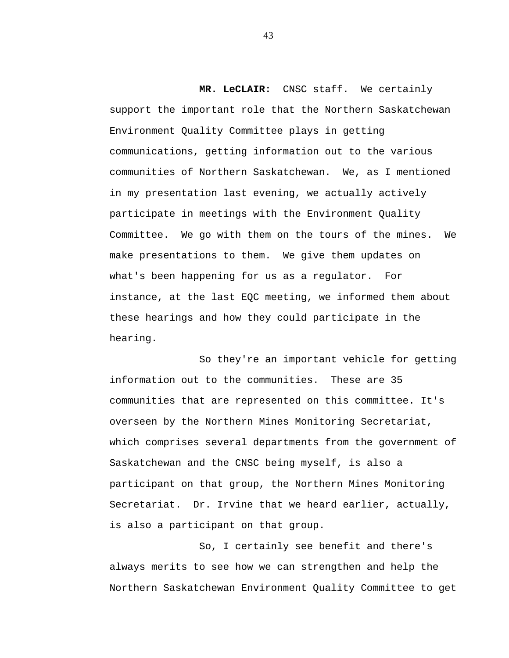**MR. LeCLAIR:** CNSC staff. We certainly support the important role that the Northern Saskatchewan Environment Quality Committee plays in getting communications, getting information out to the various communities of Northern Saskatchewan. We, as I mentioned in my presentation last evening, we actually actively participate in meetings with the Environment Quality Committee. We go with them on the tours of the mines. We make presentations to them. We give them updates on what's been happening for us as a regulator. For instance, at the last EQC meeting, we informed them about these hearings and how they could participate in the hearing.

So they're an important vehicle for getting information out to the communities. These are 35 communities that are represented on this committee. It's overseen by the Northern Mines Monitoring Secretariat, which comprises several departments from the government of Saskatchewan and the CNSC being myself, is also a participant on that group, the Northern Mines Monitoring Secretariat. Dr. Irvine that we heard earlier, actually, is also a participant on that group.

So, I certainly see benefit and there's always merits to see how we can strengthen and help the Northern Saskatchewan Environment Quality Committee to get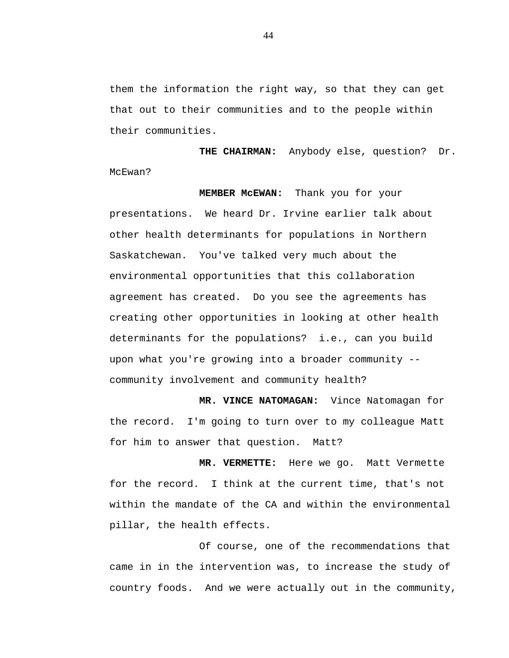them the information the right way, so that they can get that out to their communities and to the people within their communities.

**THE CHAIRMAN:** Anybody else, question? Dr. McEwan?

**MEMBER McEWAN:** Thank you for your presentations. We heard Dr. Irvine earlier talk about other health determinants for populations in Northern Saskatchewan. You've talked very much about the environmental opportunities that this collaboration agreement has created. Do you see the agreements has creating other opportunities in looking at other health determinants for the populations? i.e., can you build upon what you're growing into a broader community - community involvement and community health?

**MR. VINCE NATOMAGAN:** Vince Natomagan for the record. I'm going to turn over to my colleague Matt for him to answer that question. Matt?

**MR. VERMETTE:** Here we go. Matt Vermette for the record. I think at the current time, that's not within the mandate of the CA and within the environmental pillar, the health effects.

Of course, one of the recommendations that came in in the intervention was, to increase the study of country foods. And we were actually out in the community,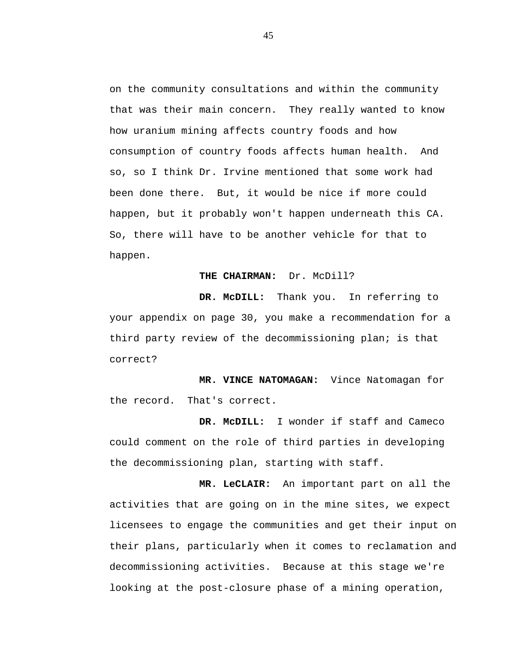on the community consultations and within the community that was their main concern. They really wanted to know how uranium mining affects country foods and how consumption of country foods affects human health. And so, so I think Dr. Irvine mentioned that some work had been done there. But, it would be nice if more could happen, but it probably won't happen underneath this CA. So, there will have to be another vehicle for that to happen.

# **THE CHAIRMAN:** Dr. McDill?

**DR. McDILL:** Thank you. In referring to your appendix on page 30, you make a recommendation for a third party review of the decommissioning plan; is that correct?

**MR. VINCE NATOMAGAN:** Vince Natomagan for the record. That's correct.

**DR. McDILL:** I wonder if staff and Cameco could comment on the role of third parties in developing the decommissioning plan, starting with staff.

**MR. LeCLAIR:** An important part on all the activities that are going on in the mine sites, we expect licensees to engage the communities and get their input on their plans, particularly when it comes to reclamation and decommissioning activities. Because at this stage we're looking at the post-closure phase of a mining operation,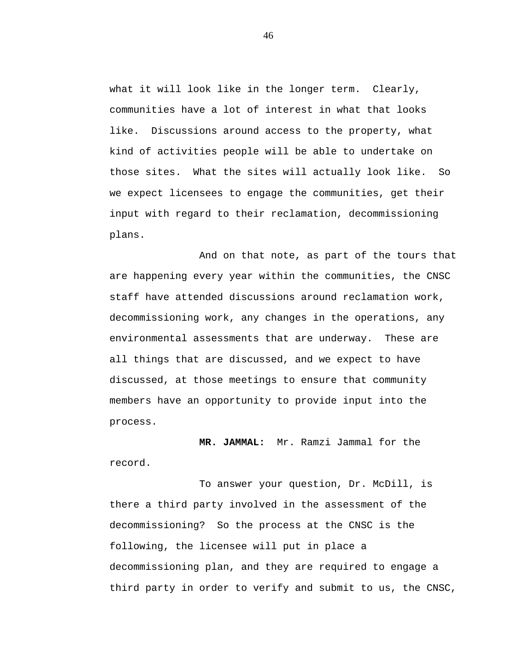what it will look like in the longer term. Clearly, communities have a lot of interest in what that looks like. Discussions around access to the property, what kind of activities people will be able to undertake on those sites. What the sites will actually look like. So we expect licensees to engage the communities, get their input with regard to their reclamation, decommissioning plans.

And on that note, as part of the tours that are happening every year within the communities, the CNSC staff have attended discussions around reclamation work, decommissioning work, any changes in the operations, any environmental assessments that are underway. These are all things that are discussed, and we expect to have discussed, at those meetings to ensure that community members have an opportunity to provide input into the process.

**MR. JAMMAL:** Mr. Ramzi Jammal for the record.

To answer your question, Dr. McDill, is there a third party involved in the assessment of the decommissioning? So the process at the CNSC is the following, the licensee will put in place a decommissioning plan, and they are required to engage a third party in order to verify and submit to us, the CNSC,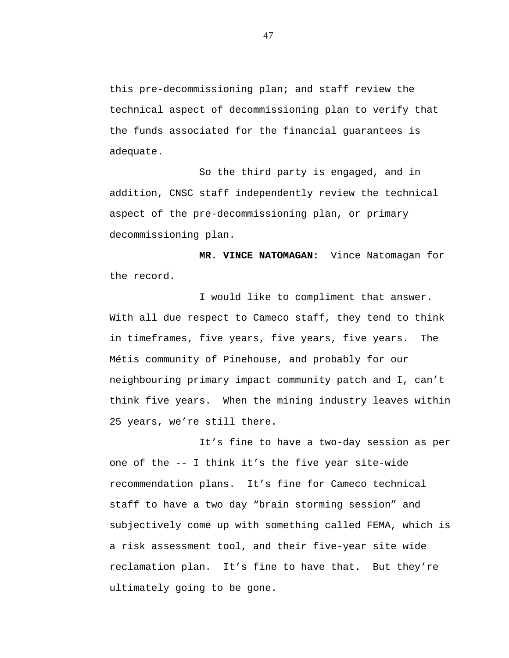this pre-decommissioning plan; and staff review the technical aspect of decommissioning plan to verify that the funds associated for the financial guarantees is adequate.

So the third party is engaged, and in addition, CNSC staff independently review the technical aspect of the pre-decommissioning plan, or primary decommissioning plan.

**MR. VINCE NATOMAGAN:** Vince Natomagan for the record.

I would like to compliment that answer. With all due respect to Cameco staff, they tend to think in timeframes, five years, five years, five years. The Métis community of Pinehouse, and probably for our neighbouring primary impact community patch and I, can't think five years. When the mining industry leaves within 25 years, we're still there.

It's fine to have a two-day session as per one of the -- I think it's the five year site-wide recommendation plans. It's fine for Cameco technical staff to have a two day "brain storming session" and subjectively come up with something called FEMA, which is a risk assessment tool, and their five-year site wide reclamation plan. It's fine to have that. But they're ultimately going to be gone.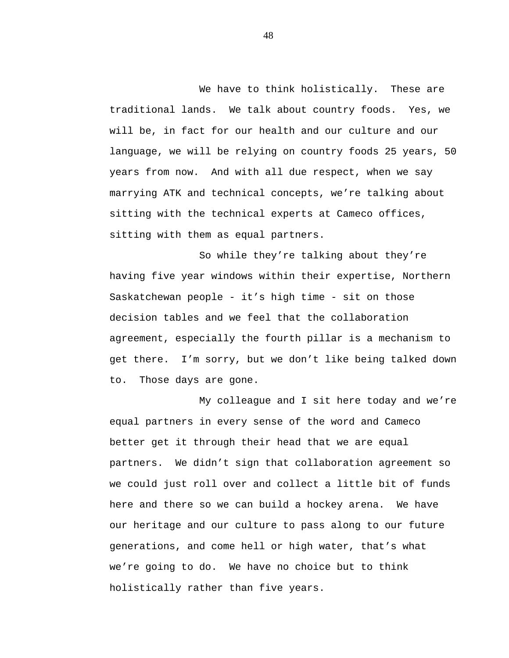We have to think holistically. These are traditional lands. We talk about country foods. Yes, we will be, in fact for our health and our culture and our language, we will be relying on country foods 25 years, 50 years from now. And with all due respect, when we say marrying ATK and technical concepts, we're talking about sitting with the technical experts at Cameco offices, sitting with them as equal partners.

So while they're talking about they're having five year windows within their expertise, Northern Saskatchewan people - it's high time - sit on those decision tables and we feel that the collaboration agreement, especially the fourth pillar is a mechanism to get there. I'm sorry, but we don't like being talked down to. Those days are gone.

My colleague and I sit here today and we're equal partners in every sense of the word and Cameco better get it through their head that we are equal partners. We didn't sign that collaboration agreement so we could just roll over and collect a little bit of funds here and there so we can build a hockey arena. We have our heritage and our culture to pass along to our future generations, and come hell or high water, that's what we're going to do. We have no choice but to think holistically rather than five years.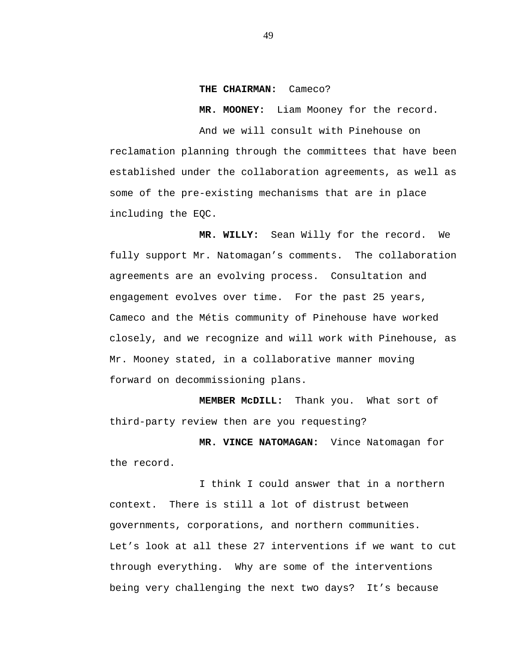#### **THE CHAIRMAN:** Cameco?

**MR. MOONEY:** Liam Mooney for the record.

And we will consult with Pinehouse on reclamation planning through the committees that have been established under the collaboration agreements, as well as some of the pre-existing mechanisms that are in place including the EQC.

**MR. WILLY:** Sean Willy for the record. We fully support Mr. Natomagan's comments. The collaboration agreements are an evolving process. Consultation and engagement evolves over time. For the past 25 years, Cameco and the Métis community of Pinehouse have worked closely, and we recognize and will work with Pinehouse, as Mr. Mooney stated, in a collaborative manner moving forward on decommissioning plans.

**MEMBER McDILL:** Thank you. What sort of third-party review then are you requesting?

**MR. VINCE NATOMAGAN:** Vince Natomagan for the record.

I think I could answer that in a northern context. There is still a lot of distrust between governments, corporations, and northern communities. Let's look at all these 27 interventions if we want to cut through everything. Why are some of the interventions being very challenging the next two days? It's because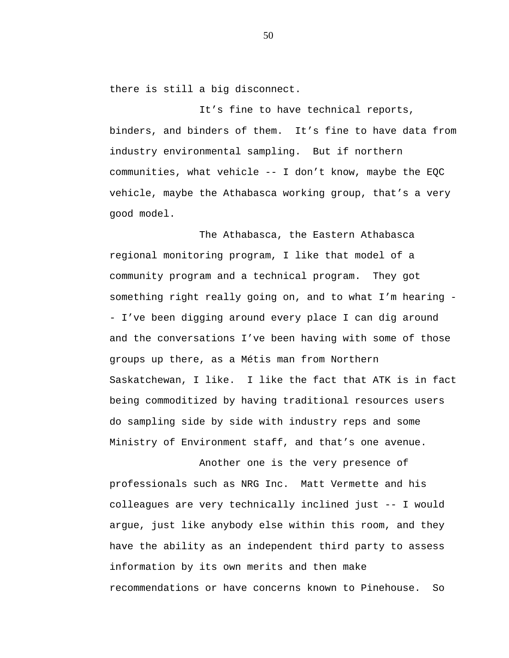there is still a big disconnect.

It's fine to have technical reports, binders, and binders of them. It's fine to have data from industry environmental sampling. But if northern communities, what vehicle -- I don't know, maybe the EQC vehicle, maybe the Athabasca working group, that's a very good model.

The Athabasca, the Eastern Athabasca regional monitoring program, I like that model of a community program and a technical program. They got something right really going on, and to what I'm hearing - - I've been digging around every place I can dig around and the conversations I've been having with some of those groups up there, as a Métis man from Northern Saskatchewan, I like. I like the fact that ATK is in fact being commoditized by having traditional resources users do sampling side by side with industry reps and some Ministry of Environment staff, and that's one avenue.

Another one is the very presence of professionals such as NRG Inc. Matt Vermette and his colleagues are very technically inclined just -- I would argue, just like anybody else within this room, and they have the ability as an independent third party to assess information by its own merits and then make recommendations or have concerns known to Pinehouse. So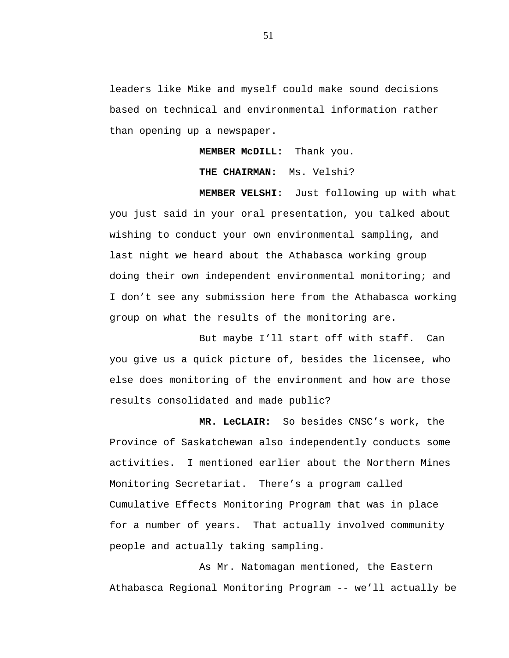leaders like Mike and myself could make sound decisions based on technical and environmental information rather than opening up a newspaper.

**MEMBER McDILL:** Thank you.

**THE CHAIRMAN:** Ms. Velshi?

**MEMBER VELSHI:** Just following up with what you just said in your oral presentation, you talked about wishing to conduct your own environmental sampling, and last night we heard about the Athabasca working group doing their own independent environmental monitoring; and I don't see any submission here from the Athabasca working group on what the results of the monitoring are.

But maybe I'll start off with staff. Can you give us a quick picture of, besides the licensee, who else does monitoring of the environment and how are those results consolidated and made public?

**MR. LeCLAIR:** So besides CNSC's work, the Province of Saskatchewan also independently conducts some activities. I mentioned earlier about the Northern Mines Monitoring Secretariat. There's a program called Cumulative Effects Monitoring Program that was in place for a number of years. That actually involved community people and actually taking sampling.

As Mr. Natomagan mentioned, the Eastern Athabasca Regional Monitoring Program -- we'll actually be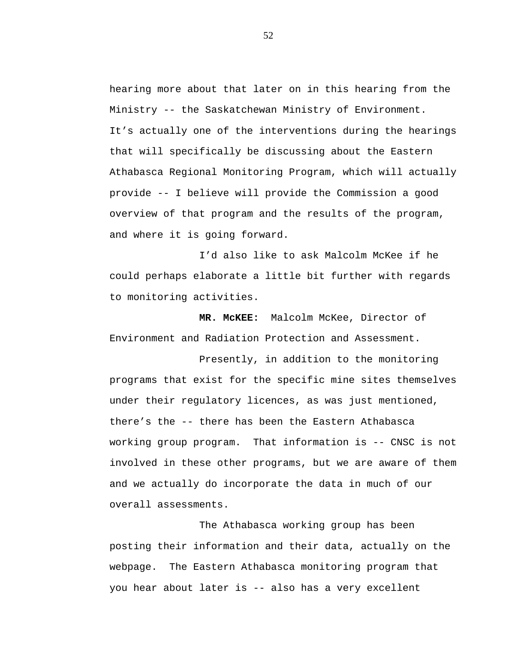hearing more about that later on in this hearing from the Ministry -- the Saskatchewan Ministry of Environment. It's actually one of the interventions during the hearings that will specifically be discussing about the Eastern Athabasca Regional Monitoring Program, which will actually provide -- I believe will provide the Commission a good overview of that program and the results of the program, and where it is going forward.

I'd also like to ask Malcolm McKee if he could perhaps elaborate a little bit further with regards to monitoring activities.

**MR. McKEE:** Malcolm McKee, Director of Environment and Radiation Protection and Assessment.

Presently, in addition to the monitoring programs that exist for the specific mine sites themselves under their regulatory licences, as was just mentioned, there's the -- there has been the Eastern Athabasca working group program. That information is -- CNSC is not involved in these other programs, but we are aware of them and we actually do incorporate the data in much of our overall assessments.

The Athabasca working group has been posting their information and their data, actually on the webpage. The Eastern Athabasca monitoring program that you hear about later is -- also has a very excellent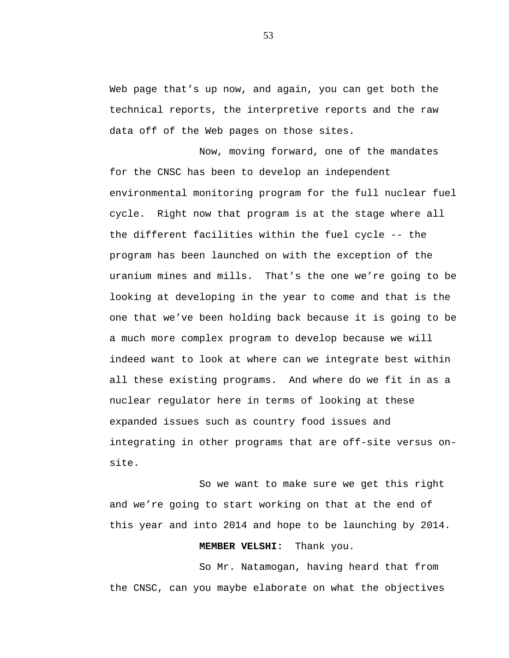Web page that's up now, and again, you can get both the technical reports, the interpretive reports and the raw data off of the Web pages on those sites.

Now, moving forward, one of the mandates for the CNSC has been to develop an independent environmental monitoring program for the full nuclear fuel cycle. Right now that program is at the stage where all the different facilities within the fuel cycle -- the program has been launched on with the exception of the uranium mines and mills. That's the one we're going to be looking at developing in the year to come and that is the one that we've been holding back because it is going to be a much more complex program to develop because we will indeed want to look at where can we integrate best within all these existing programs. And where do we fit in as a nuclear regulator here in terms of looking at these expanded issues such as country food issues and integrating in other programs that are off-site versus onsite.

So we want to make sure we get this right and we're going to start working on that at the end of this year and into 2014 and hope to be launching by 2014.

## **MEMBER VELSHI:** Thank you.

So Mr. Natamogan, having heard that from the CNSC, can you maybe elaborate on what the objectives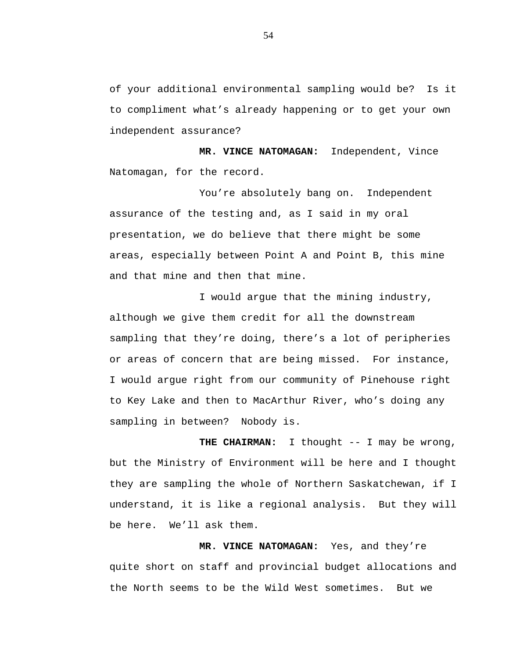of your additional environmental sampling would be? Is it to compliment what's already happening or to get your own independent assurance?

**MR. VINCE NATOMAGAN:** Independent, Vince Natomagan, for the record.

You're absolutely bang on. Independent assurance of the testing and, as I said in my oral presentation, we do believe that there might be some areas, especially between Point A and Point B, this mine and that mine and then that mine.

I would argue that the mining industry, although we give them credit for all the downstream sampling that they're doing, there's a lot of peripheries or areas of concern that are being missed. For instance, I would argue right from our community of Pinehouse right to Key Lake and then to MacArthur River, who's doing any sampling in between? Nobody is.

**THE CHAIRMAN:** I thought -- I may be wrong, but the Ministry of Environment will be here and I thought they are sampling the whole of Northern Saskatchewan, if I understand, it is like a regional analysis. But they will be here. We'll ask them.

**MR. VINCE NATOMAGAN:** Yes, and they're quite short on staff and provincial budget allocations and the North seems to be the Wild West sometimes. But we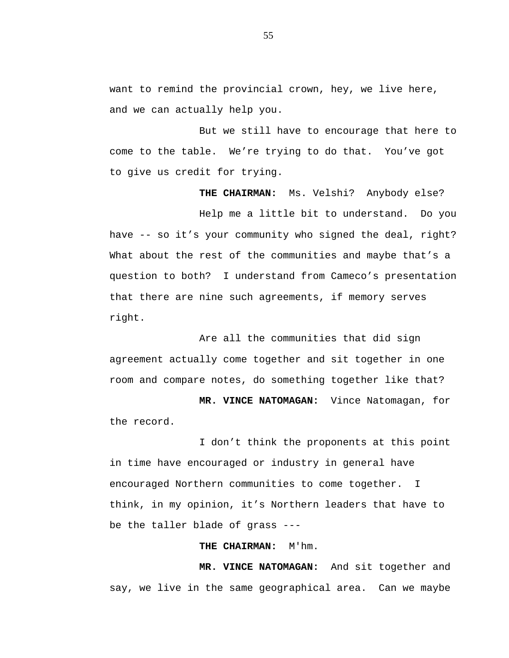want to remind the provincial crown, hey, we live here, and we can actually help you.

But we still have to encourage that here to come to the table. We're trying to do that. You've got to give us credit for trying.

**THE CHAIRMAN:** Ms. Velshi? Anybody else?

Help me a little bit to understand. Do you have -- so it's your community who signed the deal, right? What about the rest of the communities and maybe that's a question to both? I understand from Cameco's presentation that there are nine such agreements, if memory serves right.

Are all the communities that did sign agreement actually come together and sit together in one room and compare notes, do something together like that?

**MR. VINCE NATOMAGAN:** Vince Natomagan, for the record.

I don't think the proponents at this point in time have encouraged or industry in general have encouraged Northern communities to come together. I think, in my opinion, it's Northern leaders that have to be the taller blade of grass ---

#### **THE CHAIRMAN:** M'hm.

**MR. VINCE NATOMAGAN:** And sit together and say, we live in the same geographical area. Can we maybe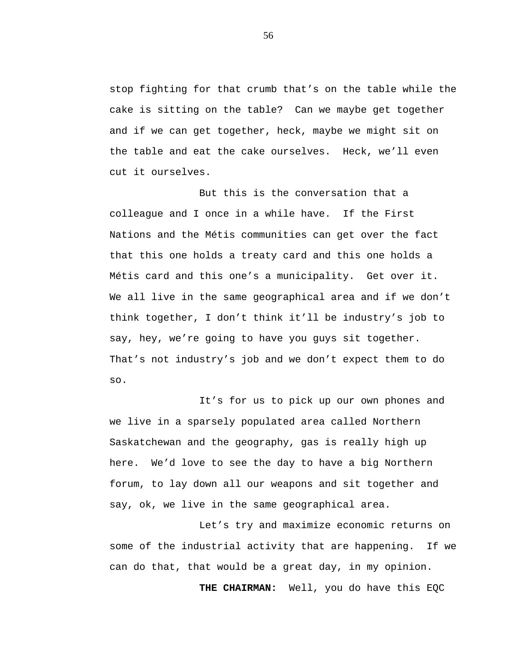stop fighting for that crumb that's on the table while the cake is sitting on the table? Can we maybe get together and if we can get together, heck, maybe we might sit on the table and eat the cake ourselves. Heck, we'll even cut it ourselves.

But this is the conversation that a colleague and I once in a while have. If the First Nations and the Métis communities can get over the fact that this one holds a treaty card and this one holds a Métis card and this one's a municipality. Get over it. We all live in the same geographical area and if we don't think together, I don't think it'll be industry's job to say, hey, we're going to have you guys sit together. That's not industry's job and we don't expect them to do so.

It's for us to pick up our own phones and we live in a sparsely populated area called Northern Saskatchewan and the geography, gas is really high up here. We'd love to see the day to have a big Northern forum, to lay down all our weapons and sit together and say, ok, we live in the same geographical area.

Let's try and maximize economic returns on some of the industrial activity that are happening. If we can do that, that would be a great day, in my opinion.

**THE CHAIRMAN:** Well, you do have this EQC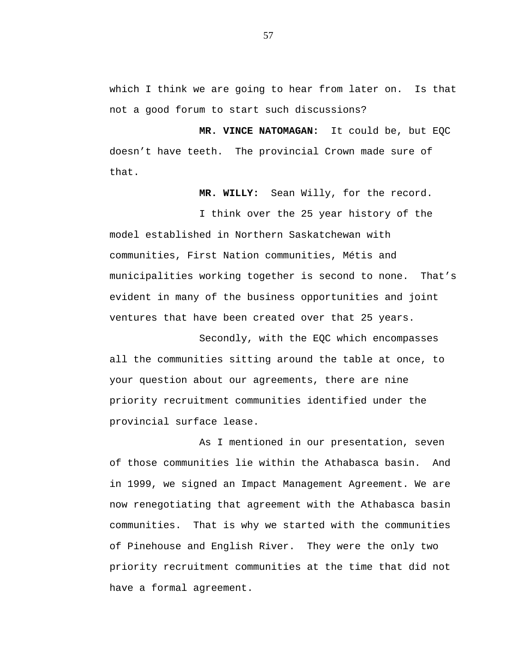which I think we are going to hear from later on. Is that not a good forum to start such discussions?

**MR. VINCE NATOMAGAN:** It could be, but EQC doesn't have teeth. The provincial Crown made sure of that.

**MR. WILLY:** Sean Willy, for the record.

I think over the 25 year history of the model established in Northern Saskatchewan with communities, First Nation communities, Métis and municipalities working together is second to none. That's evident in many of the business opportunities and joint ventures that have been created over that 25 years.

Secondly, with the EQC which encompasses all the communities sitting around the table at once, to your question about our agreements, there are nine priority recruitment communities identified under the provincial surface lease.

As I mentioned in our presentation, seven of those communities lie within the Athabasca basin. And in 1999, we signed an Impact Management Agreement. We are now renegotiating that agreement with the Athabasca basin communities. That is why we started with the communities of Pinehouse and English River. They were the only two priority recruitment communities at the time that did not have a formal agreement.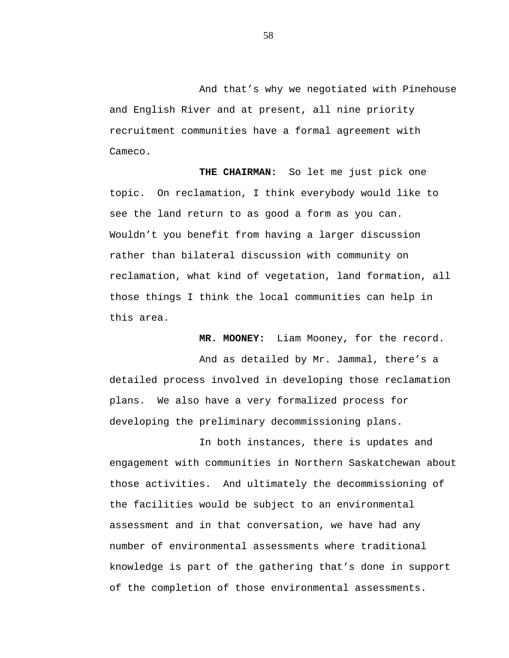And that's why we negotiated with Pinehouse and English River and at present, all nine priority recruitment communities have a formal agreement with Cameco.

**THE CHAIRMAN:** So let me just pick one topic. On reclamation, I think everybody would like to see the land return to as good a form as you can. Wouldn't you benefit from having a larger discussion rather than bilateral discussion with community on reclamation, what kind of vegetation, land formation, all those things I think the local communities can help in this area.

**MR. MOONEY:** Liam Mooney, for the record.

And as detailed by Mr. Jammal, there's a detailed process involved in developing those reclamation plans. We also have a very formalized process for developing the preliminary decommissioning plans.

In both instances, there is updates and engagement with communities in Northern Saskatchewan about those activities. And ultimately the decommissioning of the facilities would be subject to an environmental assessment and in that conversation, we have had any number of environmental assessments where traditional knowledge is part of the gathering that's done in support of the completion of those environmental assessments.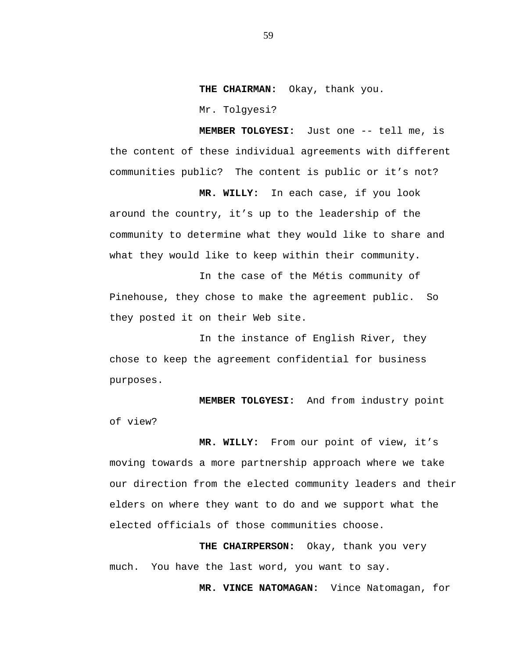**THE CHAIRMAN:** Okay, thank you.

Mr. Tolgyesi?

**MEMBER TOLGYESI:** Just one -- tell me, is the content of these individual agreements with different communities public? The content is public or it's not?

**MR. WILLY:** In each case, if you look around the country, it's up to the leadership of the community to determine what they would like to share and what they would like to keep within their community.

In the case of the Métis community of Pinehouse, they chose to make the agreement public. So they posted it on their Web site.

In the instance of English River, they chose to keep the agreement confidential for business purposes.

**MEMBER TOLGYESI:** And from industry point of view?

**MR. WILLY:** From our point of view, it's moving towards a more partnership approach where we take our direction from the elected community leaders and their elders on where they want to do and we support what the elected officials of those communities choose.

**THE CHAIRPERSON:** Okay, thank you very much. You have the last word, you want to say.

**MR. VINCE NATOMAGAN:** Vince Natomagan, for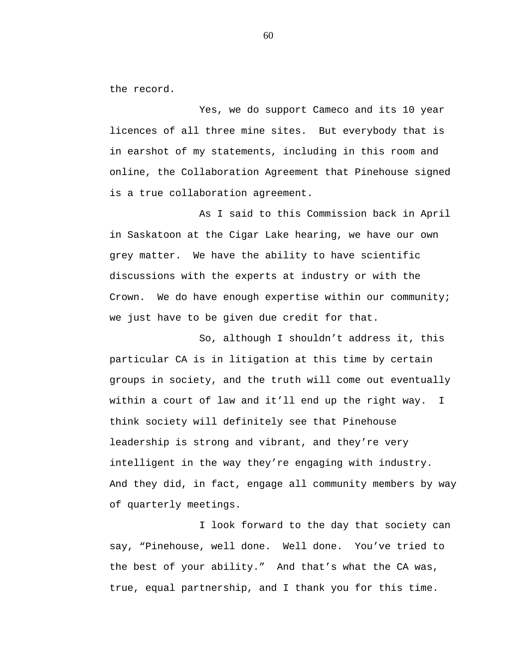the record.

Yes, we do support Cameco and its 10 year licences of all three mine sites. But everybody that is in earshot of my statements, including in this room and online, the Collaboration Agreement that Pinehouse signed is a true collaboration agreement.

As I said to this Commission back in April in Saskatoon at the Cigar Lake hearing, we have our own grey matter. We have the ability to have scientific discussions with the experts at industry or with the Crown. We do have enough expertise within our community; we just have to be given due credit for that.

So, although I shouldn't address it, this particular CA is in litigation at this time by certain groups in society, and the truth will come out eventually within a court of law and it'll end up the right way. I think society will definitely see that Pinehouse leadership is strong and vibrant, and they're very intelligent in the way they're engaging with industry. And they did, in fact, engage all community members by way of quarterly meetings.

I look forward to the day that society can say, "Pinehouse, well done. Well done. You've tried to the best of your ability." And that's what the CA was, true, equal partnership, and I thank you for this time.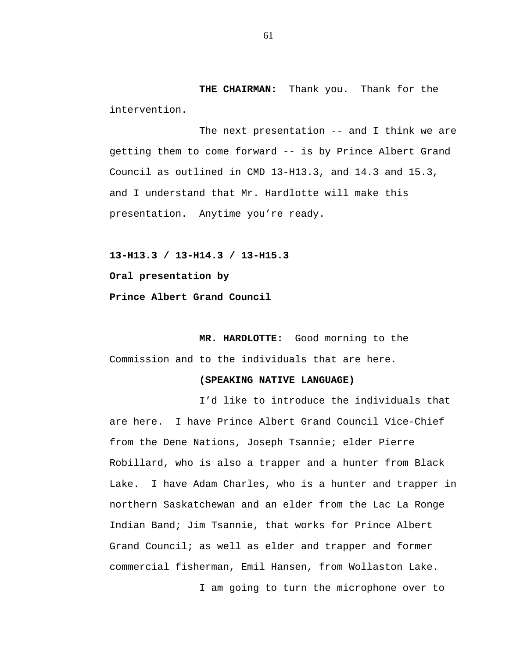**THE CHAIRMAN:** Thank you. Thank for the intervention.

The next presentation -- and I think we are getting them to come forward -- is by Prince Albert Grand Council as outlined in CMD 13-H13.3, and 14.3 and 15.3, and I understand that Mr. Hardlotte will make this presentation. Anytime you're ready.

**13-H13.3 / 13-H14.3 / 13-H15.3**

**Oral presentation by**

**Prince Albert Grand Council**

**MR. HARDLOTTE:** Good morning to the Commission and to the individuals that are here.

# **(SPEAKING NATIVE LANGUAGE)**

I'd like to introduce the individuals that are here. I have Prince Albert Grand Council Vice-Chief from the Dene Nations, Joseph Tsannie; elder Pierre Robillard, who is also a trapper and a hunter from Black Lake. I have Adam Charles, who is a hunter and trapper in northern Saskatchewan and an elder from the Lac La Ronge Indian Band; Jim Tsannie, that works for Prince Albert Grand Council; as well as elder and trapper and former commercial fisherman, Emil Hansen, from Wollaston Lake.

I am going to turn the microphone over to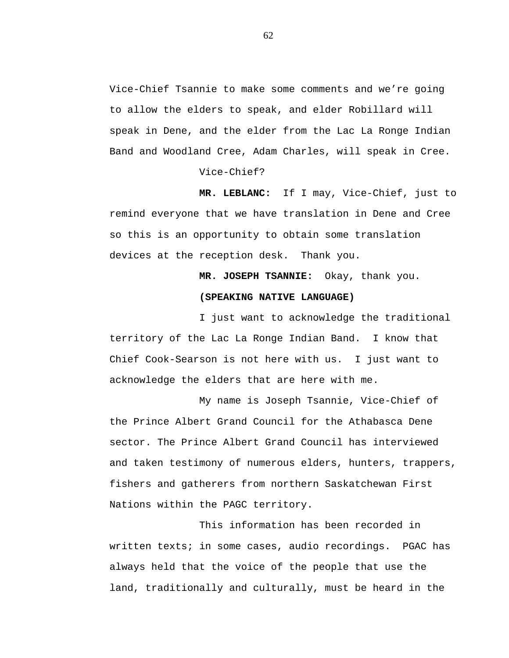Vice-Chief Tsannie to make some comments and we're going to allow the elders to speak, and elder Robillard will speak in Dene, and the elder from the Lac La Ronge Indian Band and Woodland Cree, Adam Charles, will speak in Cree.

Vice-Chief?

**MR. LEBLANC:** If I may, Vice-Chief, just to remind everyone that we have translation in Dene and Cree so this is an opportunity to obtain some translation devices at the reception desk. Thank you.

**MR. JOSEPH TSANNIE:** Okay, thank you.

### **(SPEAKING NATIVE LANGUAGE)**

I just want to acknowledge the traditional territory of the Lac La Ronge Indian Band. I know that Chief Cook-Searson is not here with us. I just want to acknowledge the elders that are here with me.

My name is Joseph Tsannie, Vice-Chief of the Prince Albert Grand Council for the Athabasca Dene sector. The Prince Albert Grand Council has interviewed and taken testimony of numerous elders, hunters, trappers, fishers and gatherers from northern Saskatchewan First Nations within the PAGC territory.

This information has been recorded in written texts; in some cases, audio recordings. PGAC has always held that the voice of the people that use the land, traditionally and culturally, must be heard in the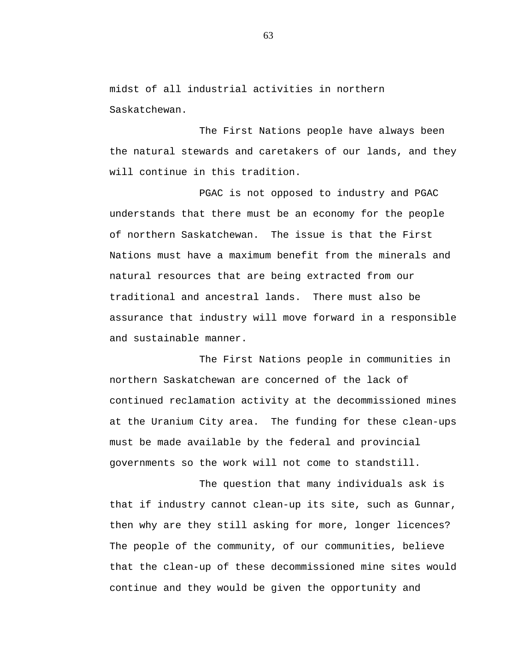midst of all industrial activities in northern Saskatchewan.

The First Nations people have always been the natural stewards and caretakers of our lands, and they will continue in this tradition.

PGAC is not opposed to industry and PGAC understands that there must be an economy for the people of northern Saskatchewan. The issue is that the First Nations must have a maximum benefit from the minerals and natural resources that are being extracted from our traditional and ancestral lands. There must also be assurance that industry will move forward in a responsible and sustainable manner.

The First Nations people in communities in northern Saskatchewan are concerned of the lack of continued reclamation activity at the decommissioned mines at the Uranium City area. The funding for these clean-ups must be made available by the federal and provincial governments so the work will not come to standstill.

The question that many individuals ask is that if industry cannot clean-up its site, such as Gunnar, then why are they still asking for more, longer licences? The people of the community, of our communities, believe that the clean-up of these decommissioned mine sites would continue and they would be given the opportunity and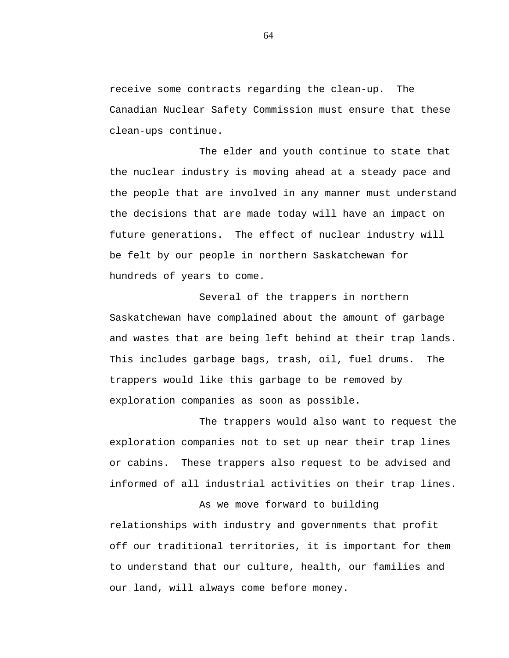receive some contracts regarding the clean-up. The Canadian Nuclear Safety Commission must ensure that these clean-ups continue.

The elder and youth continue to state that the nuclear industry is moving ahead at a steady pace and the people that are involved in any manner must understand the decisions that are made today will have an impact on future generations. The effect of nuclear industry will be felt by our people in northern Saskatchewan for hundreds of years to come.

Several of the trappers in northern Saskatchewan have complained about the amount of garbage and wastes that are being left behind at their trap lands. This includes garbage bags, trash, oil, fuel drums. The trappers would like this garbage to be removed by exploration companies as soon as possible.

The trappers would also want to request the exploration companies not to set up near their trap lines or cabins. These trappers also request to be advised and informed of all industrial activities on their trap lines.

As we move forward to building

relationships with industry and governments that profit off our traditional territories, it is important for them to understand that our culture, health, our families and our land, will always come before money.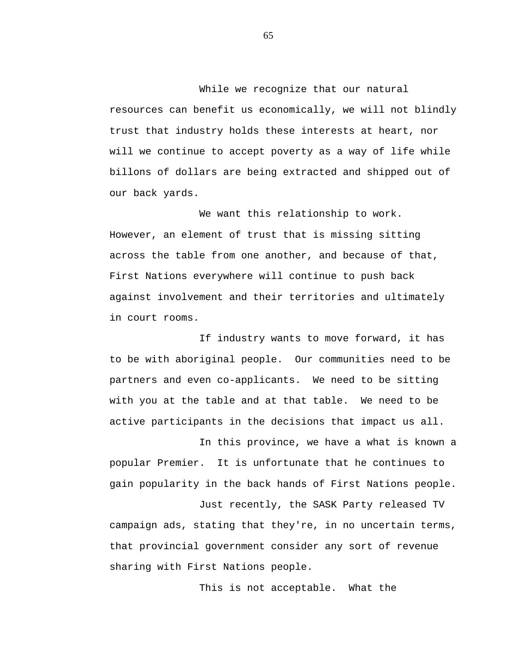While we recognize that our natural resources can benefit us economically, we will not blindly trust that industry holds these interests at heart, nor will we continue to accept poverty as a way of life while billons of dollars are being extracted and shipped out of our back yards.

We want this relationship to work. However, an element of trust that is missing sitting across the table from one another, and because of that, First Nations everywhere will continue to push back against involvement and their territories and ultimately in court rooms.

If industry wants to move forward, it has to be with aboriginal people. Our communities need to be partners and even co-applicants. We need to be sitting with you at the table and at that table. We need to be active participants in the decisions that impact us all.

In this province, we have a what is known a popular Premier. It is unfortunate that he continues to gain popularity in the back hands of First Nations people.

Just recently, the SASK Party released TV campaign ads, stating that they're, in no uncertain terms, that provincial government consider any sort of revenue sharing with First Nations people.

This is not acceptable. What the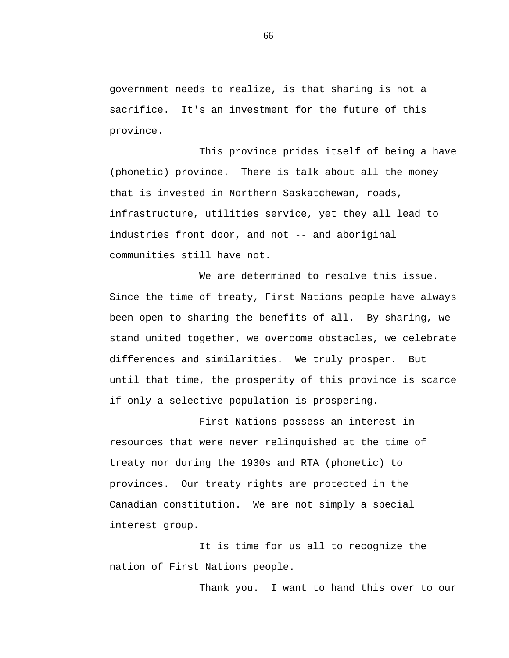government needs to realize, is that sharing is not a sacrifice. It's an investment for the future of this province.

This province prides itself of being a have (phonetic) province. There is talk about all the money that is invested in Northern Saskatchewan, roads, infrastructure, utilities service, yet they all lead to industries front door, and not -- and aboriginal communities still have not.

We are determined to resolve this issue. Since the time of treaty, First Nations people have always been open to sharing the benefits of all. By sharing, we stand united together, we overcome obstacles, we celebrate differences and similarities. We truly prosper. But until that time, the prosperity of this province is scarce if only a selective population is prospering.

First Nations possess an interest in resources that were never relinquished at the time of treaty nor during the 1930s and RTA (phonetic) to provinces. Our treaty rights are protected in the Canadian constitution. We are not simply a special interest group.

It is time for us all to recognize the nation of First Nations people.

Thank you. I want to hand this over to our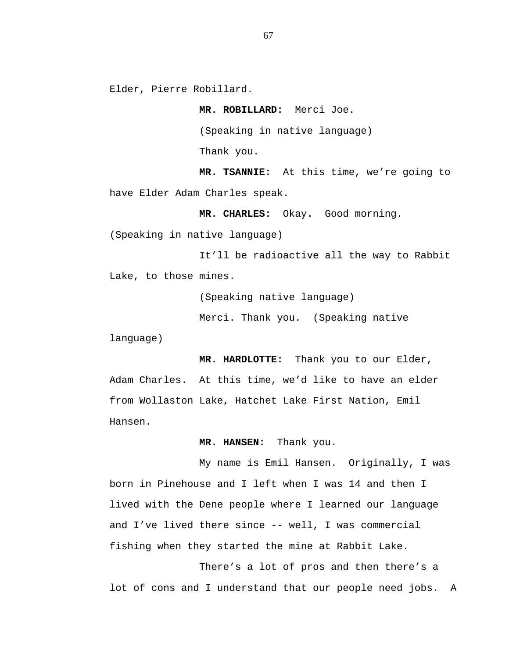Elder, Pierre Robillard.

**MR. ROBILLARD:** Merci Joe.

(Speaking in native language)

Thank you.

**MR. TSANNIE:** At this time, we're going to have Elder Adam Charles speak.

**MR. CHARLES:** Okay. Good morning.

(Speaking in native language)

It'll be radioactive all the way to Rabbit Lake, to those mines.

(Speaking native language)

Merci. Thank you. (Speaking native

language)

**MR. HARDLOTTE:** Thank you to our Elder, Adam Charles. At this time, we'd like to have an elder from Wollaston Lake, Hatchet Lake First Nation, Emil Hansen.

**MR. HANSEN:** Thank you.

My name is Emil Hansen. Originally, I was born in Pinehouse and I left when I was 14 and then I lived with the Dene people where I learned our language and I've lived there since -- well, I was commercial fishing when they started the mine at Rabbit Lake.

There's a lot of pros and then there's a lot of cons and I understand that our people need jobs. A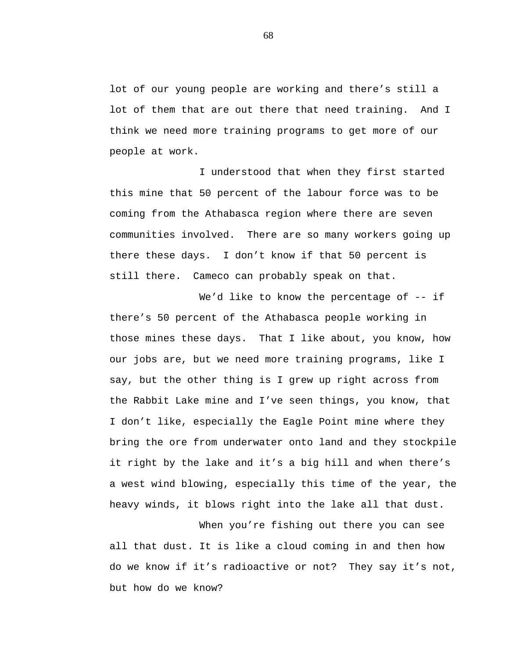lot of our young people are working and there's still a lot of them that are out there that need training. And I think we need more training programs to get more of our people at work.

I understood that when they first started this mine that 50 percent of the labour force was to be coming from the Athabasca region where there are seven communities involved. There are so many workers going up there these days. I don't know if that 50 percent is still there. Cameco can probably speak on that.

We'd like to know the percentage of -- if there's 50 percent of the Athabasca people working in those mines these days. That I like about, you know, how our jobs are, but we need more training programs, like I say, but the other thing is I grew up right across from the Rabbit Lake mine and I've seen things, you know, that I don't like, especially the Eagle Point mine where they bring the ore from underwater onto land and they stockpile it right by the lake and it's a big hill and when there's a west wind blowing, especially this time of the year, the heavy winds, it blows right into the lake all that dust.

When you're fishing out there you can see all that dust. It is like a cloud coming in and then how do we know if it's radioactive or not? They say it's not, but how do we know?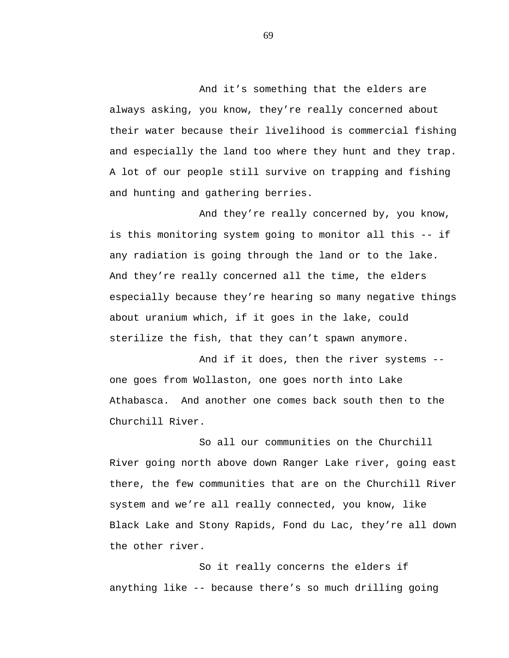And it's something that the elders are always asking, you know, they're really concerned about their water because their livelihood is commercial fishing and especially the land too where they hunt and they trap. A lot of our people still survive on trapping and fishing and hunting and gathering berries.

And they're really concerned by, you know, is this monitoring system going to monitor all this -- if any radiation is going through the land or to the lake. And they're really concerned all the time, the elders especially because they're hearing so many negative things about uranium which, if it goes in the lake, could sterilize the fish, that they can't spawn anymore.

And if it does, then the river systems - one goes from Wollaston, one goes north into Lake Athabasca. And another one comes back south then to the Churchill River.

So all our communities on the Churchill River going north above down Ranger Lake river, going east there, the few communities that are on the Churchill River system and we're all really connected, you know, like Black Lake and Stony Rapids, Fond du Lac, they're all down the other river.

So it really concerns the elders if anything like -- because there's so much drilling going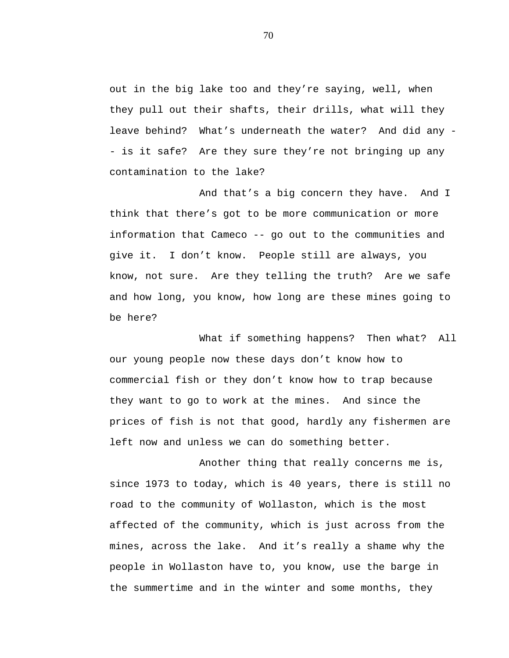out in the big lake too and they're saying, well, when they pull out their shafts, their drills, what will they leave behind? What's underneath the water? And did any - - is it safe? Are they sure they're not bringing up any contamination to the lake?

And that's a big concern they have. And I think that there's got to be more communication or more information that Cameco -- go out to the communities and give it. I don't know. People still are always, you know, not sure. Are they telling the truth? Are we safe and how long, you know, how long are these mines going to be here?

What if something happens? Then what? All our young people now these days don't know how to commercial fish or they don't know how to trap because they want to go to work at the mines. And since the prices of fish is not that good, hardly any fishermen are left now and unless we can do something better.

Another thing that really concerns me is, since 1973 to today, which is 40 years, there is still no road to the community of Wollaston, which is the most affected of the community, which is just across from the mines, across the lake. And it's really a shame why the people in Wollaston have to, you know, use the barge in the summertime and in the winter and some months, they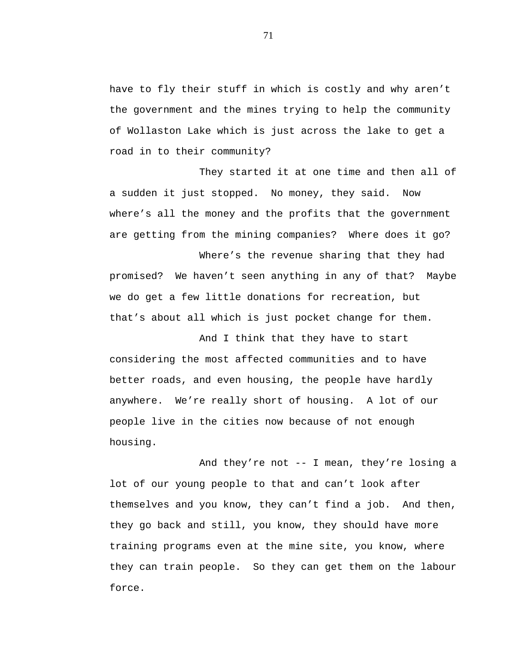have to fly their stuff in which is costly and why aren't the government and the mines trying to help the community of Wollaston Lake which is just across the lake to get a road in to their community?

They started it at one time and then all of a sudden it just stopped. No money, they said. Now where's all the money and the profits that the government are getting from the mining companies? Where does it go?

Where's the revenue sharing that they had promised? We haven't seen anything in any of that? Maybe we do get a few little donations for recreation, but that's about all which is just pocket change for them.

And I think that they have to start considering the most affected communities and to have better roads, and even housing, the people have hardly anywhere. We're really short of housing. A lot of our people live in the cities now because of not enough housing.

And they're not -- I mean, they're losing a lot of our young people to that and can't look after themselves and you know, they can't find a job. And then, they go back and still, you know, they should have more training programs even at the mine site, you know, where they can train people. So they can get them on the labour force.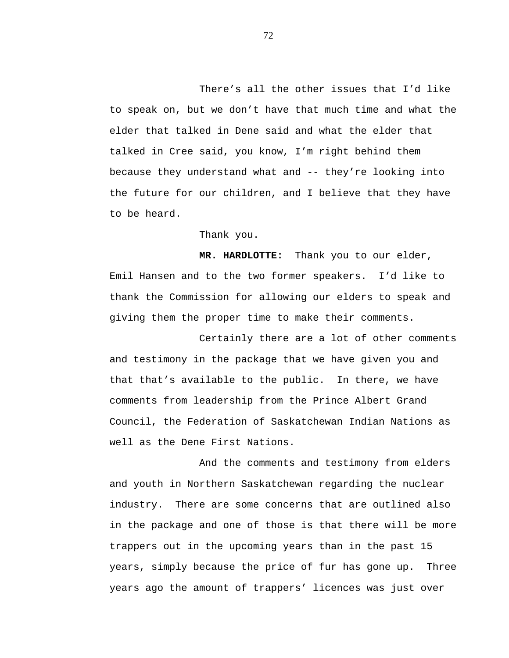There's all the other issues that I'd like to speak on, but we don't have that much time and what the elder that talked in Dene said and what the elder that talked in Cree said, you know, I'm right behind them because they understand what and -- they're looking into the future for our children, and I believe that they have to be heard.

Thank you.

**MR. HARDLOTTE:** Thank you to our elder, Emil Hansen and to the two former speakers. I'd like to thank the Commission for allowing our elders to speak and giving them the proper time to make their comments.

Certainly there are a lot of other comments and testimony in the package that we have given you and that that's available to the public. In there, we have comments from leadership from the Prince Albert Grand Council, the Federation of Saskatchewan Indian Nations as well as the Dene First Nations.

And the comments and testimony from elders and youth in Northern Saskatchewan regarding the nuclear industry. There are some concerns that are outlined also in the package and one of those is that there will be more trappers out in the upcoming years than in the past 15 years, simply because the price of fur has gone up. Three years ago the amount of trappers' licences was just over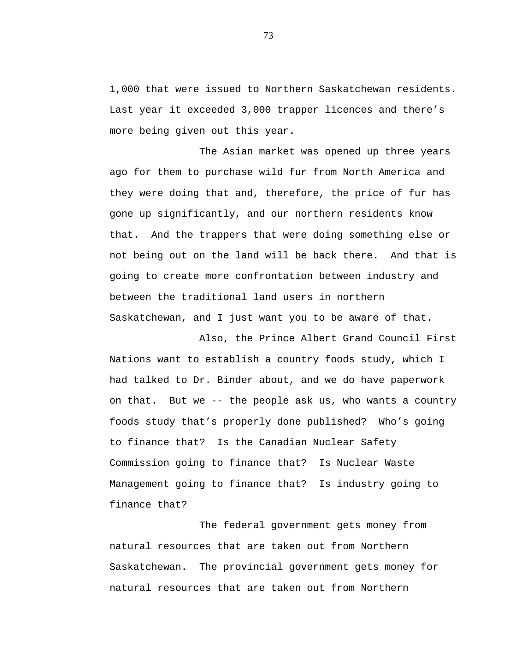1,000 that were issued to Northern Saskatchewan residents. Last year it exceeded 3,000 trapper licences and there's more being given out this year.

The Asian market was opened up three years ago for them to purchase wild fur from North America and they were doing that and, therefore, the price of fur has gone up significantly, and our northern residents know that. And the trappers that were doing something else or not being out on the land will be back there. And that is going to create more confrontation between industry and between the traditional land users in northern Saskatchewan, and I just want you to be aware of that.

Also, the Prince Albert Grand Council First Nations want to establish a country foods study, which I had talked to Dr. Binder about, and we do have paperwork on that. But we -- the people ask us, who wants a country foods study that's properly done published? Who's going to finance that? Is the Canadian Nuclear Safety Commission going to finance that? Is Nuclear Waste Management going to finance that? Is industry going to finance that?

The federal government gets money from natural resources that are taken out from Northern Saskatchewan. The provincial government gets money for natural resources that are taken out from Northern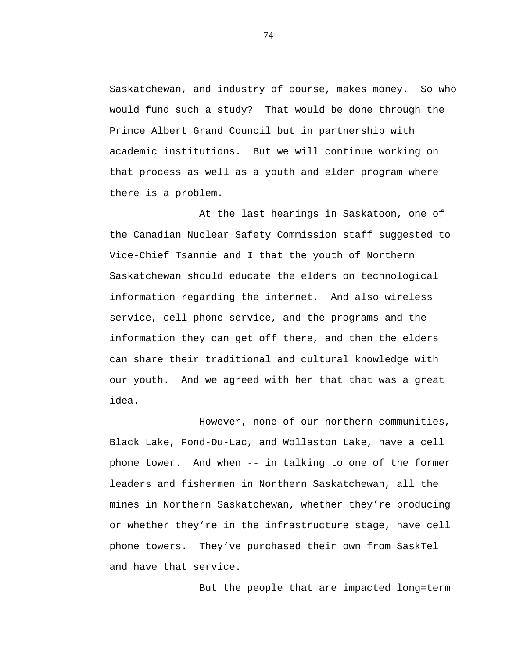Saskatchewan, and industry of course, makes money. So who would fund such a study? That would be done through the Prince Albert Grand Council but in partnership with academic institutions. But we will continue working on that process as well as a youth and elder program where there is a problem.

At the last hearings in Saskatoon, one of the Canadian Nuclear Safety Commission staff suggested to Vice-Chief Tsannie and I that the youth of Northern Saskatchewan should educate the elders on technological information regarding the internet. And also wireless service, cell phone service, and the programs and the information they can get off there, and then the elders can share their traditional and cultural knowledge with our youth. And we agreed with her that that was a great idea.

However, none of our northern communities, Black Lake, Fond-Du-Lac, and Wollaston Lake, have a cell phone tower. And when -- in talking to one of the former leaders and fishermen in Northern Saskatchewan, all the mines in Northern Saskatchewan, whether they're producing or whether they're in the infrastructure stage, have cell phone towers. They've purchased their own from SaskTel and have that service.

But the people that are impacted long=term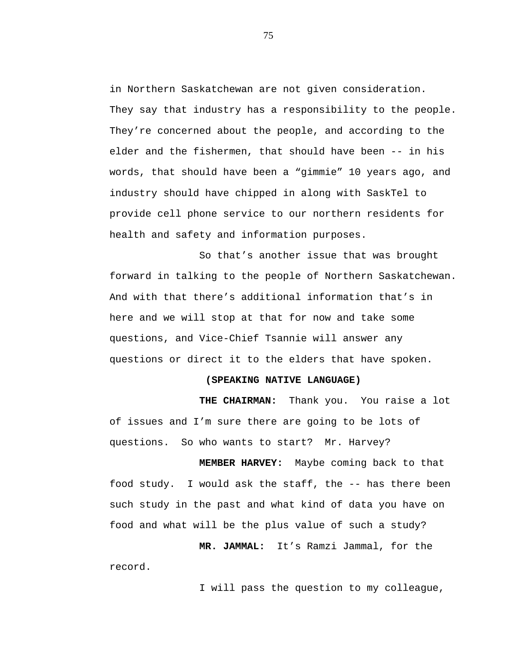in Northern Saskatchewan are not given consideration. They say that industry has a responsibility to the people. They're concerned about the people, and according to the elder and the fishermen, that should have been -- in his words, that should have been a "gimmie" 10 years ago, and industry should have chipped in along with SaskTel to provide cell phone service to our northern residents for health and safety and information purposes.

So that's another issue that was brought forward in talking to the people of Northern Saskatchewan. And with that there's additional information that's in here and we will stop at that for now and take some questions, and Vice-Chief Tsannie will answer any questions or direct it to the elders that have spoken.

## **(SPEAKING NATIVE LANGUAGE)**

**THE CHAIRMAN:** Thank you. You raise a lot of issues and I'm sure there are going to be lots of questions. So who wants to start? Mr. Harvey?

**MEMBER HARVEY:** Maybe coming back to that food study. I would ask the staff, the -- has there been such study in the past and what kind of data you have on food and what will be the plus value of such a study?

**MR. JAMMAL:** It's Ramzi Jammal, for the record.

I will pass the question to my colleague,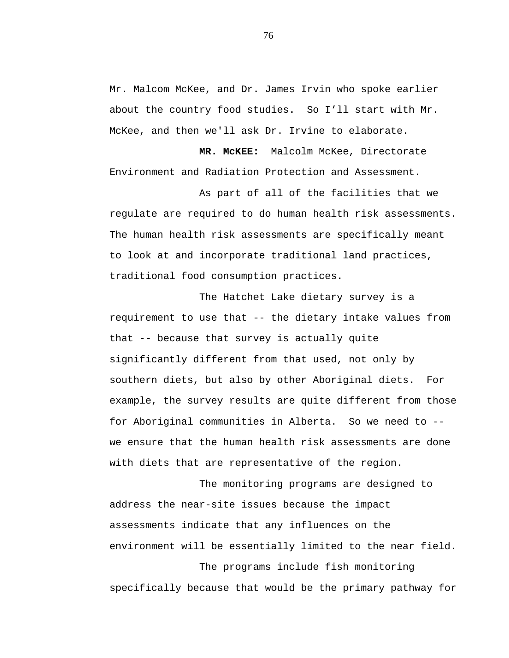Mr. Malcom McKee, and Dr. James Irvin who spoke earlier about the country food studies. So I'll start with Mr. McKee, and then we'll ask Dr. Irvine to elaborate.

**MR. McKEE:** Malcolm McKee, Directorate Environment and Radiation Protection and Assessment.

As part of all of the facilities that we regulate are required to do human health risk assessments. The human health risk assessments are specifically meant to look at and incorporate traditional land practices, traditional food consumption practices.

The Hatchet Lake dietary survey is a requirement to use that -- the dietary intake values from that -- because that survey is actually quite significantly different from that used, not only by southern diets, but also by other Aboriginal diets. For example, the survey results are quite different from those for Aboriginal communities in Alberta. So we need to - we ensure that the human health risk assessments are done with diets that are representative of the region.

The monitoring programs are designed to address the near-site issues because the impact assessments indicate that any influences on the environment will be essentially limited to the near field. The programs include fish monitoring specifically because that would be the primary pathway for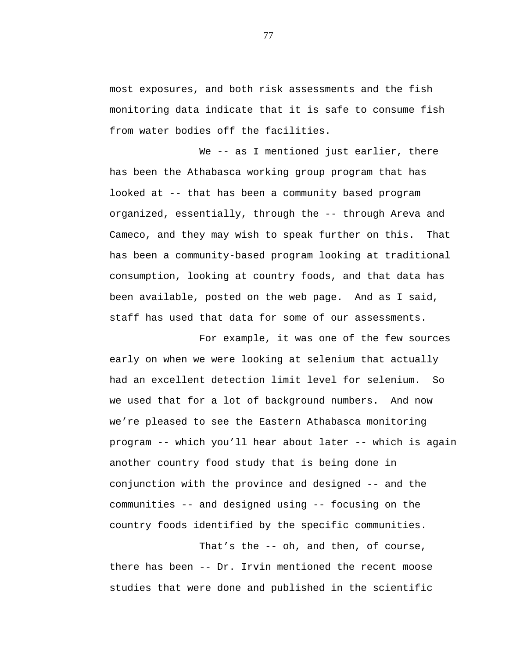most exposures, and both risk assessments and the fish monitoring data indicate that it is safe to consume fish from water bodies off the facilities.

We -- as I mentioned just earlier, there has been the Athabasca working group program that has looked at -- that has been a community based program organized, essentially, through the -- through Areva and Cameco, and they may wish to speak further on this. That has been a community-based program looking at traditional consumption, looking at country foods, and that data has been available, posted on the web page. And as I said, staff has used that data for some of our assessments.

For example, it was one of the few sources early on when we were looking at selenium that actually had an excellent detection limit level for selenium. So we used that for a lot of background numbers. And now we're pleased to see the Eastern Athabasca monitoring program -- which you'll hear about later -- which is again another country food study that is being done in conjunction with the province and designed -- and the communities -- and designed using -- focusing on the country foods identified by the specific communities.

That's the -- oh, and then, of course, there has been -- Dr. Irvin mentioned the recent moose studies that were done and published in the scientific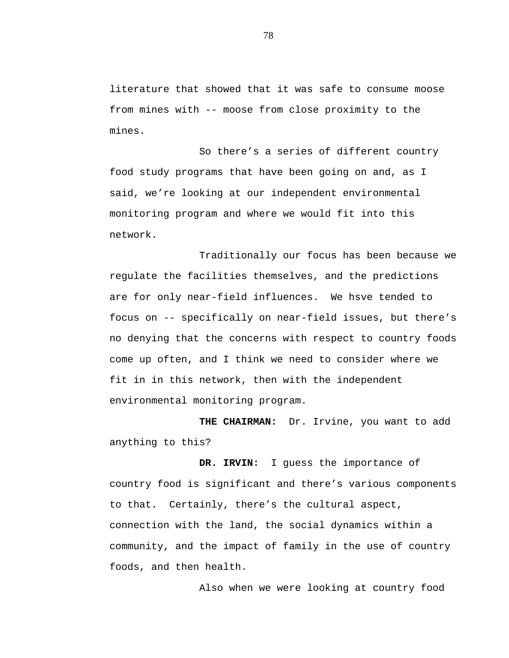literature that showed that it was safe to consume moose from mines with -- moose from close proximity to the mines.

So there's a series of different country food study programs that have been going on and, as I said, we're looking at our independent environmental monitoring program and where we would fit into this network.

Traditionally our focus has been because we regulate the facilities themselves, and the predictions are for only near-field influences. We hsve tended to focus on -- specifically on near-field issues, but there's no denying that the concerns with respect to country foods come up often, and I think we need to consider where we fit in in this network, then with the independent environmental monitoring program.

**THE CHAIRMAN:** Dr. Irvine, you want to add anything to this?

**DR. IRVIN:** I guess the importance of country food is significant and there's various components to that. Certainly, there's the cultural aspect, connection with the land, the social dynamics within a community, and the impact of family in the use of country foods, and then health.

Also when we were looking at country food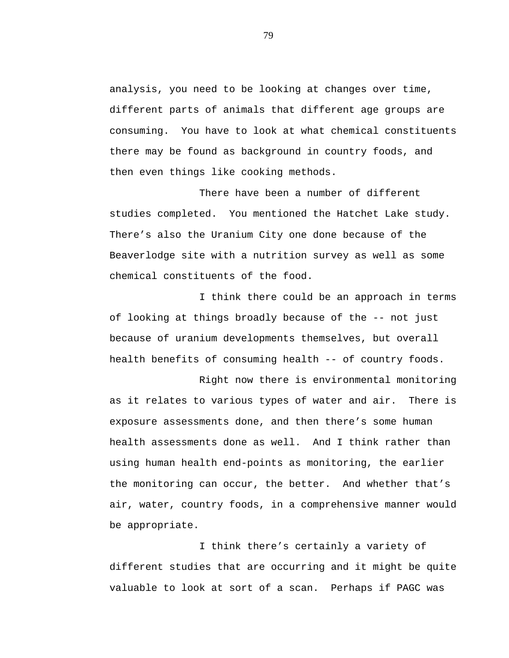analysis, you need to be looking at changes over time, different parts of animals that different age groups are consuming. You have to look at what chemical constituents there may be found as background in country foods, and then even things like cooking methods.

There have been a number of different studies completed. You mentioned the Hatchet Lake study. There's also the Uranium City one done because of the Beaverlodge site with a nutrition survey as well as some chemical constituents of the food.

I think there could be an approach in terms of looking at things broadly because of the -- not just because of uranium developments themselves, but overall health benefits of consuming health -- of country foods.

Right now there is environmental monitoring as it relates to various types of water and air. There is exposure assessments done, and then there's some human health assessments done as well. And I think rather than using human health end-points as monitoring, the earlier the monitoring can occur, the better. And whether that's air, water, country foods, in a comprehensive manner would be appropriate.

I think there's certainly a variety of different studies that are occurring and it might be quite valuable to look at sort of a scan. Perhaps if PAGC was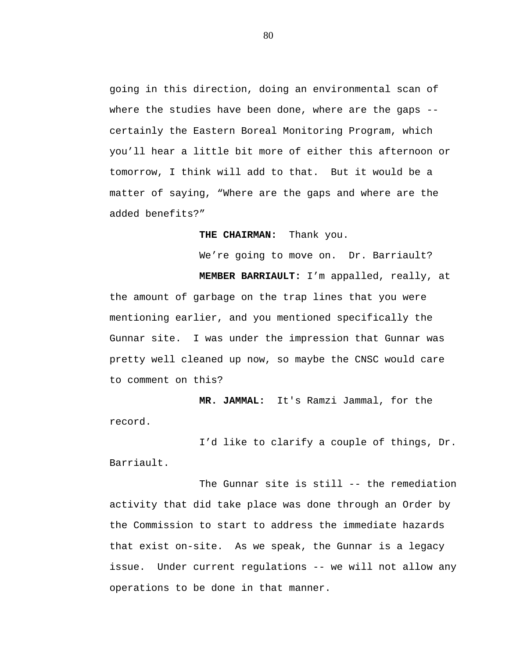going in this direction, doing an environmental scan of where the studies have been done, where are the gaps - certainly the Eastern Boreal Monitoring Program, which you'll hear a little bit more of either this afternoon or tomorrow, I think will add to that. But it would be a matter of saying, "Where are the gaps and where are the added benefits?"

## **THE CHAIRMAN:** Thank you.

We're going to move on. Dr. Barriault?

**MEMBER BARRIAULT:** I'm appalled, really, at the amount of garbage on the trap lines that you were mentioning earlier, and you mentioned specifically the Gunnar site. I was under the impression that Gunnar was pretty well cleaned up now, so maybe the CNSC would care to comment on this?

**MR. JAMMAL:** It's Ramzi Jammal, for the record.

I'd like to clarify a couple of things, Dr. Barriault.

The Gunnar site is still -- the remediation activity that did take place was done through an Order by the Commission to start to address the immediate hazards that exist on-site. As we speak, the Gunnar is a legacy issue. Under current regulations -- we will not allow any operations to be done in that manner.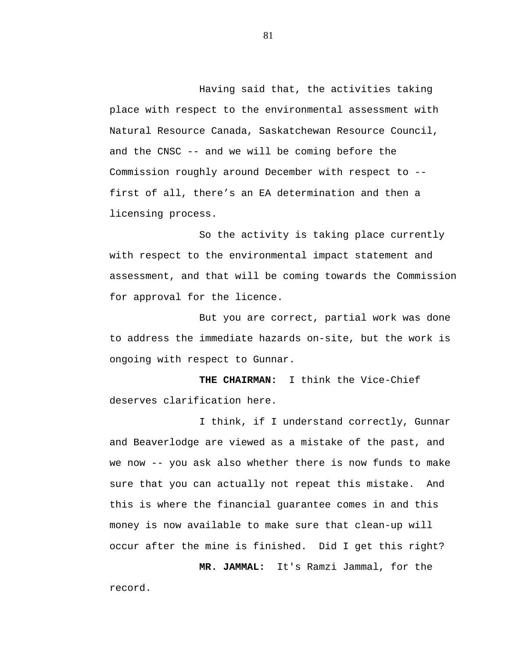Having said that, the activities taking place with respect to the environmental assessment with Natural Resource Canada, Saskatchewan Resource Council, and the CNSC -- and we will be coming before the Commission roughly around December with respect to - first of all, there's an EA determination and then a licensing process.

So the activity is taking place currently with respect to the environmental impact statement and assessment, and that will be coming towards the Commission for approval for the licence.

But you are correct, partial work was done to address the immediate hazards on-site, but the work is ongoing with respect to Gunnar.

**THE CHAIRMAN:** I think the Vice-Chief deserves clarification here.

I think, if I understand correctly, Gunnar and Beaverlodge are viewed as a mistake of the past, and we now -- you ask also whether there is now funds to make sure that you can actually not repeat this mistake. And this is where the financial guarantee comes in and this money is now available to make sure that clean-up will occur after the mine is finished. Did I get this right?

**MR. JAMMAL:** It's Ramzi Jammal, for the

record.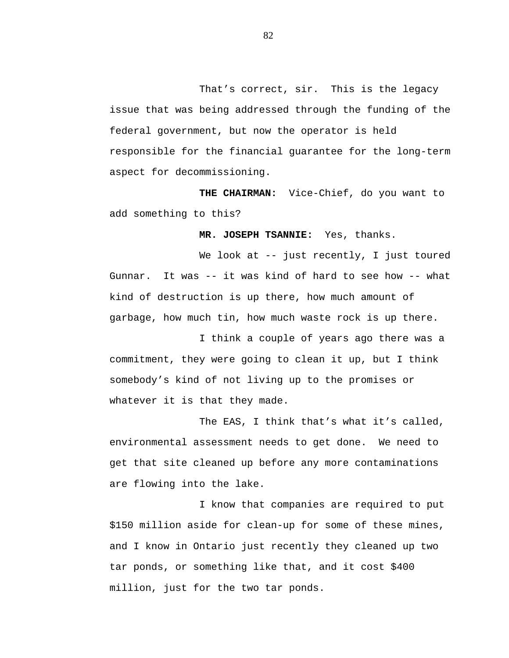That's correct, sir. This is the legacy issue that was being addressed through the funding of the federal government, but now the operator is held responsible for the financial guarantee for the long-term aspect for decommissioning.

**THE CHAIRMAN:** Vice-Chief, do you want to add something to this?

**MR. JOSEPH TSANNIE:** Yes, thanks.

We look at -- just recently, I just toured Gunnar. It was -- it was kind of hard to see how -- what kind of destruction is up there, how much amount of garbage, how much tin, how much waste rock is up there.

I think a couple of years ago there was a commitment, they were going to clean it up, but I think somebody's kind of not living up to the promises or whatever it is that they made.

The EAS, I think that's what it's called, environmental assessment needs to get done. We need to get that site cleaned up before any more contaminations are flowing into the lake.

I know that companies are required to put \$150 million aside for clean-up for some of these mines, and I know in Ontario just recently they cleaned up two tar ponds, or something like that, and it cost \$400 million, just for the two tar ponds.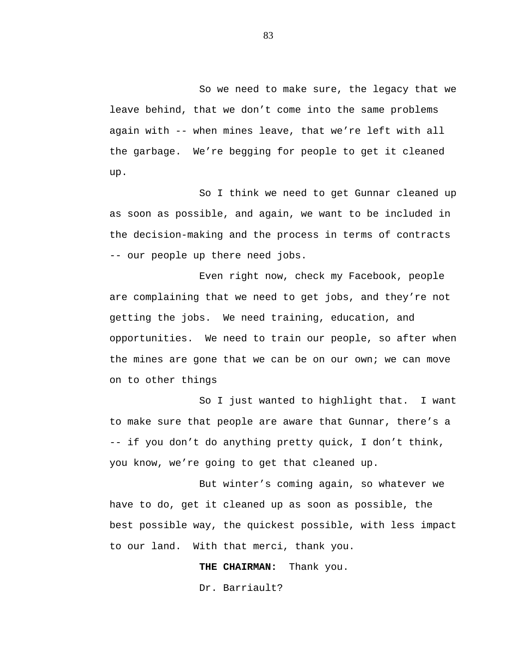So we need to make sure, the legacy that we leave behind, that we don't come into the same problems again with -- when mines leave, that we're left with all the garbage. We're begging for people to get it cleaned up.

So I think we need to get Gunnar cleaned up as soon as possible, and again, we want to be included in the decision-making and the process in terms of contracts -- our people up there need jobs.

Even right now, check my Facebook, people are complaining that we need to get jobs, and they're not getting the jobs. We need training, education, and opportunities. We need to train our people, so after when the mines are gone that we can be on our own; we can move on to other things

So I just wanted to highlight that. I want to make sure that people are aware that Gunnar, there's a -- if you don't do anything pretty quick, I don't think, you know, we're going to get that cleaned up.

But winter's coming again, so whatever we have to do, get it cleaned up as soon as possible, the best possible way, the quickest possible, with less impact to our land. With that merci, thank you.

**THE CHAIRMAN:** Thank you.

Dr. Barriault?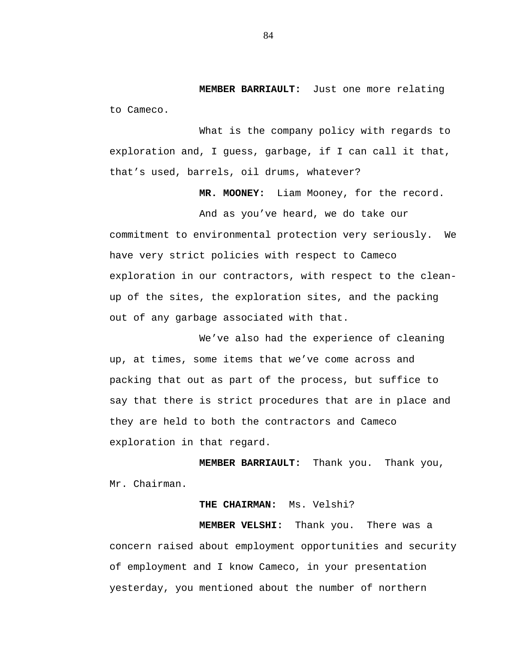**MEMBER BARRIAULT:** Just one more relating to Cameco.

What is the company policy with regards to exploration and, I guess, garbage, if I can call it that, that's used, barrels, oil drums, whatever?

**MR. MOONEY:** Liam Mooney, for the record.

And as you've heard, we do take our commitment to environmental protection very seriously. We have very strict policies with respect to Cameco exploration in our contractors, with respect to the cleanup of the sites, the exploration sites, and the packing out of any garbage associated with that.

We've also had the experience of cleaning up, at times, some items that we've come across and packing that out as part of the process, but suffice to say that there is strict procedures that are in place and they are held to both the contractors and Cameco exploration in that regard.

**MEMBER BARRIAULT:** Thank you. Thank you, Mr. Chairman.

# **THE CHAIRMAN:** Ms. Velshi?

**MEMBER VELSHI:** Thank you. There was a concern raised about employment opportunities and security of employment and I know Cameco, in your presentation yesterday, you mentioned about the number of northern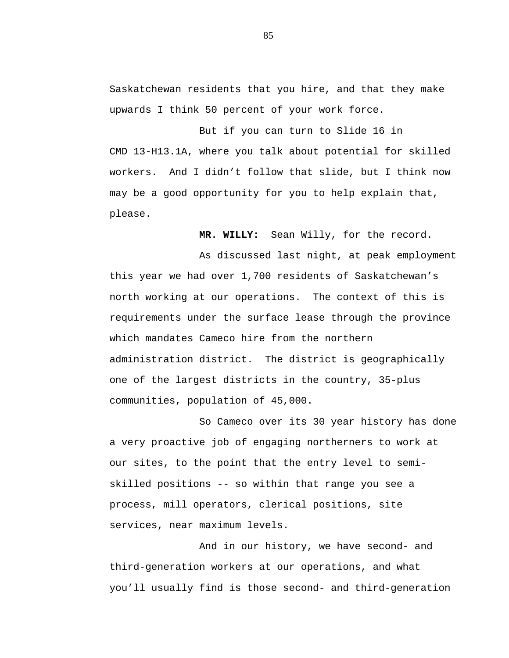Saskatchewan residents that you hire, and that they make upwards I think 50 percent of your work force.

But if you can turn to Slide 16 in CMD 13-H13.1A, where you talk about potential for skilled workers. And I didn't follow that slide, but I think now may be a good opportunity for you to help explain that, please.

**MR. WILLY:** Sean Willy, for the record.

As discussed last night, at peak employment this year we had over 1,700 residents of Saskatchewan's north working at our operations. The context of this is requirements under the surface lease through the province which mandates Cameco hire from the northern administration district. The district is geographically one of the largest districts in the country, 35-plus communities, population of 45,000.

So Cameco over its 30 year history has done a very proactive job of engaging northerners to work at our sites, to the point that the entry level to semiskilled positions -- so within that range you see a process, mill operators, clerical positions, site services, near maximum levels.

And in our history, we have second- and third-generation workers at our operations, and what you'll usually find is those second- and third-generation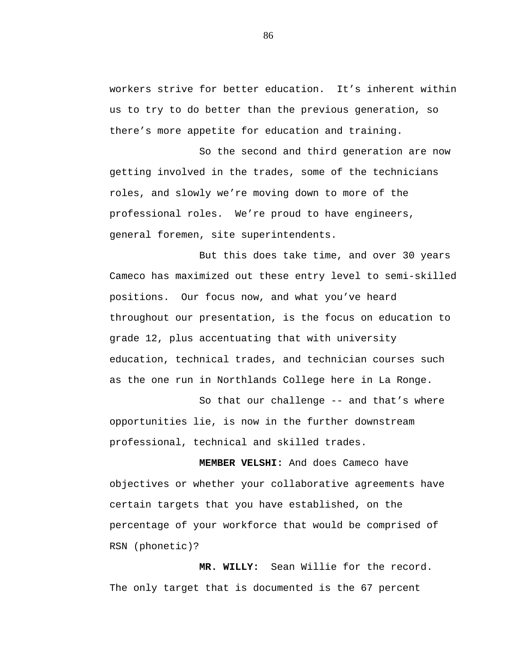workers strive for better education. It's inherent within us to try to do better than the previous generation, so there's more appetite for education and training.

So the second and third generation are now getting involved in the trades, some of the technicians roles, and slowly we're moving down to more of the professional roles. We're proud to have engineers, general foremen, site superintendents.

But this does take time, and over 30 years Cameco has maximized out these entry level to semi-skilled positions. Our focus now, and what you've heard throughout our presentation, is the focus on education to grade 12, plus accentuating that with university education, technical trades, and technician courses such as the one run in Northlands College here in La Ronge.

So that our challenge -- and that's where opportunities lie, is now in the further downstream professional, technical and skilled trades.

**MEMBER VELSHI:** And does Cameco have objectives or whether your collaborative agreements have certain targets that you have established, on the percentage of your workforce that would be comprised of RSN (phonetic)?

**MR. WILLY:** Sean Willie for the record. The only target that is documented is the 67 percent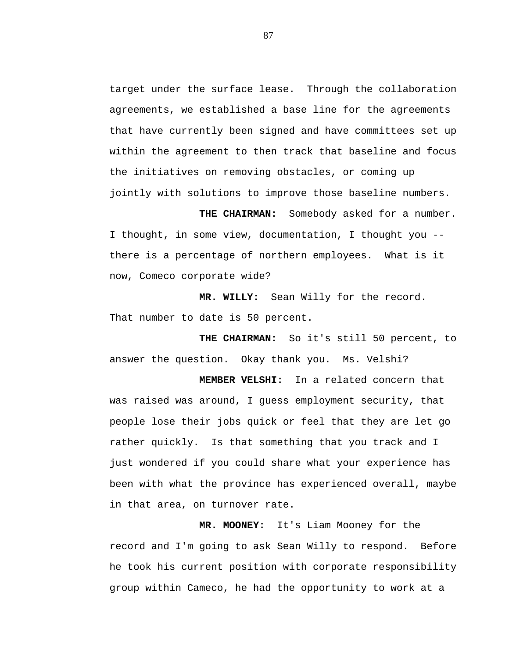target under the surface lease. Through the collaboration agreements, we established a base line for the agreements that have currently been signed and have committees set up within the agreement to then track that baseline and focus the initiatives on removing obstacles, or coming up jointly with solutions to improve those baseline numbers.

**THE CHAIRMAN:** Somebody asked for a number. I thought, in some view, documentation, I thought you - there is a percentage of northern employees. What is it now, Comeco corporate wide?

**MR. WILLY:** Sean Willy for the record. That number to date is 50 percent.

**THE CHAIRMAN:** So it's still 50 percent, to answer the question. Okay thank you. Ms. Velshi?

**MEMBER VELSHI:** In a related concern that was raised was around, I guess employment security, that people lose their jobs quick or feel that they are let go rather quickly. Is that something that you track and I just wondered if you could share what your experience has been with what the province has experienced overall, maybe in that area, on turnover rate.

**MR. MOONEY:** It's Liam Mooney for the record and I'm going to ask Sean Willy to respond. Before he took his current position with corporate responsibility group within Cameco, he had the opportunity to work at a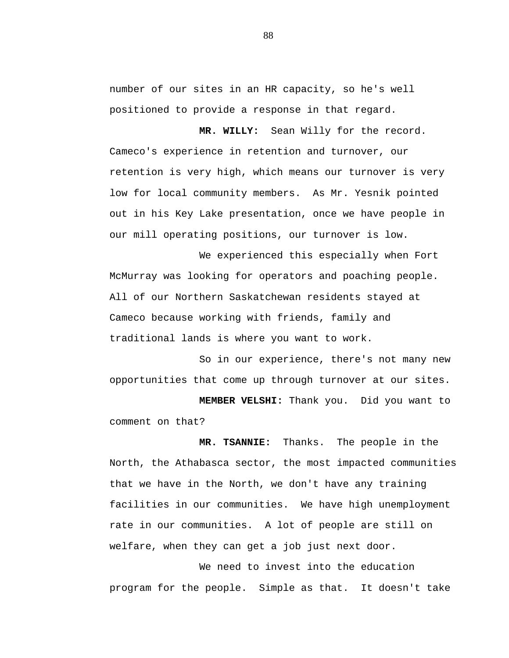number of our sites in an HR capacity, so he's well positioned to provide a response in that regard.

**MR. WILLY:** Sean Willy for the record. Cameco's experience in retention and turnover, our retention is very high, which means our turnover is very low for local community members. As Mr. Yesnik pointed out in his Key Lake presentation, once we have people in our mill operating positions, our turnover is low.

We experienced this especially when Fort McMurray was looking for operators and poaching people. All of our Northern Saskatchewan residents stayed at Cameco because working with friends, family and traditional lands is where you want to work.

So in our experience, there's not many new opportunities that come up through turnover at our sites.

**MEMBER VELSHI:** Thank you. Did you want to comment on that?

**MR. TSANNIE:** Thanks. The people in the North, the Athabasca sector, the most impacted communities that we have in the North, we don't have any training facilities in our communities. We have high unemployment rate in our communities. A lot of people are still on welfare, when they can get a job just next door.

We need to invest into the education program for the people. Simple as that. It doesn't take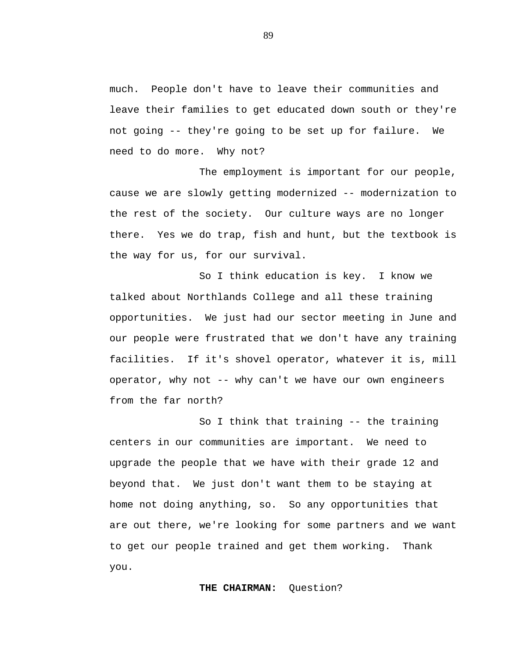much. People don't have to leave their communities and leave their families to get educated down south or they're not going -- they're going to be set up for failure. We need to do more. Why not?

The employment is important for our people, cause we are slowly getting modernized -- modernization to the rest of the society. Our culture ways are no longer there. Yes we do trap, fish and hunt, but the textbook is the way for us, for our survival.

So I think education is key. I know we talked about Northlands College and all these training opportunities. We just had our sector meeting in June and our people were frustrated that we don't have any training facilities. If it's shovel operator, whatever it is, mill operator, why not -- why can't we have our own engineers from the far north?

So I think that training -- the training centers in our communities are important. We need to upgrade the people that we have with their grade 12 and beyond that. We just don't want them to be staying at home not doing anything, so. So any opportunities that are out there, we're looking for some partners and we want to get our people trained and get them working. Thank you.

**THE CHAIRMAN:** Question?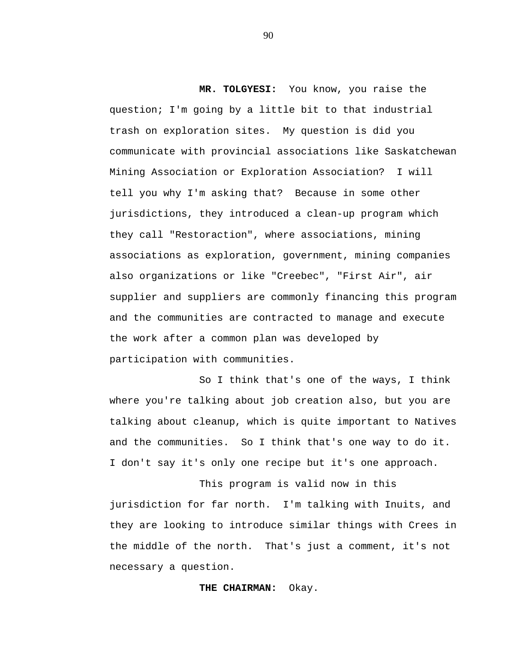**MR. TOLGYESI:** You know, you raise the question; I'm going by a little bit to that industrial trash on exploration sites. My question is did you communicate with provincial associations like Saskatchewan Mining Association or Exploration Association? I will tell you why I'm asking that? Because in some other jurisdictions, they introduced a clean-up program which they call "Restoraction", where associations, mining associations as exploration, government, mining companies also organizations or like "Creebec", "First Air", air supplier and suppliers are commonly financing this program and the communities are contracted to manage and execute the work after a common plan was developed by participation with communities.

So I think that's one of the ways, I think where you're talking about job creation also, but you are talking about cleanup, which is quite important to Natives and the communities. So I think that's one way to do it. I don't say it's only one recipe but it's one approach.

This program is valid now in this jurisdiction for far north. I'm talking with Inuits, and they are looking to introduce similar things with Crees in the middle of the north. That's just a comment, it's not necessary a question.

#### **THE CHAIRMAN:** Okay.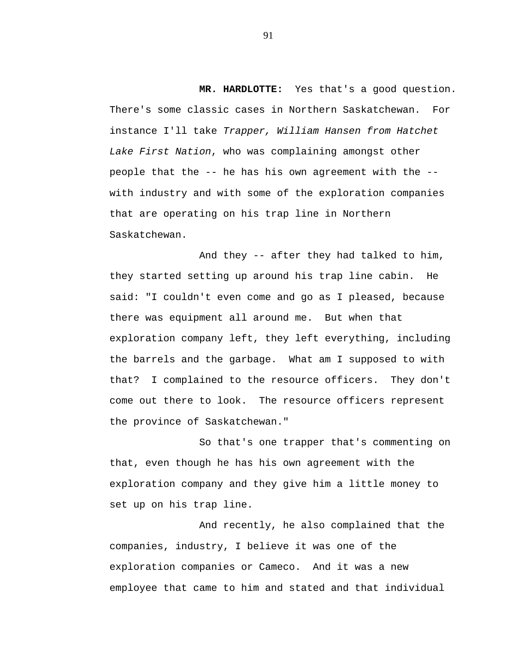**MR. HARDLOTTE:** Yes that's a good question. There's some classic cases in Northern Saskatchewan. For instance I'll take *Trapper, William Hansen from Hatchet Lake First Nation*, who was complaining amongst other people that the -- he has his own agreement with the - with industry and with some of the exploration companies that are operating on his trap line in Northern Saskatchewan.

And they -- after they had talked to him, they started setting up around his trap line cabin. He said: "I couldn't even come and go as I pleased, because there was equipment all around me. But when that exploration company left, they left everything, including the barrels and the garbage. What am I supposed to with that? I complained to the resource officers. They don't come out there to look. The resource officers represent the province of Saskatchewan."

So that's one trapper that's commenting on that, even though he has his own agreement with the exploration company and they give him a little money to set up on his trap line.

And recently, he also complained that the companies, industry, I believe it was one of the exploration companies or Cameco. And it was a new employee that came to him and stated and that individual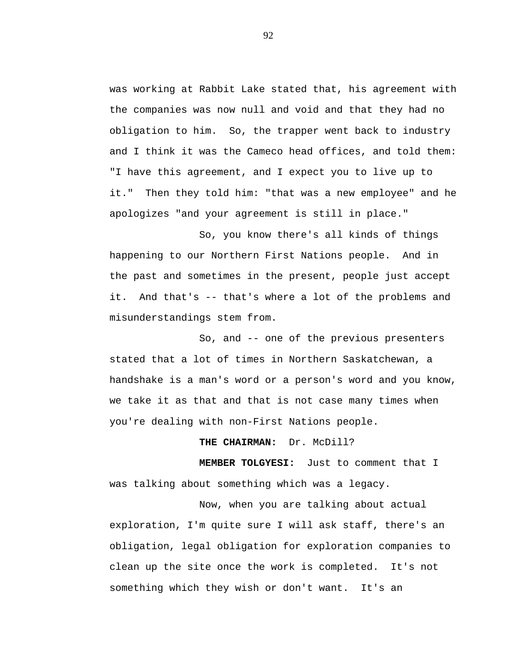was working at Rabbit Lake stated that, his agreement with the companies was now null and void and that they had no obligation to him. So, the trapper went back to industry and I think it was the Cameco head offices, and told them: "I have this agreement, and I expect you to live up to it." Then they told him: "that was a new employee" and he apologizes "and your agreement is still in place."

So, you know there's all kinds of things happening to our Northern First Nations people. And in the past and sometimes in the present, people just accept it. And that's -- that's where a lot of the problems and misunderstandings stem from.

So, and -- one of the previous presenters stated that a lot of times in Northern Saskatchewan, a handshake is a man's word or a person's word and you know, we take it as that and that is not case many times when you're dealing with non-First Nations people.

### **THE CHAIRMAN:** Dr. McDill?

**MEMBER TOLGYESI:** Just to comment that I was talking about something which was a legacy.

Now, when you are talking about actual exploration, I'm quite sure I will ask staff, there's an obligation, legal obligation for exploration companies to clean up the site once the work is completed. It's not something which they wish or don't want. It's an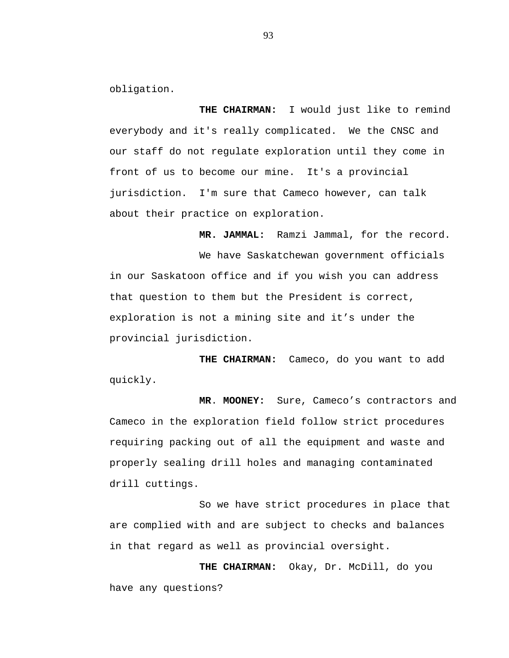obligation.

**THE CHAIRMAN:** I would just like to remind everybody and it's really complicated. We the CNSC and our staff do not regulate exploration until they come in front of us to become our mine. It's a provincial jurisdiction. I'm sure that Cameco however, can talk about their practice on exploration.

**MR. JAMMAL:** Ramzi Jammal, for the record.

We have Saskatchewan government officials in our Saskatoon office and if you wish you can address that question to them but the President is correct, exploration is not a mining site and it's under the provincial jurisdiction.

**THE CHAIRMAN:** Cameco, do you want to add quickly.

**MR**. **MOONEY:** Sure, Cameco's contractors and Cameco in the exploration field follow strict procedures requiring packing out of all the equipment and waste and properly sealing drill holes and managing contaminated drill cuttings.

So we have strict procedures in place that are complied with and are subject to checks and balances in that regard as well as provincial oversight.

**THE CHAIRMAN:** Okay, Dr. McDill, do you have any questions?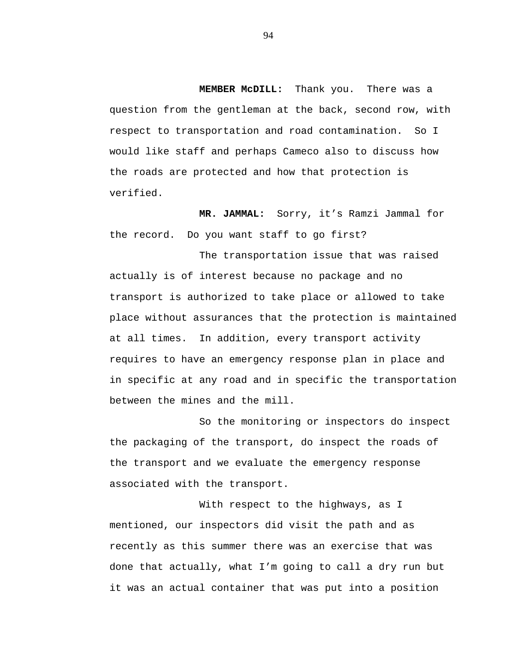**MEMBER McDILL:** Thank you. There was a question from the gentleman at the back, second row, with respect to transportation and road contamination. So I would like staff and perhaps Cameco also to discuss how the roads are protected and how that protection is verified.

**MR. JAMMAL:** Sorry, it's Ramzi Jammal for the record. Do you want staff to go first?

The transportation issue that was raised actually is of interest because no package and no transport is authorized to take place or allowed to take place without assurances that the protection is maintained at all times. In addition, every transport activity requires to have an emergency response plan in place and in specific at any road and in specific the transportation between the mines and the mill.

So the monitoring or inspectors do inspect the packaging of the transport, do inspect the roads of the transport and we evaluate the emergency response associated with the transport.

With respect to the highways, as I mentioned, our inspectors did visit the path and as recently as this summer there was an exercise that was done that actually, what I'm going to call a dry run but it was an actual container that was put into a position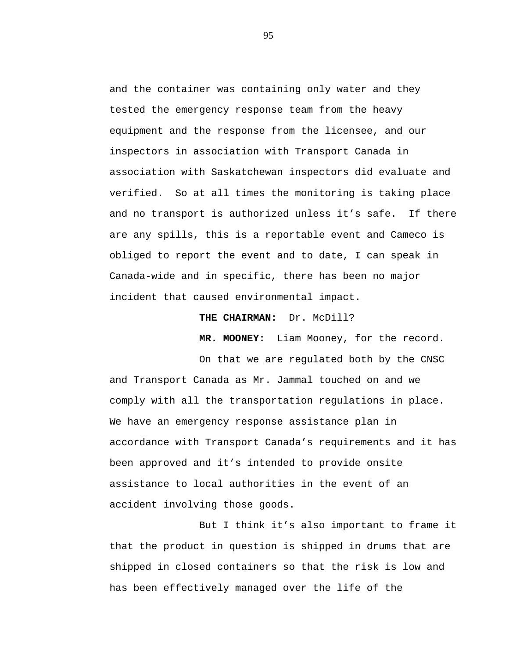and the container was containing only water and they tested the emergency response team from the heavy equipment and the response from the licensee, and our inspectors in association with Transport Canada in association with Saskatchewan inspectors did evaluate and verified. So at all times the monitoring is taking place and no transport is authorized unless it's safe. If there are any spills, this is a reportable event and Cameco is obliged to report the event and to date, I can speak in Canada-wide and in specific, there has been no major incident that caused environmental impact.

**THE CHAIRMAN:** Dr. McDill?

**MR. MOONEY:** Liam Mooney, for the record.

On that we are regulated both by the CNSC and Transport Canada as Mr. Jammal touched on and we comply with all the transportation regulations in place. We have an emergency response assistance plan in accordance with Transport Canada's requirements and it has been approved and it's intended to provide onsite assistance to local authorities in the event of an accident involving those goods.

But I think it's also important to frame it that the product in question is shipped in drums that are shipped in closed containers so that the risk is low and has been effectively managed over the life of the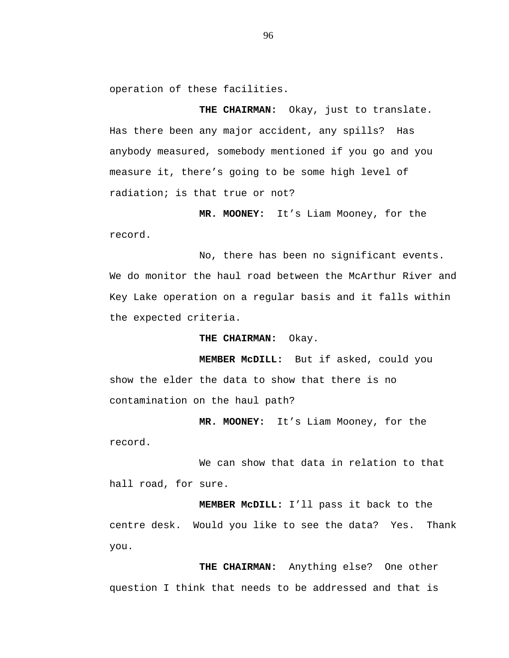operation of these facilities.

**THE CHAIRMAN:** Okay, just to translate. Has there been any major accident, any spills? Has anybody measured, somebody mentioned if you go and you measure it, there's going to be some high level of radiation; is that true or not?

**MR. MOONEY:** It's Liam Mooney, for the record.

No, there has been no significant events. We do monitor the haul road between the McArthur River and Key Lake operation on a regular basis and it falls within the expected criteria.

**THE CHAIRMAN:** Okay.

**MEMBER McDILL:** But if asked, could you show the elder the data to show that there is no contamination on the haul path?

**MR. MOONEY:** It's Liam Mooney, for the record.

We can show that data in relation to that hall road, for sure.

**MEMBER McDILL:** I'll pass it back to the centre desk. Would you like to see the data? Yes. Thank you.

**THE CHAIRMAN:** Anything else? One other question I think that needs to be addressed and that is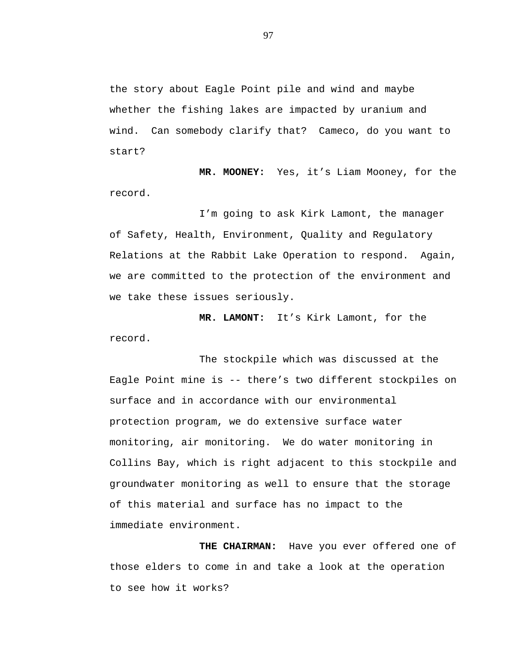the story about Eagle Point pile and wind and maybe whether the fishing lakes are impacted by uranium and wind. Can somebody clarify that? Cameco, do you want to start?

**MR. MOONEY:** Yes, it's Liam Mooney, for the record.

I'm going to ask Kirk Lamont, the manager of Safety, Health, Environment, Quality and Regulatory Relations at the Rabbit Lake Operation to respond. Again, we are committed to the protection of the environment and we take these issues seriously.

**MR. LAMONT:** It's Kirk Lamont, for the record.

The stockpile which was discussed at the Eagle Point mine is -- there's two different stockpiles on surface and in accordance with our environmental protection program, we do extensive surface water monitoring, air monitoring. We do water monitoring in Collins Bay, which is right adjacent to this stockpile and groundwater monitoring as well to ensure that the storage of this material and surface has no impact to the immediate environment.

**THE CHAIRMAN:** Have you ever offered one of those elders to come in and take a look at the operation to see how it works?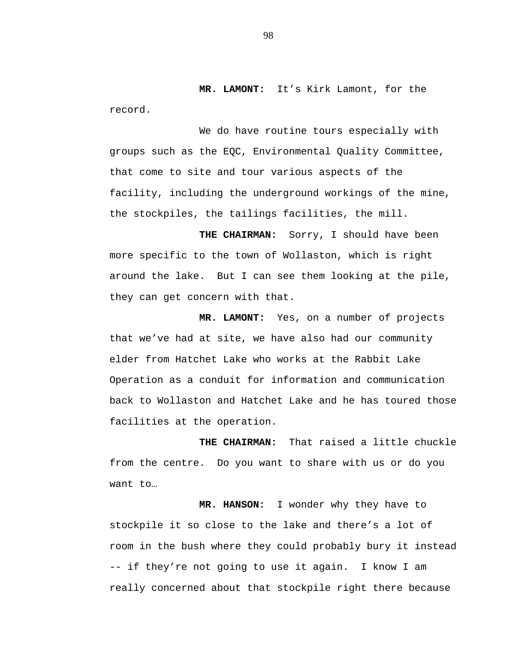**MR. LAMONT:** It's Kirk Lamont, for the record.

We do have routine tours especially with groups such as the EQC, Environmental Quality Committee, that come to site and tour various aspects of the facility, including the underground workings of the mine, the stockpiles, the tailings facilities, the mill.

**THE CHAIRMAN:** Sorry, I should have been more specific to the town of Wollaston, which is right around the lake. But I can see them looking at the pile, they can get concern with that.

**MR. LAMONT:** Yes, on a number of projects that we've had at site, we have also had our community elder from Hatchet Lake who works at the Rabbit Lake Operation as a conduit for information and communication back to Wollaston and Hatchet Lake and he has toured those facilities at the operation.

**THE CHAIRMAN:** That raised a little chuckle from the centre. Do you want to share with us or do you want to…

**MR. HANSON:** I wonder why they have to stockpile it so close to the lake and there's a lot of room in the bush where they could probably bury it instead -- if they're not going to use it again. I know I am really concerned about that stockpile right there because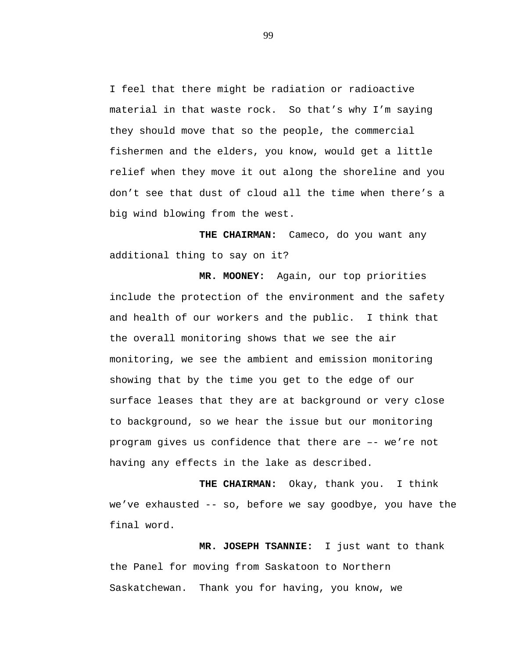I feel that there might be radiation or radioactive material in that waste rock. So that's why I'm saying they should move that so the people, the commercial fishermen and the elders, you know, would get a little relief when they move it out along the shoreline and you don't see that dust of cloud all the time when there's a big wind blowing from the west.

**THE CHAIRMAN:** Cameco, do you want any additional thing to say on it?

**MR. MOONEY:** Again, our top priorities include the protection of the environment and the safety and health of our workers and the public. I think that the overall monitoring shows that we see the air monitoring, we see the ambient and emission monitoring showing that by the time you get to the edge of our surface leases that they are at background or very close to background, so we hear the issue but our monitoring program gives us confidence that there are –- we're not having any effects in the lake as described.

**THE CHAIRMAN:** Okay, thank you. I think we've exhausted -- so, before we say goodbye, you have the final word.

**MR. JOSEPH TSANNIE:** I just want to thank the Panel for moving from Saskatoon to Northern Saskatchewan. Thank you for having, you know, we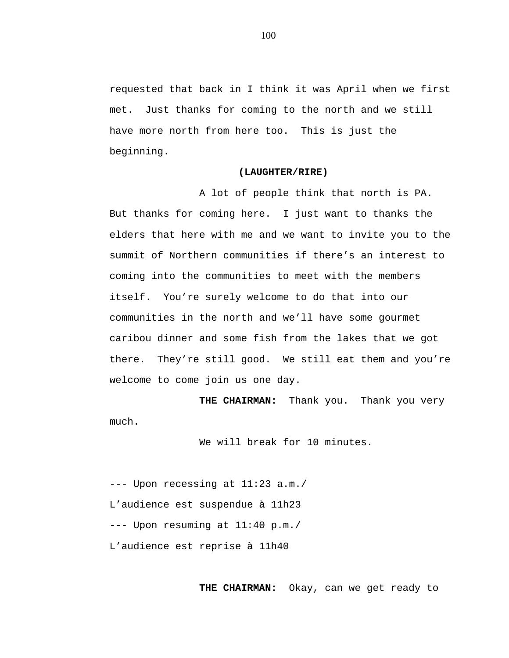requested that back in I think it was April when we first met. Just thanks for coming to the north and we still have more north from here too. This is just the beginning.

#### **(LAUGHTER/RIRE)**

 A lot of people think that north is PA. But thanks for coming here. I just want to thanks the elders that here with me and we want to invite you to the summit of Northern communities if there's an interest to coming into the communities to meet with the members itself. You're surely welcome to do that into our communities in the north and we'll have some gourmet caribou dinner and some fish from the lakes that we got there. They're still good. We still eat them and you're welcome to come join us one day.

**THE CHAIRMAN:** Thank you. Thank you very much.

We will break for 10 minutes.

--- Upon recessing at 11:23 a.m./ L'audience est suspendue à 11h23 --- Upon resuming at 11:40 p.m./ L'audience est reprise à 11h40

**THE CHAIRMAN:** Okay, can we get ready to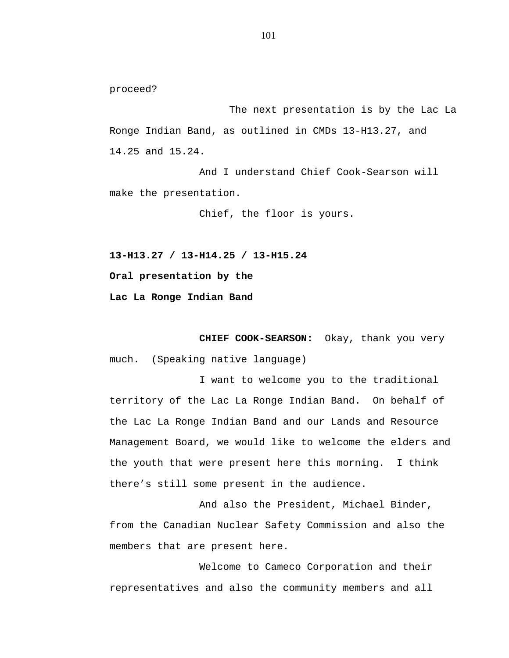proceed?

The next presentation is by the Lac La Ronge Indian Band, as outlined in CMDs 13-H13.27, and 14.25 and 15.24.

And I understand Chief Cook-Searson will make the presentation.

Chief, the floor is yours.

**13-H13.27 / 13-H14.25 / 13-H15.24**

**Oral presentation by the**

**Lac La Ronge Indian Band**

**CHIEF COOK-SEARSON:** Okay, thank you very much. (Speaking native language)

I want to welcome you to the traditional territory of the Lac La Ronge Indian Band. On behalf of the Lac La Ronge Indian Band and our Lands and Resource Management Board, we would like to welcome the elders and the youth that were present here this morning. I think there's still some present in the audience.

And also the President, Michael Binder, from the Canadian Nuclear Safety Commission and also the members that are present here.

Welcome to Cameco Corporation and their representatives and also the community members and all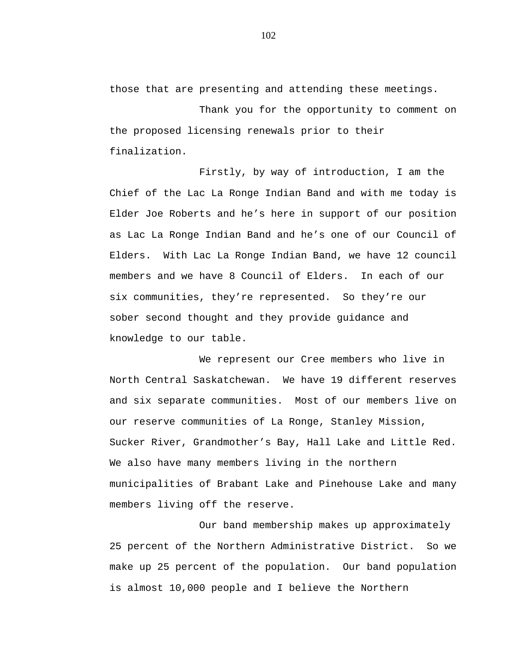those that are presenting and attending these meetings.

Thank you for the opportunity to comment on the proposed licensing renewals prior to their finalization.

Firstly, by way of introduction, I am the Chief of the Lac La Ronge Indian Band and with me today is Elder Joe Roberts and he's here in support of our position as Lac La Ronge Indian Band and he's one of our Council of Elders. With Lac La Ronge Indian Band, we have 12 council members and we have 8 Council of Elders. In each of our six communities, they're represented. So they're our sober second thought and they provide guidance and knowledge to our table.

We represent our Cree members who live in North Central Saskatchewan. We have 19 different reserves and six separate communities. Most of our members live on our reserve communities of La Ronge, Stanley Mission, Sucker River, Grandmother's Bay, Hall Lake and Little Red. We also have many members living in the northern municipalities of Brabant Lake and Pinehouse Lake and many members living off the reserve.

Our band membership makes up approximately 25 percent of the Northern Administrative District. So we make up 25 percent of the population. Our band population is almost 10,000 people and I believe the Northern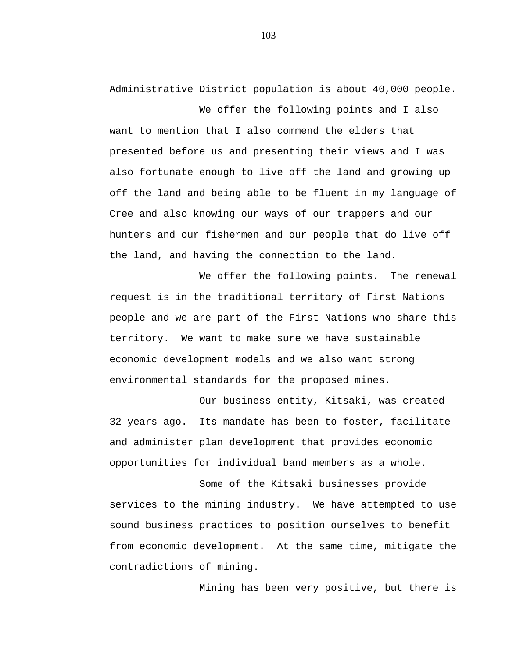Administrative District population is about 40,000 people.

We offer the following points and I also want to mention that I also commend the elders that presented before us and presenting their views and I was also fortunate enough to live off the land and growing up off the land and being able to be fluent in my language of Cree and also knowing our ways of our trappers and our hunters and our fishermen and our people that do live off the land, and having the connection to the land.

We offer the following points. The renewal request is in the traditional territory of First Nations people and we are part of the First Nations who share this territory. We want to make sure we have sustainable economic development models and we also want strong environmental standards for the proposed mines.

Our business entity, Kitsaki, was created 32 years ago. Its mandate has been to foster, facilitate and administer plan development that provides economic opportunities for individual band members as a whole.

Some of the Kitsaki businesses provide services to the mining industry. We have attempted to use sound business practices to position ourselves to benefit from economic development. At the same time, mitigate the contradictions of mining.

Mining has been very positive, but there is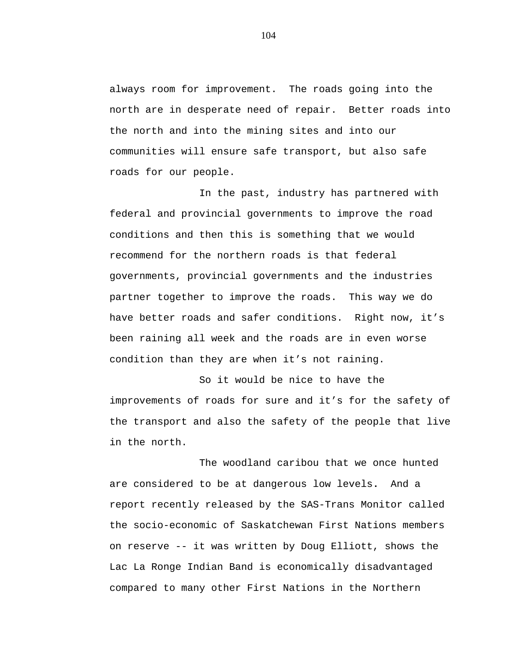always room for improvement. The roads going into the north are in desperate need of repair. Better roads into the north and into the mining sites and into our communities will ensure safe transport, but also safe roads for our people.

In the past, industry has partnered with federal and provincial governments to improve the road conditions and then this is something that we would recommend for the northern roads is that federal governments, provincial governments and the industries partner together to improve the roads. This way we do have better roads and safer conditions. Right now, it's been raining all week and the roads are in even worse condition than they are when it's not raining.

So it would be nice to have the improvements of roads for sure and it's for the safety of the transport and also the safety of the people that live in the north.

The woodland caribou that we once hunted are considered to be at dangerous low levels**.** And a report recently released by the SAS-Trans Monitor called the socio-economic of Saskatchewan First Nations members on reserve -- it was written by Doug Elliott, shows the Lac La Ronge Indian Band is economically disadvantaged compared to many other First Nations in the Northern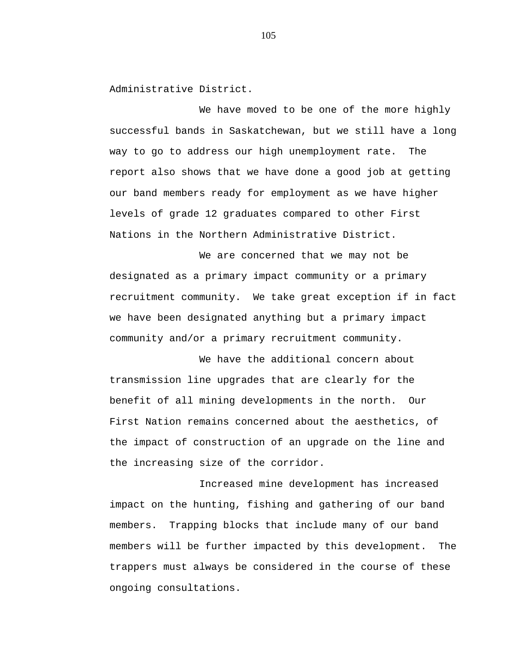Administrative District.

We have moved to be one of the more highly successful bands in Saskatchewan, but we still have a long way to go to address our high unemployment rate. The report also shows that we have done a good job at getting our band members ready for employment as we have higher levels of grade 12 graduates compared to other First Nations in the Northern Administrative District.

We are concerned that we may not be designated as a primary impact community or a primary recruitment community. We take great exception if in fact we have been designated anything but a primary impact community and/or a primary recruitment community.

We have the additional concern about transmission line upgrades that are clearly for the benefit of all mining developments in the north. Our First Nation remains concerned about the aesthetics, of the impact of construction of an upgrade on the line and the increasing size of the corridor.

Increased mine development has increased impact on the hunting, fishing and gathering of our band members. Trapping blocks that include many of our band members will be further impacted by this development. The trappers must always be considered in the course of these ongoing consultations.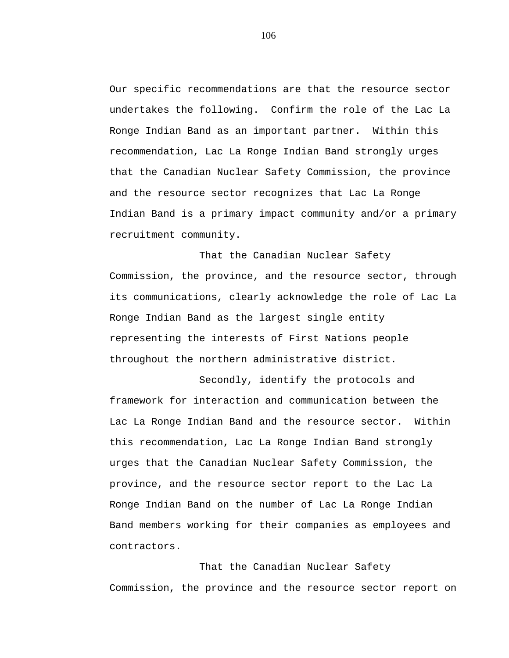Our specific recommendations are that the resource sector undertakes the following. Confirm the role of the Lac La Ronge Indian Band as an important partner. Within this recommendation, Lac La Ronge Indian Band strongly urges that the Canadian Nuclear Safety Commission, the province and the resource sector recognizes that Lac La Ronge Indian Band is a primary impact community and/or a primary recruitment community.

That the Canadian Nuclear Safety Commission, the province, and the resource sector, through its communications, clearly acknowledge the role of Lac La Ronge Indian Band as the largest single entity representing the interests of First Nations people throughout the northern administrative district.

Secondly, identify the protocols and framework for interaction and communication between the Lac La Ronge Indian Band and the resource sector. Within this recommendation, Lac La Ronge Indian Band strongly urges that the Canadian Nuclear Safety Commission, the province, and the resource sector report to the Lac La Ronge Indian Band on the number of Lac La Ronge Indian Band members working for their companies as employees and contractors.

That the Canadian Nuclear Safety Commission, the province and the resource sector report on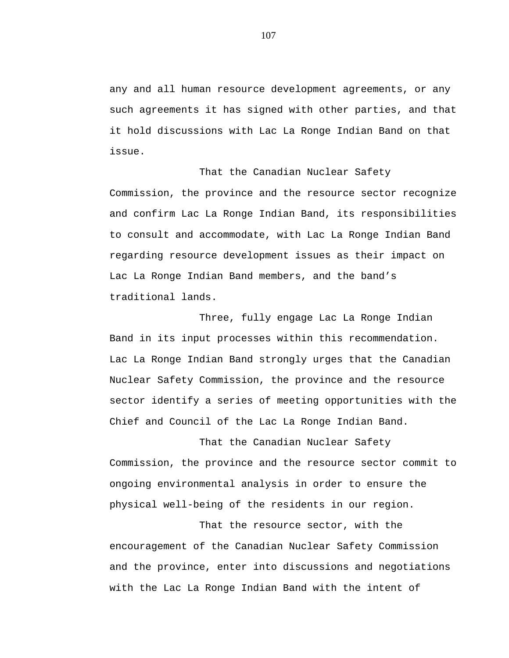any and all human resource development agreements, or any such agreements it has signed with other parties, and that it hold discussions with Lac La Ronge Indian Band on that issue.

That the Canadian Nuclear Safety Commission, the province and the resource sector recognize and confirm Lac La Ronge Indian Band, its responsibilities to consult and accommodate, with Lac La Ronge Indian Band regarding resource development issues as their impact on Lac La Ronge Indian Band members, and the band's traditional lands.

Three, fully engage Lac La Ronge Indian Band in its input processes within this recommendation. Lac La Ronge Indian Band strongly urges that the Canadian Nuclear Safety Commission, the province and the resource sector identify a series of meeting opportunities with the Chief and Council of the Lac La Ronge Indian Band.

That the Canadian Nuclear Safety Commission, the province and the resource sector commit to ongoing environmental analysis in order to ensure the physical well-being of the residents in our region.

That the resource sector, with the encouragement of the Canadian Nuclear Safety Commission and the province, enter into discussions and negotiations with the Lac La Ronge Indian Band with the intent of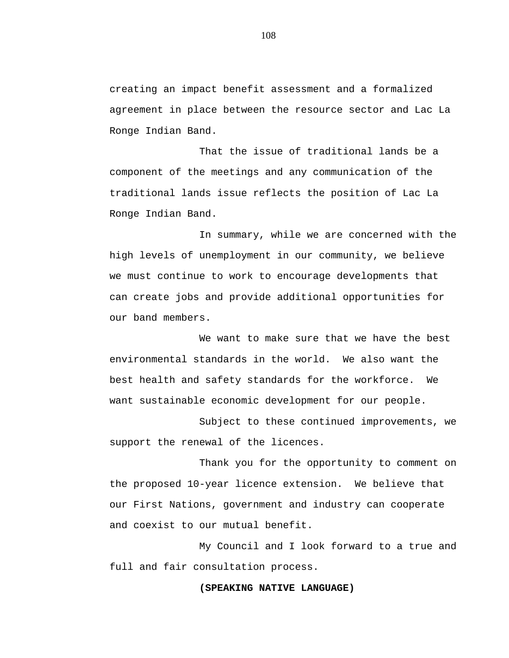creating an impact benefit assessment and a formalized agreement in place between the resource sector and Lac La Ronge Indian Band.

That the issue of traditional lands be a component of the meetings and any communication of the traditional lands issue reflects the position of Lac La Ronge Indian Band.

In summary, while we are concerned with the high levels of unemployment in our community, we believe we must continue to work to encourage developments that can create jobs and provide additional opportunities for our band members.

We want to make sure that we have the best environmental standards in the world. We also want the best health and safety standards for the workforce. We want sustainable economic development for our people.

Subject to these continued improvements, we support the renewal of the licences.

Thank you for the opportunity to comment on the proposed 10-year licence extension. We believe that our First Nations, government and industry can cooperate and coexist to our mutual benefit.

My Council and I look forward to a true and full and fair consultation process.

## **(SPEAKING NATIVE LANGUAGE)**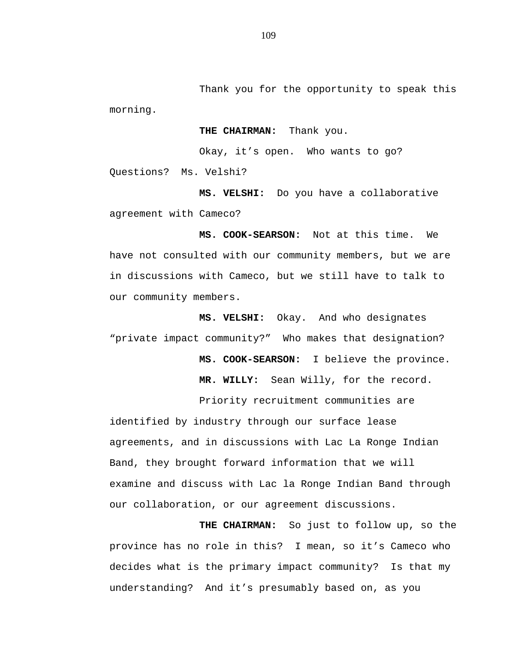Thank you for the opportunity to speak this morning.

**THE CHAIRMAN:** Thank you.

Okay, it's open. Who wants to go?

Questions? Ms. Velshi?

**MS. VELSHI:** Do you have a collaborative agreement with Cameco?

**MS. COOK-SEARSON:** Not at this time. We have not consulted with our community members, but we are in discussions with Cameco, but we still have to talk to our community members.

**MS. VELSHI:** Okay. And who designates "private impact community?" Who makes that designation?

> **MS. COOK-SEARSON:** I believe the province. **MR. WILLY:** Sean Willy, for the record.

Priority recruitment communities are identified by industry through our surface lease agreements, and in discussions with Lac La Ronge Indian Band, they brought forward information that we will examine and discuss with Lac la Ronge Indian Band through our collaboration, or our agreement discussions.

**THE CHAIRMAN:** So just to follow up, so the province has no role in this? I mean, so it's Cameco who decides what is the primary impact community? Is that my understanding? And it's presumably based on, as you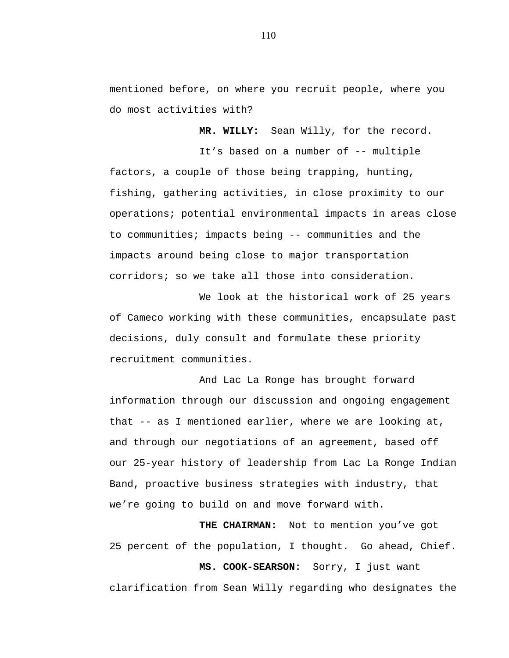mentioned before, on where you recruit people, where you do most activities with?

**MR. WILLY:** Sean Willy, for the record.

It's based on a number of -- multiple factors, a couple of those being trapping, hunting, fishing, gathering activities, in close proximity to our operations; potential environmental impacts in areas close to communities; impacts being -- communities and the impacts around being close to major transportation corridors; so we take all those into consideration.

We look at the historical work of 25 years of Cameco working with these communities, encapsulate past decisions, duly consult and formulate these priority recruitment communities.

And Lac La Ronge has brought forward information through our discussion and ongoing engagement that -- as I mentioned earlier, where we are looking at, and through our negotiations of an agreement, based off our 25-year history of leadership from Lac La Ronge Indian Band, proactive business strategies with industry, that we're going to build on and move forward with.

**THE CHAIRMAN:** Not to mention you've got 25 percent of the population, I thought. Go ahead, Chief. **MS. COOK-SEARSON:** Sorry, I just want clarification from Sean Willy regarding who designates the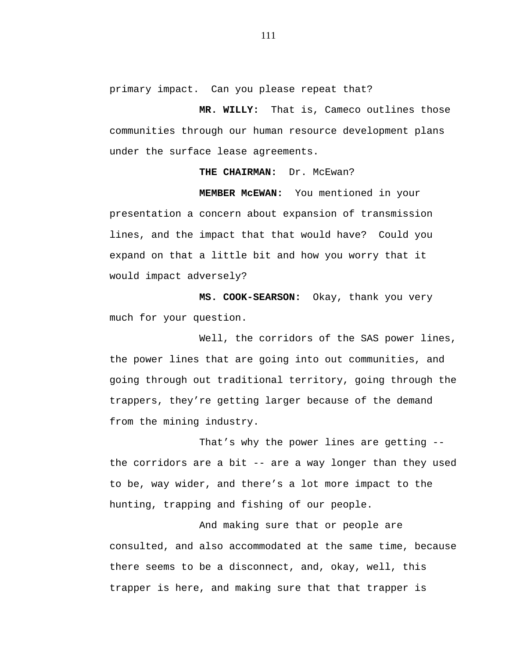primary impact. Can you please repeat that?

**MR. WILLY:** That is, Cameco outlines those communities through our human resource development plans under the surface lease agreements.

## **THE CHAIRMAN:** Dr. McEwan?

**MEMBER McEWAN:** You mentioned in your presentation a concern about expansion of transmission lines, and the impact that that would have? Could you expand on that a little bit and how you worry that it would impact adversely?

**MS. COOK-SEARSON:** Okay, thank you very much for your question.

Well, the corridors of the SAS power lines, the power lines that are going into out communities, and going through out traditional territory, going through the trappers, they're getting larger because of the demand from the mining industry.

That's why the power lines are getting - the corridors are a bit -- are a way longer than they used to be, way wider, and there's a lot more impact to the hunting, trapping and fishing of our people.

And making sure that or people are consulted, and also accommodated at the same time, because there seems to be a disconnect, and, okay, well, this trapper is here, and making sure that that trapper is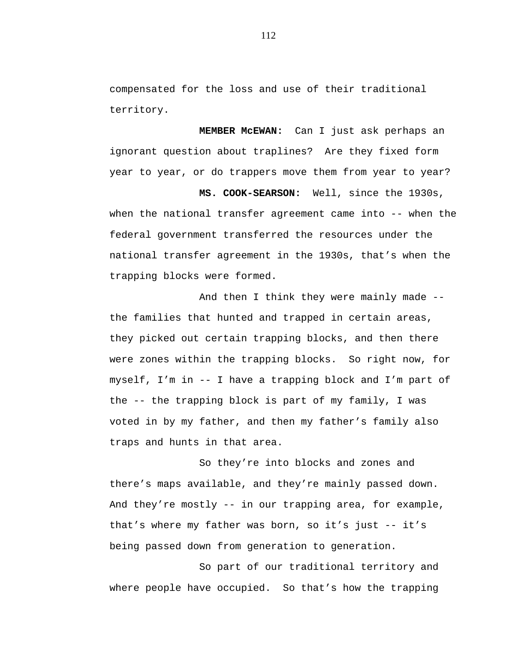compensated for the loss and use of their traditional territory.

**MEMBER McEWAN:** Can I just ask perhaps an ignorant question about traplines? Are they fixed form year to year, or do trappers move them from year to year?

**MS. COOK-SEARSON:** Well, since the 1930s, when the national transfer agreement came into -- when the federal government transferred the resources under the national transfer agreement in the 1930s, that's when the trapping blocks were formed.

And then I think they were mainly made - the families that hunted and trapped in certain areas, they picked out certain trapping blocks, and then there were zones within the trapping blocks. So right now, for myself, I'm in -- I have a trapping block and I'm part of the -- the trapping block is part of my family, I was voted in by my father, and then my father's family also traps and hunts in that area.

So they're into blocks and zones and there's maps available, and they're mainly passed down. And they're mostly -- in our trapping area, for example, that's where my father was born, so it's just -- it's being passed down from generation to generation.

So part of our traditional territory and where people have occupied. So that's how the trapping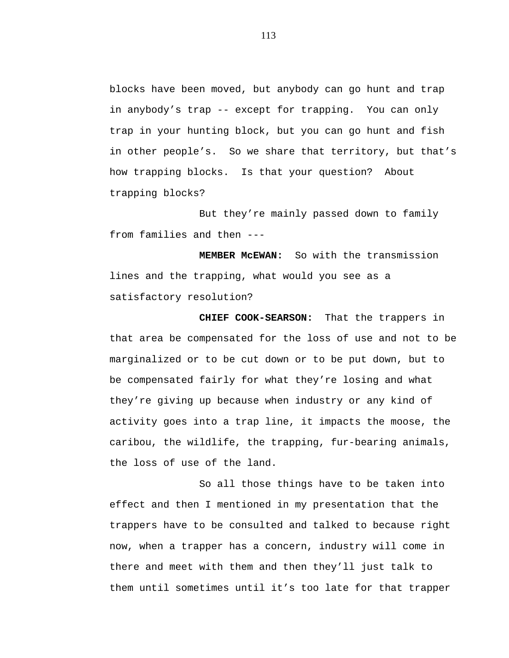blocks have been moved, but anybody can go hunt and trap in anybody's trap -- except for trapping. You can only trap in your hunting block, but you can go hunt and fish in other people's. So we share that territory, but that's how trapping blocks. Is that your question? About trapping blocks?

But they're mainly passed down to family from families and then ---

**MEMBER McEWAN:** So with the transmission lines and the trapping, what would you see as a satisfactory resolution?

**CHIEF COOK-SEARSON:** That the trappers in that area be compensated for the loss of use and not to be marginalized or to be cut down or to be put down, but to be compensated fairly for what they're losing and what they're giving up because when industry or any kind of activity goes into a trap line, it impacts the moose, the caribou, the wildlife, the trapping, fur-bearing animals, the loss of use of the land.

So all those things have to be taken into effect and then I mentioned in my presentation that the trappers have to be consulted and talked to because right now, when a trapper has a concern, industry will come in there and meet with them and then they'll just talk to them until sometimes until it's too late for that trapper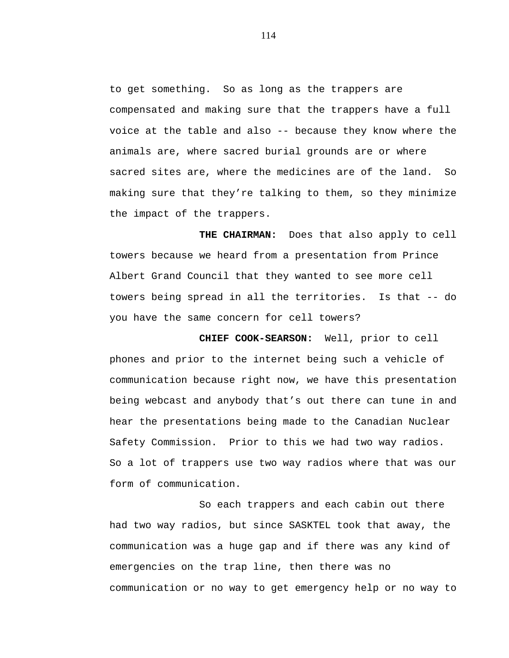to get something. So as long as the trappers are compensated and making sure that the trappers have a full voice at the table and also -- because they know where the animals are, where sacred burial grounds are or where sacred sites are, where the medicines are of the land. So making sure that they're talking to them, so they minimize the impact of the trappers.

**THE CHAIRMAN:** Does that also apply to cell towers because we heard from a presentation from Prince Albert Grand Council that they wanted to see more cell towers being spread in all the territories. Is that -- do you have the same concern for cell towers?

**CHIEF COOK-SEARSON:** Well, prior to cell phones and prior to the internet being such a vehicle of communication because right now, we have this presentation being webcast and anybody that's out there can tune in and hear the presentations being made to the Canadian Nuclear Safety Commission. Prior to this we had two way radios. So a lot of trappers use two way radios where that was our form of communication.

So each trappers and each cabin out there had two way radios, but since SASKTEL took that away, the communication was a huge gap and if there was any kind of emergencies on the trap line, then there was no communication or no way to get emergency help or no way to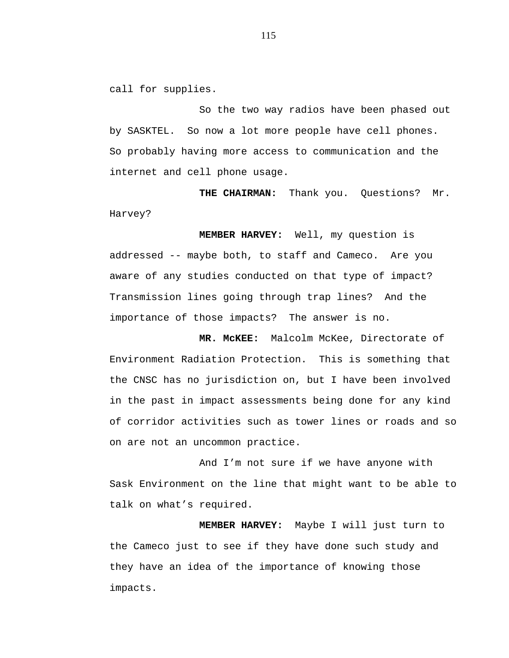call for supplies.

So the two way radios have been phased out by SASKTEL. So now a lot more people have cell phones. So probably having more access to communication and the internet and cell phone usage.

**THE CHAIRMAN:** Thank you. Questions? Mr. Harvey?

**MEMBER HARVEY:** Well, my question is addressed -- maybe both, to staff and Cameco. Are you aware of any studies conducted on that type of impact? Transmission lines going through trap lines? And the importance of those impacts? The answer is no.

**MR. McKEE:** Malcolm McKee, Directorate of Environment Radiation Protection. This is something that the CNSC has no jurisdiction on, but I have been involved in the past in impact assessments being done for any kind of corridor activities such as tower lines or roads and so on are not an uncommon practice.

And I'm not sure if we have anyone with Sask Environment on the line that might want to be able to talk on what's required.

**MEMBER HARVEY:** Maybe I will just turn to the Cameco just to see if they have done such study and they have an idea of the importance of knowing those impacts.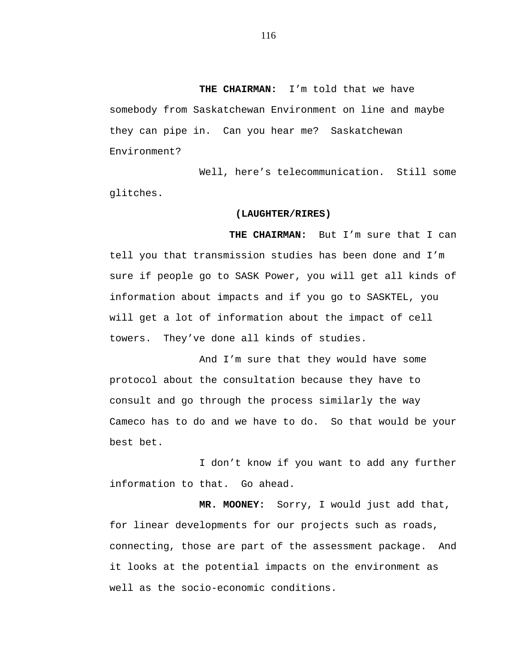**THE CHAIRMAN:** I'm told that we have somebody from Saskatchewan Environment on line and maybe they can pipe in. Can you hear me? Saskatchewan Environment?

Well, here's telecommunication. Still some glitches.

#### **(LAUGHTER/RIRES)**

**THE CHAIRMAN:** But I'm sure that I can tell you that transmission studies has been done and I'm sure if people go to SASK Power, you will get all kinds of information about impacts and if you go to SASKTEL, you will get a lot of information about the impact of cell towers. They've done all kinds of studies.

And I'm sure that they would have some protocol about the consultation because they have to consult and go through the process similarly the way Cameco has to do and we have to do. So that would be your best bet.

I don't know if you want to add any further information to that. Go ahead.

**MR. MOONEY:** Sorry, I would just add that, for linear developments for our projects such as roads, connecting, those are part of the assessment package. And it looks at the potential impacts on the environment as well as the socio-economic conditions.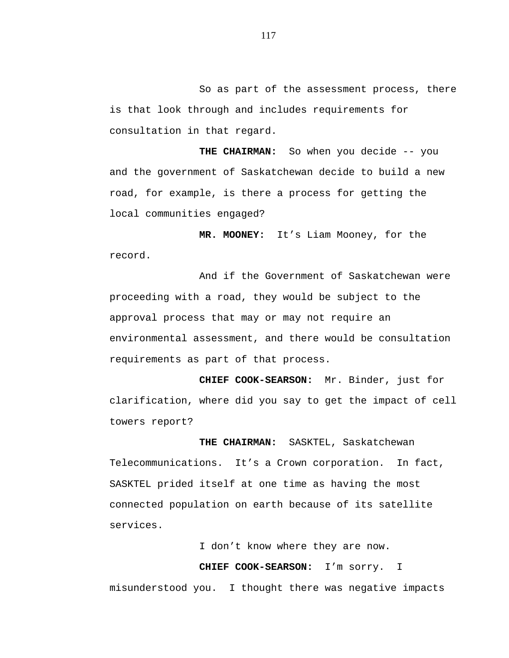So as part of the assessment process, there is that look through and includes requirements for consultation in that regard.

**THE CHAIRMAN:** So when you decide -- you and the government of Saskatchewan decide to build a new road, for example, is there a process for getting the local communities engaged?

**MR. MOONEY:** It's Liam Mooney, for the record.

And if the Government of Saskatchewan were proceeding with a road, they would be subject to the approval process that may or may not require an environmental assessment, and there would be consultation requirements as part of that process.

**CHIEF COOK-SEARSON:** Mr. Binder, just for clarification, where did you say to get the impact of cell towers report?

**THE CHAIRMAN:** SASKTEL, Saskatchewan Telecommunications. It's a Crown corporation. In fact, SASKTEL prided itself at one time as having the most connected population on earth because of its satellite services.

I don't know where they are now.

**CHIEF COOK-SEARSON:** I'm sorry. I

misunderstood you. I thought there was negative impacts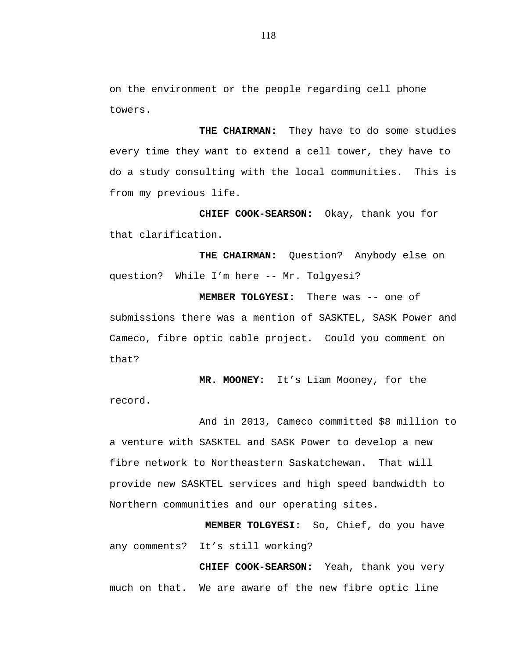on the environment or the people regarding cell phone towers.

**THE CHAIRMAN:** They have to do some studies every time they want to extend a cell tower, they have to do a study consulting with the local communities. This is from my previous life.

**CHIEF COOK-SEARSON:** Okay, thank you for that clarification.

**THE CHAIRMAN:** Question? Anybody else on question? While I'm here -- Mr. Tolgyesi?

**MEMBER TOLGYESI:** There was -- one of submissions there was a mention of SASKTEL, SASK Power and Cameco, fibre optic cable project. Could you comment on that?

**MR. MOONEY:** It's Liam Mooney, for the record.

And in 2013, Cameco committed \$8 million to a venture with SASKTEL and SASK Power to develop a new fibre network to Northeastern Saskatchewan. That will provide new SASKTEL services and high speed bandwidth to Northern communities and our operating sites.

**MEMBER TOLGYESI:** So, Chief, do you have any comments? It's still working?

**CHIEF COOK-SEARSON:** Yeah, thank you very much on that. We are aware of the new fibre optic line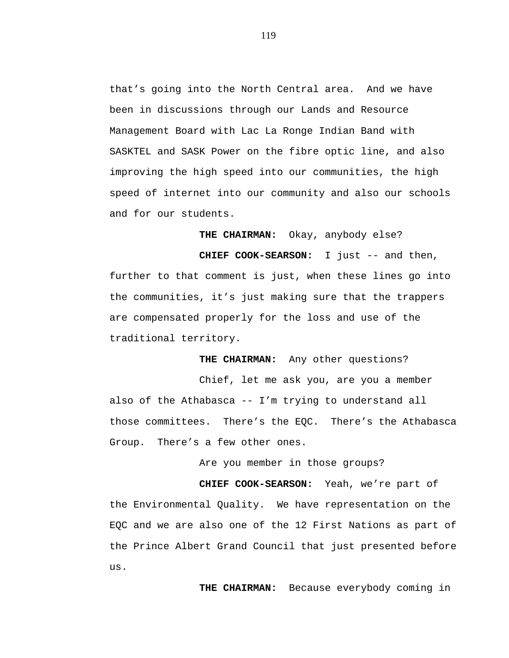that's going into the North Central area. And we have been in discussions through our Lands and Resource Management Board with Lac La Ronge Indian Band with SASKTEL and SASK Power on the fibre optic line, and also improving the high speed into our communities, the high speed of internet into our community and also our schools and for our students.

**THE CHAIRMAN:** Okay, anybody else?

**CHIEF COOK-SEARSON:** I just -- and then, further to that comment is just, when these lines go into the communities, it's just making sure that the trappers are compensated properly for the loss and use of the traditional territory.

**THE CHAIRMAN:** Any other questions?

Chief, let me ask you, are you a member also of the Athabasca -- I'm trying to understand all those committees. There's the EQC. There's the Athabasca Group. There's a few other ones.

Are you member in those groups?

**CHIEF COOK-SEARSON:** Yeah, we're part of the Environmental Quality. We have representation on the EQC and we are also one of the 12 First Nations as part of the Prince Albert Grand Council that just presented before us.

**THE CHAIRMAN:** Because everybody coming in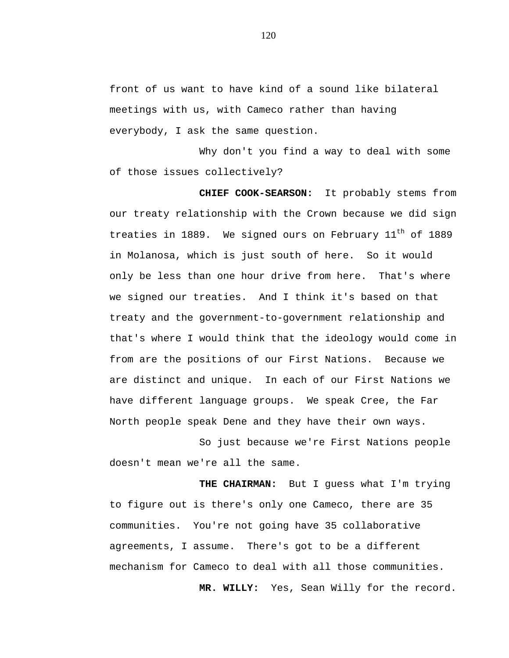front of us want to have kind of a sound like bilateral meetings with us, with Cameco rather than having everybody, I ask the same question.

Why don't you find a way to deal with some of those issues collectively?

**CHIEF COOK-SEARSON:** It probably stems from our treaty relationship with the Crown because we did sign treaties in 1889. We signed ours on February 11<sup>th</sup> of 1889 in Molanosa, which is just south of here. So it would only be less than one hour drive from here. That's where we signed our treaties. And I think it's based on that treaty and the government-to-government relationship and that's where I would think that the ideology would come in from are the positions of our First Nations. Because we are distinct and unique. In each of our First Nations we have different language groups. We speak Cree, the Far North people speak Dene and they have their own ways.

So just because we're First Nations people doesn't mean we're all the same.

**THE CHAIRMAN:** But I guess what I'm trying to figure out is there's only one Cameco, there are 35 communities. You're not going have 35 collaborative agreements, I assume. There's got to be a different mechanism for Cameco to deal with all those communities.

**MR. WILLY:** Yes, Sean Willy for the record.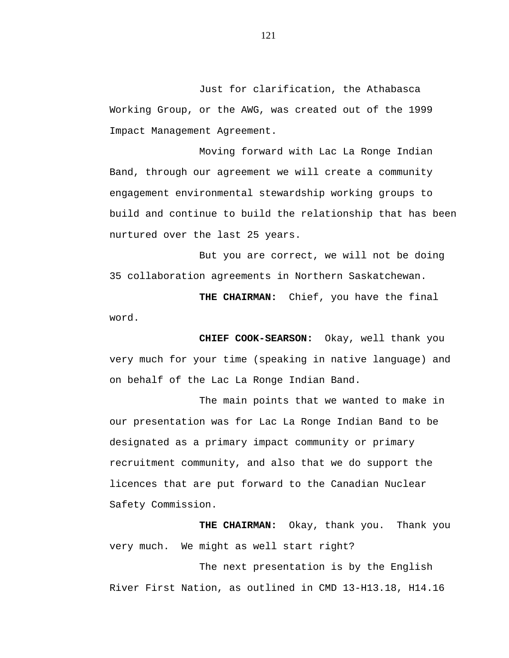Just for clarification, the Athabasca Working Group, or the AWG, was created out of the 1999 Impact Management Agreement.

Moving forward with Lac La Ronge Indian Band, through our agreement we will create a community engagement environmental stewardship working groups to build and continue to build the relationship that has been nurtured over the last 25 years.

But you are correct, we will not be doing 35 collaboration agreements in Northern Saskatchewan.

**THE CHAIRMAN:** Chief, you have the final word.

**CHIEF COOK-SEARSON:** Okay, well thank you very much for your time (speaking in native language) and on behalf of the Lac La Ronge Indian Band.

The main points that we wanted to make in our presentation was for Lac La Ronge Indian Band to be designated as a primary impact community or primary recruitment community, and also that we do support the licences that are put forward to the Canadian Nuclear Safety Commission.

**THE CHAIRMAN:** Okay, thank you. Thank you very much. We might as well start right?

The next presentation is by the English River First Nation, as outlined in CMD 13-H13.18, H14.16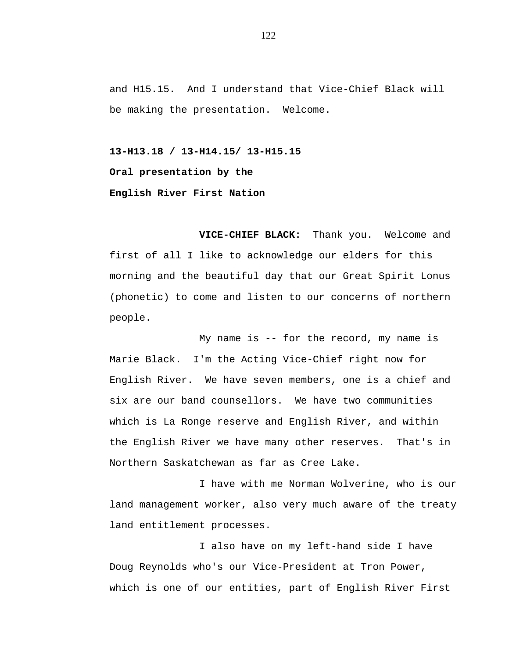and H15.15. And I understand that Vice-Chief Black will be making the presentation. Welcome.

**13-H13.18 / 13-H14.15/ 13-H15.15 Oral presentation by the English River First Nation**

**VICE-CHIEF BLACK:** Thank you. Welcome and first of all I like to acknowledge our elders for this morning and the beautiful day that our Great Spirit Lonus (phonetic) to come and listen to our concerns of northern people.

My name is -- for the record, my name is Marie Black. I'm the Acting Vice-Chief right now for English River. We have seven members, one is a chief and six are our band counsellors. We have two communities which is La Ronge reserve and English River, and within the English River we have many other reserves. That's in Northern Saskatchewan as far as Cree Lake.

I have with me Norman Wolverine, who is our land management worker, also very much aware of the treaty land entitlement processes.

I also have on my left-hand side I have Doug Reynolds who's our Vice-President at Tron Power, which is one of our entities, part of English River First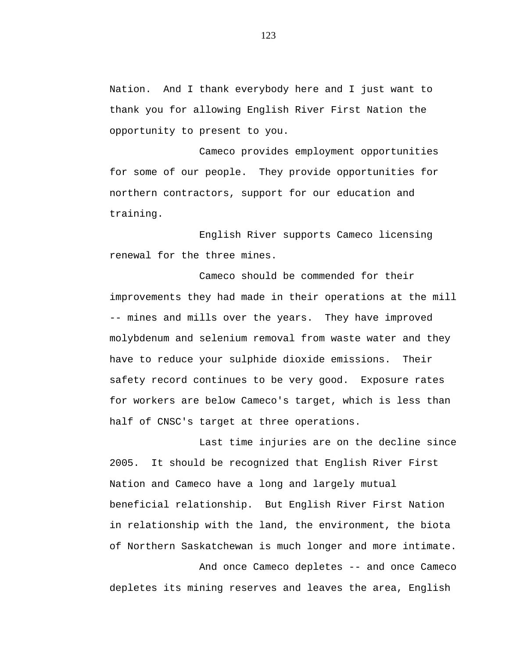Nation. And I thank everybody here and I just want to thank you for allowing English River First Nation the opportunity to present to you.

Cameco provides employment opportunities for some of our people. They provide opportunities for northern contractors, support for our education and training.

English River supports Cameco licensing renewal for the three mines.

Cameco should be commended for their improvements they had made in their operations at the mill -- mines and mills over the years. They have improved molybdenum and selenium removal from waste water and they have to reduce your sulphide dioxide emissions. Their safety record continues to be very good. Exposure rates for workers are below Cameco's target, which is less than half of CNSC's target at three operations.

Last time injuries are on the decline since 2005. It should be recognized that English River First Nation and Cameco have a long and largely mutual beneficial relationship. But English River First Nation in relationship with the land, the environment, the biota of Northern Saskatchewan is much longer and more intimate. And once Cameco depletes -- and once Cameco

depletes its mining reserves and leaves the area, English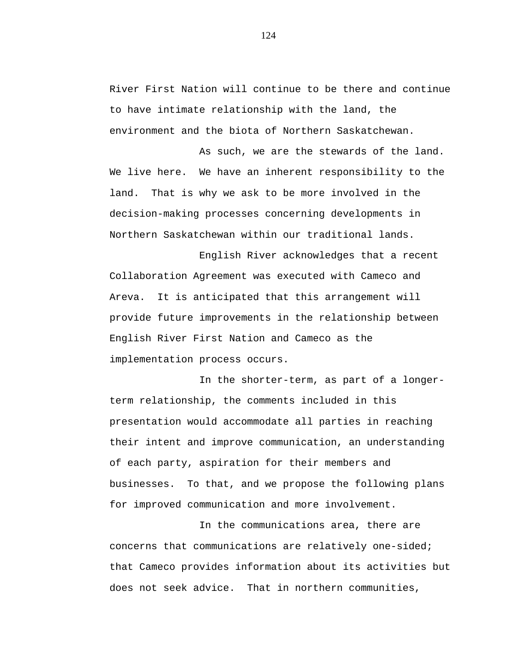River First Nation will continue to be there and continue to have intimate relationship with the land, the environment and the biota of Northern Saskatchewan.

As such, we are the stewards of the land. We live here. We have an inherent responsibility to the land. That is why we ask to be more involved in the decision-making processes concerning developments in Northern Saskatchewan within our traditional lands.

English River acknowledges that a recent Collaboration Agreement was executed with Cameco and Areva. It is anticipated that this arrangement will provide future improvements in the relationship between English River First Nation and Cameco as the implementation process occurs.

In the shorter-term, as part of a longerterm relationship, the comments included in this presentation would accommodate all parties in reaching their intent and improve communication, an understanding of each party, aspiration for their members and businesses. To that, and we propose the following plans for improved communication and more involvement.

In the communications area, there are concerns that communications are relatively one-sided; that Cameco provides information about its activities but does not seek advice. That in northern communities,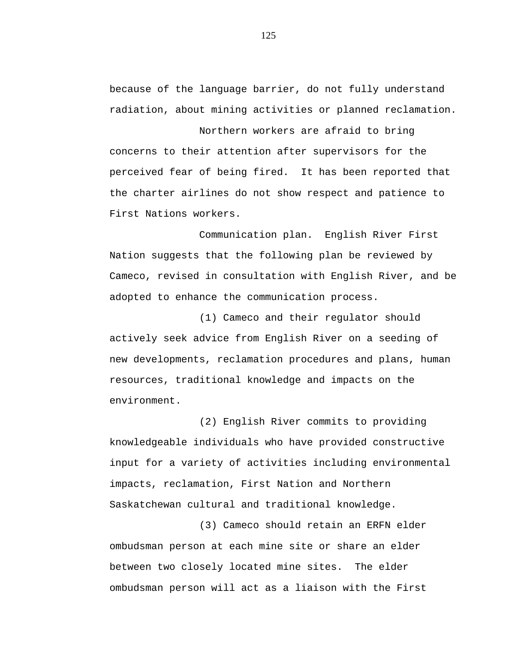because of the language barrier, do not fully understand radiation, about mining activities or planned reclamation.

Northern workers are afraid to bring concerns to their attention after supervisors for the perceived fear of being fired. It has been reported that the charter airlines do not show respect and patience to First Nations workers.

Communication plan. English River First Nation suggests that the following plan be reviewed by Cameco, revised in consultation with English River, and be adopted to enhance the communication process.

(1) Cameco and their regulator should actively seek advice from English River on a seeding of new developments, reclamation procedures and plans, human resources, traditional knowledge and impacts on the environment.

(2) English River commits to providing knowledgeable individuals who have provided constructive input for a variety of activities including environmental impacts, reclamation, First Nation and Northern Saskatchewan cultural and traditional knowledge.

(3) Cameco should retain an ERFN elder ombudsman person at each mine site or share an elder between two closely located mine sites. The elder ombudsman person will act as a liaison with the First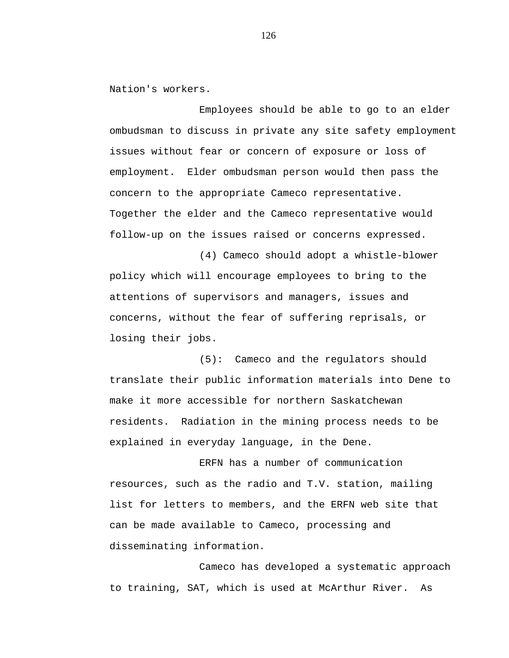Nation's workers.

Employees should be able to go to an elder ombudsman to discuss in private any site safety employment issues without fear or concern of exposure or loss of employment. Elder ombudsman person would then pass the concern to the appropriate Cameco representative. Together the elder and the Cameco representative would follow-up on the issues raised or concerns expressed.

(4) Cameco should adopt a whistle-blower policy which will encourage employees to bring to the attentions of supervisors and managers, issues and concerns, without the fear of suffering reprisals, or losing their jobs.

(5): Cameco and the regulators should translate their public information materials into Dene to make it more accessible for northern Saskatchewan residents. Radiation in the mining process needs to be explained in everyday language, in the Dene.

ERFN has a number of communication resources, such as the radio and T.V. station, mailing list for letters to members, and the ERFN web site that can be made available to Cameco, processing and disseminating information.

Cameco has developed a systematic approach to training, SAT, which is used at McArthur River. As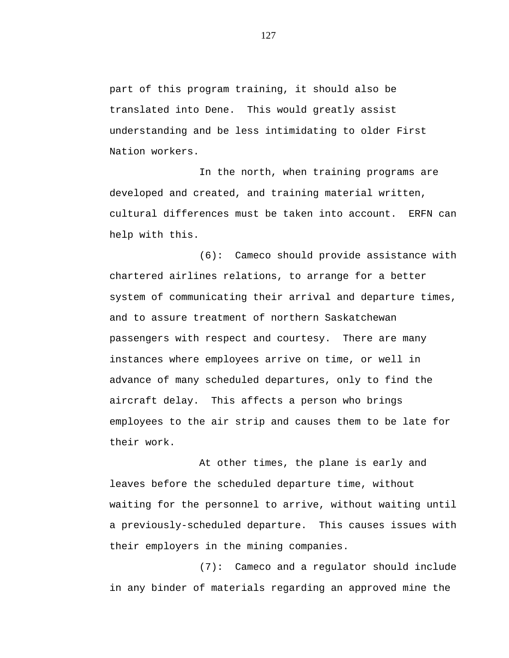part of this program training, it should also be translated into Dene. This would greatly assist understanding and be less intimidating to older First Nation workers.

In the north, when training programs are developed and created, and training material written, cultural differences must be taken into account. ERFN can help with this.

(6): Cameco should provide assistance with chartered airlines relations, to arrange for a better system of communicating their arrival and departure times, and to assure treatment of northern Saskatchewan passengers with respect and courtesy. There are many instances where employees arrive on time, or well in advance of many scheduled departures, only to find the aircraft delay. This affects a person who brings employees to the air strip and causes them to be late for their work.

At other times, the plane is early and leaves before the scheduled departure time, without waiting for the personnel to arrive, without waiting until a previously-scheduled departure. This causes issues with their employers in the mining companies.

(7): Cameco and a regulator should include in any binder of materials regarding an approved mine the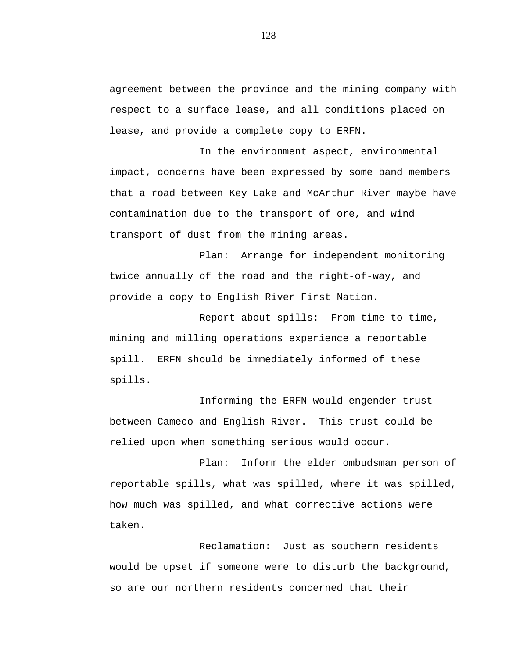agreement between the province and the mining company with respect to a surface lease, and all conditions placed on lease, and provide a complete copy to ERFN.

In the environment aspect, environmental impact, concerns have been expressed by some band members that a road between Key Lake and McArthur River maybe have contamination due to the transport of ore, and wind transport of dust from the mining areas.

Plan: Arrange for independent monitoring twice annually of the road and the right-of-way, and provide a copy to English River First Nation.

Report about spills: From time to time, mining and milling operations experience a reportable spill. ERFN should be immediately informed of these spills.

Informing the ERFN would engender trust between Cameco and English River. This trust could be relied upon when something serious would occur.

Plan: Inform the elder ombudsman person of reportable spills, what was spilled, where it was spilled, how much was spilled, and what corrective actions were taken.

Reclamation: Just as southern residents would be upset if someone were to disturb the background, so are our northern residents concerned that their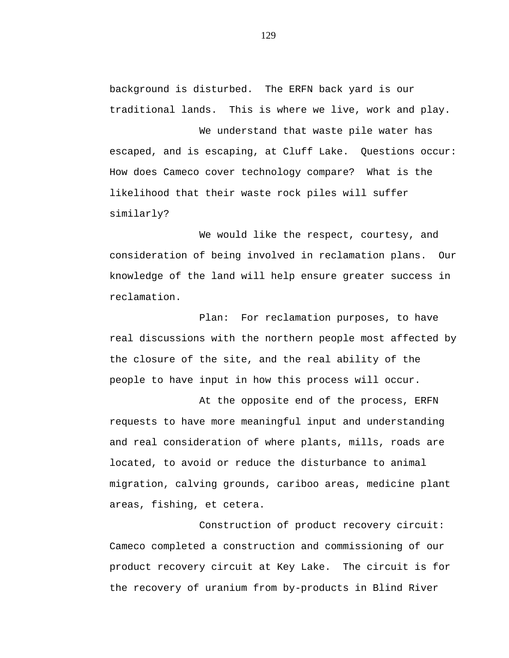background is disturbed. The ERFN back yard is our traditional lands. This is where we live, work and play.

We understand that waste pile water has escaped, and is escaping, at Cluff Lake. Questions occur: How does Cameco cover technology compare? What is the likelihood that their waste rock piles will suffer similarly?

We would like the respect, courtesy, and consideration of being involved in reclamation plans. Our knowledge of the land will help ensure greater success in reclamation.

Plan: For reclamation purposes, to have real discussions with the northern people most affected by the closure of the site, and the real ability of the people to have input in how this process will occur.

At the opposite end of the process, ERFN requests to have more meaningful input and understanding and real consideration of where plants, mills, roads are located, to avoid or reduce the disturbance to animal migration, calving grounds, cariboo areas, medicine plant areas, fishing, et cetera.

Construction of product recovery circuit: Cameco completed a construction and commissioning of our product recovery circuit at Key Lake. The circuit is for the recovery of uranium from by-products in Blind River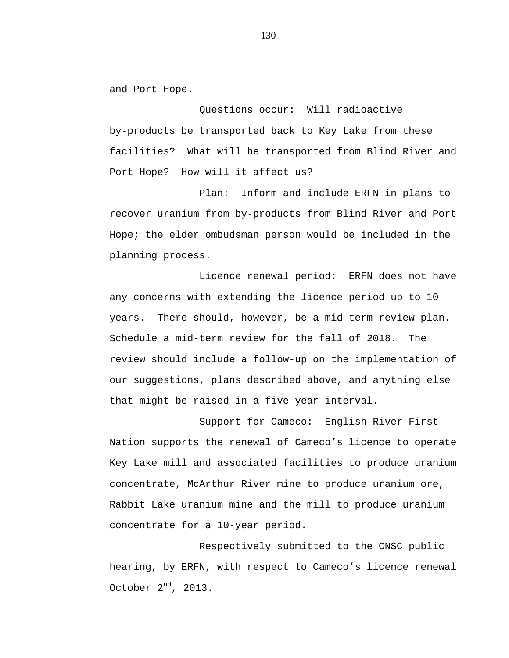and Port Hope.

Questions occur: Will radioactive by-products be transported back to Key Lake from these facilities? What will be transported from Blind River and Port Hope? How will it affect us?

Plan: Inform and include ERFN in plans to recover uranium from by-products from Blind River and Port Hope; the elder ombudsman person would be included in the planning process.

Licence renewal period: ERFN does not have any concerns with extending the licence period up to 10 years. There should, however, be a mid-term review plan. Schedule a mid-term review for the fall of 2018. The review should include a follow-up on the implementation of our suggestions, plans described above, and anything else that might be raised in a five-year interval.

Support for Cameco: English River First Nation supports the renewal of Cameco's licence to operate Key Lake mill and associated facilities to produce uranium concentrate, McArthur River mine to produce uranium ore, Rabbit Lake uranium mine and the mill to produce uranium concentrate for a 10-year period.

Respectively submitted to the CNSC public hearing, by ERFN, with respect to Cameco's licence renewal October  $2^{nd}$ , 2013.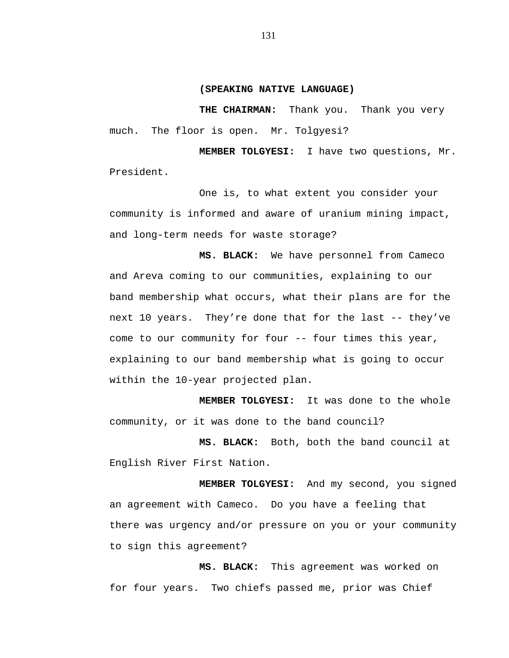### **(SPEAKING NATIVE LANGUAGE)**

**THE CHAIRMAN:** Thank you. Thank you very much. The floor is open. Mr. Tolgyesi?

**MEMBER TOLGYESI:** I have two questions, Mr. President.

One is, to what extent you consider your community is informed and aware of uranium mining impact, and long-term needs for waste storage?

**MS. BLACK:** We have personnel from Cameco and Areva coming to our communities, explaining to our band membership what occurs, what their plans are for the next 10 years. They're done that for the last -- they've come to our community for four -- four times this year, explaining to our band membership what is going to occur within the 10-year projected plan.

**MEMBER TOLGYESI:** It was done to the whole community, or it was done to the band council?

**MS. BLACK:** Both, both the band council at English River First Nation.

**MEMBER TOLGYESI:** And my second, you signed an agreement with Cameco. Do you have a feeling that there was urgency and/or pressure on you or your community to sign this agreement?

**MS. BLACK:** This agreement was worked on for four years. Two chiefs passed me, prior was Chief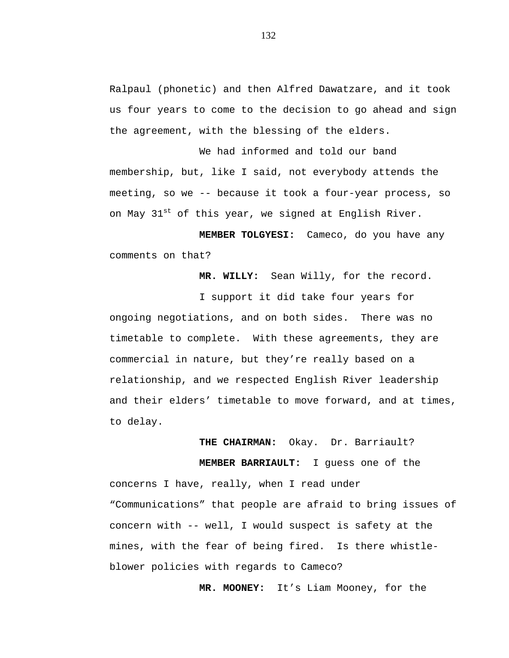Ralpaul (phonetic) and then Alfred Dawatzare, and it took us four years to come to the decision to go ahead and sign the agreement, with the blessing of the elders.

We had informed and told our band membership, but, like I said, not everybody attends the meeting, so we -- because it took a four-year process, so on May 31<sup>st</sup> of this year, we signed at English River.

**MEMBER TOLGYESI:** Cameco, do you have any comments on that?

**MR. WILLY:** Sean Willy, for the record.

I support it did take four years for ongoing negotiations, and on both sides. There was no timetable to complete. With these agreements, they are commercial in nature, but they're really based on a relationship, and we respected English River leadership and their elders' timetable to move forward, and at times, to delay.

# **THE CHAIRMAN:** Okay. Dr. Barriault?

**MEMBER BARRIAULT:** I guess one of the

concerns I have, really, when I read under "Communications" that people are afraid to bring issues of concern with -- well, I would suspect is safety at the mines, with the fear of being fired. Is there whistleblower policies with regards to Cameco?

**MR. MOONEY:** It's Liam Mooney, for the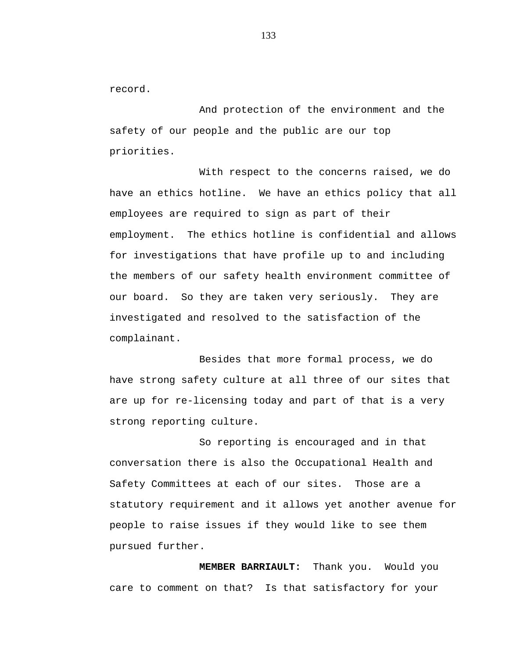record.

And protection of the environment and the safety of our people and the public are our top priorities.

With respect to the concerns raised, we do have an ethics hotline. We have an ethics policy that all employees are required to sign as part of their employment. The ethics hotline is confidential and allows for investigations that have profile up to and including the members of our safety health environment committee of our board. So they are taken very seriously. They are investigated and resolved to the satisfaction of the complainant.

Besides that more formal process, we do have strong safety culture at all three of our sites that are up for re-licensing today and part of that is a very strong reporting culture.

So reporting is encouraged and in that conversation there is also the Occupational Health and Safety Committees at each of our sites. Those are a statutory requirement and it allows yet another avenue for people to raise issues if they would like to see them pursued further.

**MEMBER BARRIAULT:** Thank you. Would you care to comment on that? Is that satisfactory for your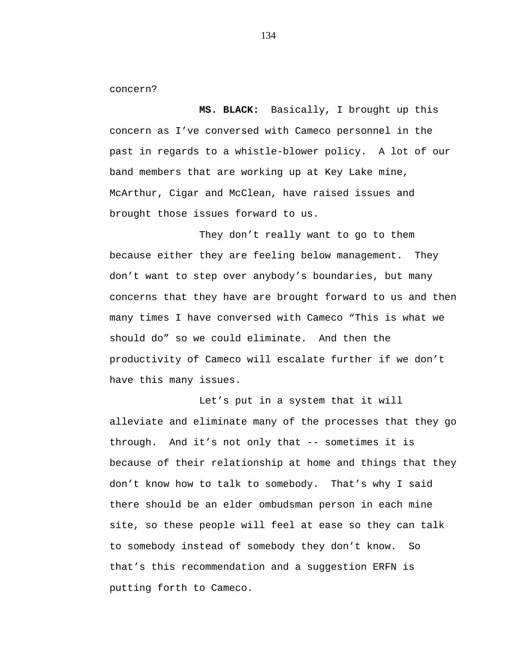concern?

**MS. BLACK:** Basically, I brought up this concern as I've conversed with Cameco personnel in the past in regards to a whistle-blower policy. A lot of our band members that are working up at Key Lake mine, McArthur, Cigar and McClean, have raised issues and brought those issues forward to us.

They don't really want to go to them because either they are feeling below management. They don't want to step over anybody's boundaries, but many concerns that they have are brought forward to us and then many times I have conversed with Cameco "This is what we should do" so we could eliminate. And then the productivity of Cameco will escalate further if we don't have this many issues.

Let's put in a system that it will alleviate and eliminate many of the processes that they go through. And it's not only that -- sometimes it is because of their relationship at home and things that they don't know how to talk to somebody. That's why I said there should be an elder ombudsman person in each mine site, so these people will feel at ease so they can talk to somebody instead of somebody they don't know. So that's this recommendation and a suggestion ERFN is putting forth to Cameco.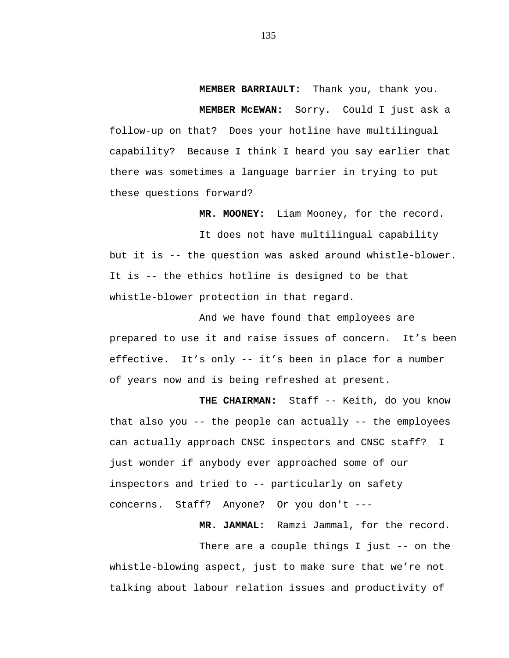**MEMBER BARRIAULT:** Thank you, thank you.

**MEMBER McEWAN:** Sorry. Could I just ask a follow-up on that? Does your hotline have multilingual capability? Because I think I heard you say earlier that there was sometimes a language barrier in trying to put these questions forward?

**MR. MOONEY:** Liam Mooney, for the record.

It does not have multilingual capability but it is -- the question was asked around whistle-blower. It is -- the ethics hotline is designed to be that whistle-blower protection in that regard.

And we have found that employees are prepared to use it and raise issues of concern. It's been effective. It's only -- it's been in place for a number of years now and is being refreshed at present.

**THE CHAIRMAN:** Staff -- Keith, do you know that also you -- the people can actually -- the employees can actually approach CNSC inspectors and CNSC staff? I just wonder if anybody ever approached some of our inspectors and tried to -- particularly on safety concerns. Staff? Anyone? Or you don't ---

**MR. JAMMAL:** Ramzi Jammal, for the record.

There are a couple things I just -- on the whistle-blowing aspect, just to make sure that we're not talking about labour relation issues and productivity of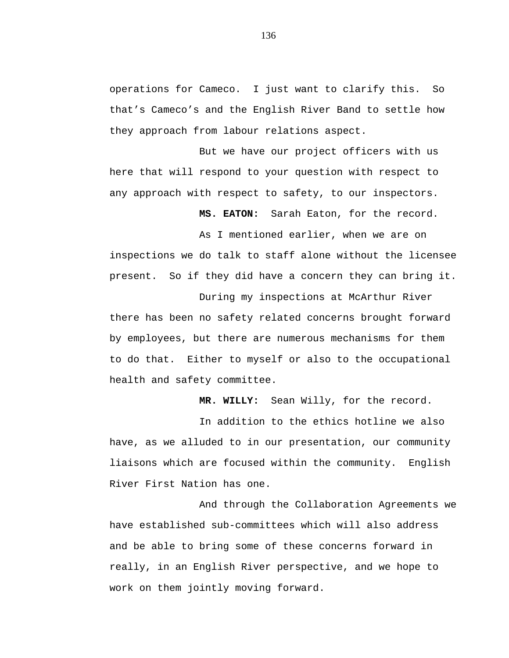operations for Cameco. I just want to clarify this. So that's Cameco's and the English River Band to settle how they approach from labour relations aspect.

But we have our project officers with us here that will respond to your question with respect to any approach with respect to safety, to our inspectors.

**MS. EATON:** Sarah Eaton, for the record.

As I mentioned earlier, when we are on inspections we do talk to staff alone without the licensee present. So if they did have a concern they can bring it.

During my inspections at McArthur River there has been no safety related concerns brought forward by employees, but there are numerous mechanisms for them to do that. Either to myself or also to the occupational health and safety committee.

**MR. WILLY:** Sean Willy, for the record.

In addition to the ethics hotline we also have, as we alluded to in our presentation, our community liaisons which are focused within the community. English River First Nation has one.

And through the Collaboration Agreements we have established sub-committees which will also address and be able to bring some of these concerns forward in really, in an English River perspective, and we hope to work on them jointly moving forward.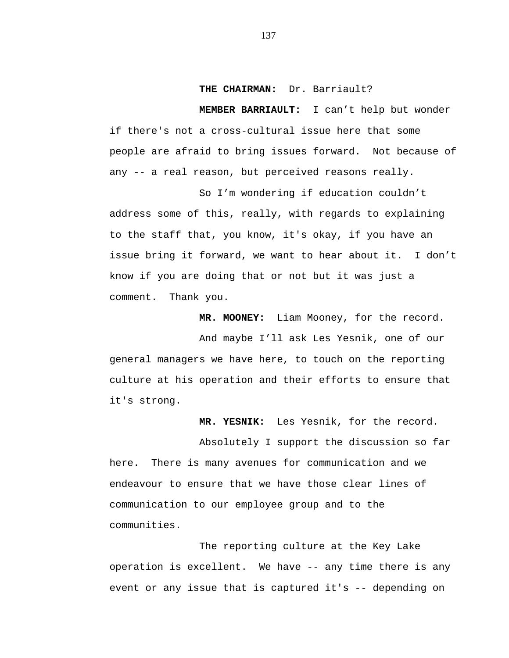## **THE CHAIRMAN:** Dr. Barriault?

**MEMBER BARRIAULT:** I can't help but wonder if there's not a cross-cultural issue here that some people are afraid to bring issues forward. Not because of any -- a real reason, but perceived reasons really.

So I'm wondering if education couldn't address some of this, really, with regards to explaining to the staff that, you know, it's okay, if you have an issue bring it forward, we want to hear about it. I don't know if you are doing that or not but it was just a comment. Thank you.

**MR. MOONEY:** Liam Mooney, for the record.

And maybe I'll ask Les Yesnik, one of our general managers we have here, to touch on the reporting culture at his operation and their efforts to ensure that it's strong.

**MR. YESNIK:** Les Yesnik, for the record.

Absolutely I support the discussion so far here. There is many avenues for communication and we endeavour to ensure that we have those clear lines of communication to our employee group and to the communities.

The reporting culture at the Key Lake operation is excellent. We have -- any time there is any event or any issue that is captured it's -- depending on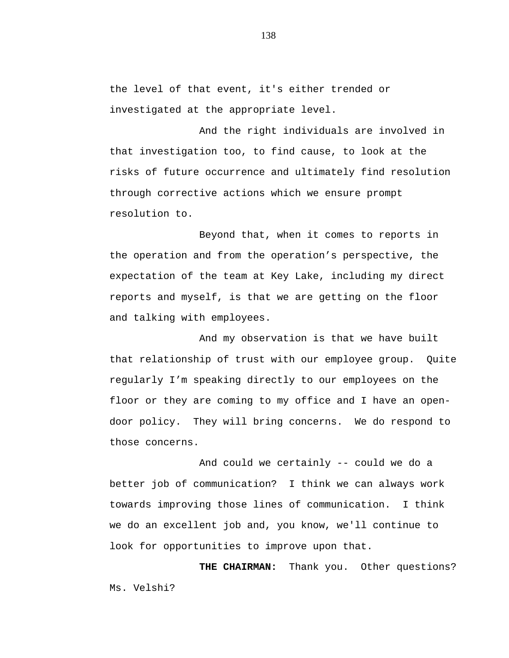the level of that event, it's either trended or investigated at the appropriate level.

And the right individuals are involved in that investigation too, to find cause, to look at the risks of future occurrence and ultimately find resolution through corrective actions which we ensure prompt resolution to.

Beyond that, when it comes to reports in the operation and from the operation's perspective, the expectation of the team at Key Lake, including my direct reports and myself, is that we are getting on the floor and talking with employees.

And my observation is that we have built that relationship of trust with our employee group. Quite regularly I'm speaking directly to our employees on the floor or they are coming to my office and I have an opendoor policy. They will bring concerns. We do respond to those concerns.

And could we certainly -- could we do a better job of communication? I think we can always work towards improving those lines of communication. I think we do an excellent job and, you know, we'll continue to look for opportunities to improve upon that.

**THE CHAIRMAN:** Thank you. Other questions? Ms. Velshi?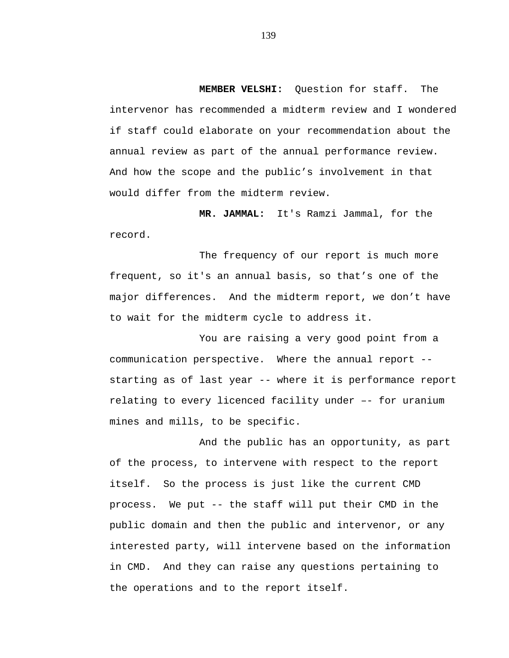**MEMBER VELSHI:** Question for staff. The intervenor has recommended a midterm review and I wondered if staff could elaborate on your recommendation about the annual review as part of the annual performance review. And how the scope and the public's involvement in that would differ from the midterm review.

**MR. JAMMAL:** It's Ramzi Jammal, for the record.

The frequency of our report is much more frequent, so it's an annual basis, so that's one of the major differences. And the midterm report, we don't have to wait for the midterm cycle to address it.

You are raising a very good point from a communication perspective. Where the annual report - starting as of last year -- where it is performance report relating to every licenced facility under –- for uranium mines and mills, to be specific.

And the public has an opportunity, as part of the process, to intervene with respect to the report itself. So the process is just like the current CMD process. We put -- the staff will put their CMD in the public domain and then the public and intervenor, or any interested party, will intervene based on the information in CMD. And they can raise any questions pertaining to the operations and to the report itself.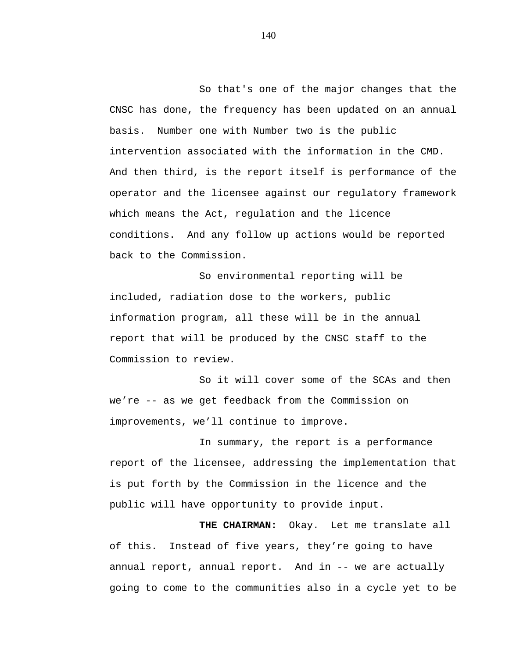So that's one of the major changes that the CNSC has done, the frequency has been updated on an annual basis. Number one with Number two is the public intervention associated with the information in the CMD. And then third, is the report itself is performance of the operator and the licensee against our regulatory framework which means the Act, regulation and the licence conditions. And any follow up actions would be reported back to the Commission.

So environmental reporting will be included, radiation dose to the workers, public information program, all these will be in the annual report that will be produced by the CNSC staff to the Commission to review.

So it will cover some of the SCAs and then we're -- as we get feedback from the Commission on improvements, we'll continue to improve.

In summary, the report is a performance report of the licensee, addressing the implementation that is put forth by the Commission in the licence and the public will have opportunity to provide input.

**THE CHAIRMAN:** Okay. Let me translate all of this. Instead of five years, they're going to have annual report, annual report. And in -- we are actually going to come to the communities also in a cycle yet to be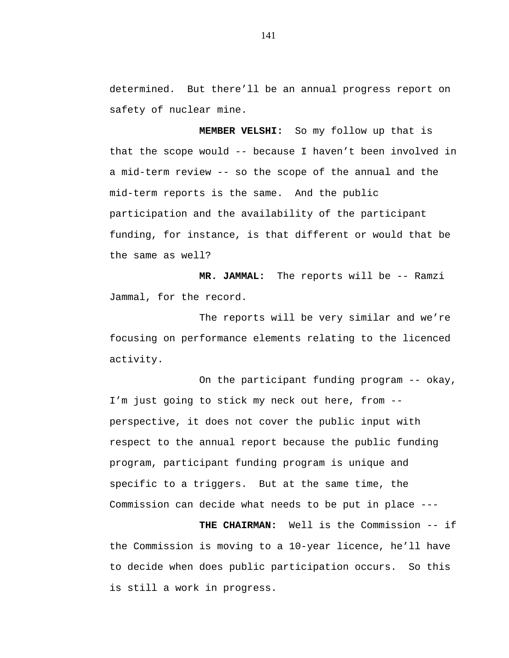determined. But there'll be an annual progress report on safety of nuclear mine.

**MEMBER VELSHI:** So my follow up that is that the scope would -- because I haven't been involved in a mid-term review -- so the scope of the annual and the mid-term reports is the same. And the public participation and the availability of the participant funding, for instance, is that different or would that be the same as well?

**MR. JAMMAL:** The reports will be -- Ramzi Jammal, for the record.

The reports will be very similar and we're focusing on performance elements relating to the licenced activity.

On the participant funding program -- okay, I'm just going to stick my neck out here, from - perspective, it does not cover the public input with respect to the annual report because the public funding program, participant funding program is unique and specific to a triggers. But at the same time, the Commission can decide what needs to be put in place ---

**THE CHAIRMAN:** Well is the Commission -- if the Commission is moving to a 10-year licence, he'll have to decide when does public participation occurs. So this is still a work in progress.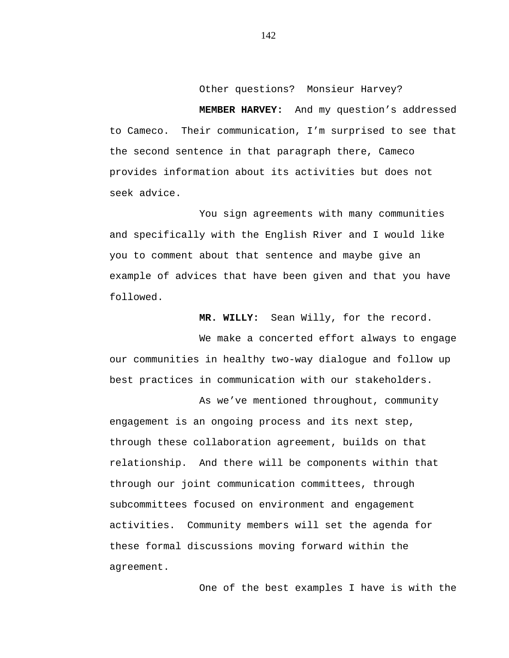Other questions? Monsieur Harvey?

**MEMBER HARVEY:** And my question's addressed to Cameco. Their communication, I'm surprised to see that the second sentence in that paragraph there, Cameco provides information about its activities but does not seek advice.

You sign agreements with many communities and specifically with the English River and I would like you to comment about that sentence and maybe give an example of advices that have been given and that you have followed.

**MR. WILLY:** Sean Willy, for the record.

We make a concerted effort always to engage our communities in healthy two-way dialogue and follow up best practices in communication with our stakeholders.

As we've mentioned throughout, community engagement is an ongoing process and its next step, through these collaboration agreement, builds on that relationship. And there will be components within that through our joint communication committees, through subcommittees focused on environment and engagement activities. Community members will set the agenda for these formal discussions moving forward within the agreement.

One of the best examples I have is with the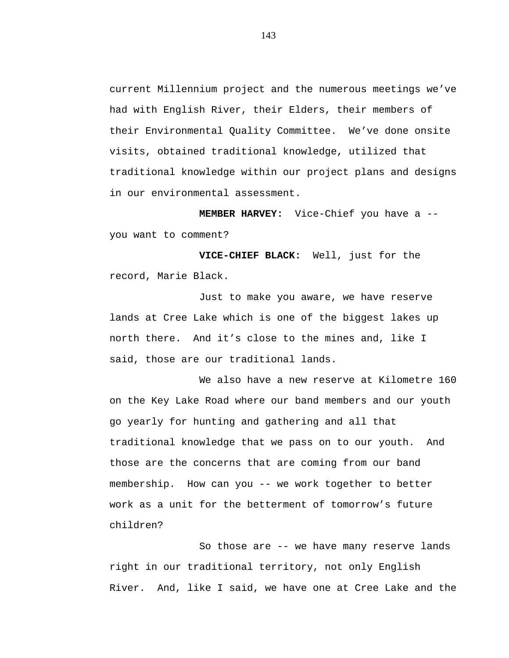current Millennium project and the numerous meetings we've had with English River, their Elders, their members of their Environmental Quality Committee. We've done onsite visits, obtained traditional knowledge, utilized that traditional knowledge within our project plans and designs in our environmental assessment.

**MEMBER HARVEY:** Vice-Chief you have a - you want to comment?

**VICE-CHIEF BLACK:** Well, just for the record, Marie Black.

Just to make you aware, we have reserve lands at Cree Lake which is one of the biggest lakes up north there. And it's close to the mines and, like I said, those are our traditional lands.

We also have a new reserve at Kilometre 160 on the Key Lake Road where our band members and our youth go yearly for hunting and gathering and all that traditional knowledge that we pass on to our youth. And those are the concerns that are coming from our band membership. How can you -- we work together to better work as a unit for the betterment of tomorrow's future children?

So those are -- we have many reserve lands right in our traditional territory, not only English River. And, like I said, we have one at Cree Lake and the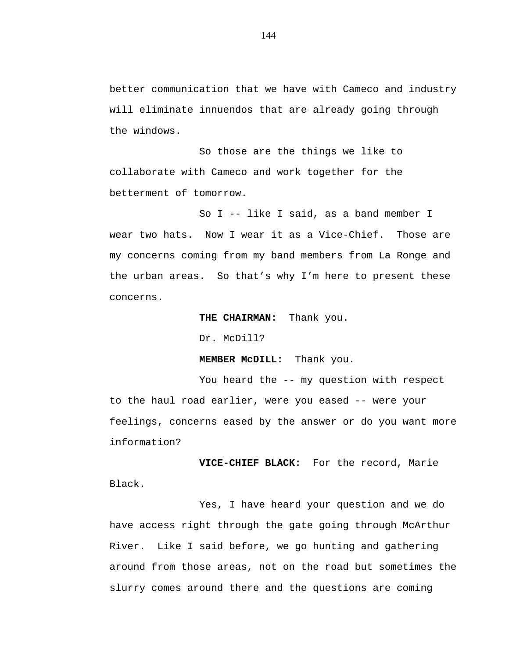better communication that we have with Cameco and industry will eliminate innuendos that are already going through the windows.

So those are the things we like to collaborate with Cameco and work together for the betterment of tomorrow.

So I -- like I said, as a band member I wear two hats. Now I wear it as a Vice-Chief. Those are my concerns coming from my band members from La Ronge and the urban areas. So that's why I'm here to present these concerns.

**THE CHAIRMAN:** Thank you.

Dr. McDill?

**MEMBER McDILL:** Thank you.

You heard the -- my question with respect to the haul road earlier, were you eased -- were your feelings, concerns eased by the answer or do you want more information?

**VICE-CHIEF BLACK:** For the record, Marie Black.

Yes, I have heard your question and we do have access right through the gate going through McArthur River. Like I said before, we go hunting and gathering around from those areas, not on the road but sometimes the slurry comes around there and the questions are coming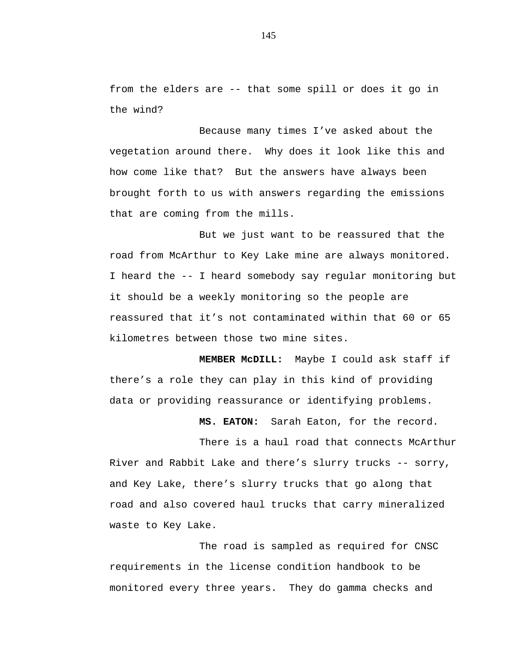from the elders are -- that some spill or does it go in the wind?

Because many times I've asked about the vegetation around there. Why does it look like this and how come like that? But the answers have always been brought forth to us with answers regarding the emissions that are coming from the mills.

But we just want to be reassured that the road from McArthur to Key Lake mine are always monitored. I heard the -- I heard somebody say regular monitoring but it should be a weekly monitoring so the people are reassured that it's not contaminated within that 60 or 65 kilometres between those two mine sites.

**MEMBER McDILL:** Maybe I could ask staff if there's a role they can play in this kind of providing data or providing reassurance or identifying problems.

**MS. EATON:** Sarah Eaton, for the record.

There is a haul road that connects McArthur River and Rabbit Lake and there's slurry trucks -- sorry, and Key Lake, there's slurry trucks that go along that road and also covered haul trucks that carry mineralized waste to Key Lake.

The road is sampled as required for CNSC requirements in the license condition handbook to be monitored every three years. They do gamma checks and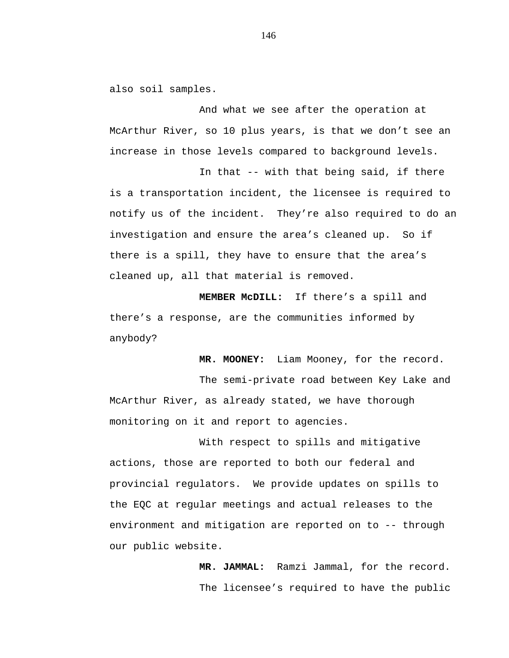also soil samples.

And what we see after the operation at McArthur River, so 10 plus years, is that we don't see an increase in those levels compared to background levels.

In that -- with that being said, if there is a transportation incident, the licensee is required to notify us of the incident. They're also required to do an investigation and ensure the area's cleaned up. So if there is a spill, they have to ensure that the area's cleaned up, all that material is removed.

**MEMBER McDILL:** If there's a spill and there's a response, are the communities informed by anybody?

**MR. MOONEY:** Liam Mooney, for the record.

The semi-private road between Key Lake and McArthur River, as already stated, we have thorough monitoring on it and report to agencies.

With respect to spills and mitigative actions, those are reported to both our federal and provincial regulators. We provide updates on spills to the EQC at regular meetings and actual releases to the environment and mitigation are reported on to -- through our public website.

> **MR. JAMMAL:** Ramzi Jammal, for the record. The licensee's required to have the public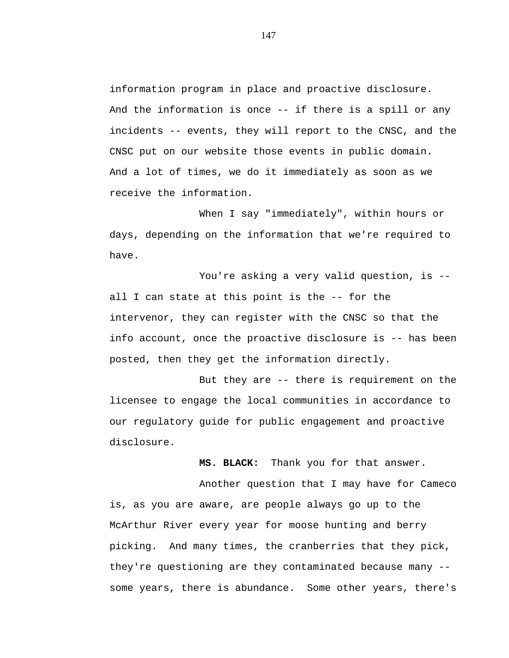information program in place and proactive disclosure. And the information is once -- if there is a spill or any incidents -- events, they will report to the CNSC, and the CNSC put on our website those events in public domain. And a lot of times, we do it immediately as soon as we receive the information.

When I say "immediately", within hours or days, depending on the information that we're required to have.

You're asking a very valid question, is -all I can state at this point is the -- for the intervenor, they can register with the CNSC so that the info account, once the proactive disclosure is -- has been posted, then they get the information directly.

But they are -- there is requirement on the licensee to engage the local communities in accordance to our regulatory guide for public engagement and proactive disclosure.

**MS. BLACK:** Thank you for that answer.

Another question that I may have for Cameco is, as you are aware, are people always go up to the McArthur River every year for moose hunting and berry picking. And many times, the cranberries that they pick, they're questioning are they contaminated because many - some years, there is abundance. Some other years, there's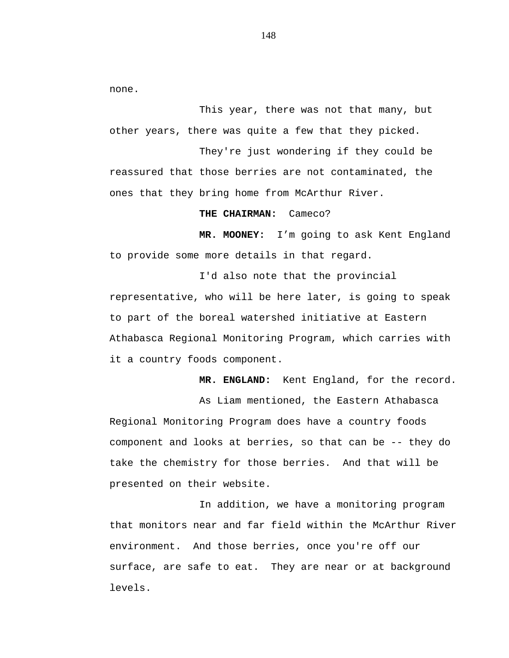none.

This year, there was not that many, but other years, there was quite a few that they picked.

They're just wondering if they could be reassured that those berries are not contaminated, the ones that they bring home from McArthur River.

**THE CHAIRMAN:** Cameco?

**MR. MOONEY:** I'm going to ask Kent England to provide some more details in that regard.

I'd also note that the provincial representative, who will be here later, is going to speak to part of the boreal watershed initiative at Eastern Athabasca Regional Monitoring Program, which carries with it a country foods component.

**MR. ENGLAND:** Kent England, for the record.

As Liam mentioned, the Eastern Athabasca Regional Monitoring Program does have a country foods component and looks at berries, so that can be -- they do take the chemistry for those berries. And that will be presented on their website.

In addition, we have a monitoring program that monitors near and far field within the McArthur River environment. And those berries, once you're off our surface, are safe to eat. They are near or at background levels.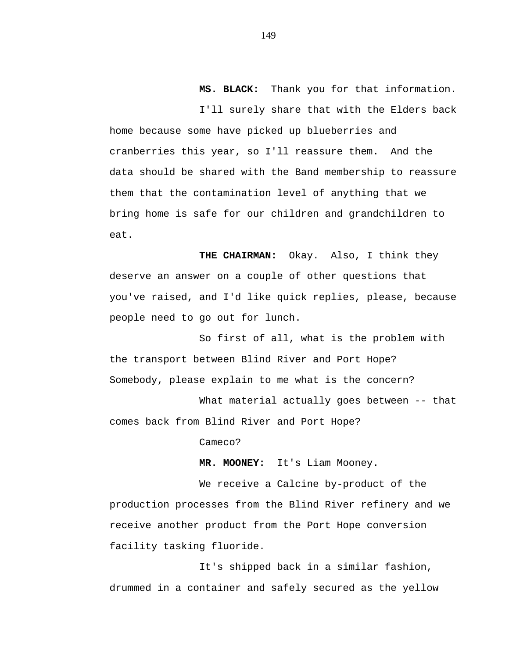**MS. BLACK:** Thank you for that information.

I'll surely share that with the Elders back home because some have picked up blueberries and cranberries this year, so I'll reassure them. And the data should be shared with the Band membership to reassure them that the contamination level of anything that we bring home is safe for our children and grandchildren to eat.

**THE CHAIRMAN:** Okay. Also, I think they deserve an answer on a couple of other questions that you've raised, and I'd like quick replies, please, because people need to go out for lunch.

So first of all, what is the problem with the transport between Blind River and Port Hope? Somebody, please explain to me what is the concern?

What material actually goes between -- that comes back from Blind River and Port Hope?

Cameco?

**MR. MOONEY:** It's Liam Mooney.

We receive a Calcine by-product of the production processes from the Blind River refinery and we receive another product from the Port Hope conversion facility tasking fluoride.

It's shipped back in a similar fashion, drummed in a container and safely secured as the yellow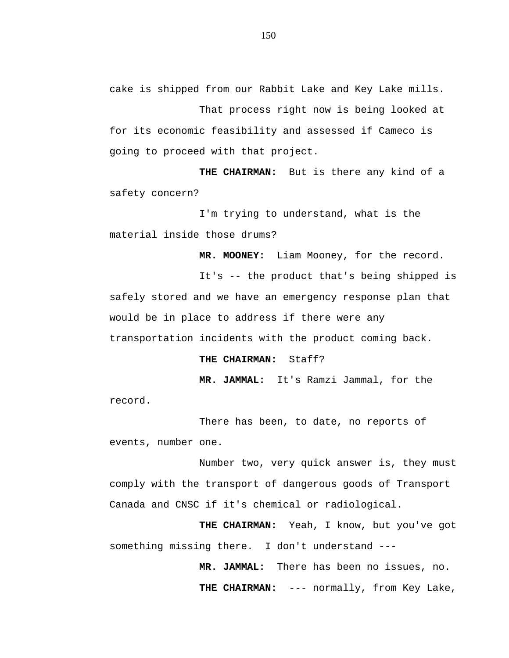cake is shipped from our Rabbit Lake and Key Lake mills.

That process right now is being looked at for its economic feasibility and assessed if Cameco is going to proceed with that project.

**THE CHAIRMAN:** But is there any kind of a safety concern?

I'm trying to understand, what is the material inside those drums?

**MR. MOONEY:** Liam Mooney, for the record.

It's -- the product that's being shipped is safely stored and we have an emergency response plan that would be in place to address if there were any transportation incidents with the product coming back.

**THE CHAIRMAN:** Staff?

**MR. JAMMAL:** It's Ramzi Jammal, for the

record.

There has been, to date, no reports of events, number one.

Number two, very quick answer is, they must comply with the transport of dangerous goods of Transport Canada and CNSC if it's chemical or radiological.

**THE CHAIRMAN:** Yeah, I know, but you've got something missing there. I don't understand ---

> **MR. JAMMAL:** There has been no issues, no. **THE CHAIRMAN:** --- normally, from Key Lake,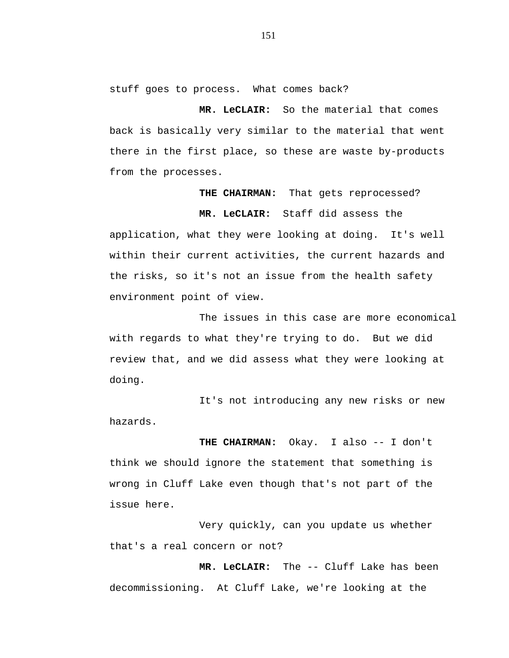stuff goes to process. What comes back?

**MR. LeCLAIR:** So the material that comes back is basically very similar to the material that went there in the first place, so these are waste by-products from the processes.

## **THE CHAIRMAN:** That gets reprocessed?

**MR. LeCLAIR:** Staff did assess the

application, what they were looking at doing. It's well within their current activities, the current hazards and the risks, so it's not an issue from the health safety environment point of view.

The issues in this case are more economical with regards to what they're trying to do. But we did review that, and we did assess what they were looking at doing.

It's not introducing any new risks or new hazards.

**THE CHAIRMAN:** Okay. I also -- I don't think we should ignore the statement that something is wrong in Cluff Lake even though that's not part of the issue here.

Very quickly, can you update us whether that's a real concern or not?

**MR. LeCLAIR:** The -- Cluff Lake has been decommissioning. At Cluff Lake, we're looking at the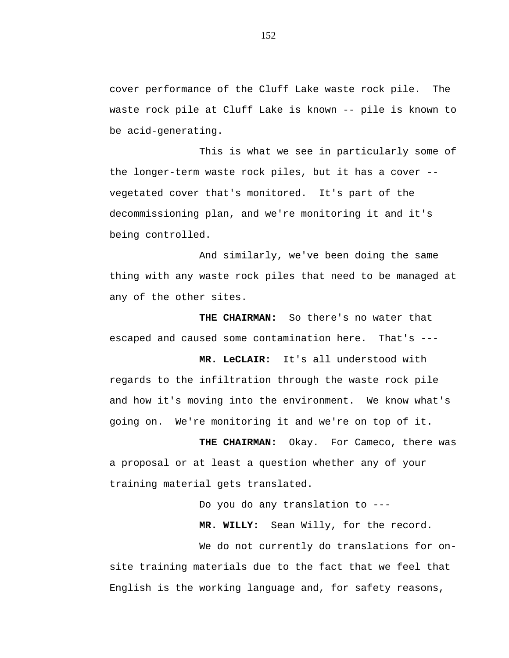cover performance of the Cluff Lake waste rock pile. The waste rock pile at Cluff Lake is known -- pile is known to be acid-generating.

This is what we see in particularly some of the longer-term waste rock piles, but it has a cover - vegetated cover that's monitored. It's part of the decommissioning plan, and we're monitoring it and it's being controlled.

And similarly, we've been doing the same thing with any waste rock piles that need to be managed at any of the other sites.

**THE CHAIRMAN:** So there's no water that escaped and caused some contamination here. That's ---

**MR. LeCLAIR:** It's all understood with regards to the infiltration through the waste rock pile and how it's moving into the environment. We know what's going on. We're monitoring it and we're on top of it.

**THE CHAIRMAN:** Okay. For Cameco, there was a proposal or at least a question whether any of your training material gets translated.

Do you do any translation to ---

**MR. WILLY:** Sean Willy, for the record.

We do not currently do translations for onsite training materials due to the fact that we feel that English is the working language and, for safety reasons,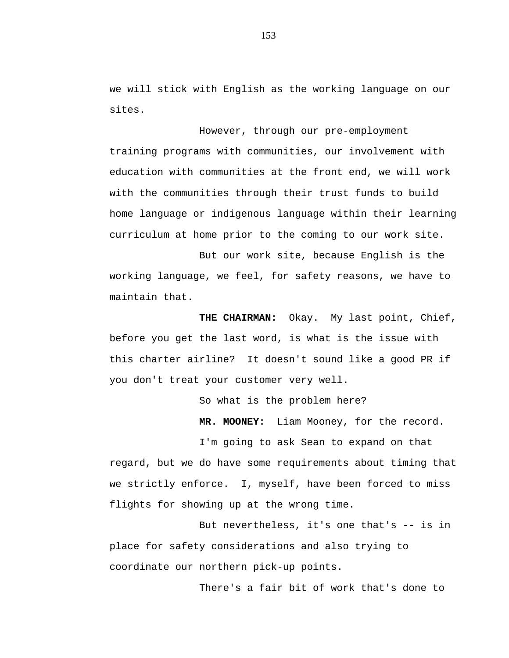we will stick with English as the working language on our sites.

However, through our pre-employment training programs with communities, our involvement with education with communities at the front end, we will work with the communities through their trust funds to build home language or indigenous language within their learning curriculum at home prior to the coming to our work site.

But our work site, because English is the working language, we feel, for safety reasons, we have to maintain that.

**THE CHAIRMAN:** Okay. My last point, Chief, before you get the last word, is what is the issue with this charter airline? It doesn't sound like a good PR if you don't treat your customer very well.

So what is the problem here?

**MR. MOONEY:** Liam Mooney, for the record.

I'm going to ask Sean to expand on that regard, but we do have some requirements about timing that we strictly enforce. I, myself, have been forced to miss flights for showing up at the wrong time.

But nevertheless, it's one that's -- is in place for safety considerations and also trying to coordinate our northern pick-up points.

There's a fair bit of work that's done to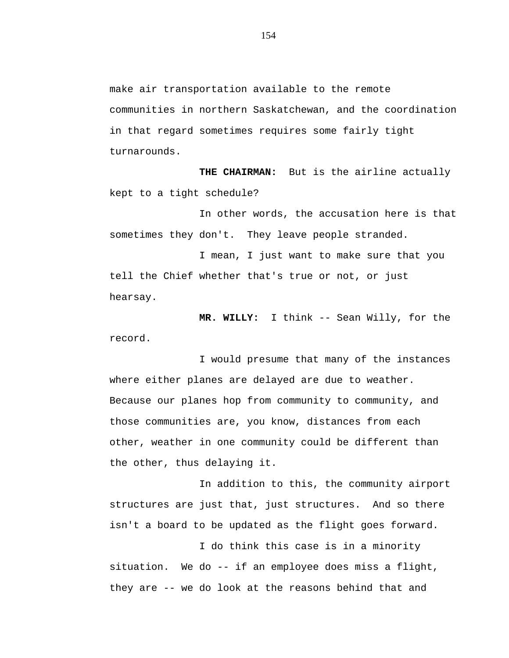make air transportation available to the remote communities in northern Saskatchewan, and the coordination in that regard sometimes requires some fairly tight turnarounds.

**THE CHAIRMAN:** But is the airline actually kept to a tight schedule?

In other words, the accusation here is that sometimes they don't. They leave people stranded.

I mean, I just want to make sure that you tell the Chief whether that's true or not, or just hearsay.

**MR. WILLY:** I think -- Sean Willy, for the record.

I would presume that many of the instances where either planes are delayed are due to weather. Because our planes hop from community to community, and those communities are, you know, distances from each other, weather in one community could be different than the other, thus delaying it.

In addition to this, the community airport structures are just that, just structures. And so there isn't a board to be updated as the flight goes forward.

I do think this case is in a minority situation. We do -- if an employee does miss a flight, they are -- we do look at the reasons behind that and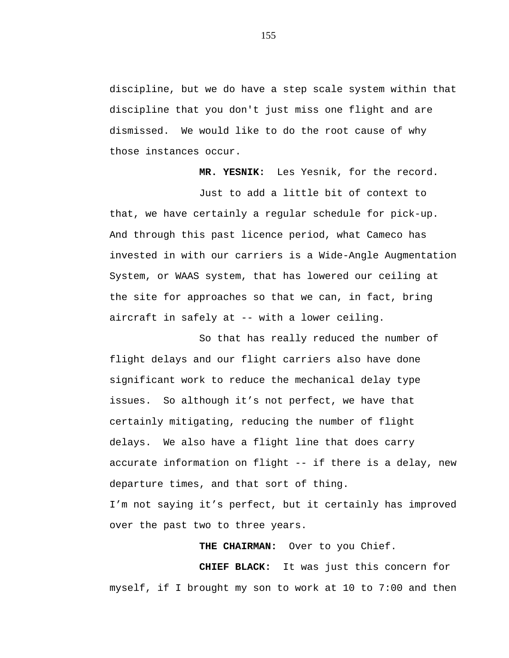discipline, but we do have a step scale system within that discipline that you don't just miss one flight and are dismissed. We would like to do the root cause of why those instances occur.

**MR. YESNIK:** Les Yesnik, for the record.

Just to add a little bit of context to that, we have certainly a regular schedule for pick-up. And through this past licence period, what Cameco has invested in with our carriers is a Wide-Angle Augmentation System, or WAAS system, that has lowered our ceiling at the site for approaches so that we can, in fact, bring aircraft in safely at -- with a lower ceiling.

So that has really reduced the number of flight delays and our flight carriers also have done significant work to reduce the mechanical delay type issues. So although it's not perfect, we have that certainly mitigating, reducing the number of flight delays. We also have a flight line that does carry accurate information on flight -- if there is a delay, new departure times, and that sort of thing. I'm not saying it's perfect, but it certainly has improved over the past two to three years.

**THE CHAIRMAN:** Over to you Chief.

**CHIEF BLACK:** It was just this concern for myself, if I brought my son to work at 10 to 7:00 and then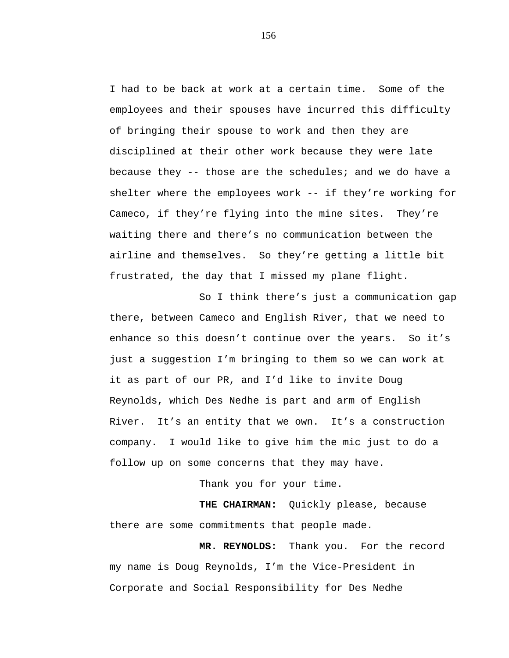I had to be back at work at a certain time. Some of the employees and their spouses have incurred this difficulty of bringing their spouse to work and then they are disciplined at their other work because they were late because they -- those are the schedules; and we do have a shelter where the employees work -- if they're working for Cameco, if they're flying into the mine sites. They're waiting there and there's no communication between the airline and themselves. So they're getting a little bit frustrated, the day that I missed my plane flight.

So I think there's just a communication gap there, between Cameco and English River, that we need to enhance so this doesn't continue over the years. So it's just a suggestion I'm bringing to them so we can work at it as part of our PR, and I'd like to invite Doug Reynolds, which Des Nedhe is part and arm of English River. It's an entity that we own. It's a construction company. I would like to give him the mic just to do a follow up on some concerns that they may have.

Thank you for your time.

**THE CHAIRMAN:** Quickly please, because there are some commitments that people made.

**MR. REYNOLDS:** Thank you. For the record my name is Doug Reynolds, I'm the Vice-President in Corporate and Social Responsibility for Des Nedhe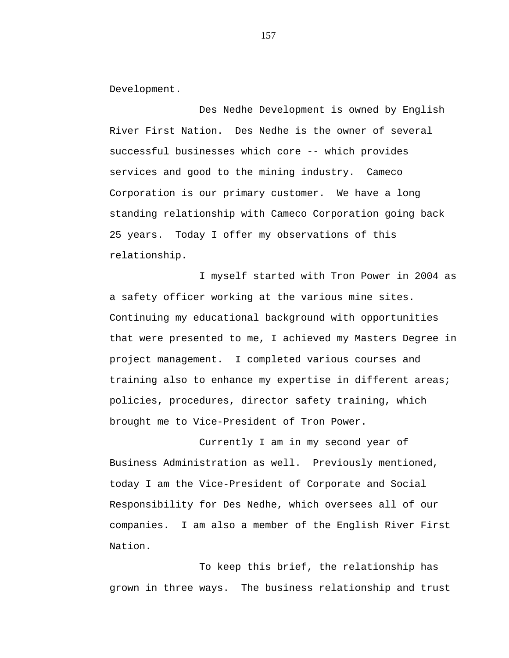Development.

Des Nedhe Development is owned by English River First Nation. Des Nedhe is the owner of several successful businesses which core -- which provides services and good to the mining industry. Cameco Corporation is our primary customer. We have a long standing relationship with Cameco Corporation going back 25 years. Today I offer my observations of this relationship.

I myself started with Tron Power in 2004 as a safety officer working at the various mine sites. Continuing my educational background with opportunities that were presented to me, I achieved my Masters Degree in project management. I completed various courses and training also to enhance my expertise in different areas; policies, procedures, director safety training, which brought me to Vice-President of Tron Power.

Currently I am in my second year of Business Administration as well. Previously mentioned, today I am the Vice-President of Corporate and Social Responsibility for Des Nedhe, which oversees all of our companies. I am also a member of the English River First Nation.

To keep this brief, the relationship has grown in three ways. The business relationship and trust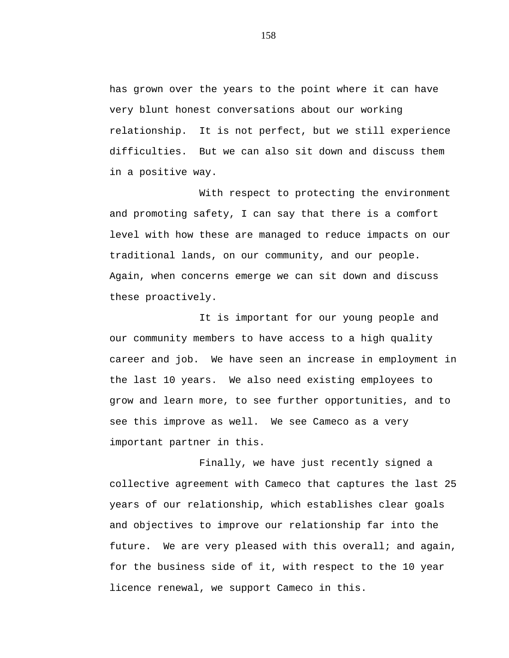has grown over the years to the point where it can have very blunt honest conversations about our working relationship. It is not perfect, but we still experience difficulties. But we can also sit down and discuss them in a positive way.

With respect to protecting the environment and promoting safety, I can say that there is a comfort level with how these are managed to reduce impacts on our traditional lands, on our community, and our people. Again, when concerns emerge we can sit down and discuss these proactively.

It is important for our young people and our community members to have access to a high quality career and job. We have seen an increase in employment in the last 10 years. We also need existing employees to grow and learn more, to see further opportunities, and to see this improve as well. We see Cameco as a very important partner in this.

Finally, we have just recently signed a collective agreement with Cameco that captures the last 25 years of our relationship, which establishes clear goals and objectives to improve our relationship far into the future. We are very pleased with this overall; and again, for the business side of it, with respect to the 10 year licence renewal, we support Cameco in this.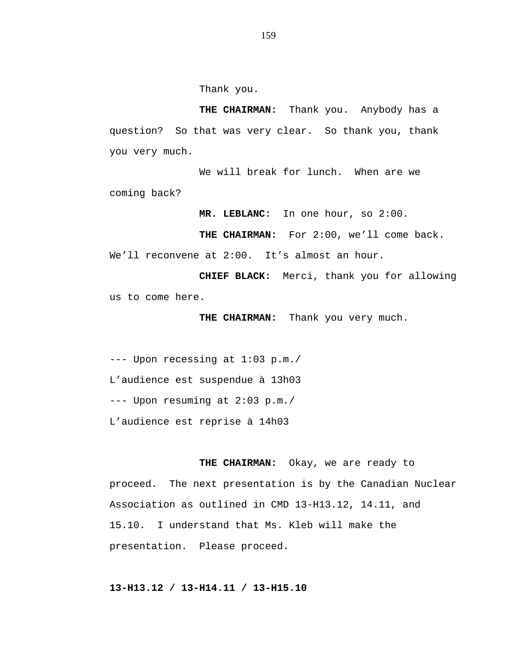Thank you.

**THE CHAIRMAN:** Thank you. Anybody has a question? So that was very clear. So thank you, thank you very much.

We will break for lunch. When are we coming back?

**MR. LEBLANC:** In one hour, so 2:00.

THE CHAIRMAN: For 2:00, we'll come back.

We'll reconvene at 2:00. It's almost an hour.

**CHIEF BLACK:** Merci, thank you for allowing us to come here.

**THE CHAIRMAN:** Thank you very much.

--- Upon recessing at 1:03 p.m./ L'audience est suspendue à 13h03 --- Upon resuming at 2:03 p.m./ L'audience est reprise à 14h03

**THE CHAIRMAN:** Okay, we are ready to proceed. The next presentation is by the Canadian Nuclear Association as outlined in CMD 13-H13.12, 14.11, and 15.10. I understand that Ms. Kleb will make the presentation. Please proceed.

## **13-H13.12 / 13-H14.11 / 13-H15.10**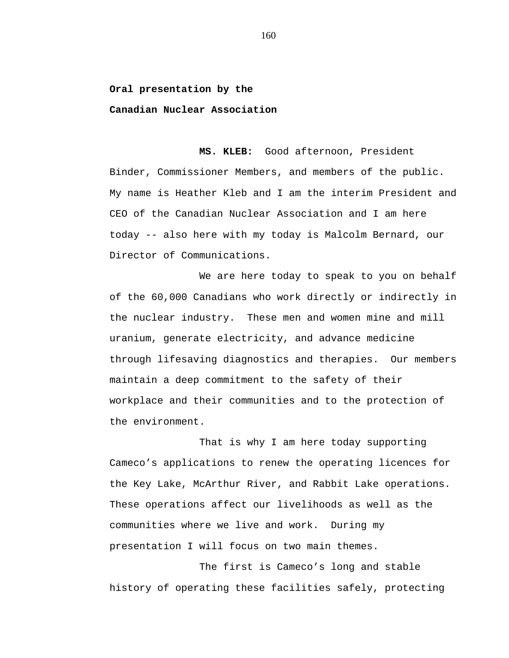## **Oral presentation by the**

**Canadian Nuclear Association**

**MS. KLEB:** Good afternoon, President Binder, Commissioner Members, and members of the public. My name is Heather Kleb and I am the interim President and CEO of the Canadian Nuclear Association and I am here today -- also here with my today is Malcolm Bernard, our Director of Communications.

We are here today to speak to you on behalf of the 60,000 Canadians who work directly or indirectly in the nuclear industry. These men and women mine and mill uranium, generate electricity, and advance medicine through lifesaving diagnostics and therapies. Our members maintain a deep commitment to the safety of their workplace and their communities and to the protection of the environment.

That is why I am here today supporting Cameco's applications to renew the operating licences for the Key Lake, McArthur River, and Rabbit Lake operations. These operations affect our livelihoods as well as the communities where we live and work. During my presentation I will focus on two main themes.

The first is Cameco's long and stable history of operating these facilities safely, protecting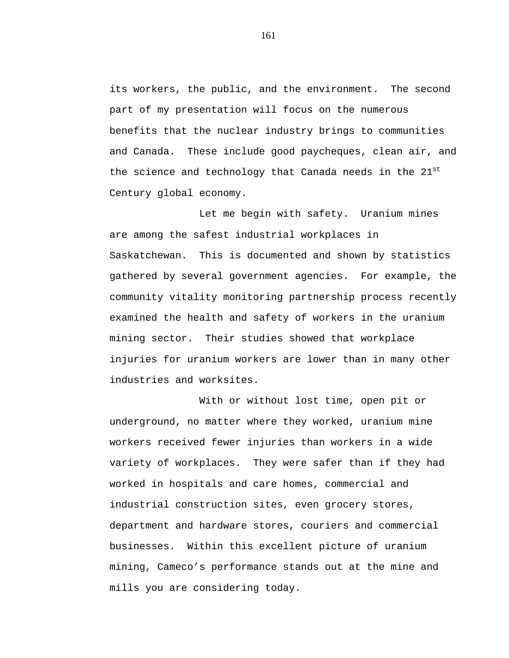its workers, the public, and the environment. The second part of my presentation will focus on the numerous benefits that the nuclear industry brings to communities and Canada. These include good paycheques, clean air, and the science and technology that Canada needs in the  $21^{st}$ Century global economy.

Let me begin with safety. Uranium mines are among the safest industrial workplaces in Saskatchewan. This is documented and shown by statistics gathered by several government agencies. For example, the community vitality monitoring partnership process recently examined the health and safety of workers in the uranium mining sector. Their studies showed that workplace injuries for uranium workers are lower than in many other industries and worksites.

With or without lost time, open pit or underground, no matter where they worked, uranium mine workers received fewer injuries than workers in a wide variety of workplaces. They were safer than if they had worked in hospitals and care homes, commercial and industrial construction sites, even grocery stores, department and hardware stores, couriers and commercial businesses. Within this excellent picture of uranium mining, Cameco's performance stands out at the mine and mills you are considering today.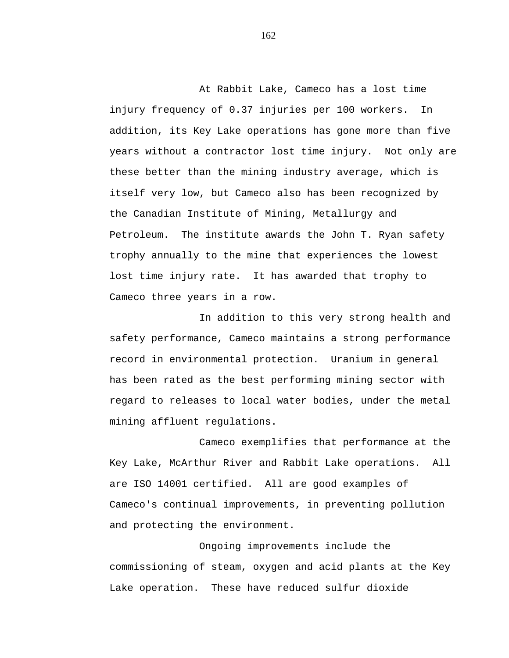At Rabbit Lake, Cameco has a lost time injury frequency of 0.37 injuries per 100 workers. In addition, its Key Lake operations has gone more than five years without a contractor lost time injury. Not only are these better than the mining industry average, which is itself very low, but Cameco also has been recognized by the Canadian Institute of Mining, Metallurgy and Petroleum. The institute awards the John T. Ryan safety trophy annually to the mine that experiences the lowest lost time injury rate. It has awarded that trophy to Cameco three years in a row.

In addition to this very strong health and safety performance, Cameco maintains a strong performance record in environmental protection. Uranium in general has been rated as the best performing mining sector with regard to releases to local water bodies, under the metal mining affluent regulations.

Cameco exemplifies that performance at the Key Lake, McArthur River and Rabbit Lake operations. All are ISO 14001 certified. All are good examples of Cameco's continual improvements, in preventing pollution and protecting the environment.

Ongoing improvements include the commissioning of steam, oxygen and acid plants at the Key Lake operation. These have reduced sulfur dioxide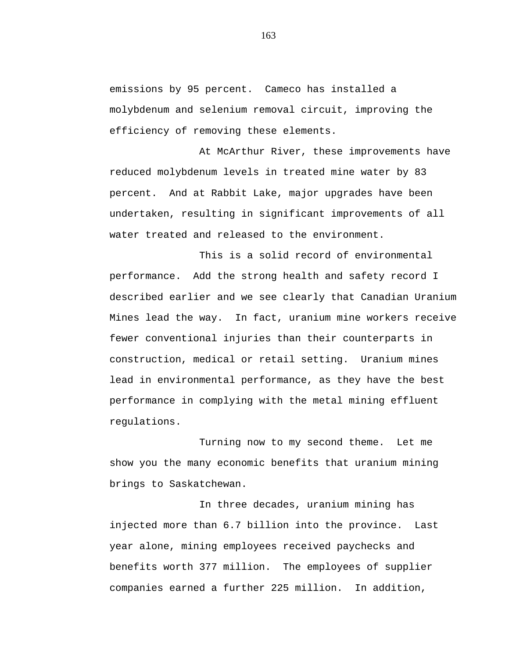emissions by 95 percent. Cameco has installed a molybdenum and selenium removal circuit, improving the efficiency of removing these elements.

At McArthur River, these improvements have reduced molybdenum levels in treated mine water by 83 percent. And at Rabbit Lake, major upgrades have been undertaken, resulting in significant improvements of all water treated and released to the environment.

This is a solid record of environmental performance. Add the strong health and safety record I described earlier and we see clearly that Canadian Uranium Mines lead the way. In fact, uranium mine workers receive fewer conventional injuries than their counterparts in construction, medical or retail setting. Uranium mines lead in environmental performance, as they have the best performance in complying with the metal mining effluent regulations.

Turning now to my second theme. Let me show you the many economic benefits that uranium mining brings to Saskatchewan.

In three decades, uranium mining has injected more than 6.7 billion into the province. Last year alone, mining employees received paychecks and benefits worth 377 million. The employees of supplier companies earned a further 225 million. In addition,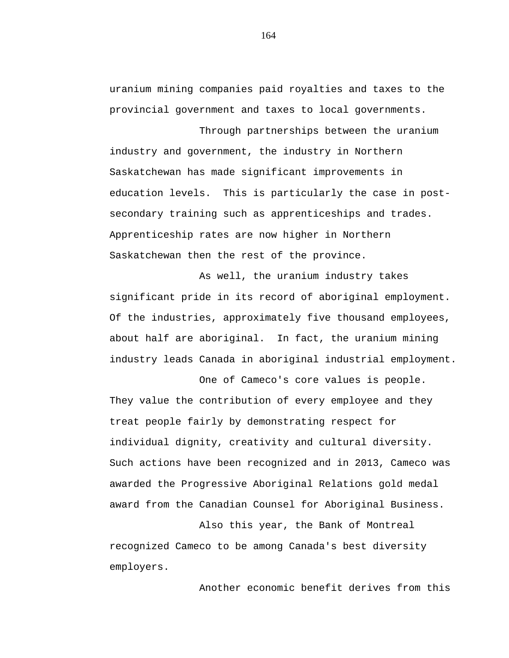uranium mining companies paid royalties and taxes to the provincial government and taxes to local governments.

Through partnerships between the uranium industry and government, the industry in Northern Saskatchewan has made significant improvements in education levels. This is particularly the case in postsecondary training such as apprenticeships and trades. Apprenticeship rates are now higher in Northern Saskatchewan then the rest of the province.

As well, the uranium industry takes significant pride in its record of aboriginal employment. Of the industries, approximately five thousand employees, about half are aboriginal. In fact, the uranium mining industry leads Canada in aboriginal industrial employment.

One of Cameco's core values is people. They value the contribution of every employee and they treat people fairly by demonstrating respect for individual dignity, creativity and cultural diversity. Such actions have been recognized and in 2013, Cameco was awarded the Progressive Aboriginal Relations gold medal award from the Canadian Counsel for Aboriginal Business.

Also this year, the Bank of Montreal recognized Cameco to be among Canada's best diversity employers.

Another economic benefit derives from this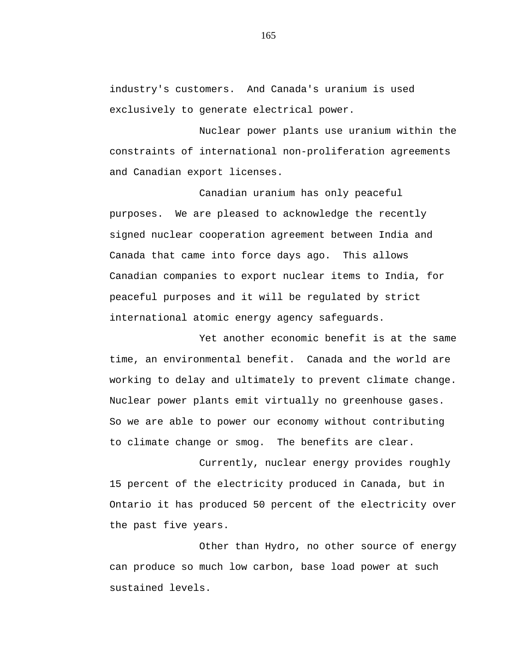industry's customers. And Canada's uranium is used exclusively to generate electrical power.

Nuclear power plants use uranium within the constraints of international non-proliferation agreements and Canadian export licenses.

Canadian uranium has only peaceful purposes. We are pleased to acknowledge the recently signed nuclear cooperation agreement between India and Canada that came into force days ago. This allows Canadian companies to export nuclear items to India, for peaceful purposes and it will be regulated by strict international atomic energy agency safeguards.

Yet another economic benefit is at the same time, an environmental benefit. Canada and the world are working to delay and ultimately to prevent climate change. Nuclear power plants emit virtually no greenhouse gases. So we are able to power our economy without contributing to climate change or smog. The benefits are clear.

Currently, nuclear energy provides roughly 15 percent of the electricity produced in Canada, but in Ontario it has produced 50 percent of the electricity over the past five years.

Other than Hydro, no other source of energy can produce so much low carbon, base load power at such sustained levels.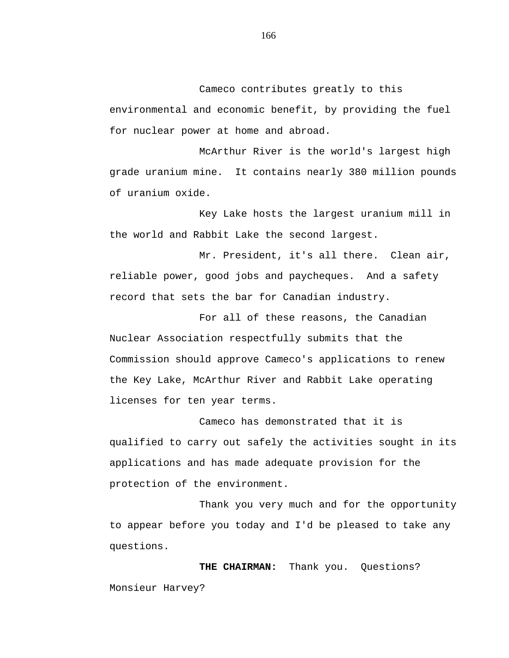Cameco contributes greatly to this

environmental and economic benefit, by providing the fuel for nuclear power at home and abroad.

McArthur River is the world's largest high grade uranium mine. It contains nearly 380 million pounds of uranium oxide.

Key Lake hosts the largest uranium mill in the world and Rabbit Lake the second largest.

Mr. President, it's all there. Clean air, reliable power, good jobs and paycheques. And a safety record that sets the bar for Canadian industry.

For all of these reasons, the Canadian Nuclear Association respectfully submits that the Commission should approve Cameco's applications to renew the Key Lake, McArthur River and Rabbit Lake operating licenses for ten year terms.

Cameco has demonstrated that it is qualified to carry out safely the activities sought in its applications and has made adequate provision for the protection of the environment.

Thank you very much and for the opportunity to appear before you today and I'd be pleased to take any questions.

THE CHAIRMAN: Thank you. Questions? Monsieur Harvey?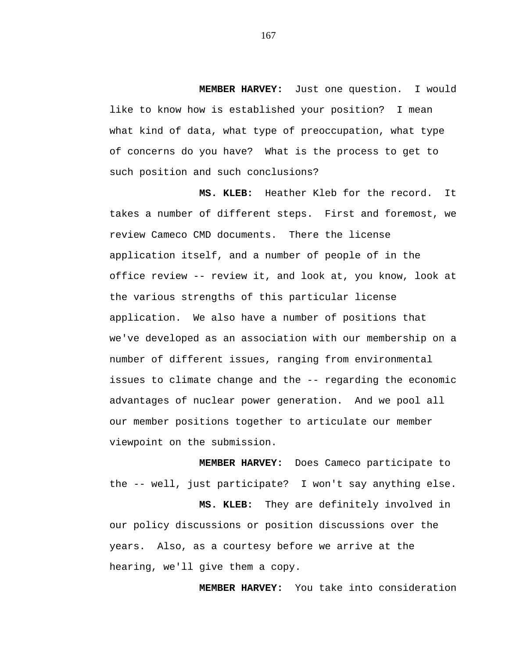**MEMBER HARVEY:** Just one question. I would like to know how is established your position? I mean what kind of data, what type of preoccupation, what type of concerns do you have? What is the process to get to such position and such conclusions?

**MS. KLEB:** Heather Kleb for the record. It takes a number of different steps. First and foremost, we review Cameco CMD documents. There the license application itself, and a number of people of in the office review -- review it, and look at, you know, look at the various strengths of this particular license application. We also have a number of positions that we've developed as an association with our membership on a number of different issues, ranging from environmental issues to climate change and the -- regarding the economic advantages of nuclear power generation. And we pool all our member positions together to articulate our member viewpoint on the submission.

**MEMBER HARVEY:** Does Cameco participate to the -- well, just participate? I won't say anything else.

**MS. KLEB:** They are definitely involved in our policy discussions or position discussions over the years. Also, as a courtesy before we arrive at the hearing, we'll give them a copy.

**MEMBER HARVEY:** You take into consideration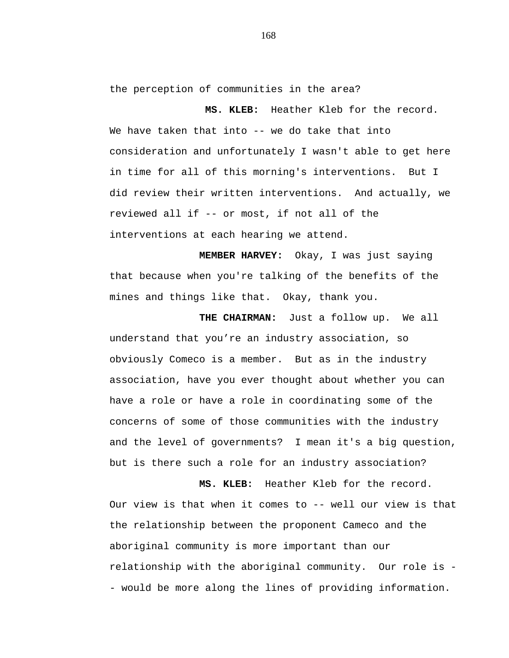the perception of communities in the area?

**MS. KLEB:** Heather Kleb for the record. We have taken that into -- we do take that into consideration and unfortunately I wasn't able to get here in time for all of this morning's interventions. But I did review their written interventions. And actually, we reviewed all if -- or most, if not all of the interventions at each hearing we attend.

**MEMBER HARVEY:** Okay, I was just saying that because when you're talking of the benefits of the mines and things like that. Okay, thank you.

**THE CHAIRMAN:** Just a follow up. We all understand that you're an industry association, so obviously Comeco is a member. But as in the industry association, have you ever thought about whether you can have a role or have a role in coordinating some of the concerns of some of those communities with the industry and the level of governments? I mean it's a big question, but is there such a role for an industry association?

**MS. KLEB:** Heather Kleb for the record. Our view is that when it comes to -- well our view is that the relationship between the proponent Cameco and the aboriginal community is more important than our relationship with the aboriginal community. Our role is - - would be more along the lines of providing information.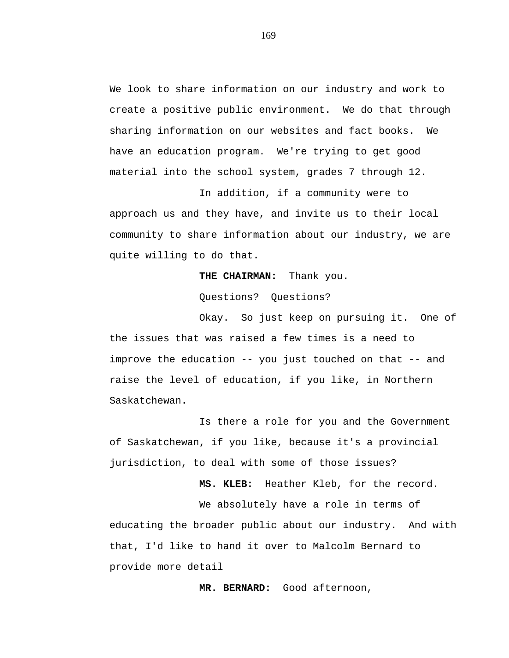We look to share information on our industry and work to create a positive public environment. We do that through sharing information on our websites and fact books. We have an education program. We're trying to get good material into the school system, grades 7 through 12.

In addition, if a community were to approach us and they have, and invite us to their local community to share information about our industry, we are quite willing to do that.

## **THE CHAIRMAN:** Thank you.

Questions? Questions?

Okay. So just keep on pursuing it. One of the issues that was raised a few times is a need to improve the education -- you just touched on that -- and raise the level of education, if you like, in Northern Saskatchewan.

Is there a role for you and the Government of Saskatchewan, if you like, because it's a provincial jurisdiction, to deal with some of those issues?

**MS. KLEB:** Heather Kleb, for the record.

We absolutely have a role in terms of educating the broader public about our industry. And with that, I'd like to hand it over to Malcolm Bernard to provide more detail

**MR. BERNARD:** Good afternoon,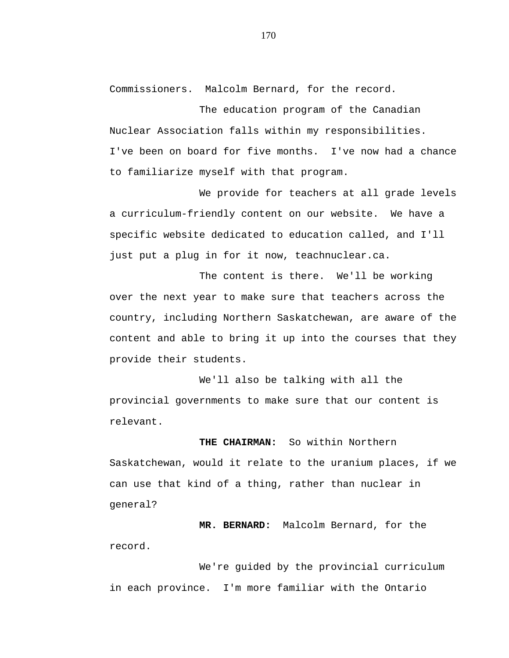Commissioners. Malcolm Bernard, for the record.

The education program of the Canadian Nuclear Association falls within my responsibilities. I've been on board for five months. I've now had a chance to familiarize myself with that program.

We provide for teachers at all grade levels a curriculum-friendly content on our website. We have a specific website dedicated to education called, and I'll just put a plug in for it now, teachnuclear.ca.

The content is there. We'll be working over the next year to make sure that teachers across the country, including Northern Saskatchewan, are aware of the content and able to bring it up into the courses that they provide their students.

We'll also be talking with all the provincial governments to make sure that our content is relevant.

**THE CHAIRMAN:** So within Northern Saskatchewan, would it relate to the uranium places, if we can use that kind of a thing, rather than nuclear in general?

**MR. BERNARD:** Malcolm Bernard, for the record.

We're guided by the provincial curriculum in each province. I'm more familiar with the Ontario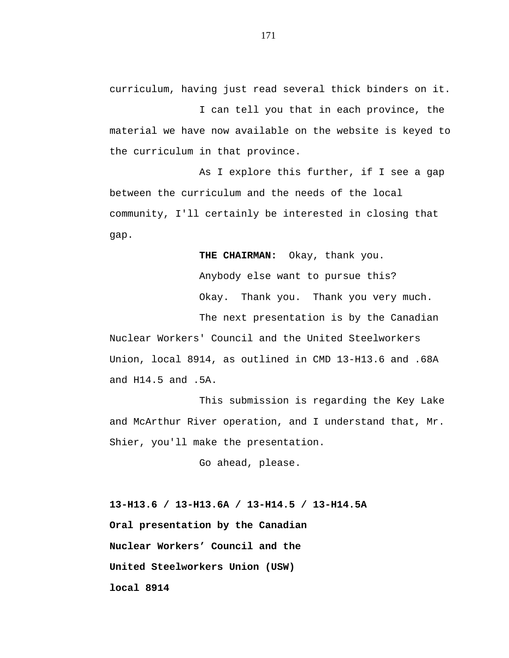curriculum, having just read several thick binders on it.

I can tell you that in each province, the material we have now available on the website is keyed to the curriculum in that province.

As I explore this further, if I see a gap between the curriculum and the needs of the local community, I'll certainly be interested in closing that gap.

**THE CHAIRMAN:** Okay, thank you.

Anybody else want to pursue this? Okay. Thank you. Thank you very much.

The next presentation is by the Canadian

Nuclear Workers' Council and the United Steelworkers Union, local 8914, as outlined in CMD 13-H13.6 and .68A and H14.5 and .5A.

This submission is regarding the Key Lake and McArthur River operation, and I understand that, Mr. Shier, you'll make the presentation.

Go ahead, please.

**13-H13.6 / 13-H13.6A / 13-H14.5 / 13-H14.5A Oral presentation by the Canadian Nuclear Workers' Council and the United Steelworkers Union (USW) local 8914**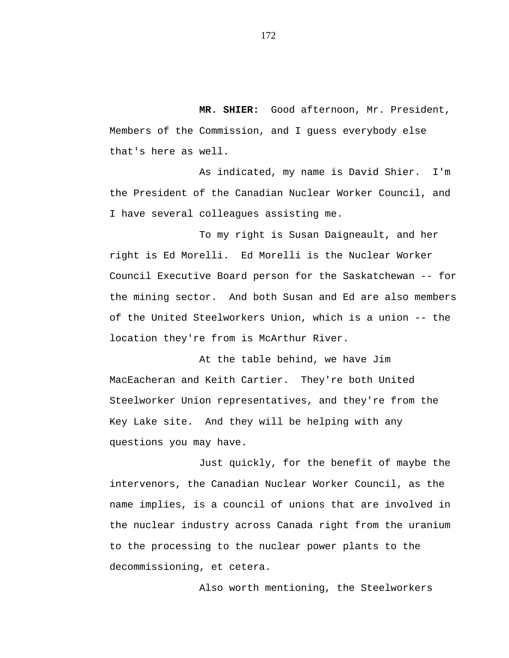**MR. SHIER:** Good afternoon, Mr. President, Members of the Commission, and I guess everybody else that's here as well.

As indicated, my name is David Shier. I'm the President of the Canadian Nuclear Worker Council, and I have several colleagues assisting me.

To my right is Susan Daigneault, and her right is Ed Morelli. Ed Morelli is the Nuclear Worker Council Executive Board person for the Saskatchewan -- for the mining sector. And both Susan and Ed are also members of the United Steelworkers Union, which is a union -- the location they're from is McArthur River.

At the table behind, we have Jim MacEacheran and Keith Cartier. They're both United Steelworker Union representatives, and they're from the Key Lake site. And they will be helping with any questions you may have.

Just quickly, for the benefit of maybe the intervenors, the Canadian Nuclear Worker Council, as the name implies, is a council of unions that are involved in the nuclear industry across Canada right from the uranium to the processing to the nuclear power plants to the decommissioning, et cetera.

Also worth mentioning, the Steelworkers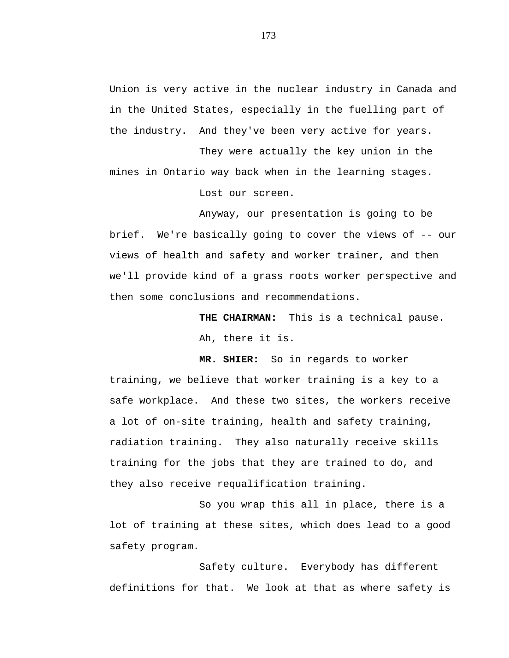Union is very active in the nuclear industry in Canada and in the United States, especially in the fuelling part of the industry. And they've been very active for years.

They were actually the key union in the mines in Ontario way back when in the learning stages. Lost our screen.

Anyway, our presentation is going to be brief. We're basically going to cover the views of -- our views of health and safety and worker trainer, and then we'll provide kind of a grass roots worker perspective and then some conclusions and recommendations.

**THE CHAIRMAN:** This is a technical pause.

Ah, there it is.

**MR. SHIER:** So in regards to worker training, we believe that worker training is a key to a safe workplace. And these two sites, the workers receive a lot of on-site training, health and safety training, radiation training. They also naturally receive skills training for the jobs that they are trained to do, and they also receive requalification training.

So you wrap this all in place, there is a lot of training at these sites, which does lead to a good safety program.

Safety culture. Everybody has different definitions for that. We look at that as where safety is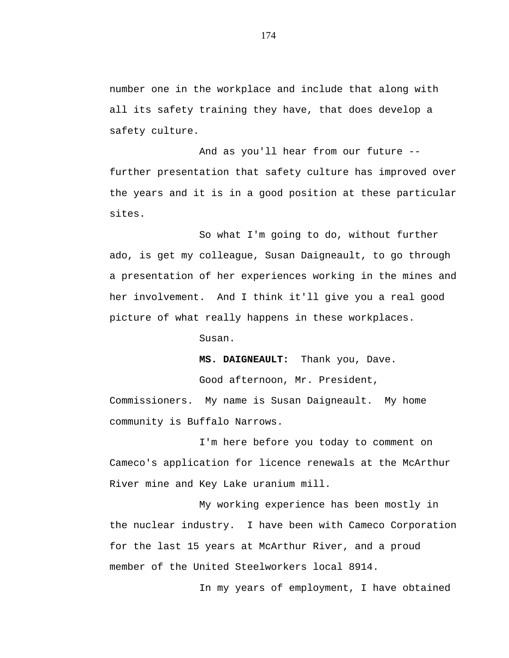number one in the workplace and include that along with all its safety training they have, that does develop a safety culture.

And as you'll hear from our future - further presentation that safety culture has improved over the years and it is in a good position at these particular sites.

So what I'm going to do, without further ado, is get my colleague, Susan Daigneault, to go through a presentation of her experiences working in the mines and her involvement. And I think it'll give you a real good picture of what really happens in these workplaces.

Susan.

**MS. DAIGNEAULT:** Thank you, Dave. Good afternoon, Mr. President,

Commissioners. My name is Susan Daigneault. My home community is Buffalo Narrows.

I'm here before you today to comment on Cameco's application for licence renewals at the McArthur River mine and Key Lake uranium mill.

My working experience has been mostly in the nuclear industry. I have been with Cameco Corporation for the last 15 years at McArthur River, and a proud member of the United Steelworkers local 8914.

In my years of employment, I have obtained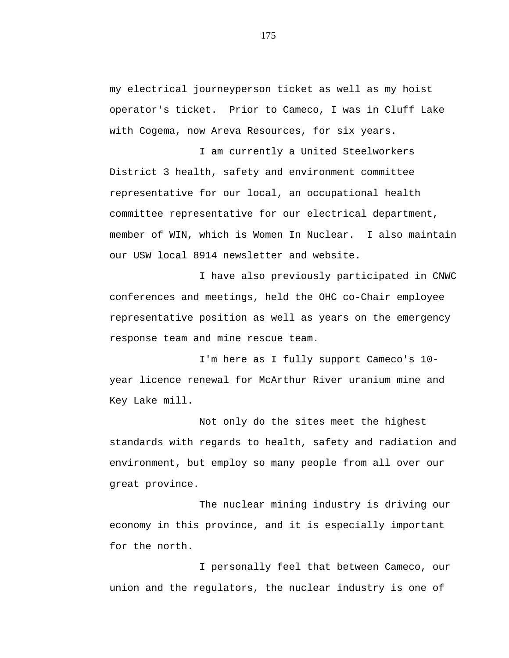my electrical journeyperson ticket as well as my hoist operator's ticket. Prior to Cameco, I was in Cluff Lake with Cogema, now Areva Resources, for six years.

I am currently a United Steelworkers District 3 health, safety and environment committee representative for our local, an occupational health committee representative for our electrical department, member of WIN, which is Women In Nuclear. I also maintain our USW local 8914 newsletter and website.

I have also previously participated in CNWC conferences and meetings, held the OHC co-Chair employee representative position as well as years on the emergency response team and mine rescue team.

I'm here as I fully support Cameco's 10 year licence renewal for McArthur River uranium mine and Key Lake mill.

Not only do the sites meet the highest standards with regards to health, safety and radiation and environment, but employ so many people from all over our great province.

The nuclear mining industry is driving our economy in this province, and it is especially important for the north.

I personally feel that between Cameco, our union and the regulators, the nuclear industry is one of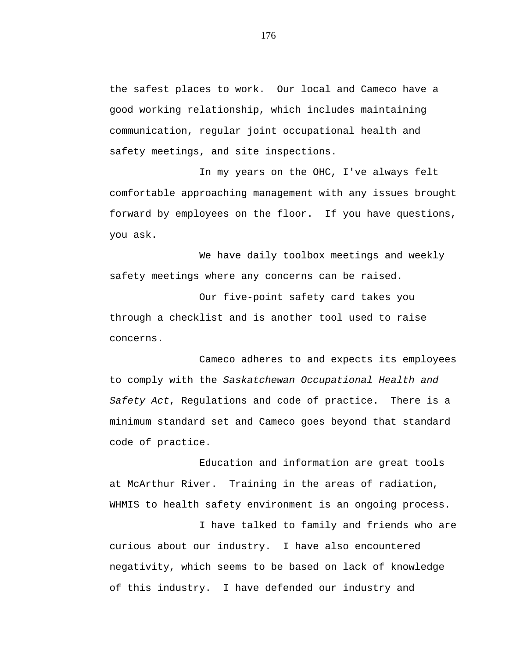the safest places to work. Our local and Cameco have a good working relationship, which includes maintaining communication, regular joint occupational health and safety meetings, and site inspections.

In my years on the OHC, I've always felt comfortable approaching management with any issues brought forward by employees on the floor. If you have questions, you ask.

We have daily toolbox meetings and weekly safety meetings where any concerns can be raised.

Our five-point safety card takes you through a checklist and is another tool used to raise concerns.

Cameco adheres to and expects its employees to comply with the *Saskatchewan Occupational Health and Safety Act*, Regulations and code of practice. There is a minimum standard set and Cameco goes beyond that standard code of practice.

Education and information are great tools at McArthur River. Training in the areas of radiation, WHMIS to health safety environment is an ongoing process.

I have talked to family and friends who are curious about our industry. I have also encountered negativity, which seems to be based on lack of knowledge of this industry. I have defended our industry and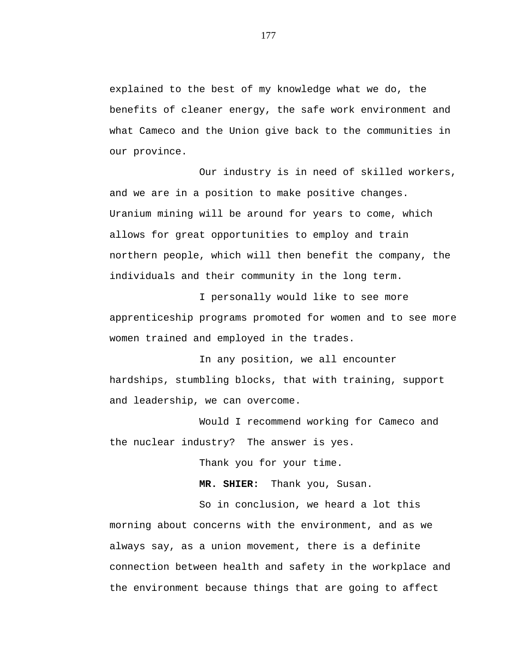explained to the best of my knowledge what we do, the benefits of cleaner energy, the safe work environment and what Cameco and the Union give back to the communities in our province.

Our industry is in need of skilled workers, and we are in a position to make positive changes. Uranium mining will be around for years to come, which allows for great opportunities to employ and train northern people, which will then benefit the company, the individuals and their community in the long term.

I personally would like to see more apprenticeship programs promoted for women and to see more women trained and employed in the trades.

In any position, we all encounter hardships, stumbling blocks, that with training, support and leadership, we can overcome.

Would I recommend working for Cameco and the nuclear industry? The answer is yes.

Thank you for your time.

**MR. SHIER:** Thank you, Susan.

So in conclusion, we heard a lot this morning about concerns with the environment, and as we always say, as a union movement, there is a definite connection between health and safety in the workplace and the environment because things that are going to affect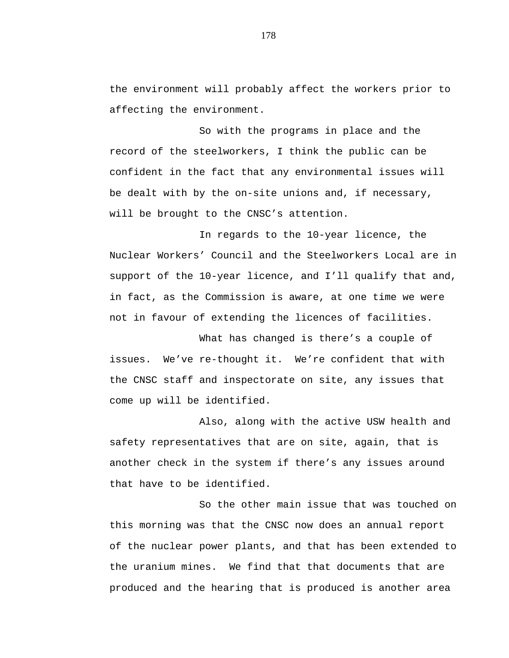the environment will probably affect the workers prior to affecting the environment.

So with the programs in place and the record of the steelworkers, I think the public can be confident in the fact that any environmental issues will be dealt with by the on-site unions and, if necessary, will be brought to the CNSC's attention.

In regards to the 10-year licence, the Nuclear Workers' Council and the Steelworkers Local are in support of the 10-year licence, and I'll qualify that and, in fact, as the Commission is aware, at one time we were not in favour of extending the licences of facilities.

What has changed is there's a couple of issues. We've re-thought it. We're confident that with the CNSC staff and inspectorate on site, any issues that come up will be identified.

Also, along with the active USW health and safety representatives that are on site, again, that is another check in the system if there's any issues around that have to be identified.

So the other main issue that was touched on this morning was that the CNSC now does an annual report of the nuclear power plants, and that has been extended to the uranium mines. We find that that documents that are produced and the hearing that is produced is another area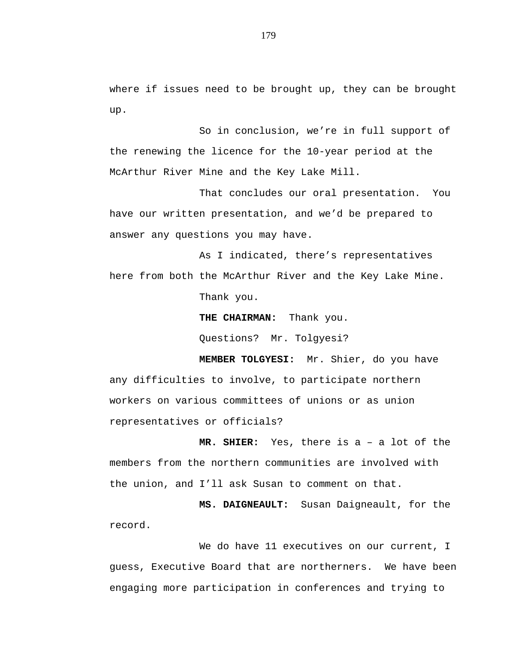where if issues need to be brought up, they can be brought up.

So in conclusion, we're in full support of the renewing the licence for the 10-year period at the McArthur River Mine and the Key Lake Mill.

That concludes our oral presentation. You have our written presentation, and we'd be prepared to answer any questions you may have.

As I indicated, there's representatives here from both the McArthur River and the Key Lake Mine.

Thank you.

**THE CHAIRMAN:** Thank you.

Questions? Mr. Tolgyesi?

**MEMBER TOLGYESI:** Mr. Shier, do you have any difficulties to involve, to participate northern workers on various committees of unions or as union representatives or officials?

**MR. SHIER:** Yes, there is a – a lot of the members from the northern communities are involved with the union, and I'll ask Susan to comment on that.

**MS. DAIGNEAULT:** Susan Daigneault, for the record.

We do have 11 executives on our current, I guess, Executive Board that are northerners. We have been engaging more participation in conferences and trying to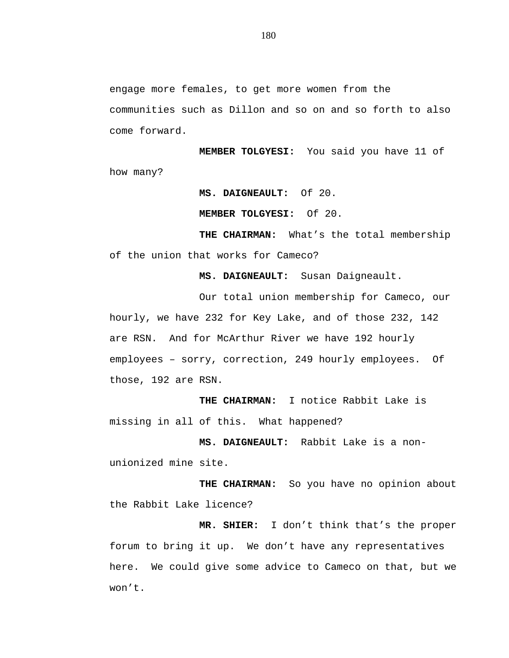engage more females, to get more women from the communities such as Dillon and so on and so forth to also come forward.

**MEMBER TOLGYESI:** You said you have 11 of how many?

**MS. DAIGNEAULT:** Of 20.

**MEMBER TOLGYESI:** Of 20.

**THE CHAIRMAN:** What's the total membership of the union that works for Cameco?

**MS. DAIGNEAULT:** Susan Daigneault.

Our total union membership for Cameco, our hourly, we have 232 for Key Lake, and of those 232, 142 are RSN. And for McArthur River we have 192 hourly employees – sorry, correction, 249 hourly employees. Of those, 192 are RSN.

**THE CHAIRMAN:** I notice Rabbit Lake is missing in all of this. What happened?

**MS. DAIGNEAULT:** Rabbit Lake is a nonunionized mine site.

**THE CHAIRMAN:** So you have no opinion about the Rabbit Lake licence?

**MR. SHIER:** I don't think that's the proper forum to bring it up. We don't have any representatives here. We could give some advice to Cameco on that, but we won't.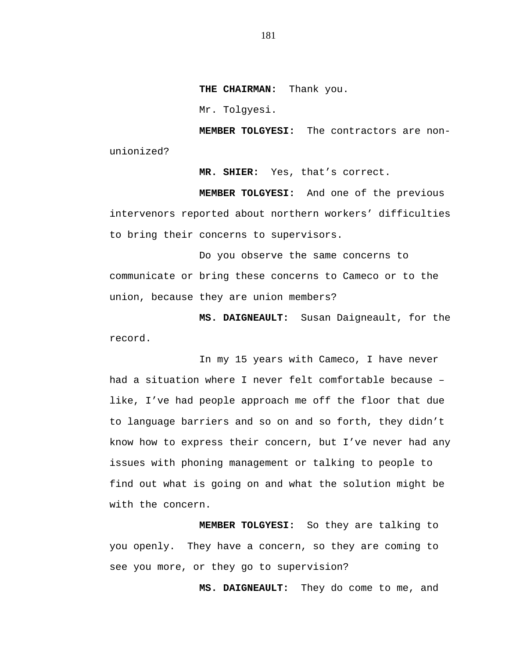**THE CHAIRMAN:** Thank you.

Mr. Tolgyesi.

**MEMBER TOLGYESI:** The contractors are nonunionized?

**MR. SHIER:** Yes, that's correct.

**MEMBER TOLGYESI:** And one of the previous intervenors reported about northern workers' difficulties to bring their concerns to supervisors.

Do you observe the same concerns to communicate or bring these concerns to Cameco or to the union, because they are union members?

**MS. DAIGNEAULT:** Susan Daigneault, for the record.

In my 15 years with Cameco, I have never had a situation where I never felt comfortable because – like, I've had people approach me off the floor that due to language barriers and so on and so forth, they didn't know how to express their concern, but I've never had any issues with phoning management or talking to people to find out what is going on and what the solution might be with the concern.

**MEMBER TOLGYESI:** So they are talking to you openly. They have a concern, so they are coming to see you more, or they go to supervision?

**MS. DAIGNEAULT:** They do come to me, and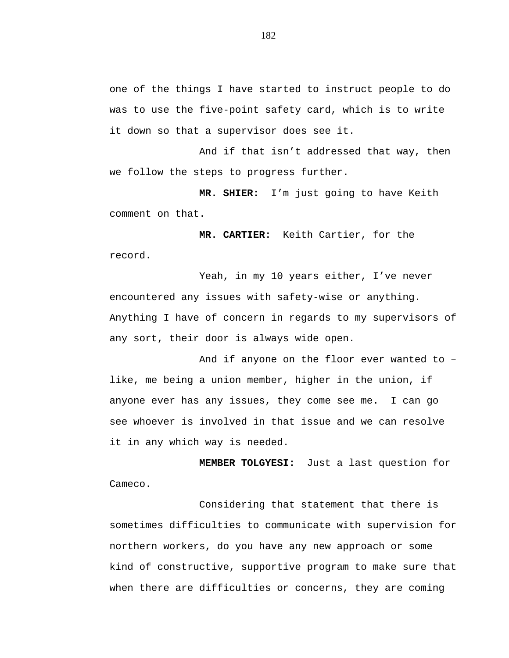one of the things I have started to instruct people to do was to use the five-point safety card, which is to write it down so that a supervisor does see it.

And if that isn't addressed that way, then we follow the steps to progress further.

**MR. SHIER:** I'm just going to have Keith comment on that.

**MR. CARTIER:** Keith Cartier, for the record.

Yeah, in my 10 years either, I've never encountered any issues with safety-wise or anything. Anything I have of concern in regards to my supervisors of any sort, their door is always wide open.

And if anyone on the floor ever wanted to – like, me being a union member, higher in the union, if anyone ever has any issues, they come see me. I can go see whoever is involved in that issue and we can resolve it in any which way is needed.

**MEMBER TOLGYESI:** Just a last question for Cameco.

Considering that statement that there is sometimes difficulties to communicate with supervision for northern workers, do you have any new approach or some kind of constructive, supportive program to make sure that when there are difficulties or concerns, they are coming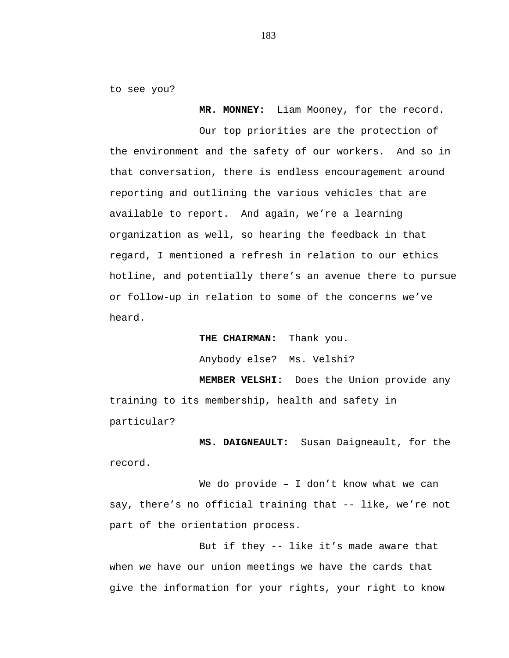to see you?

**MR. MONNEY:** Liam Mooney, for the record.

Our top priorities are the protection of the environment and the safety of our workers. And so in that conversation, there is endless encouragement around reporting and outlining the various vehicles that are available to report. And again, we're a learning organization as well, so hearing the feedback in that regard, I mentioned a refresh in relation to our ethics hotline, and potentially there's an avenue there to pursue or follow-up in relation to some of the concerns we've heard.

**THE CHAIRMAN:** Thank you.

Anybody else? Ms. Velshi?

**MEMBER VELSHI:** Does the Union provide any training to its membership, health and safety in particular?

**MS. DAIGNEAULT:** Susan Daigneault, for the record.

We do provide – I don't know what we can say, there's no official training that -- like, we're not part of the orientation process.

But if they -- like it's made aware that when we have our union meetings we have the cards that give the information for your rights, your right to know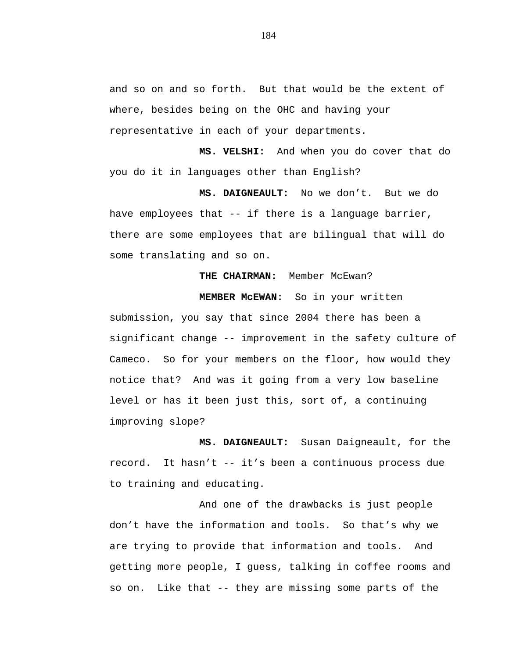and so on and so forth. But that would be the extent of where, besides being on the OHC and having your representative in each of your departments.

**MS. VELSHI:** And when you do cover that do you do it in languages other than English?

**MS. DAIGNEAULT:** No we don't. But we do have employees that -- if there is a language barrier, there are some employees that are bilingual that will do some translating and so on.

## THE CHAIRMAN: Member McEwan?

# **MEMBER McEWAN:** So in your written

submission, you say that since 2004 there has been a significant change -- improvement in the safety culture of Cameco. So for your members on the floor, how would they notice that? And was it going from a very low baseline level or has it been just this, sort of, a continuing improving slope?

**MS. DAIGNEAULT:** Susan Daigneault, for the record. It hasn't -- it's been a continuous process due to training and educating.

And one of the drawbacks is just people don't have the information and tools. So that's why we are trying to provide that information and tools. And getting more people, I guess, talking in coffee rooms and so on. Like that -- they are missing some parts of the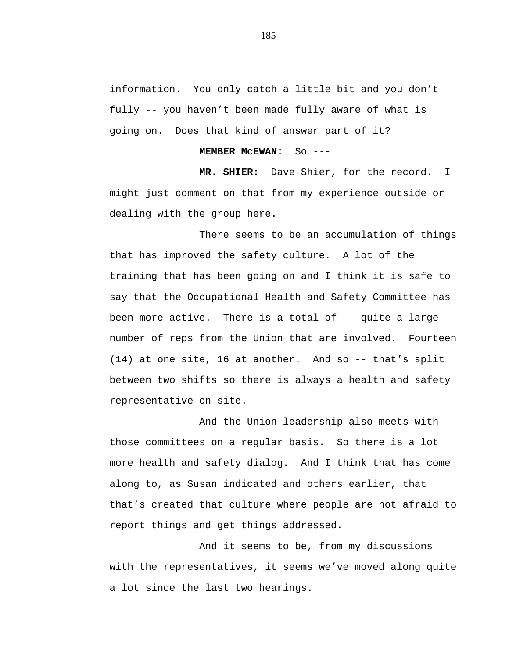information. You only catch a little bit and you don't fully -- you haven't been made fully aware of what is going on. Does that kind of answer part of it?

## **MEMBER McEWAN:** So ---

**MR. SHIER:** Dave Shier, for the record. I might just comment on that from my experience outside or dealing with the group here.

There seems to be an accumulation of things that has improved the safety culture. A lot of the training that has been going on and I think it is safe to say that the Occupational Health and Safety Committee has been more active. There is a total of -- quite a large number of reps from the Union that are involved. Fourteen (14) at one site, 16 at another. And so -- that's split between two shifts so there is always a health and safety representative on site.

And the Union leadership also meets with those committees on a regular basis. So there is a lot more health and safety dialog. And I think that has come along to, as Susan indicated and others earlier, that that's created that culture where people are not afraid to report things and get things addressed.

And it seems to be, from my discussions with the representatives, it seems we've moved along quite a lot since the last two hearings.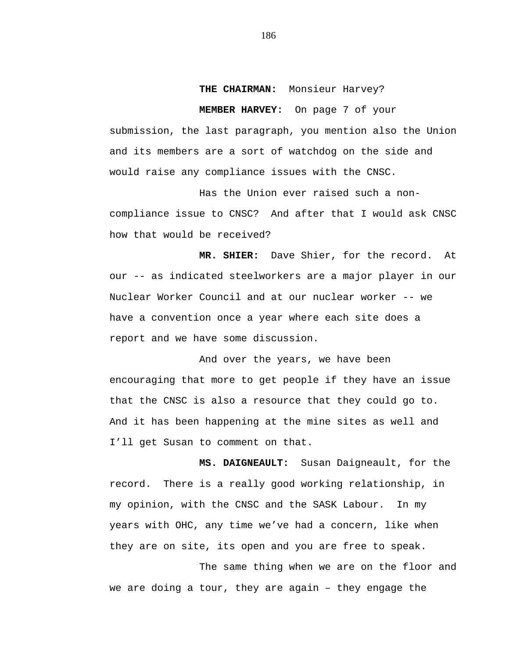## **THE CHAIRMAN:** Monsieur Harvey?

**MEMBER HARVEY:** On page 7 of your submission, the last paragraph, you mention also the Union and its members are a sort of watchdog on the side and would raise any compliance issues with the CNSC.

Has the Union ever raised such a noncompliance issue to CNSC? And after that I would ask CNSC how that would be received?

**MR. SHIER:** Dave Shier, for the record. At our -- as indicated steelworkers are a major player in our Nuclear Worker Council and at our nuclear worker -- we have a convention once a year where each site does a report and we have some discussion.

And over the years, we have been encouraging that more to get people if they have an issue that the CNSC is also a resource that they could go to. And it has been happening at the mine sites as well and I'll get Susan to comment on that.

**MS. DAIGNEAULT:** Susan Daigneault, for the record. There is a really good working relationship, in my opinion, with the CNSC and the SASK Labour. In my years with OHC, any time we've had a concern, like when they are on site, its open and you are free to speak.

The same thing when we are on the floor and we are doing a tour, they are again – they engage the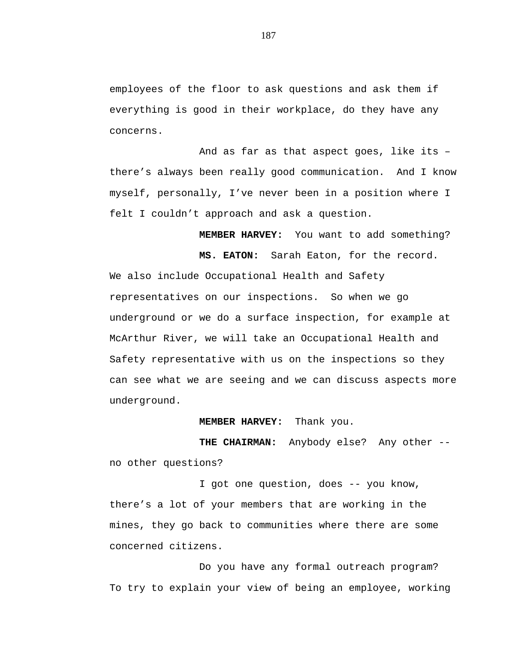employees of the floor to ask questions and ask them if everything is good in their workplace, do they have any concerns.

And as far as that aspect goes, like its – there's always been really good communication. And I know myself, personally, I've never been in a position where I felt I couldn't approach and ask a question.

**MEMBER HARVEY:** You want to add something? **MS. EATON:** Sarah Eaton, for the record. We also include Occupational Health and Safety representatives on our inspections. So when we go underground or we do a surface inspection, for example at McArthur River, we will take an Occupational Health and Safety representative with us on the inspections so they can see what we are seeing and we can discuss aspects more underground.

**MEMBER HARVEY:** Thank you.

**THE CHAIRMAN:** Anybody else? Any other - no other questions?

I got one question, does -- you know, there's a lot of your members that are working in the mines, they go back to communities where there are some concerned citizens.

Do you have any formal outreach program? To try to explain your view of being an employee, working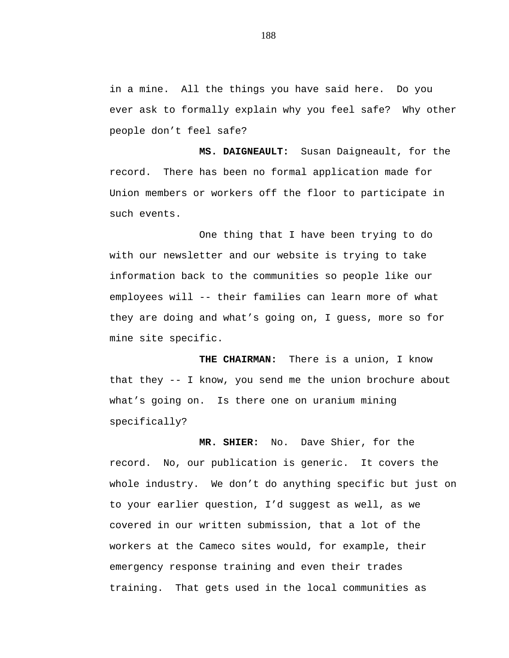in a mine. All the things you have said here. Do you ever ask to formally explain why you feel safe? Why other people don't feel safe?

**MS. DAIGNEAULT:** Susan Daigneault, for the record. There has been no formal application made for Union members or workers off the floor to participate in such events.

One thing that I have been trying to do with our newsletter and our website is trying to take information back to the communities so people like our employees will -- their families can learn more of what they are doing and what's going on, I guess, more so for mine site specific.

**THE CHAIRMAN:** There is a union, I know that they -- I know, you send me the union brochure about what's going on. Is there one on uranium mining specifically?

**MR. SHIER:** No. Dave Shier, for the record. No, our publication is generic. It covers the whole industry. We don't do anything specific but just on to your earlier question, I'd suggest as well, as we covered in our written submission, that a lot of the workers at the Cameco sites would, for example, their emergency response training and even their trades training. That gets used in the local communities as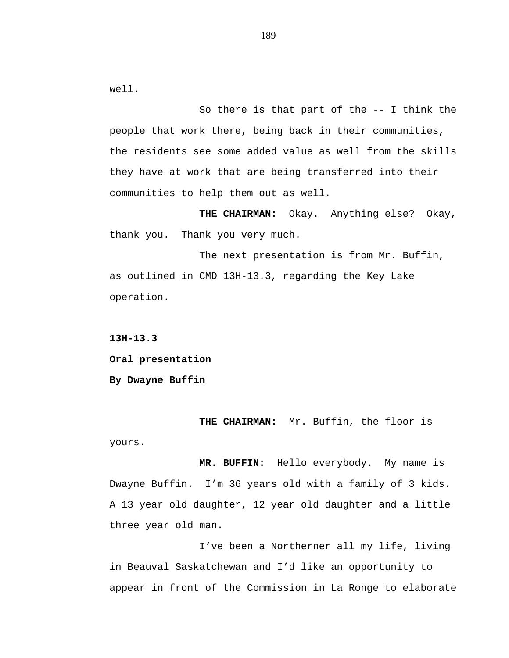well.

So there is that part of the -- I think the people that work there, being back in their communities, the residents see some added value as well from the skills they have at work that are being transferred into their communities to help them out as well.

**THE CHAIRMAN:** Okay. Anything else? Okay, thank you. Thank you very much.

The next presentation is from Mr. Buffin, as outlined in CMD 13H-13.3, regarding the Key Lake operation.

**13H-13.3**

**Oral presentation**

**By Dwayne Buffin**

**THE CHAIRMAN:** Mr. Buffin, the floor is yours.

**MR. BUFFIN:** Hello everybody. My name is Dwayne Buffin. I'm 36 years old with a family of 3 kids. A 13 year old daughter, 12 year old daughter and a little three year old man.

I've been a Northerner all my life, living in Beauval Saskatchewan and I'd like an opportunity to appear in front of the Commission in La Ronge to elaborate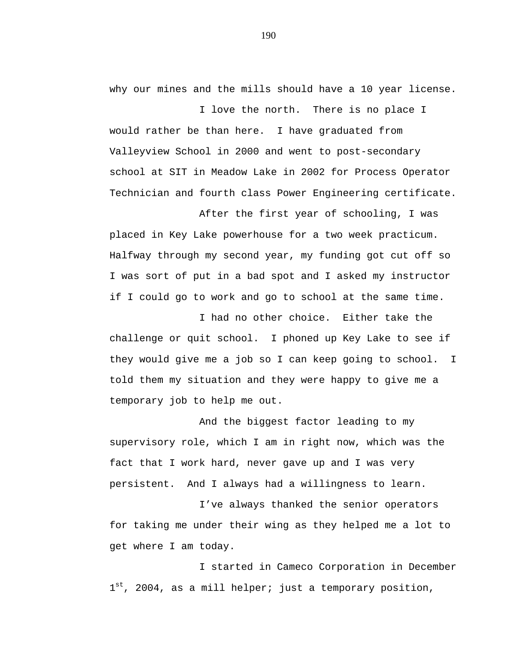why our mines and the mills should have a 10 year license. I love the north. There is no place I

would rather be than here. I have graduated from Valleyview School in 2000 and went to post-secondary school at SIT in Meadow Lake in 2002 for Process Operator Technician and fourth class Power Engineering certificate.

After the first year of schooling, I was placed in Key Lake powerhouse for a two week practicum. Halfway through my second year, my funding got cut off so I was sort of put in a bad spot and I asked my instructor if I could go to work and go to school at the same time.

I had no other choice. Either take the challenge or quit school. I phoned up Key Lake to see if they would give me a job so I can keep going to school. I told them my situation and they were happy to give me a temporary job to help me out.

And the biggest factor leading to my supervisory role, which I am in right now, which was the fact that I work hard, never gave up and I was very persistent. And I always had a willingness to learn.

I've always thanked the senior operators for taking me under their wing as they helped me a lot to get where I am today.

I started in Cameco Corporation in December  $1<sup>st</sup>$ , 2004, as a mill helper; just a temporary position,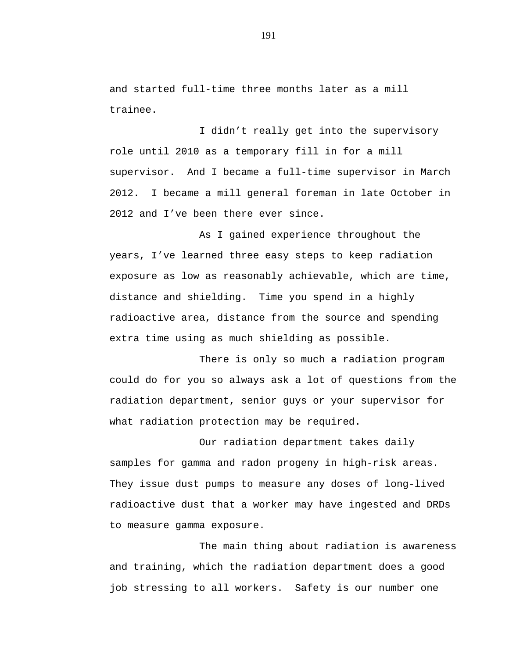and started full-time three months later as a mill trainee.

I didn't really get into the supervisory role until 2010 as a temporary fill in for a mill supervisor. And I became a full-time supervisor in March 2012. I became a mill general foreman in late October in 2012 and I've been there ever since.

As I gained experience throughout the years, I've learned three easy steps to keep radiation exposure as low as reasonably achievable, which are time, distance and shielding. Time you spend in a highly radioactive area, distance from the source and spending extra time using as much shielding as possible.

There is only so much a radiation program could do for you so always ask a lot of questions from the radiation department, senior guys or your supervisor for what radiation protection may be required.

Our radiation department takes daily samples for gamma and radon progeny in high-risk areas. They issue dust pumps to measure any doses of long-lived radioactive dust that a worker may have ingested and DRDs to measure gamma exposure.

The main thing about radiation is awareness and training, which the radiation department does a good job stressing to all workers. Safety is our number one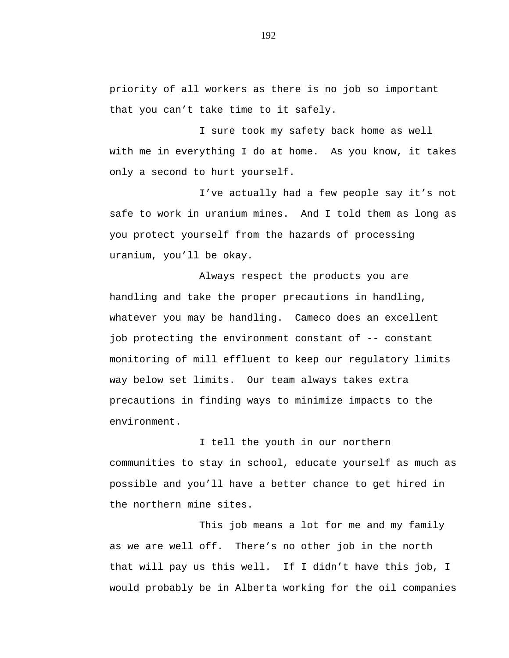priority of all workers as there is no job so important that you can't take time to it safely.

I sure took my safety back home as well with me in everything I do at home. As you know, it takes only a second to hurt yourself.

I've actually had a few people say it's not safe to work in uranium mines. And I told them as long as you protect yourself from the hazards of processing uranium, you'll be okay.

Always respect the products you are handling and take the proper precautions in handling, whatever you may be handling. Cameco does an excellent job protecting the environment constant of -- constant monitoring of mill effluent to keep our regulatory limits way below set limits. Our team always takes extra precautions in finding ways to minimize impacts to the environment.

I tell the youth in our northern communities to stay in school, educate yourself as much as possible and you'll have a better chance to get hired in the northern mine sites.

This job means a lot for me and my family as we are well off. There's no other job in the north that will pay us this well. If I didn't have this job, I would probably be in Alberta working for the oil companies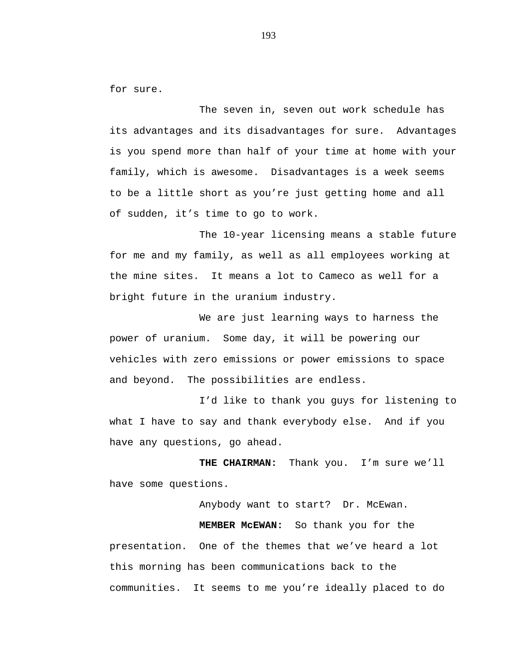for sure.

The seven in, seven out work schedule has its advantages and its disadvantages for sure. Advantages is you spend more than half of your time at home with your family, which is awesome. Disadvantages is a week seems to be a little short as you're just getting home and all of sudden, it's time to go to work.

The 10-year licensing means a stable future for me and my family, as well as all employees working at the mine sites. It means a lot to Cameco as well for a bright future in the uranium industry.

We are just learning ways to harness the power of uranium. Some day, it will be powering our vehicles with zero emissions or power emissions to space and beyond. The possibilities are endless.

I'd like to thank you guys for listening to what I have to say and thank everybody else. And if you have any questions, go ahead.

**THE CHAIRMAN:** Thank you. I'm sure we'll have some questions.

Anybody want to start? Dr. McEwan. **MEMBER McEWAN:** So thank you for the presentation. One of the themes that we've heard a lot this morning has been communications back to the communities. It seems to me you're ideally placed to do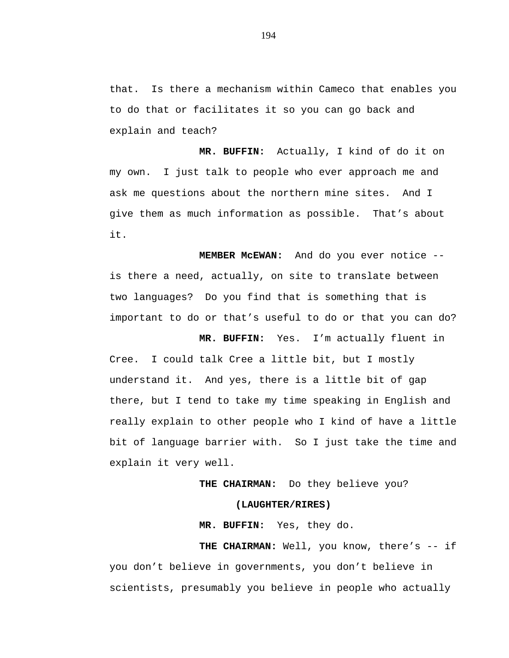that. Is there a mechanism within Cameco that enables you to do that or facilitates it so you can go back and explain and teach?

**MR. BUFFIN:** Actually, I kind of do it on my own. I just talk to people who ever approach me and ask me questions about the northern mine sites. And I give them as much information as possible. That's about it.

**MEMBER McEWAN:** And do you ever notice - is there a need, actually, on site to translate between two languages? Do you find that is something that is important to do or that's useful to do or that you can do?

**MR. BUFFIN:** Yes. I'm actually fluent in Cree. I could talk Cree a little bit, but I mostly understand it. And yes, there is a little bit of gap there, but I tend to take my time speaking in English and really explain to other people who I kind of have a little bit of language barrier with. So I just take the time and explain it very well.

# **THE CHAIRMAN:** Do they believe you?

## **(LAUGHTER/RIRES)**

**MR. BUFFIN:** Yes, they do.

**THE CHAIRMAN:** Well, you know, there's -- if you don't believe in governments, you don't believe in scientists, presumably you believe in people who actually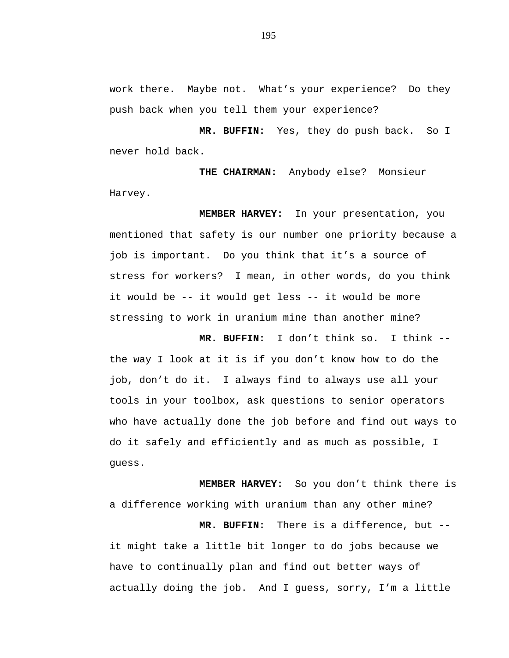work there. Maybe not. What's your experience? Do they push back when you tell them your experience?

**MR. BUFFIN:** Yes, they do push back. So I never hold back.

**THE CHAIRMAN:** Anybody else? Monsieur Harvey.

**MEMBER HARVEY:** In your presentation, you mentioned that safety is our number one priority because a job is important. Do you think that it's a source of stress for workers? I mean, in other words, do you think it would be -- it would get less -- it would be more stressing to work in uranium mine than another mine?

**MR. BUFFIN:** I don't think so. I think - the way I look at it is if you don't know how to do the job, don't do it. I always find to always use all your tools in your toolbox, ask questions to senior operators who have actually done the job before and find out ways to do it safely and efficiently and as much as possible, I guess.

**MEMBER HARVEY:** So you don't think there is a difference working with uranium than any other mine? **MR. BUFFIN:** There is a difference, but - it might take a little bit longer to do jobs because we

have to continually plan and find out better ways of actually doing the job. And I guess, sorry, I'm a little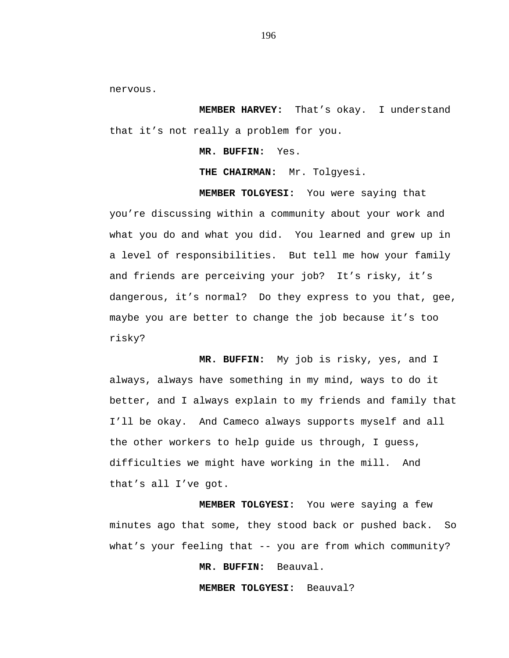nervous.

**MEMBER HARVEY:** That's okay. I understand that it's not really a problem for you.

**MR. BUFFIN:** Yes.

**THE CHAIRMAN:** Mr. Tolgyesi.

**MEMBER TOLGYESI:** You were saying that

you're discussing within a community about your work and what you do and what you did. You learned and grew up in a level of responsibilities. But tell me how your family and friends are perceiving your job? It's risky, it's dangerous, it's normal? Do they express to you that, gee, maybe you are better to change the job because it's too risky?

**MR. BUFFIN:** My job is risky, yes, and I always, always have something in my mind, ways to do it better, and I always explain to my friends and family that I'll be okay. And Cameco always supports myself and all the other workers to help guide us through, I guess, difficulties we might have working in the mill. And that's all I've got.

**MEMBER TOLGYESI:** You were saying a few minutes ago that some, they stood back or pushed back. So what's your feeling that -- you are from which community?

**MR. BUFFIN:** Beauval.

**MEMBER TOLGYESI:** Beauval?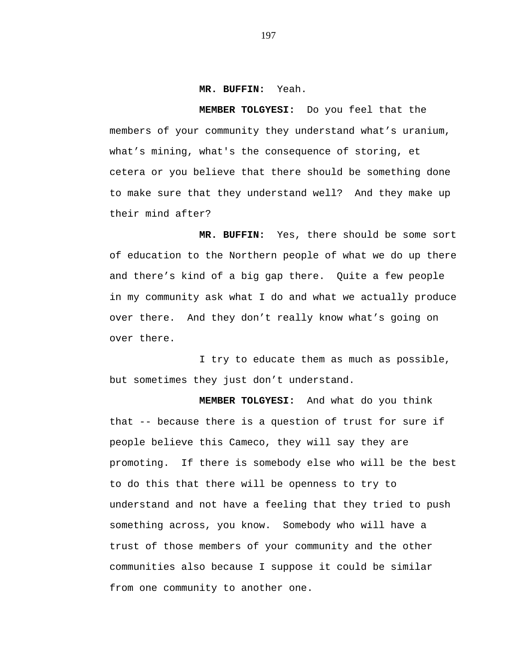#### **MR. BUFFIN:** Yeah.

**MEMBER TOLGYESI:** Do you feel that the members of your community they understand what's uranium, what's mining, what's the consequence of storing, et cetera or you believe that there should be something done to make sure that they understand well? And they make up their mind after?

**MR. BUFFIN:** Yes, there should be some sort of education to the Northern people of what we do up there and there's kind of a big gap there. Quite a few people in my community ask what I do and what we actually produce over there. And they don't really know what's going on over there.

I try to educate them as much as possible, but sometimes they just don't understand.

**MEMBER TOLGYESI:** And what do you think that -- because there is a question of trust for sure if people believe this Cameco, they will say they are promoting. If there is somebody else who will be the best to do this that there will be openness to try to understand and not have a feeling that they tried to push something across, you know. Somebody who will have a trust of those members of your community and the other communities also because I suppose it could be similar from one community to another one.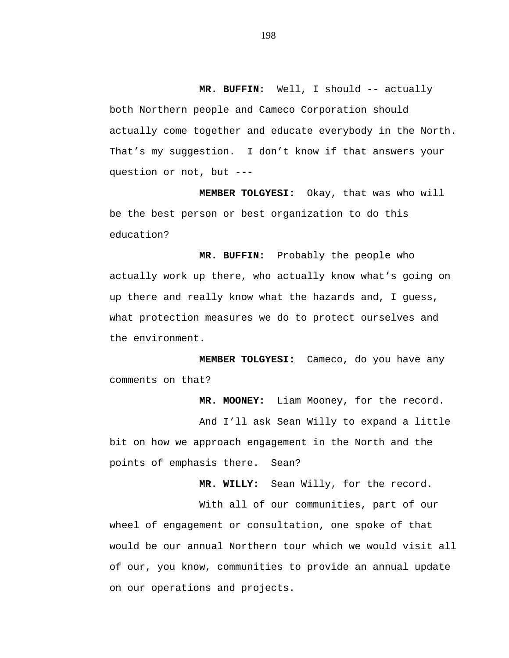**MR. BUFFIN:** Well, I should -- actually both Northern people and Cameco Corporation should actually come together and educate everybody in the North. That's my suggestion. I don't know if that answers your question or not, but -**--**

**MEMBER TOLGYESI:** Okay, that was who will be the best person or best organization to do this education?

**MR. BUFFIN:** Probably the people who actually work up there, who actually know what's going on up there and really know what the hazards and, I guess, what protection measures we do to protect ourselves and the environment.

**MEMBER TOLGYESI:** Cameco, do you have any comments on that?

**MR. MOONEY:** Liam Mooney, for the record.

And I'll ask Sean Willy to expand a little bit on how we approach engagement in the North and the points of emphasis there. Sean?

**MR. WILLY:** Sean Willy, for the record.

With all of our communities, part of our wheel of engagement or consultation, one spoke of that would be our annual Northern tour which we would visit all of our, you know, communities to provide an annual update on our operations and projects.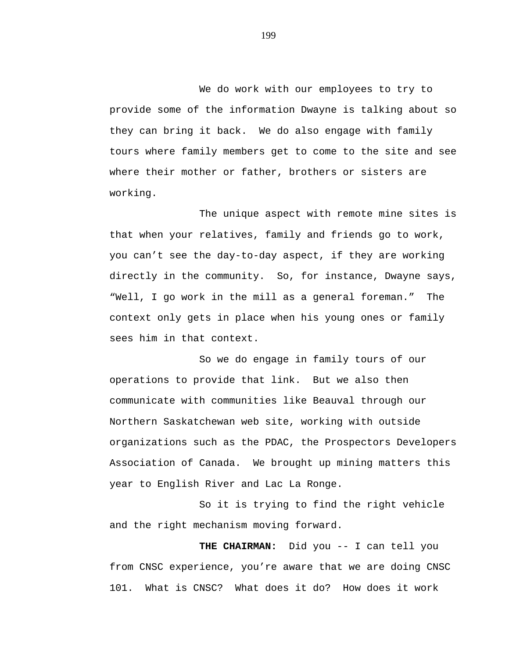We do work with our employees to try to provide some of the information Dwayne is talking about so they can bring it back. We do also engage with family tours where family members get to come to the site and see where their mother or father, brothers or sisters are working.

The unique aspect with remote mine sites is that when your relatives, family and friends go to work, you can't see the day-to-day aspect, if they are working directly in the community. So, for instance, Dwayne says, "Well, I go work in the mill as a general foreman." The context only gets in place when his young ones or family sees him in that context.

So we do engage in family tours of our operations to provide that link. But we also then communicate with communities like Beauval through our Northern Saskatchewan web site, working with outside organizations such as the PDAC, the Prospectors Developers Association of Canada. We brought up mining matters this year to English River and Lac La Ronge.

So it is trying to find the right vehicle and the right mechanism moving forward.

**THE CHAIRMAN:** Did you -- I can tell you from CNSC experience, you're aware that we are doing CNSC 101. What is CNSC? What does it do? How does it work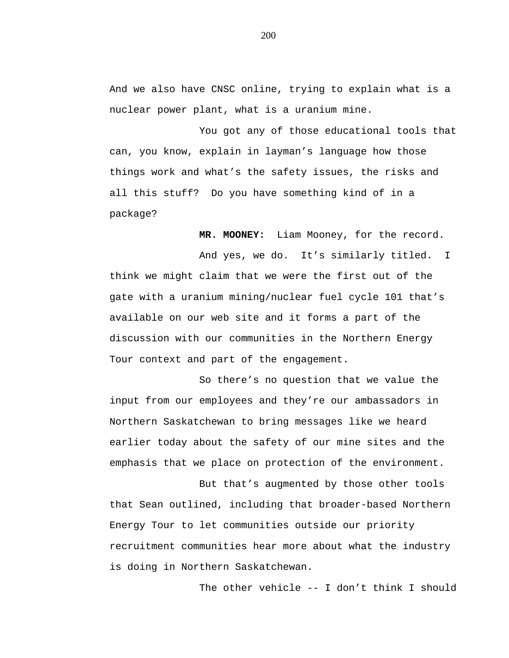And we also have CNSC online, trying to explain what is a nuclear power plant, what is a uranium mine.

You got any of those educational tools that can, you know, explain in layman's language how those things work and what's the safety issues, the risks and all this stuff? Do you have something kind of in a package?

**MR. MOONEY:** Liam Mooney, for the record.

And yes, we do. It's similarly titled. I think we might claim that we were the first out of the gate with a uranium mining/nuclear fuel cycle 101 that's available on our web site and it forms a part of the discussion with our communities in the Northern Energy Tour context and part of the engagement.

So there's no question that we value the input from our employees and they're our ambassadors in Northern Saskatchewan to bring messages like we heard earlier today about the safety of our mine sites and the emphasis that we place on protection of the environment.

But that's augmented by those other tools that Sean outlined, including that broader-based Northern Energy Tour to let communities outside our priority recruitment communities hear more about what the industry is doing in Northern Saskatchewan.

The other vehicle -- I don't think I should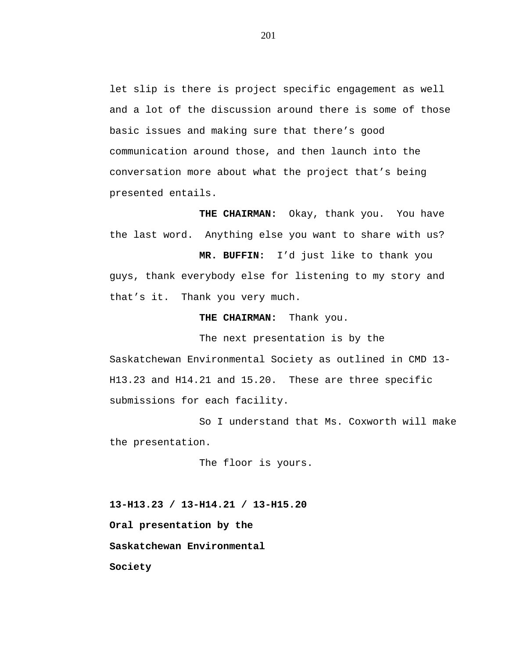let slip is there is project specific engagement as well and a lot of the discussion around there is some of those basic issues and making sure that there's good communication around those, and then launch into the conversation more about what the project that's being presented entails.

**THE CHAIRMAN:** Okay, thank you. You have the last word. Anything else you want to share with us?

**MR. BUFFIN:** I'd just like to thank you guys, thank everybody else for listening to my story and that's it. Thank you very much.

**THE CHAIRMAN:** Thank you.

The next presentation is by the Saskatchewan Environmental Society as outlined in CMD 13- H13.23 and H14.21 and 15.20. These are three specific submissions for each facility.

So I understand that Ms. Coxworth will make the presentation.

The floor is yours.

**13-H13.23 / 13-H14.21 / 13-H15.20 Oral presentation by the Saskatchewan Environmental Society**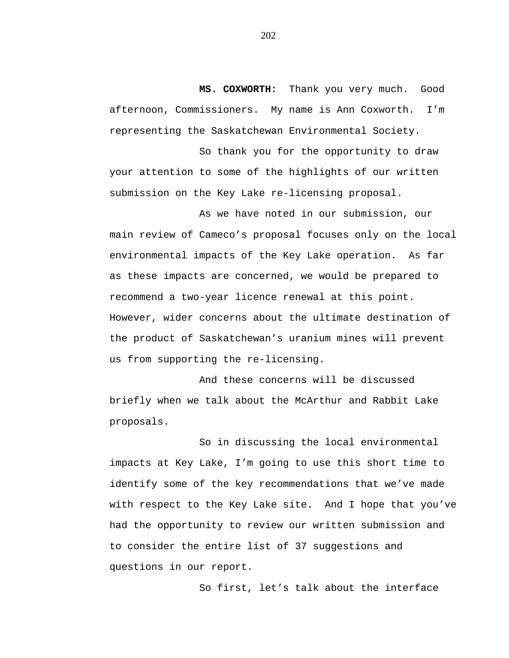**MS. COXWORTH:** Thank you very much. Good afternoon, Commissioners. My name is Ann Coxworth. I'm representing the Saskatchewan Environmental Society.

So thank you for the opportunity to draw your attention to some of the highlights of our written submission on the Key Lake re-licensing proposal.

As we have noted in our submission, our main review of Cameco's proposal focuses only on the local environmental impacts of the Key Lake operation. As far as these impacts are concerned, we would be prepared to recommend a two-year licence renewal at this point. However, wider concerns about the ultimate destination of the product of Saskatchewan's uranium mines will prevent us from supporting the re-licensing.

And these concerns will be discussed briefly when we talk about the McArthur and Rabbit Lake proposals.

So in discussing the local environmental impacts at Key Lake, I'm going to use this short time to identify some of the key recommendations that we've made with respect to the Key Lake site. And I hope that you've had the opportunity to review our written submission and to consider the entire list of 37 suggestions and questions in our report.

So first, let's talk about the interface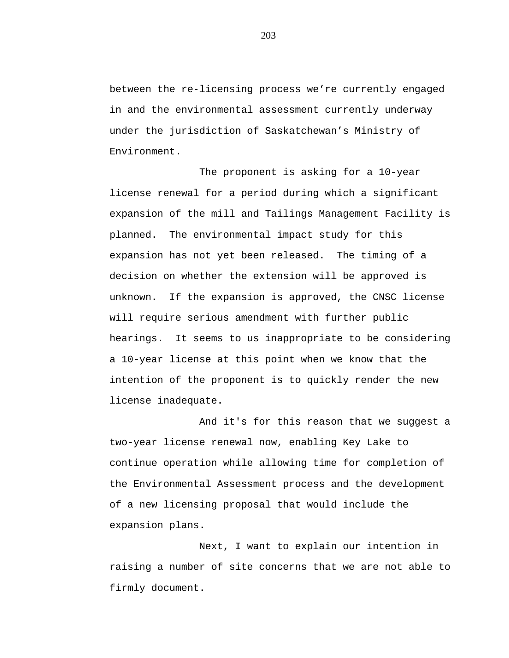between the re-licensing process we're currently engaged in and the environmental assessment currently underway under the jurisdiction of Saskatchewan's Ministry of Environment.

The proponent is asking for a 10-year license renewal for a period during which a significant expansion of the mill and Tailings Management Facility is planned. The environmental impact study for this expansion has not yet been released. The timing of a decision on whether the extension will be approved is unknown. If the expansion is approved, the CNSC license will require serious amendment with further public hearings. It seems to us inappropriate to be considering a 10-year license at this point when we know that the intention of the proponent is to quickly render the new license inadequate.

And it's for this reason that we suggest a two-year license renewal now, enabling Key Lake to continue operation while allowing time for completion of the Environmental Assessment process and the development of a new licensing proposal that would include the expansion plans.

Next, I want to explain our intention in raising a number of site concerns that we are not able to firmly document.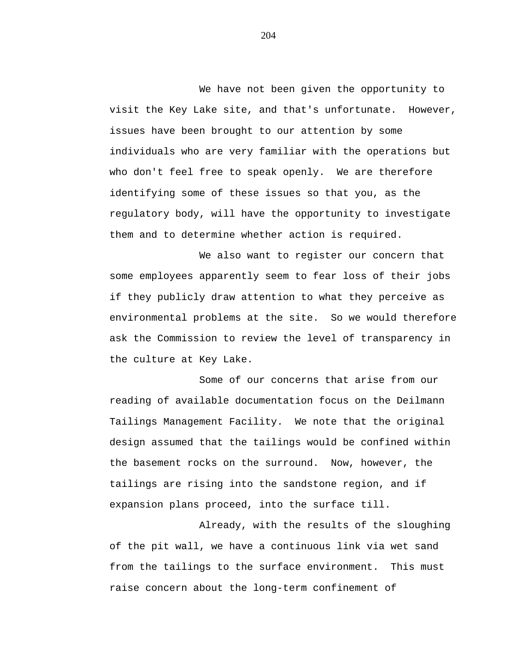We have not been given the opportunity to visit the Key Lake site, and that's unfortunate. However, issues have been brought to our attention by some individuals who are very familiar with the operations but who don't feel free to speak openly. We are therefore identifying some of these issues so that you, as the regulatory body, will have the opportunity to investigate them and to determine whether action is required.

We also want to register our concern that some employees apparently seem to fear loss of their jobs if they publicly draw attention to what they perceive as environmental problems at the site. So we would therefore ask the Commission to review the level of transparency in the culture at Key Lake.

Some of our concerns that arise from our reading of available documentation focus on the Deilmann Tailings Management Facility. We note that the original design assumed that the tailings would be confined within the basement rocks on the surround. Now, however, the tailings are rising into the sandstone region, and if expansion plans proceed, into the surface till.

Already, with the results of the sloughing of the pit wall, we have a continuous link via wet sand from the tailings to the surface environment. This must raise concern about the long-term confinement of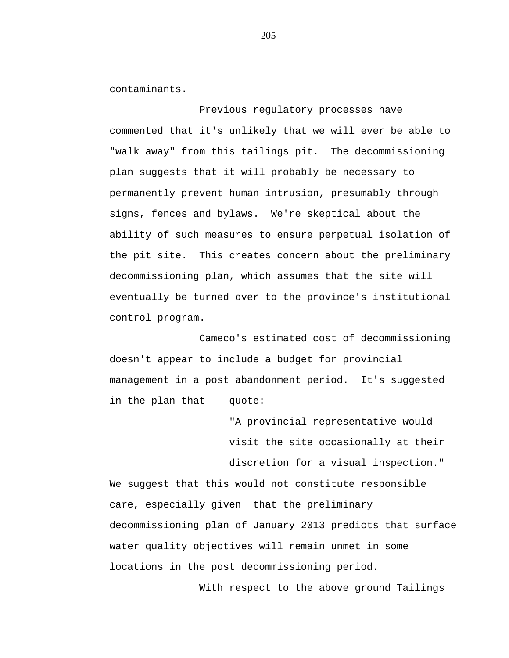contaminants.

Previous regulatory processes have commented that it's unlikely that we will ever be able to "walk away" from this tailings pit. The decommissioning plan suggests that it will probably be necessary to permanently prevent human intrusion, presumably through signs, fences and bylaws. We're skeptical about the ability of such measures to ensure perpetual isolation of the pit site. This creates concern about the preliminary decommissioning plan, which assumes that the site will eventually be turned over to the province's institutional control program.

Cameco's estimated cost of decommissioning doesn't appear to include a budget for provincial management in a post abandonment period. It's suggested in the plan that -- quote:

> "A provincial representative would visit the site occasionally at their discretion for a visual inspection."

We suggest that this would not constitute responsible care, especially given that the preliminary decommissioning plan of January 2013 predicts that surface water quality objectives will remain unmet in some locations in the post decommissioning period.

With respect to the above ground Tailings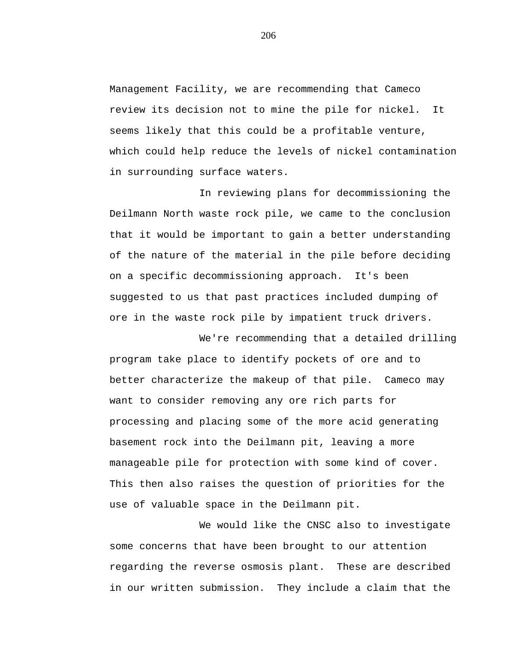Management Facility, we are recommending that Cameco review its decision not to mine the pile for nickel. It seems likely that this could be a profitable venture, which could help reduce the levels of nickel contamination in surrounding surface waters.

In reviewing plans for decommissioning the Deilmann North waste rock pile, we came to the conclusion that it would be important to gain a better understanding of the nature of the material in the pile before deciding on a specific decommissioning approach. It's been suggested to us that past practices included dumping of ore in the waste rock pile by impatient truck drivers.

We're recommending that a detailed drilling program take place to identify pockets of ore and to better characterize the makeup of that pile. Cameco may want to consider removing any ore rich parts for processing and placing some of the more acid generating basement rock into the Deilmann pit, leaving a more manageable pile for protection with some kind of cover. This then also raises the question of priorities for the use of valuable space in the Deilmann pit.

We would like the CNSC also to investigate some concerns that have been brought to our attention regarding the reverse osmosis plant. These are described in our written submission. They include a claim that the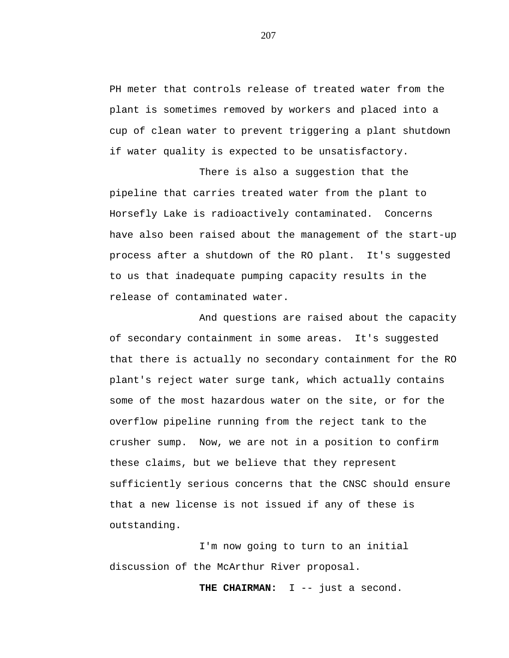PH meter that controls release of treated water from the plant is sometimes removed by workers and placed into a cup of clean water to prevent triggering a plant shutdown if water quality is expected to be unsatisfactory.

There is also a suggestion that the pipeline that carries treated water from the plant to Horsefly Lake is radioactively contaminated. Concerns have also been raised about the management of the start-up process after a shutdown of the RO plant. It's suggested to us that inadequate pumping capacity results in the release of contaminated water.

And questions are raised about the capacity of secondary containment in some areas. It's suggested that there is actually no secondary containment for the RO plant's reject water surge tank, which actually contains some of the most hazardous water on the site, or for the overflow pipeline running from the reject tank to the crusher sump. Now, we are not in a position to confirm these claims, but we believe that they represent sufficiently serious concerns that the CNSC should ensure that a new license is not issued if any of these is outstanding.

I'm now going to turn to an initial discussion of the McArthur River proposal.

**THE CHAIRMAN:** I -- just a second.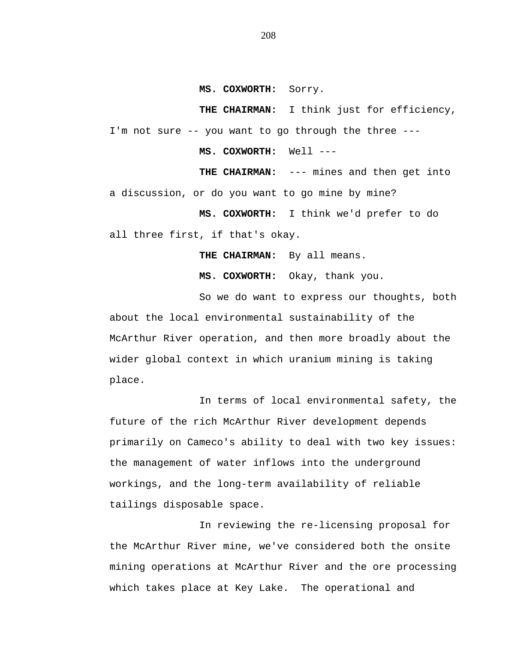**MS. COXWORTH:** Sorry.

**THE CHAIRMAN:** I think just for efficiency, I'm not sure -- you want to go through the three ---

**MS. COXWORTH:** Well ---

**THE CHAIRMAN:** --- mines and then get into a discussion, or do you want to go mine by mine?

**MS. COXWORTH:** I think we'd prefer to do all three first, if that's okay.

**THE CHAIRMAN:** By all means.

**MS. COXWORTH:** Okay, thank you.

So we do want to express our thoughts, both about the local environmental sustainability of the McArthur River operation, and then more broadly about the wider global context in which uranium mining is taking place.

In terms of local environmental safety, the future of the rich McArthur River development depends primarily on Cameco's ability to deal with two key issues: the management of water inflows into the underground workings, and the long-term availability of reliable tailings disposable space.

In reviewing the re-licensing proposal for the McArthur River mine, we've considered both the onsite mining operations at McArthur River and the ore processing which takes place at Key Lake. The operational and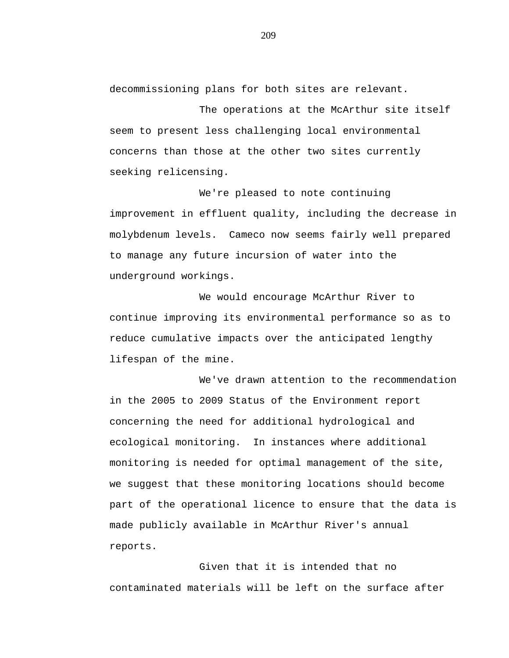decommissioning plans for both sites are relevant.

The operations at the McArthur site itself seem to present less challenging local environmental concerns than those at the other two sites currently seeking relicensing.

We're pleased to note continuing improvement in effluent quality, including the decrease in molybdenum levels. Cameco now seems fairly well prepared to manage any future incursion of water into the underground workings.

We would encourage McArthur River to continue improving its environmental performance so as to reduce cumulative impacts over the anticipated lengthy lifespan of the mine.

We've drawn attention to the recommendation in the 2005 to 2009 Status of the Environment report concerning the need for additional hydrological and ecological monitoring. In instances where additional monitoring is needed for optimal management of the site, we suggest that these monitoring locations should become part of the operational licence to ensure that the data is made publicly available in McArthur River's annual reports.

Given that it is intended that no contaminated materials will be left on the surface after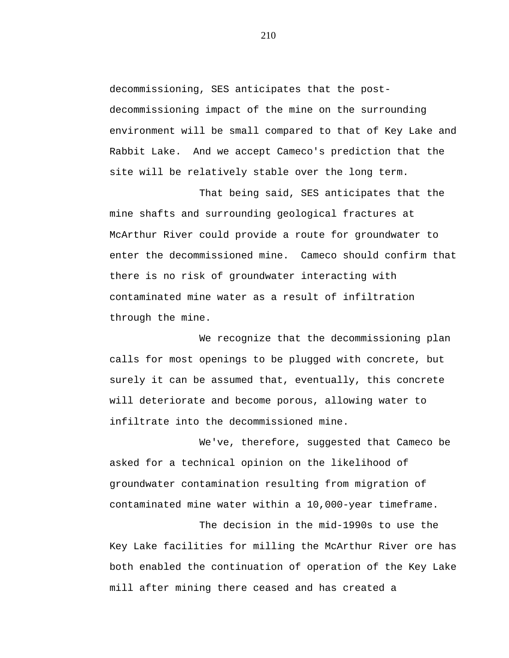decommissioning, SES anticipates that the postdecommissioning impact of the mine on the surrounding environment will be small compared to that of Key Lake and Rabbit Lake. And we accept Cameco's prediction that the site will be relatively stable over the long term.

That being said, SES anticipates that the mine shafts and surrounding geological fractures at McArthur River could provide a route for groundwater to enter the decommissioned mine. Cameco should confirm that there is no risk of groundwater interacting with contaminated mine water as a result of infiltration through the mine.

We recognize that the decommissioning plan calls for most openings to be plugged with concrete, but surely it can be assumed that, eventually, this concrete will deteriorate and become porous, allowing water to infiltrate into the decommissioned mine.

We've, therefore, suggested that Cameco be asked for a technical opinion on the likelihood of groundwater contamination resulting from migration of contaminated mine water within a 10,000-year timeframe.

The decision in the mid-1990s to use the Key Lake facilities for milling the McArthur River ore has both enabled the continuation of operation of the Key Lake mill after mining there ceased and has created a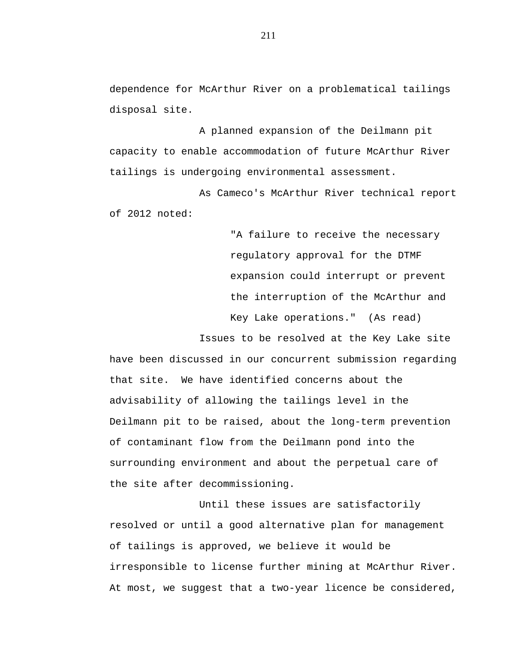dependence for McArthur River on a problematical tailings disposal site.

A planned expansion of the Deilmann pit capacity to enable accommodation of future McArthur River tailings is undergoing environmental assessment.

As Cameco's McArthur River technical report of 2012 noted:

> "A failure to receive the necessary regulatory approval for the DTMF expansion could interrupt or prevent the interruption of the McArthur and Key Lake operations." (As read)

Issues to be resolved at the Key Lake site have been discussed in our concurrent submission regarding that site. We have identified concerns about the advisability of allowing the tailings level in the Deilmann pit to be raised, about the long-term prevention of contaminant flow from the Deilmann pond into the surrounding environment and about the perpetual care of the site after decommissioning.

Until these issues are satisfactorily resolved or until a good alternative plan for management of tailings is approved, we believe it would be irresponsible to license further mining at McArthur River. At most, we suggest that a two-year licence be considered,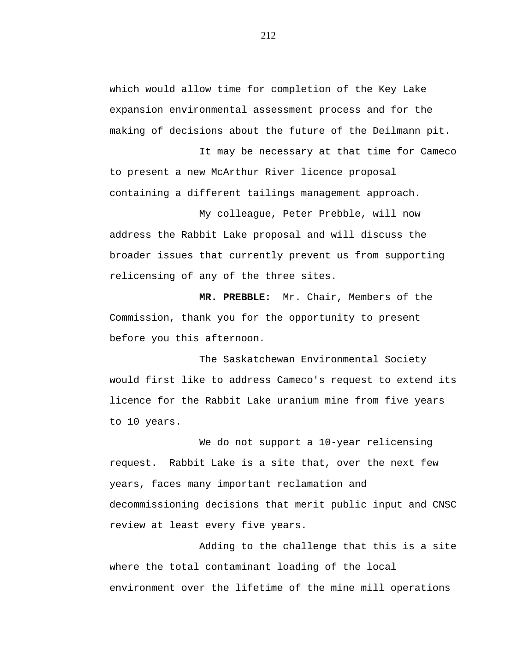which would allow time for completion of the Key Lake expansion environmental assessment process and for the making of decisions about the future of the Deilmann pit.

It may be necessary at that time for Cameco to present a new McArthur River licence proposal containing a different tailings management approach.

My colleague, Peter Prebble, will now address the Rabbit Lake proposal and will discuss the broader issues that currently prevent us from supporting relicensing of any of the three sites.

**MR. PREBBLE:** Mr. Chair, Members of the Commission, thank you for the opportunity to present before you this afternoon.

The Saskatchewan Environmental Society would first like to address Cameco's request to extend its licence for the Rabbit Lake uranium mine from five years to 10 years.

We do not support a 10-year relicensing request. Rabbit Lake is a site that, over the next few years, faces many important reclamation and decommissioning decisions that merit public input and CNSC review at least every five years.

Adding to the challenge that this is a site where the total contaminant loading of the local environment over the lifetime of the mine mill operations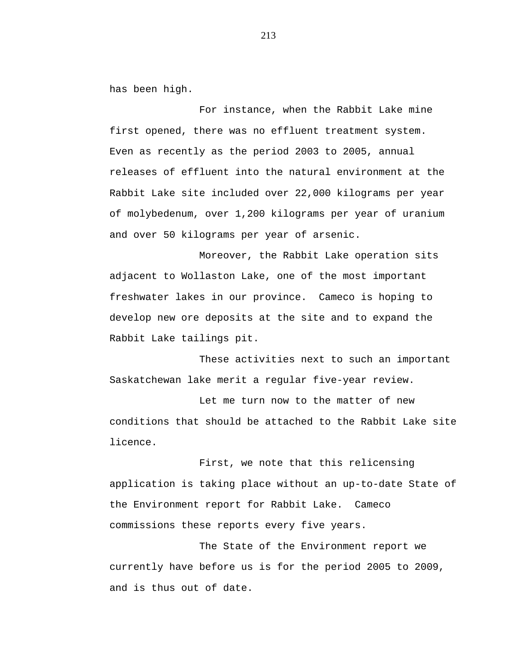has been high.

For instance, when the Rabbit Lake mine first opened, there was no effluent treatment system. Even as recently as the period 2003 to 2005, annual releases of effluent into the natural environment at the Rabbit Lake site included over 22,000 kilograms per year of molybedenum, over 1,200 kilograms per year of uranium and over 50 kilograms per year of arsenic.

Moreover, the Rabbit Lake operation sits adjacent to Wollaston Lake, one of the most important freshwater lakes in our province. Cameco is hoping to develop new ore deposits at the site and to expand the Rabbit Lake tailings pit.

These activities next to such an important Saskatchewan lake merit a regular five-year review.

Let me turn now to the matter of new conditions that should be attached to the Rabbit Lake site licence.

First, we note that this relicensing application is taking place without an up-to-date State of the Environment report for Rabbit Lake. Cameco commissions these reports every five years.

The State of the Environment report we currently have before us is for the period 2005 to 2009, and is thus out of date.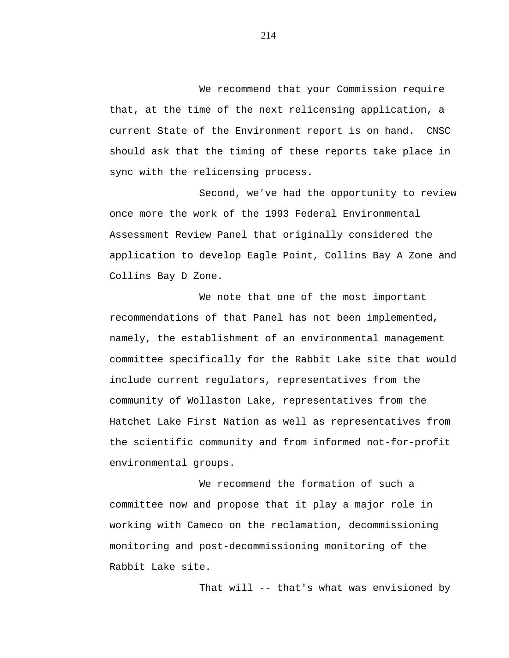We recommend that your Commission require that, at the time of the next relicensing application, a current State of the Environment report is on hand. CNSC should ask that the timing of these reports take place in sync with the relicensing process.

Second, we've had the opportunity to review once more the work of the 1993 Federal Environmental Assessment Review Panel that originally considered the application to develop Eagle Point, Collins Bay A Zone and Collins Bay D Zone.

We note that one of the most important recommendations of that Panel has not been implemented, namely, the establishment of an environmental management committee specifically for the Rabbit Lake site that would include current regulators, representatives from the community of Wollaston Lake, representatives from the Hatchet Lake First Nation as well as representatives from the scientific community and from informed not-for-profit environmental groups.

We recommend the formation of such a committee now and propose that it play a major role in working with Cameco on the reclamation, decommissioning monitoring and post-decommissioning monitoring of the Rabbit Lake site.

That will -- that's what was envisioned by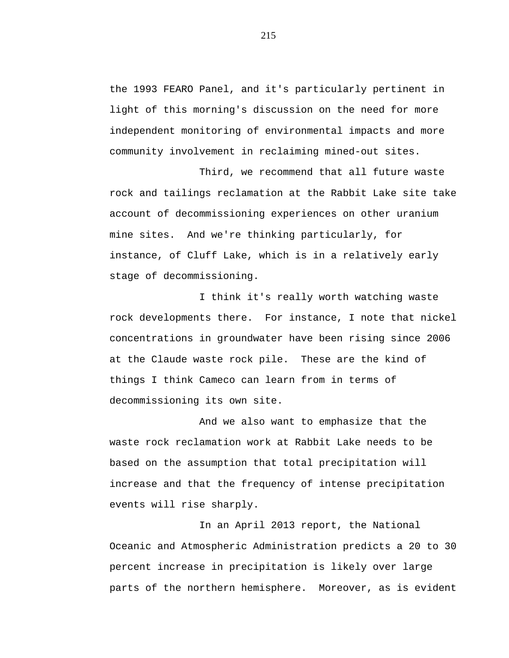the 1993 FEARO Panel, and it's particularly pertinent in light of this morning's discussion on the need for more independent monitoring of environmental impacts and more community involvement in reclaiming mined-out sites.

Third, we recommend that all future waste rock and tailings reclamation at the Rabbit Lake site take account of decommissioning experiences on other uranium mine sites. And we're thinking particularly, for instance, of Cluff Lake, which is in a relatively early stage of decommissioning.

I think it's really worth watching waste rock developments there. For instance, I note that nickel concentrations in groundwater have been rising since 2006 at the Claude waste rock pile. These are the kind of things I think Cameco can learn from in terms of decommissioning its own site.

And we also want to emphasize that the waste rock reclamation work at Rabbit Lake needs to be based on the assumption that total precipitation will increase and that the frequency of intense precipitation events will rise sharply.

In an April 2013 report, the National Oceanic and Atmospheric Administration predicts a 20 to 30 percent increase in precipitation is likely over large parts of the northern hemisphere. Moreover, as is evident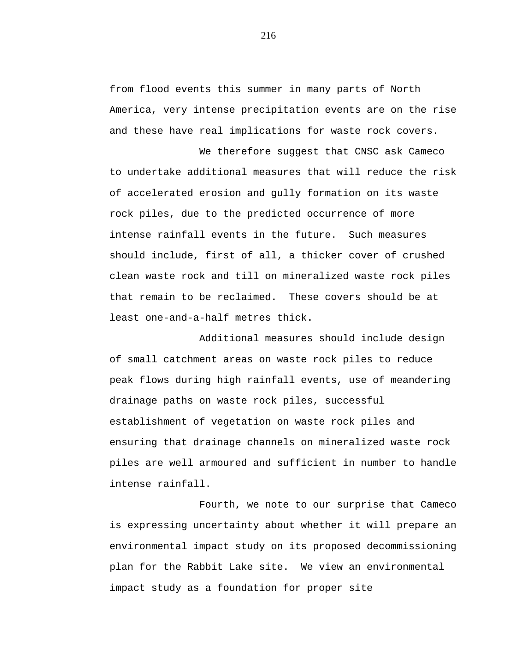from flood events this summer in many parts of North America, very intense precipitation events are on the rise and these have real implications for waste rock covers.

We therefore suggest that CNSC ask Cameco to undertake additional measures that will reduce the risk of accelerated erosion and gully formation on its waste rock piles, due to the predicted occurrence of more intense rainfall events in the future. Such measures should include, first of all, a thicker cover of crushed clean waste rock and till on mineralized waste rock piles that remain to be reclaimed. These covers should be at least one-and-a-half metres thick.

Additional measures should include design of small catchment areas on waste rock piles to reduce peak flows during high rainfall events, use of meandering drainage paths on waste rock piles, successful establishment of vegetation on waste rock piles and ensuring that drainage channels on mineralized waste rock piles are well armoured and sufficient in number to handle intense rainfall.

Fourth, we note to our surprise that Cameco is expressing uncertainty about whether it will prepare an environmental impact study on its proposed decommissioning plan for the Rabbit Lake site. We view an environmental impact study as a foundation for proper site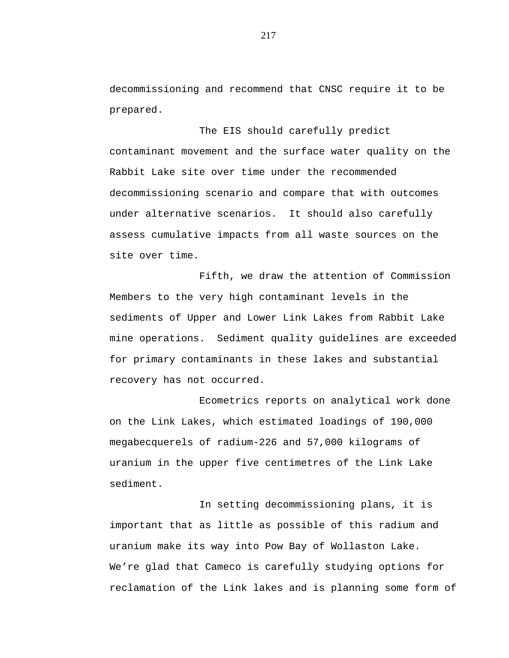decommissioning and recommend that CNSC require it to be prepared.

The EIS should carefully predict contaminant movement and the surface water quality on the Rabbit Lake site over time under the recommended decommissioning scenario and compare that with outcomes under alternative scenarios. It should also carefully assess cumulative impacts from all waste sources on the site over time.

Fifth, we draw the attention of Commission Members to the very high contaminant levels in the sediments of Upper and Lower Link Lakes from Rabbit Lake mine operations. Sediment quality guidelines are exceeded for primary contaminants in these lakes and substantial recovery has not occurred.

Ecometrics reports on analytical work done on the Link Lakes, which estimated loadings of 190,000 megabecquerels of radium-226 and 57,000 kilograms of uranium in the upper five centimetres of the Link Lake sediment.

In setting decommissioning plans, it is important that as little as possible of this radium and uranium make its way into Pow Bay of Wollaston Lake. We're glad that Cameco is carefully studying options for reclamation of the Link lakes and is planning some form of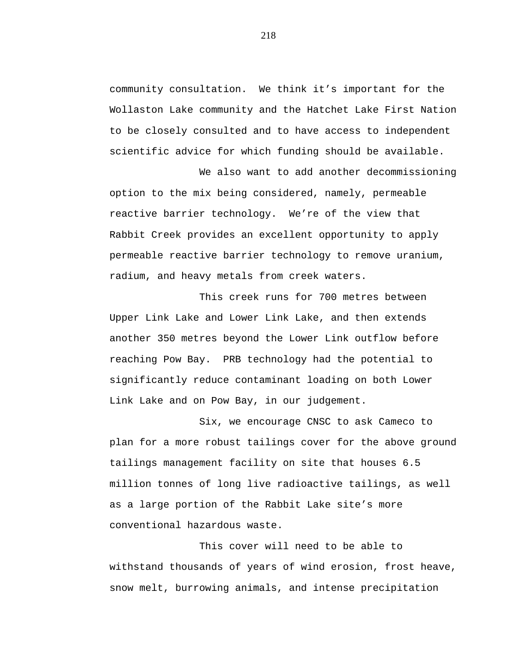community consultation. We think it's important for the Wollaston Lake community and the Hatchet Lake First Nation to be closely consulted and to have access to independent scientific advice for which funding should be available.

We also want to add another decommissioning option to the mix being considered, namely, permeable reactive barrier technology. We're of the view that Rabbit Creek provides an excellent opportunity to apply permeable reactive barrier technology to remove uranium, radium, and heavy metals from creek waters.

This creek runs for 700 metres between Upper Link Lake and Lower Link Lake, and then extends another 350 metres beyond the Lower Link outflow before reaching Pow Bay. PRB technology had the potential to significantly reduce contaminant loading on both Lower Link Lake and on Pow Bay, in our judgement.

Six, we encourage CNSC to ask Cameco to plan for a more robust tailings cover for the above ground tailings management facility on site that houses 6.5 million tonnes of long live radioactive tailings, as well as a large portion of the Rabbit Lake site's more conventional hazardous waste.

This cover will need to be able to withstand thousands of years of wind erosion, frost heave, snow melt, burrowing animals, and intense precipitation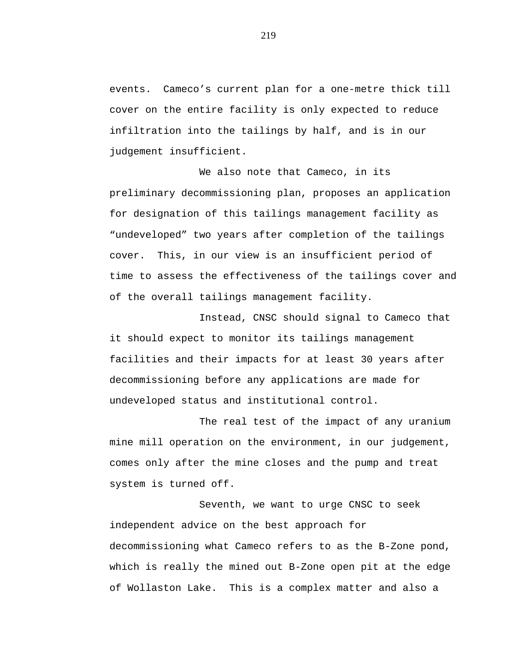events. Cameco's current plan for a one-metre thick till cover on the entire facility is only expected to reduce infiltration into the tailings by half, and is in our judgement insufficient.

We also note that Cameco, in its preliminary decommissioning plan, proposes an application for designation of this tailings management facility as "undeveloped" two years after completion of the tailings cover. This, in our view is an insufficient period of time to assess the effectiveness of the tailings cover and of the overall tailings management facility.

Instead, CNSC should signal to Cameco that it should expect to monitor its tailings management facilities and their impacts for at least 30 years after decommissioning before any applications are made for undeveloped status and institutional control.

The real test of the impact of any uranium mine mill operation on the environment, in our judgement, comes only after the mine closes and the pump and treat system is turned off.

Seventh, we want to urge CNSC to seek independent advice on the best approach for decommissioning what Cameco refers to as the B-Zone pond, which is really the mined out B-Zone open pit at the edge of Wollaston Lake. This is a complex matter and also a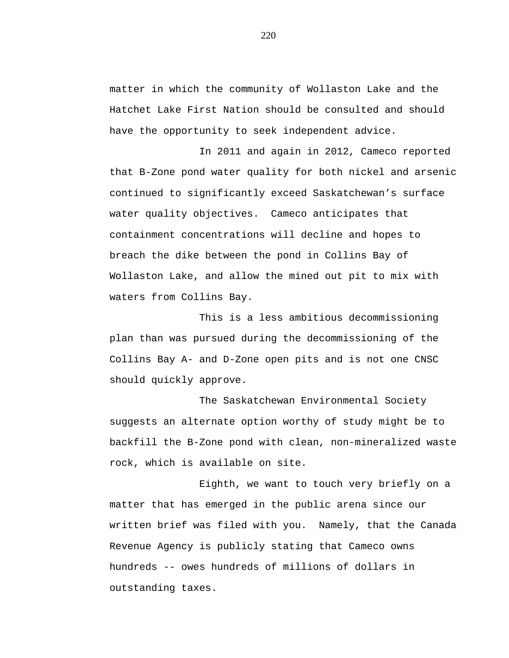matter in which the community of Wollaston Lake and the Hatchet Lake First Nation should be consulted and should have the opportunity to seek independent advice.

In 2011 and again in 2012, Cameco reported that B-Zone pond water quality for both nickel and arsenic continued to significantly exceed Saskatchewan's surface water quality objectives. Cameco anticipates that containment concentrations will decline and hopes to breach the dike between the pond in Collins Bay of Wollaston Lake, and allow the mined out pit to mix with waters from Collins Bay.

This is a less ambitious decommissioning plan than was pursued during the decommissioning of the Collins Bay A- and D-Zone open pits and is not one CNSC should quickly approve.

The Saskatchewan Environmental Society suggests an alternate option worthy of study might be to backfill the B-Zone pond with clean, non-mineralized waste rock, which is available on site.

Eighth, we want to touch very briefly on a matter that has emerged in the public arena since our written brief was filed with you. Namely, that the Canada Revenue Agency is publicly stating that Cameco owns hundreds -- owes hundreds of millions of dollars in outstanding taxes.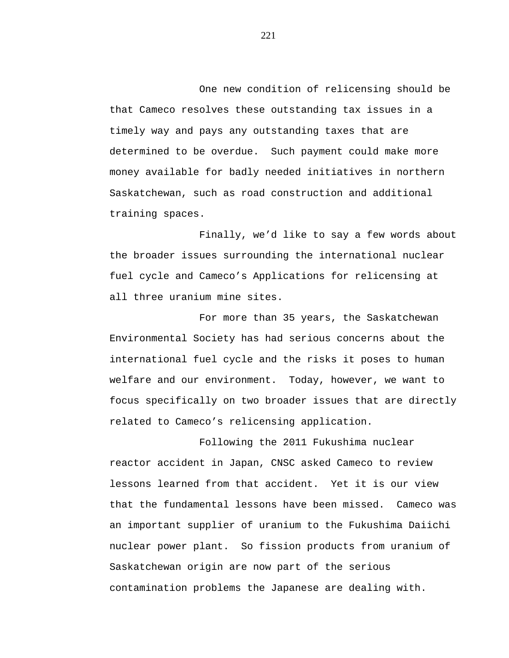One new condition of relicensing should be that Cameco resolves these outstanding tax issues in a timely way and pays any outstanding taxes that are determined to be overdue. Such payment could make more money available for badly needed initiatives in northern Saskatchewan, such as road construction and additional training spaces.

Finally, we'd like to say a few words about the broader issues surrounding the international nuclear fuel cycle and Cameco's Applications for relicensing at all three uranium mine sites.

For more than 35 years, the Saskatchewan Environmental Society has had serious concerns about the international fuel cycle and the risks it poses to human welfare and our environment. Today, however, we want to focus specifically on two broader issues that are directly related to Cameco's relicensing application.

Following the 2011 Fukushima nuclear reactor accident in Japan, CNSC asked Cameco to review lessons learned from that accident. Yet it is our view that the fundamental lessons have been missed. Cameco was an important supplier of uranium to the Fukushima Daiichi nuclear power plant. So fission products from uranium of Saskatchewan origin are now part of the serious contamination problems the Japanese are dealing with.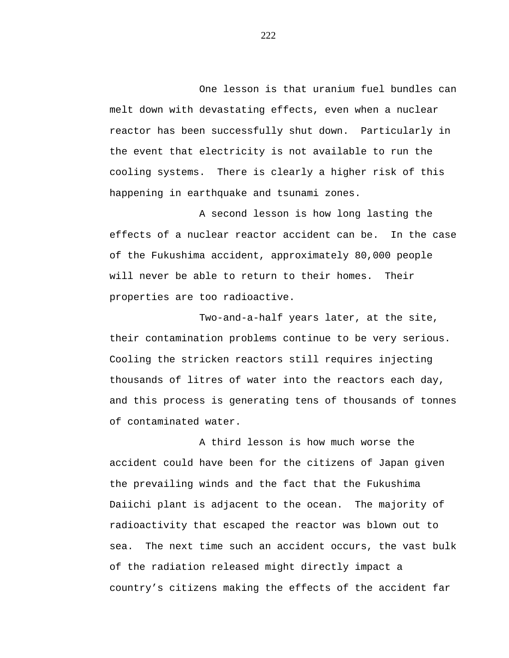One lesson is that uranium fuel bundles can melt down with devastating effects, even when a nuclear reactor has been successfully shut down. Particularly in the event that electricity is not available to run the cooling systems. There is clearly a higher risk of this happening in earthquake and tsunami zones.

A second lesson is how long lasting the effects of a nuclear reactor accident can be. In the case of the Fukushima accident, approximately 80,000 people will never be able to return to their homes. Their properties are too radioactive.

Two-and-a-half years later, at the site, their contamination problems continue to be very serious. Cooling the stricken reactors still requires injecting thousands of litres of water into the reactors each day, and this process is generating tens of thousands of tonnes of contaminated water.

A third lesson is how much worse the accident could have been for the citizens of Japan given the prevailing winds and the fact that the Fukushima Daiichi plant is adjacent to the ocean. The majority of radioactivity that escaped the reactor was blown out to sea. The next time such an accident occurs, the vast bulk of the radiation released might directly impact a country's citizens making the effects of the accident far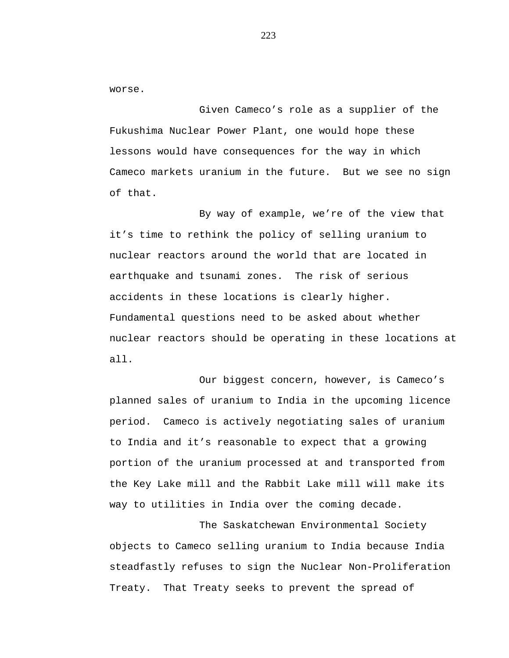worse.

Given Cameco's role as a supplier of the Fukushima Nuclear Power Plant, one would hope these lessons would have consequences for the way in which Cameco markets uranium in the future. But we see no sign of that.

By way of example, we're of the view that it's time to rethink the policy of selling uranium to nuclear reactors around the world that are located in earthquake and tsunami zones. The risk of serious accidents in these locations is clearly higher. Fundamental questions need to be asked about whether nuclear reactors should be operating in these locations at all.

Our biggest concern, however, is Cameco's planned sales of uranium to India in the upcoming licence period. Cameco is actively negotiating sales of uranium to India and it's reasonable to expect that a growing portion of the uranium processed at and transported from the Key Lake mill and the Rabbit Lake mill will make its way to utilities in India over the coming decade.

The Saskatchewan Environmental Society objects to Cameco selling uranium to India because India steadfastly refuses to sign the Nuclear Non-Proliferation Treaty. That Treaty seeks to prevent the spread of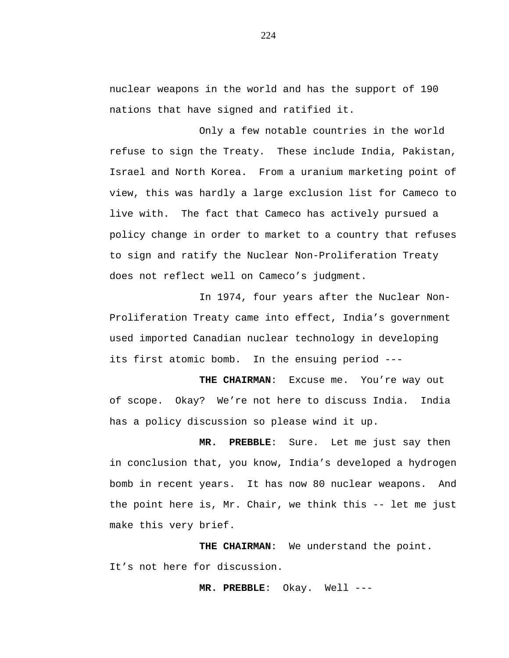nuclear weapons in the world and has the support of 190 nations that have signed and ratified it.

Only a few notable countries in the world refuse to sign the Treaty. These include India, Pakistan, Israel and North Korea. From a uranium marketing point of view, this was hardly a large exclusion list for Cameco to live with. The fact that Cameco has actively pursued a policy change in order to market to a country that refuses to sign and ratify the Nuclear Non-Proliferation Treaty does not reflect well on Cameco's judgment.

In 1974, four years after the Nuclear Non-Proliferation Treaty came into effect, India's government used imported Canadian nuclear technology in developing its first atomic bomb. In the ensuing period ---

**THE CHAIRMAN**: Excuse me. You're way out of scope. Okay? We're not here to discuss India. India has a policy discussion so please wind it up.

**MR. PREBBLE**: Sure. Let me just say then in conclusion that, you know, India's developed a hydrogen bomb in recent years. It has now 80 nuclear weapons. And the point here is, Mr. Chair, we think this -- let me just make this very brief.

**THE CHAIRMAN**: We understand the point. It's not here for discussion.

**MR. PREBBLE**: Okay. Well ---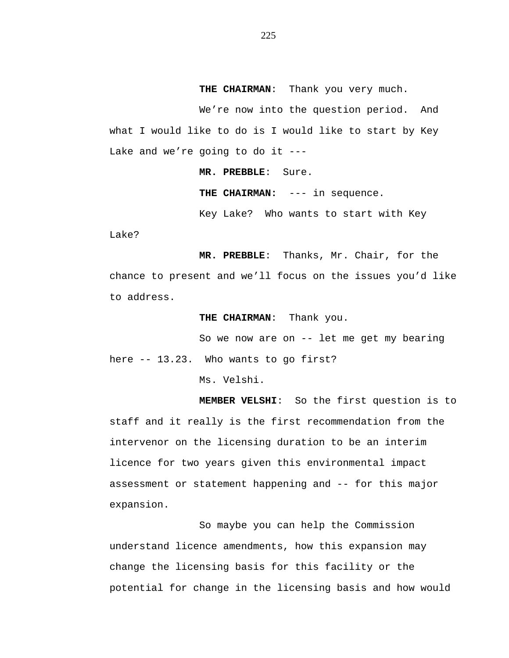**THE CHAIRMAN**: Thank you very much.

We're now into the question period. And what I would like to do is I would like to start by Key Lake and we're going to do it ---

**MR. PREBBLE**: Sure.

**THE CHAIRMAN:** --- in sequence.

Key Lake? Who wants to start with Key

Lake?

**MR. PREBBLE**: Thanks, Mr. Chair, for the chance to present and we'll focus on the issues you'd like to address.

**THE CHAIRMAN**: Thank you.

So we now are on -- let me get my bearing

here -- 13.23. Who wants to go first?

Ms. Velshi.

**MEMBER VELSHI**: So the first question is to staff and it really is the first recommendation from the intervenor on the licensing duration to be an interim licence for two years given this environmental impact assessment or statement happening and -- for this major expansion.

So maybe you can help the Commission understand licence amendments, how this expansion may change the licensing basis for this facility or the potential for change in the licensing basis and how would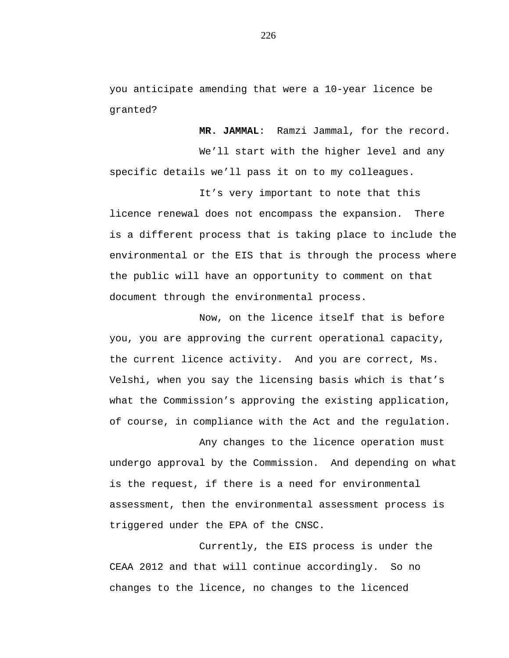you anticipate amending that were a 10-year licence be granted?

**MR. JAMMAL**: Ramzi Jammal, for the record.

We'll start with the higher level and any specific details we'll pass it on to my colleagues.

It's very important to note that this licence renewal does not encompass the expansion. There is a different process that is taking place to include the environmental or the EIS that is through the process where the public will have an opportunity to comment on that document through the environmental process.

Now, on the licence itself that is before you, you are approving the current operational capacity, the current licence activity. And you are correct, Ms. Velshi, when you say the licensing basis which is that's what the Commission's approving the existing application, of course, in compliance with the Act and the regulation.

Any changes to the licence operation must undergo approval by the Commission. And depending on what is the request, if there is a need for environmental assessment, then the environmental assessment process is triggered under the EPA of the CNSC.

Currently, the EIS process is under the CEAA 2012 and that will continue accordingly. So no changes to the licence, no changes to the licenced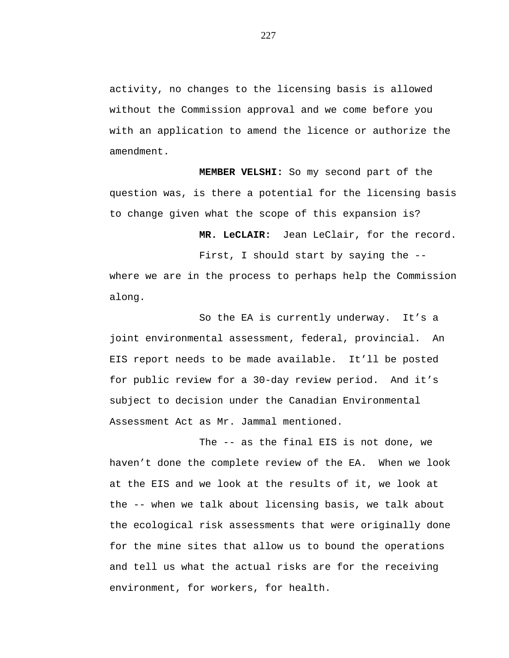activity, no changes to the licensing basis is allowed without the Commission approval and we come before you with an application to amend the licence or authorize the amendment.

**MEMBER VELSHI:** So my second part of the question was, is there a potential for the licensing basis to change given what the scope of this expansion is?

**MR. LeCLAIR:** Jean LeClair, for the record.

First, I should start by saying the - where we are in the process to perhaps help the Commission along.

So the EA is currently underway. It's a joint environmental assessment, federal, provincial. An EIS report needs to be made available. It'll be posted for public review for a 30-day review period. And it's subject to decision under the Canadian Environmental Assessment Act as Mr. Jammal mentioned.

The -- as the final EIS is not done, we haven't done the complete review of the EA. When we look at the EIS and we look at the results of it, we look at the -- when we talk about licensing basis, we talk about the ecological risk assessments that were originally done for the mine sites that allow us to bound the operations and tell us what the actual risks are for the receiving environment, for workers, for health.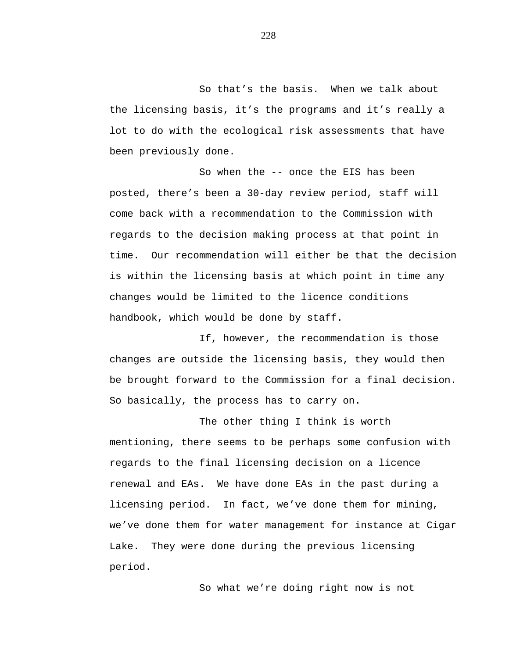So that's the basis. When we talk about the licensing basis, it's the programs and it's really a lot to do with the ecological risk assessments that have been previously done.

So when the -- once the EIS has been posted, there's been a 30-day review period, staff will come back with a recommendation to the Commission with regards to the decision making process at that point in time. Our recommendation will either be that the decision is within the licensing basis at which point in time any changes would be limited to the licence conditions handbook, which would be done by staff.

If, however, the recommendation is those changes are outside the licensing basis, they would then be brought forward to the Commission for a final decision. So basically, the process has to carry on.

The other thing I think is worth mentioning, there seems to be perhaps some confusion with regards to the final licensing decision on a licence renewal and EAs. We have done EAs in the past during a licensing period. In fact, we've done them for mining, we've done them for water management for instance at Cigar Lake. They were done during the previous licensing period.

So what we're doing right now is not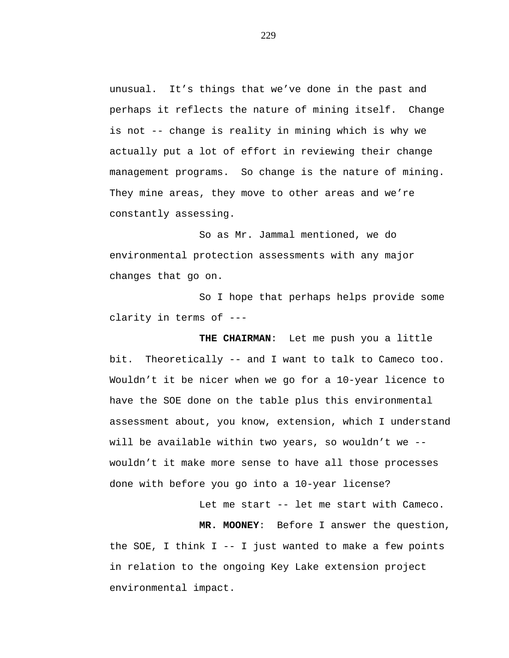unusual. It's things that we've done in the past and perhaps it reflects the nature of mining itself. Change is not -- change is reality in mining which is why we actually put a lot of effort in reviewing their change management programs. So change is the nature of mining. They mine areas, they move to other areas and we're constantly assessing.

So as Mr. Jammal mentioned, we do environmental protection assessments with any major changes that go on.

So I hope that perhaps helps provide some clarity in terms of ---

**THE CHAIRMAN**: Let me push you a little bit. Theoretically -- and I want to talk to Cameco too. Wouldn't it be nicer when we go for a 10-year licence to have the SOE done on the table plus this environmental assessment about, you know, extension, which I understand will be available within two years, so wouldn't we - wouldn't it make more sense to have all those processes done with before you go into a 10-year license?

Let me start -- let me start with Cameco.

**MR. MOONEY**: Before I answer the question, the SOE, I think I -- I just wanted to make a few points in relation to the ongoing Key Lake extension project environmental impact.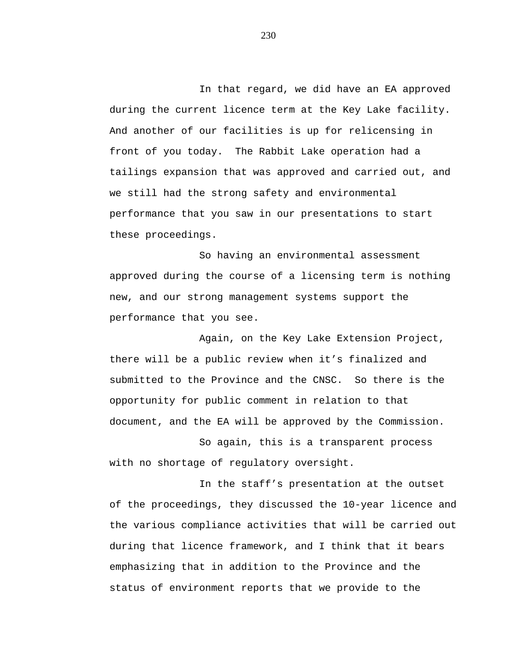In that regard, we did have an EA approved during the current licence term at the Key Lake facility. And another of our facilities is up for relicensing in front of you today. The Rabbit Lake operation had a tailings expansion that was approved and carried out, and we still had the strong safety and environmental performance that you saw in our presentations to start these proceedings.

So having an environmental assessment approved during the course of a licensing term is nothing new, and our strong management systems support the performance that you see.

Again, on the Key Lake Extension Project, there will be a public review when it's finalized and submitted to the Province and the CNSC. So there is the opportunity for public comment in relation to that document, and the EA will be approved by the Commission.

So again, this is a transparent process with no shortage of regulatory oversight.

In the staff's presentation at the outset of the proceedings, they discussed the 10-year licence and the various compliance activities that will be carried out during that licence framework, and I think that it bears emphasizing that in addition to the Province and the status of environment reports that we provide to the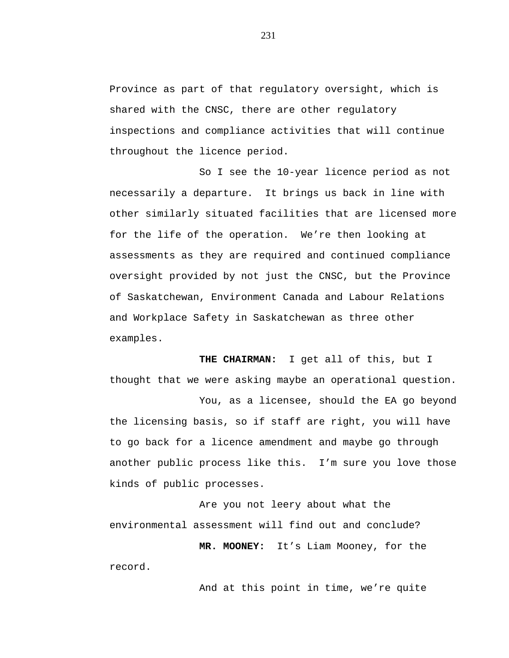Province as part of that regulatory oversight, which is shared with the CNSC, there are other regulatory inspections and compliance activities that will continue throughout the licence period.

So I see the 10-year licence period as not necessarily a departure. It brings us back in line with other similarly situated facilities that are licensed more for the life of the operation. We're then looking at assessments as they are required and continued compliance oversight provided by not just the CNSC, but the Province of Saskatchewan, Environment Canada and Labour Relations and Workplace Safety in Saskatchewan as three other examples.

**THE CHAIRMAN:** I get all of this, but I thought that we were asking maybe an operational question. You, as a licensee, should the EA go beyond

the licensing basis, so if staff are right, you will have to go back for a licence amendment and maybe go through another public process like this. I'm sure you love those kinds of public processes.

Are you not leery about what the environmental assessment will find out and conclude?

**MR. MOONEY:** It's Liam Mooney, for the record.

And at this point in time, we're quite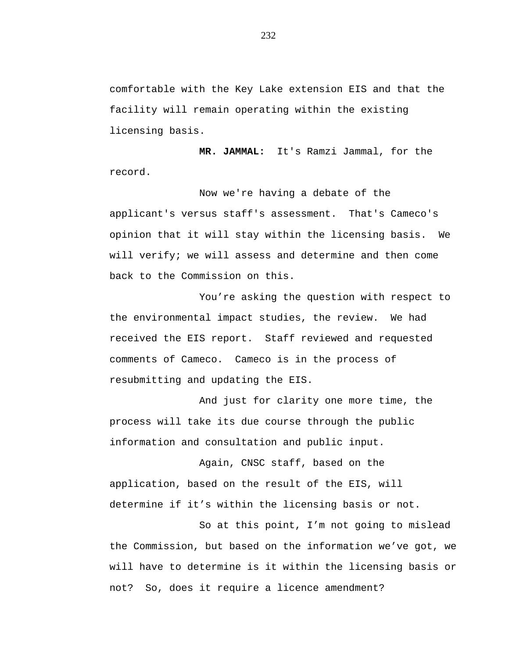comfortable with the Key Lake extension EIS and that the facility will remain operating within the existing licensing basis.

**MR. JAMMAL:** It's Ramzi Jammal, for the record.

Now we're having a debate of the applicant's versus staff's assessment. That's Cameco's opinion that it will stay within the licensing basis. We will verify; we will assess and determine and then come back to the Commission on this.

You're asking the question with respect to the environmental impact studies, the review. We had received the EIS report. Staff reviewed and requested comments of Cameco. Cameco is in the process of resubmitting and updating the EIS.

And just for clarity one more time, the process will take its due course through the public information and consultation and public input.

Again, CNSC staff, based on the application, based on the result of the EIS, will determine if it's within the licensing basis or not.

So at this point, I'm not going to mislead the Commission, but based on the information we've got, we will have to determine is it within the licensing basis or not? So, does it require a licence amendment?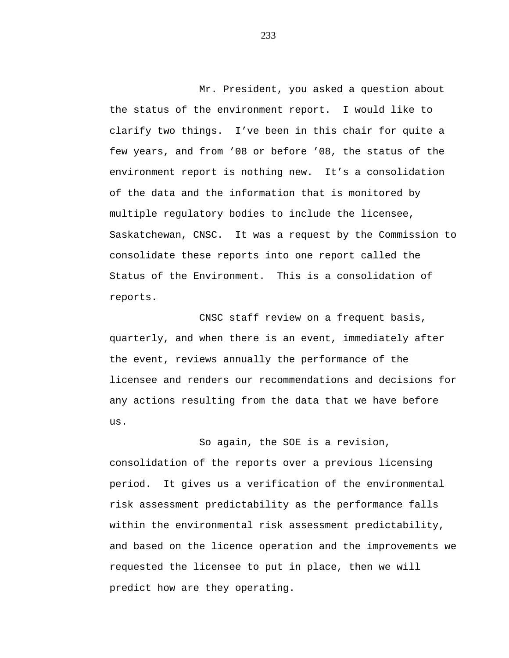Mr. President, you asked a question about the status of the environment report. I would like to clarify two things. I've been in this chair for quite a few years, and from '08 or before '08, the status of the environment report is nothing new. It's a consolidation of the data and the information that is monitored by multiple regulatory bodies to include the licensee, Saskatchewan, CNSC. It was a request by the Commission to consolidate these reports into one report called the Status of the Environment. This is a consolidation of reports.

CNSC staff review on a frequent basis, quarterly, and when there is an event, immediately after the event, reviews annually the performance of the licensee and renders our recommendations and decisions for any actions resulting from the data that we have before us.

So again, the SOE is a revision, consolidation of the reports over a previous licensing period. It gives us a verification of the environmental risk assessment predictability as the performance falls within the environmental risk assessment predictability, and based on the licence operation and the improvements we requested the licensee to put in place, then we will predict how are they operating.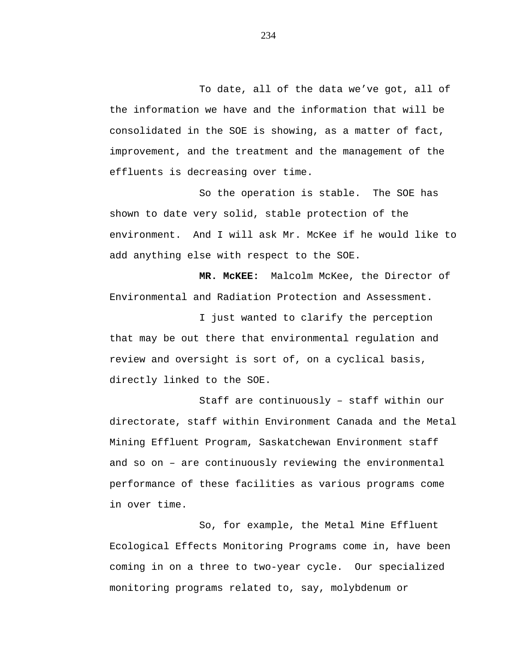To date, all of the data we've got, all of the information we have and the information that will be consolidated in the SOE is showing, as a matter of fact, improvement, and the treatment and the management of the effluents is decreasing over time.

So the operation is stable. The SOE has shown to date very solid, stable protection of the environment. And I will ask Mr. McKee if he would like to add anything else with respect to the SOE.

**MR. McKEE:** Malcolm McKee, the Director of Environmental and Radiation Protection and Assessment.

I just wanted to clarify the perception that may be out there that environmental regulation and review and oversight is sort of, on a cyclical basis, directly linked to the SOE.

Staff are continuously – staff within our directorate, staff within Environment Canada and the Metal Mining Effluent Program, Saskatchewan Environment staff and so on – are continuously reviewing the environmental performance of these facilities as various programs come in over time.

So, for example, the Metal Mine Effluent Ecological Effects Monitoring Programs come in, have been coming in on a three to two-year cycle. Our specialized monitoring programs related to, say, molybdenum or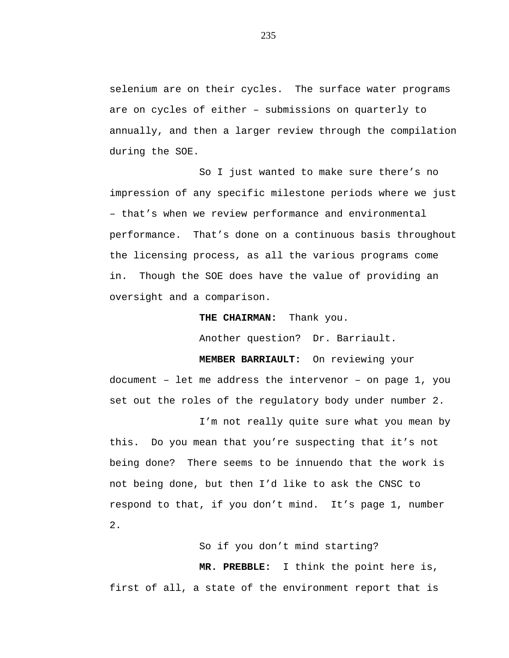selenium are on their cycles. The surface water programs are on cycles of either – submissions on quarterly to annually, and then a larger review through the compilation during the SOE.

So I just wanted to make sure there's no impression of any specific milestone periods where we just – that's when we review performance and environmental performance. That's done on a continuous basis throughout the licensing process, as all the various programs come in. Though the SOE does have the value of providing an oversight and a comparison.

**THE CHAIRMAN:** Thank you.

Another question? Dr. Barriault.

**MEMBER BARRIAULT:** On reviewing your document – let me address the intervenor – on page 1, you set out the roles of the regulatory body under number 2.

I'm not really quite sure what you mean by this. Do you mean that you're suspecting that it's not being done? There seems to be innuendo that the work is not being done, but then I'd like to ask the CNSC to respond to that, if you don't mind. It's page 1, number 2.

So if you don't mind starting?

**MR. PREBBLE:** I think the point here is, first of all, a state of the environment report that is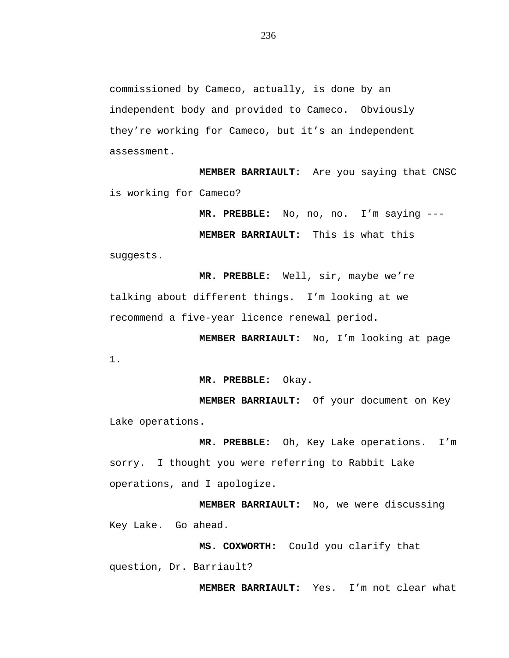commissioned by Cameco, actually, is done by an independent body and provided to Cameco. Obviously they're working for Cameco, but it's an independent assessment.

**MEMBER BARRIAULT:** Are you saying that CNSC is working for Cameco?

**MR. PREBBLE:** No, no, no. I'm saying ---

**MEMBER BARRIAULT:** This is what this

suggests.

**MR. PREBBLE:** Well, sir, maybe we're talking about different things. I'm looking at we recommend a five-year licence renewal period.

**MEMBER BARRIAULT:** No, I'm looking at page 1.

**MR. PREBBLE:** Okay.

**MEMBER BARRIAULT:** Of your document on Key Lake operations.

**MR. PREBBLE:** Oh, Key Lake operations. I'm sorry. I thought you were referring to Rabbit Lake operations, and I apologize.

**MEMBER BARRIAULT:** No, we were discussing Key Lake. Go ahead.

**MS. COXWORTH:** Could you clarify that question, Dr. Barriault?

**MEMBER BARRIAULT:** Yes. I'm not clear what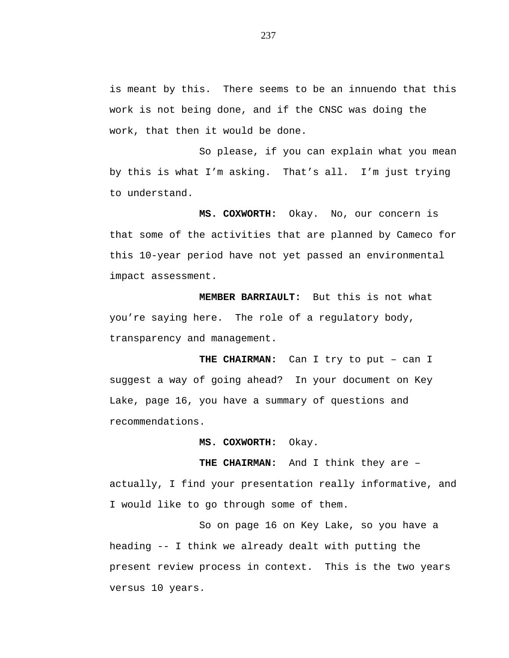is meant by this. There seems to be an innuendo that this work is not being done, and if the CNSC was doing the work, that then it would be done.

So please, if you can explain what you mean by this is what I'm asking. That's all. I'm just trying to understand.

**MS. COXWORTH:** Okay. No, our concern is that some of the activities that are planned by Cameco for this 10-year period have not yet passed an environmental impact assessment.

**MEMBER BARRIAULT:** But this is not what you're saying here. The role of a regulatory body, transparency and management.

**THE CHAIRMAN:** Can I try to put – can I suggest a way of going ahead? In your document on Key Lake, page 16, you have a summary of questions and recommendations.

**MS. COXWORTH:** Okay.

actually, I find your presentation really informative, and I would like to go through some of them.

**THE CHAIRMAN:** And I think they are –

So on page 16 on Key Lake, so you have a heading -- I think we already dealt with putting the present review process in context. This is the two years versus 10 years.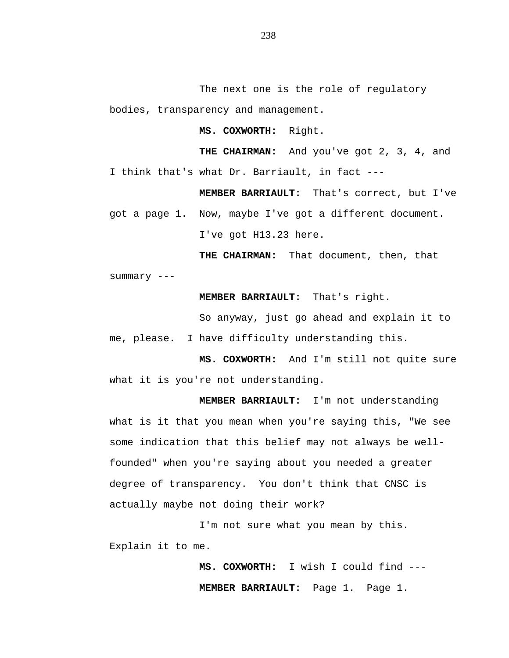The next one is the role of regulatory bodies, transparency and management.

**MS. COXWORTH:** Right.

**THE CHAIRMAN:** And you've got 2, 3, 4, and I think that's what Dr. Barriault, in fact ---

**MEMBER BARRIAULT:** That's correct, but I've got a page 1. Now, maybe I've got a different document.

I've got H13.23 here.

**THE CHAIRMAN:** That document, then, that

summary ---

**MEMBER BARRIAULT:** That's right.

So anyway, just go ahead and explain it to me, please. I have difficulty understanding this.

**MS. COXWORTH:** And I'm still not quite sure what it is you're not understanding.

**MEMBER BARRIAULT:** I'm not understanding what is it that you mean when you're saying this, "We see some indication that this belief may not always be wellfounded" when you're saying about you needed a greater degree of transparency. You don't think that CNSC is actually maybe not doing their work?

I'm not sure what you mean by this. Explain it to me.

> **MS. COXWORTH:** I wish I could find --- **MEMBER BARRIAULT:** Page 1. Page 1.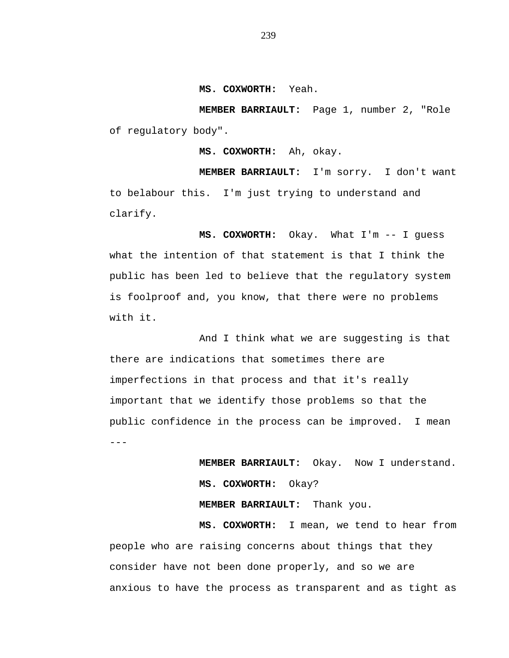## **MS. COXWORTH:** Yeah.

**MEMBER BARRIAULT:** Page 1, number 2, "Role of regulatory body".

**MS. COXWORTH:** Ah, okay.

**MEMBER BARRIAULT:** I'm sorry. I don't want to belabour this. I'm just trying to understand and clarify.

**MS. COXWORTH:** Okay. What I'm -- I guess what the intention of that statement is that I think the public has been led to believe that the regulatory system is foolproof and, you know, that there were no problems with it.

And I think what we are suggesting is that there are indications that sometimes there are imperfections in that process and that it's really important that we identify those problems so that the public confidence in the process can be improved. I mean ---

> **MEMBER BARRIAULT:** Okay. Now I understand. **MS. COXWORTH:** Okay?

**MEMBER BARRIAULT:** Thank you.

**MS. COXWORTH:** I mean, we tend to hear from people who are raising concerns about things that they consider have not been done properly, and so we are anxious to have the process as transparent and as tight as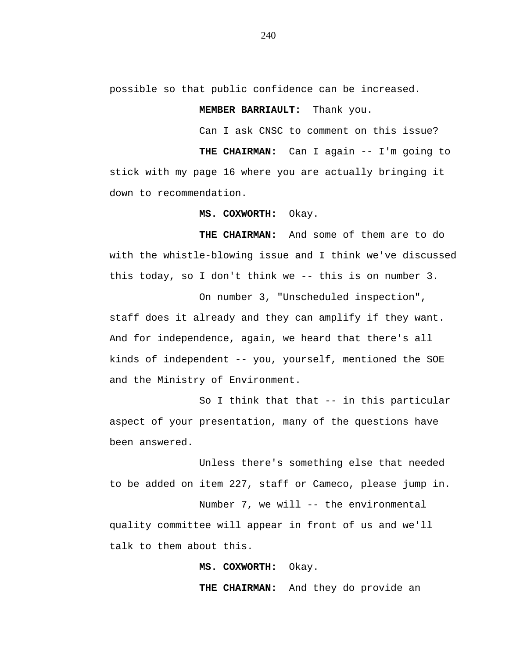possible so that public confidence can be increased.

**MEMBER BARRIAULT:** Thank you.

Can I ask CNSC to comment on this issue?

**THE CHAIRMAN:** Can I again -- I'm going to stick with my page 16 where you are actually bringing it down to recommendation.

**MS. COXWORTH:** Okay.

**THE CHAIRMAN:** And some of them are to do with the whistle-blowing issue and I think we've discussed this today, so I don't think we -- this is on number 3.

On number 3, "Unscheduled inspection", staff does it already and they can amplify if they want. And for independence, again, we heard that there's all kinds of independent -- you, yourself, mentioned the SOE and the Ministry of Environment.

So I think that that -- in this particular aspect of your presentation, many of the questions have been answered.

Unless there's something else that needed to be added on item 227, staff or Cameco, please jump in.

Number 7, we will -- the environmental quality committee will appear in front of us and we'll talk to them about this.

**MS. COXWORTH:** Okay.

**THE CHAIRMAN:** And they do provide an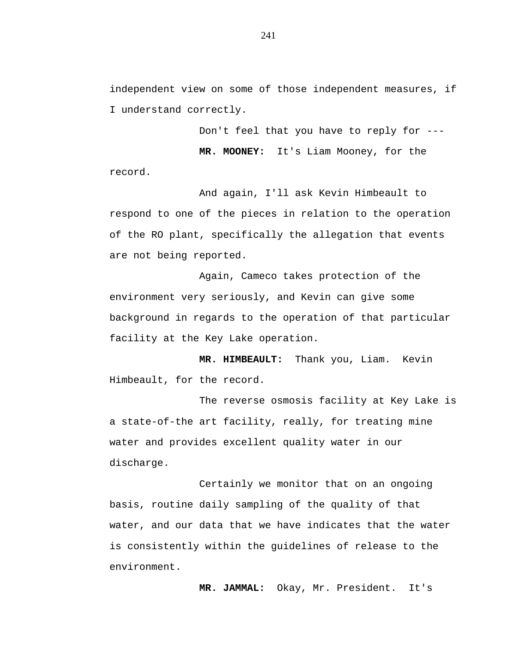independent view on some of those independent measures, if I understand correctly.

Don't feel that you have to reply for --- **MR. MOONEY:** It's Liam Mooney, for the record.

And again, I'll ask Kevin Himbeault to respond to one of the pieces in relation to the operation of the RO plant, specifically the allegation that events are not being reported.

Again, Cameco takes protection of the environment very seriously, and Kevin can give some background in regards to the operation of that particular facility at the Key Lake operation.

**MR. HIMBEAULT:** Thank you, Liam. Kevin Himbeault, for the record.

The reverse osmosis facility at Key Lake is a state-of-the art facility, really, for treating mine water and provides excellent quality water in our discharge.

Certainly we monitor that on an ongoing basis, routine daily sampling of the quality of that water, and our data that we have indicates that the water is consistently within the guidelines of release to the environment.

**MR. JAMMAL:** Okay, Mr. President. It's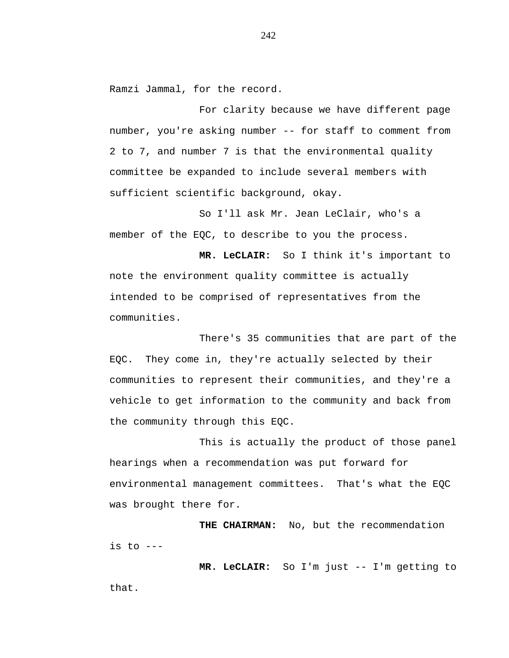Ramzi Jammal, for the record.

For clarity because we have different page number, you're asking number -- for staff to comment from 2 to 7, and number 7 is that the environmental quality committee be expanded to include several members with sufficient scientific background, okay.

So I'll ask Mr. Jean LeClair, who's a member of the EQC, to describe to you the process.

**MR. LeCLAIR:** So I think it's important to note the environment quality committee is actually intended to be comprised of representatives from the communities.

There's 35 communities that are part of the EQC. They come in, they're actually selected by their communities to represent their communities, and they're a vehicle to get information to the community and back from the community through this EQC.

This is actually the product of those panel hearings when a recommendation was put forward for environmental management committees. That's what the EQC was brought there for.

THE CHAIRMAN: No, but the recommendation is to  $---$ 

**MR. LeCLAIR:** So I'm just -- I'm getting to that.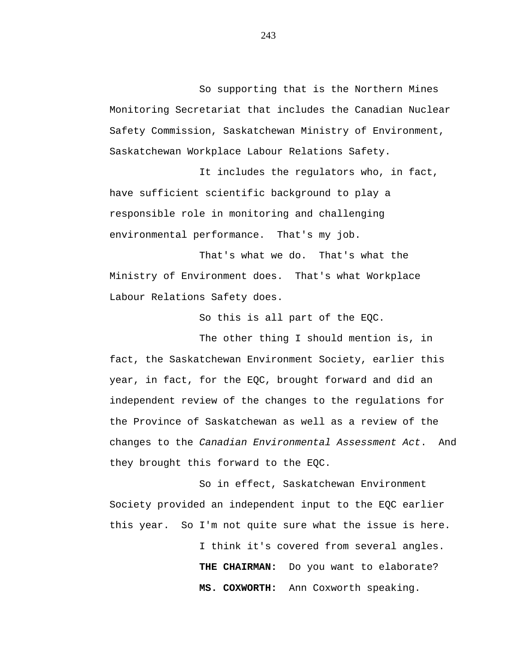So supporting that is the Northern Mines Monitoring Secretariat that includes the Canadian Nuclear Safety Commission, Saskatchewan Ministry of Environment, Saskatchewan Workplace Labour Relations Safety.

It includes the regulators who, in fact, have sufficient scientific background to play a responsible role in monitoring and challenging environmental performance. That's my job.

That's what we do. That's what the Ministry of Environment does. That's what Workplace Labour Relations Safety does.

So this is all part of the EQC.

The other thing I should mention is, in fact, the Saskatchewan Environment Society, earlier this year, in fact, for the EQC, brought forward and did an independent review of the changes to the regulations for the Province of Saskatchewan as well as a review of the changes to the *Canadian Environmental Assessment Act*. And they brought this forward to the EQC.

So in effect, Saskatchewan Environment Society provided an independent input to the EQC earlier this year. So I'm not quite sure what the issue is here.

> I think it's covered from several angles. **THE CHAIRMAN:** Do you want to elaborate? **MS. COXWORTH:** Ann Coxworth speaking.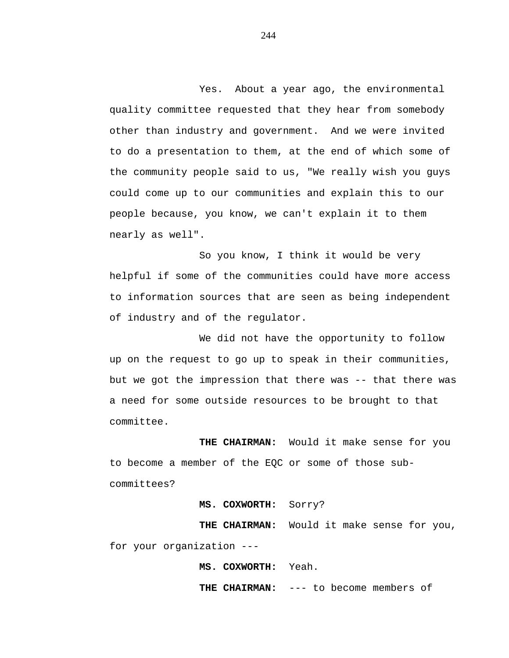Yes. About a year ago, the environmental quality committee requested that they hear from somebody other than industry and government. And we were invited to do a presentation to them, at the end of which some of the community people said to us, "We really wish you guys could come up to our communities and explain this to our people because, you know, we can't explain it to them nearly as well".

So you know, I think it would be very helpful if some of the communities could have more access to information sources that are seen as being independent of industry and of the regulator.

We did not have the opportunity to follow up on the request to go up to speak in their communities, but we got the impression that there was -- that there was a need for some outside resources to be brought to that committee.

**THE CHAIRMAN:** Would it make sense for you to become a member of the EQC or some of those subcommittees?

## **MS. COXWORTH:** Sorry?

**THE CHAIRMAN:** Would it make sense for you, for your organization ---

## **MS. COXWORTH:** Yeah.

**THE CHAIRMAN:** --- to become members of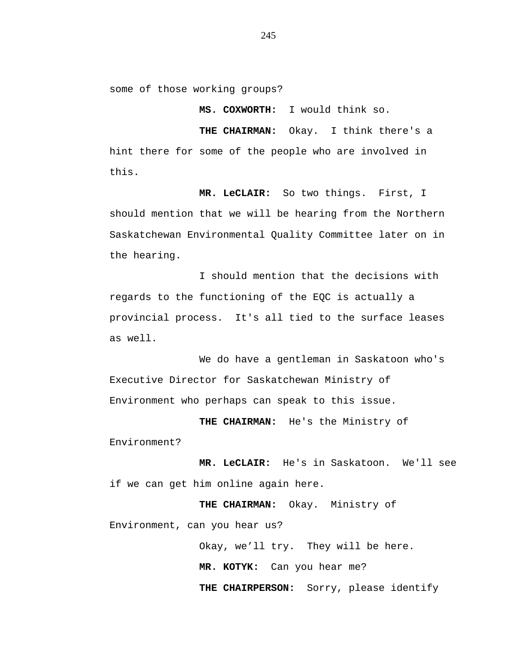some of those working groups?

**MS. COXWORTH:** I would think so.

**THE CHAIRMAN:** Okay. I think there's a hint there for some of the people who are involved in this.

**MR. LeCLAIR:** So two things. First, I should mention that we will be hearing from the Northern Saskatchewan Environmental Quality Committee later on in the hearing.

I should mention that the decisions with regards to the functioning of the EQC is actually a provincial process. It's all tied to the surface leases as well.

We do have a gentleman in Saskatoon who's Executive Director for Saskatchewan Ministry of Environment who perhaps can speak to this issue.

**THE CHAIRMAN:** He's the Ministry of Environment?

**MR. LeCLAIR:** He's in Saskatoon. We'll see if we can get him online again here.

**THE CHAIRMAN:** Okay. Ministry of Environment, can you hear us?

> Okay, we'll try. They will be here. **MR. KOTYK:** Can you hear me? **THE CHAIRPERSON:** Sorry, please identify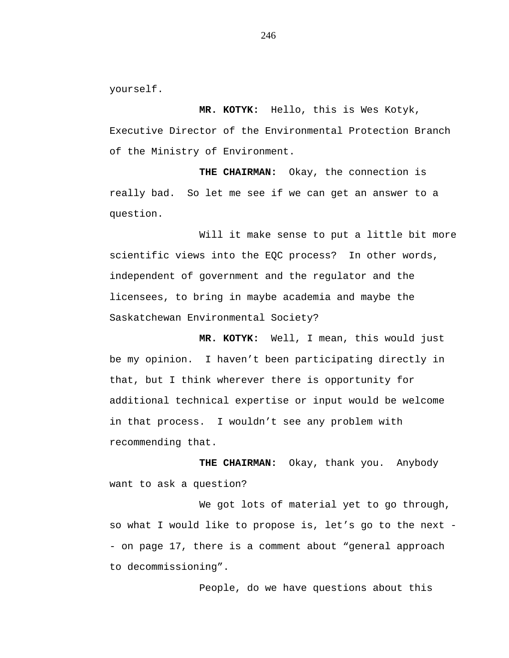yourself.

**MR. KOTYK:** Hello, this is Wes Kotyk, Executive Director of the Environmental Protection Branch of the Ministry of Environment.

**THE CHAIRMAN:** Okay, the connection is really bad. So let me see if we can get an answer to a question.

Will it make sense to put a little bit more scientific views into the EQC process? In other words, independent of government and the regulator and the licensees, to bring in maybe academia and maybe the Saskatchewan Environmental Society?

**MR. KOTYK:** Well, I mean, this would just be my opinion. I haven't been participating directly in that, but I think wherever there is opportunity for additional technical expertise or input would be welcome in that process. I wouldn't see any problem with recommending that.

**THE CHAIRMAN:** Okay, thank you. Anybody want to ask a question?

We got lots of material yet to go through, so what I would like to propose is, let's go to the next - - on page 17, there is a comment about "general approach to decommissioning".

People, do we have questions about this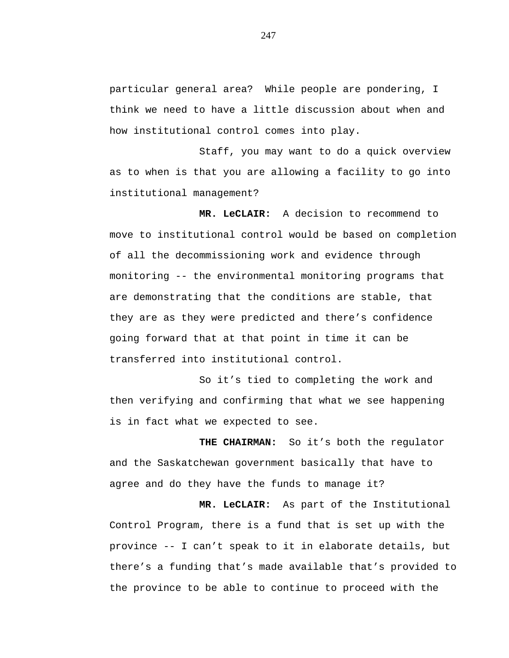particular general area? While people are pondering, I think we need to have a little discussion about when and how institutional control comes into play.

Staff, you may want to do a quick overview as to when is that you are allowing a facility to go into institutional management?

**MR. LeCLAIR:** A decision to recommend to move to institutional control would be based on completion of all the decommissioning work and evidence through monitoring -- the environmental monitoring programs that are demonstrating that the conditions are stable, that they are as they were predicted and there's confidence going forward that at that point in time it can be transferred into institutional control.

So it's tied to completing the work and then verifying and confirming that what we see happening is in fact what we expected to see.

**THE CHAIRMAN:** So it's both the regulator and the Saskatchewan government basically that have to agree and do they have the funds to manage it?

**MR. LeCLAIR:** As part of the Institutional Control Program, there is a fund that is set up with the province -- I can't speak to it in elaborate details, but there's a funding that's made available that's provided to the province to be able to continue to proceed with the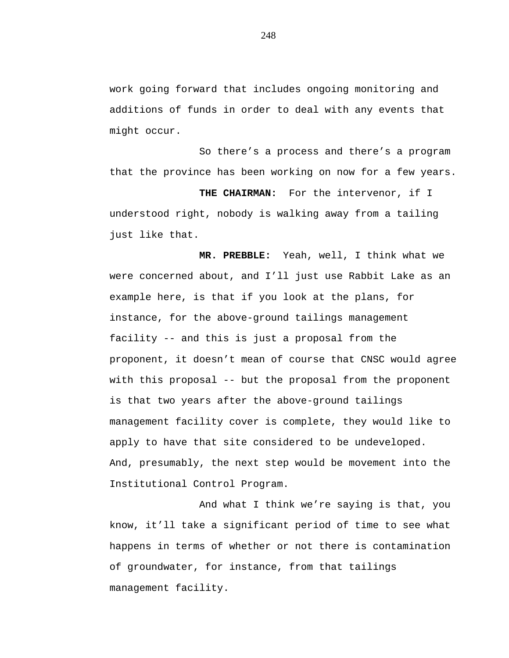work going forward that includes ongoing monitoring and additions of funds in order to deal with any events that might occur.

So there's a process and there's a program that the province has been working on now for a few years.

**THE CHAIRMAN:** For the intervenor, if I understood right, nobody is walking away from a tailing just like that.

**MR. PREBBLE:** Yeah, well, I think what we were concerned about, and I'll just use Rabbit Lake as an example here, is that if you look at the plans, for instance, for the above-ground tailings management facility -- and this is just a proposal from the proponent, it doesn't mean of course that CNSC would agree with this proposal -- but the proposal from the proponent is that two years after the above-ground tailings management facility cover is complete, they would like to apply to have that site considered to be undeveloped. And, presumably, the next step would be movement into the Institutional Control Program.

And what I think we're saying is that, you know, it'll take a significant period of time to see what happens in terms of whether or not there is contamination of groundwater, for instance, from that tailings management facility.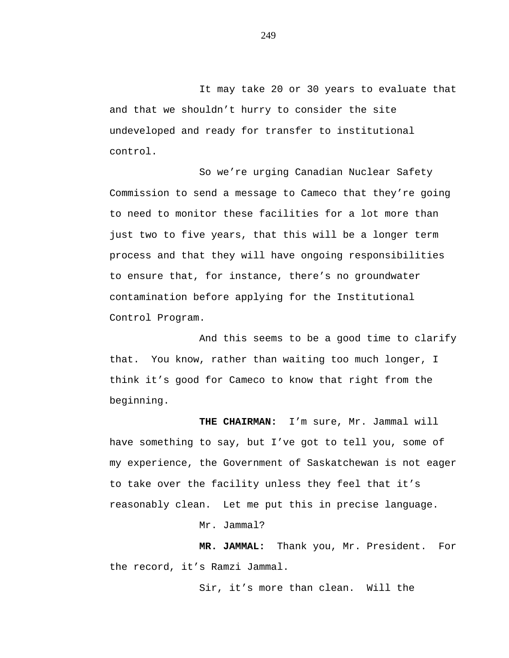It may take 20 or 30 years to evaluate that and that we shouldn't hurry to consider the site undeveloped and ready for transfer to institutional control.

So we're urging Canadian Nuclear Safety Commission to send a message to Cameco that they're going to need to monitor these facilities for a lot more than just two to five years, that this will be a longer term process and that they will have ongoing responsibilities to ensure that, for instance, there's no groundwater contamination before applying for the Institutional Control Program.

And this seems to be a good time to clarify that. You know, rather than waiting too much longer, I think it's good for Cameco to know that right from the beginning.

**THE CHAIRMAN:** I'm sure, Mr. Jammal will have something to say, but I've got to tell you, some of my experience, the Government of Saskatchewan is not eager to take over the facility unless they feel that it's reasonably clean.Let me put this in precise language.

Mr. Jammal?

**MR. JAMMAL:** Thank you, Mr. President. For the record, it's Ramzi Jammal.

Sir, it's more than clean. Will the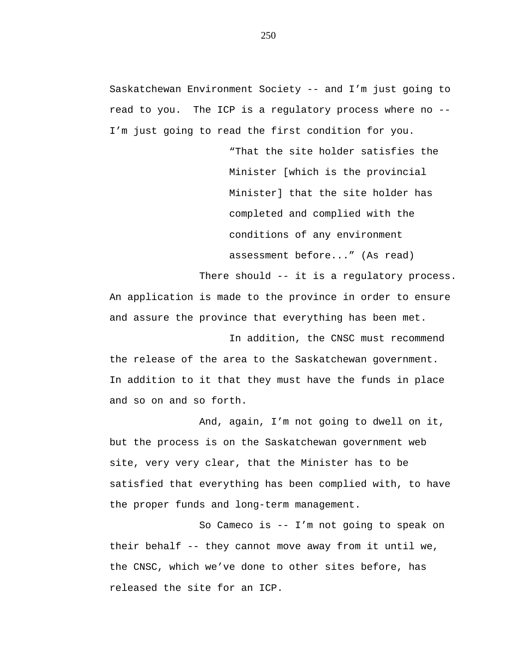Saskatchewan Environment Society -- and I'm just going to read to you. The ICP is a regulatory process where no -- I'm just going to read the first condition for you.

> "That the site holder satisfies the Minister [which is the provincial Minister] that the site holder has completed and complied with the conditions of any environment assessment before..." (As read)

There should -- it is a regulatory process. An application is made to the province in order to ensure and assure the province that everything has been met.

In addition, the CNSC must recommend the release of the area to the Saskatchewan government. In addition to it that they must have the funds in place and so on and so forth.

And, again, I'm not going to dwell on it, but the process is on the Saskatchewan government web site, very very clear, that the Minister has to be satisfied that everything has been complied with, to have the proper funds and long-term management.

So Cameco is -- I'm not going to speak on their behalf -- they cannot move away from it until we, the CNSC, which we've done to other sites before, has released the site for an ICP.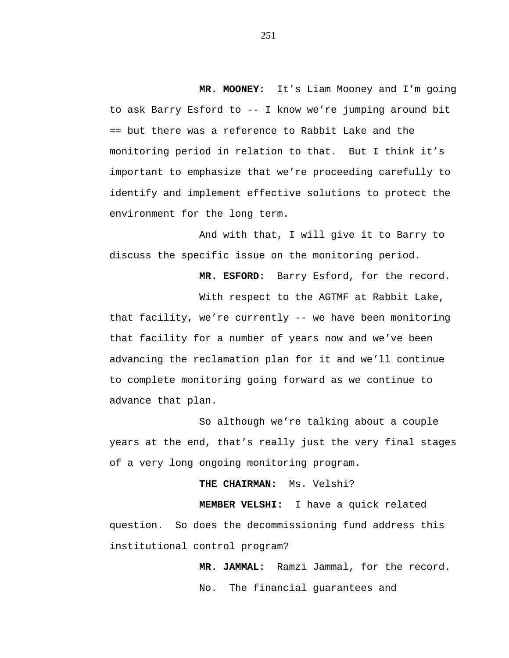**MR. MOONEY:** It's Liam Mooney and I'm going to ask Barry Esford to -- I know we're jumping around bit == but there was a reference to Rabbit Lake and the monitoring period in relation to that. But I think it's important to emphasize that we're proceeding carefully to identify and implement effective solutions to protect the environment for the long term.

And with that, I will give it to Barry to discuss the specific issue on the monitoring period.

**MR. ESFORD:** Barry Esford, for the record.

With respect to the AGTMF at Rabbit Lake, that facility, we're currently -- we have been monitoring that facility for a number of years now and we've been advancing the reclamation plan for it and we'll continue to complete monitoring going forward as we continue to advance that plan.

So although we're talking about a couple years at the end, that's really just the very final stages of a very long ongoing monitoring program.

**THE CHAIRMAN:** Ms. Velshi?

**MEMBER VELSHI:** I have a quick related question. So does the decommissioning fund address this institutional control program?

> **MR. JAMMAL:** Ramzi Jammal, for the record. No. The financial guarantees and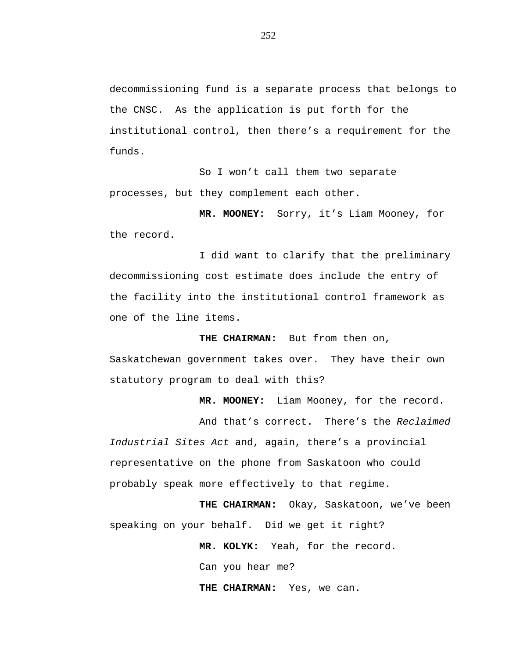decommissioning fund is a separate process that belongs to the CNSC. As the application is put forth for the institutional control, then there's a requirement for the funds.

So I won't call them two separate processes, but they complement each other.

**MR. MOONEY:** Sorry, it's Liam Mooney, for the record.

I did want to clarify that the preliminary decommissioning cost estimate does include the entry of the facility into the institutional control framework as one of the line items.

**THE CHAIRMAN:** But from then on, Saskatchewan government takes over. They have their own statutory program to deal with this?

**MR. MOONEY:** Liam Mooney, for the record.

And that's correct. There's the *Reclaimed Industrial Sites Act* and, again, there's a provincial representative on the phone from Saskatoon who could probably speak more effectively to that regime.

**THE CHAIRMAN:** Okay, Saskatoon, we've been speaking on your behalf. Did we get it right?

> **MR. KOLYK:** Yeah, for the record. Can you hear me? **THE CHAIRMAN:** Yes, we can.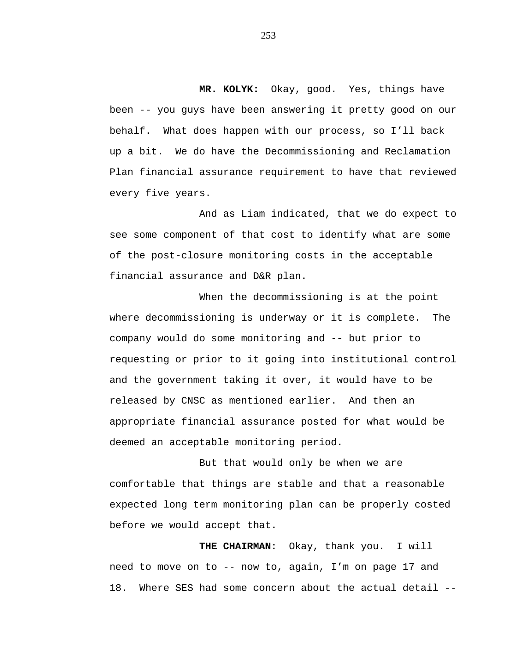**MR. KOLYK:** Okay, good. Yes, things have been -- you guys have been answering it pretty good on our behalf. What does happen with our process, so I'll back up a bit. We do have the Decommissioning and Reclamation Plan financial assurance requirement to have that reviewed every five years.

And as Liam indicated, that we do expect to see some component of that cost to identify what are some of the post-closure monitoring costs in the acceptable financial assurance and D&R plan.

When the decommissioning is at the point where decommissioning is underway or it is complete. The company would do some monitoring and -- but prior to requesting or prior to it going into institutional control and the government taking it over, it would have to be released by CNSC as mentioned earlier. And then an appropriate financial assurance posted for what would be deemed an acceptable monitoring period.

But that would only be when we are comfortable that things are stable and that a reasonable expected long term monitoring plan can be properly costed before we would accept that.

**THE CHAIRMAN**: Okay, thank you. I will need to move on to -- now to, again, I'm on page 17 and 18. Where SES had some concern about the actual detail --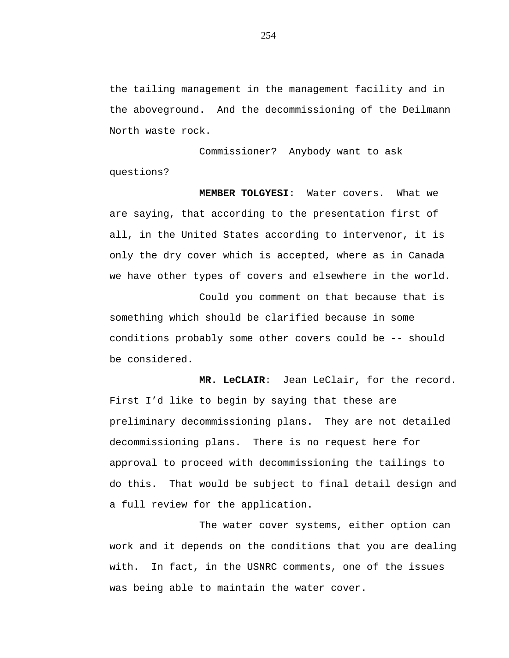the tailing management in the management facility and in the aboveground. And the decommissioning of the Deilmann North waste rock.

Commissioner? Anybody want to ask questions?

**MEMBER TOLGYESI**: Water covers. What we are saying, that according to the presentation first of all, in the United States according to intervenor, it is only the dry cover which is accepted, where as in Canada we have other types of covers and elsewhere in the world.

Could you comment on that because that is something which should be clarified because in some conditions probably some other covers could be -- should be considered.

**MR. LeCLAIR**: Jean LeClair, for the record. First I'd like to begin by saying that these are preliminary decommissioning plans. They are not detailed decommissioning plans. There is no request here for approval to proceed with decommissioning the tailings to do this. That would be subject to final detail design and a full review for the application.

The water cover systems, either option can work and it depends on the conditions that you are dealing with. In fact, in the USNRC comments, one of the issues was being able to maintain the water cover.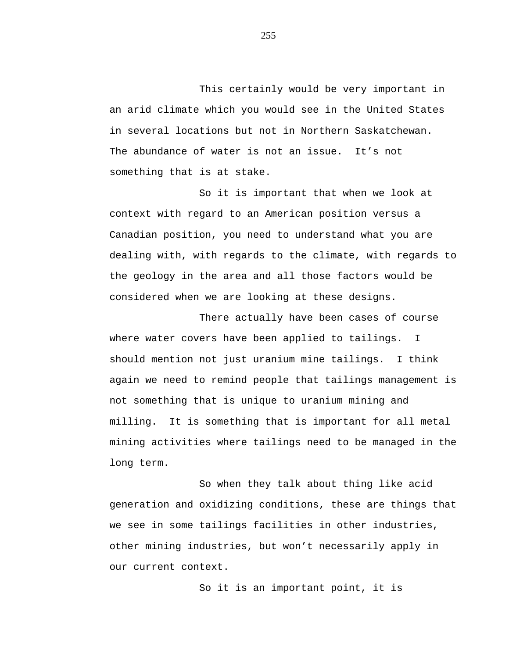This certainly would be very important in an arid climate which you would see in the United States in several locations but not in Northern Saskatchewan. The abundance of water is not an issue. It's not something that is at stake.

So it is important that when we look at context with regard to an American position versus a Canadian position, you need to understand what you are dealing with, with regards to the climate, with regards to the geology in the area and all those factors would be considered when we are looking at these designs.

There actually have been cases of course where water covers have been applied to tailings. I should mention not just uranium mine tailings. I think again we need to remind people that tailings management is not something that is unique to uranium mining and milling. It is something that is important for all metal mining activities where tailings need to be managed in the long term.

So when they talk about thing like acid generation and oxidizing conditions, these are things that we see in some tailings facilities in other industries, other mining industries, but won't necessarily apply in our current context.

So it is an important point, it is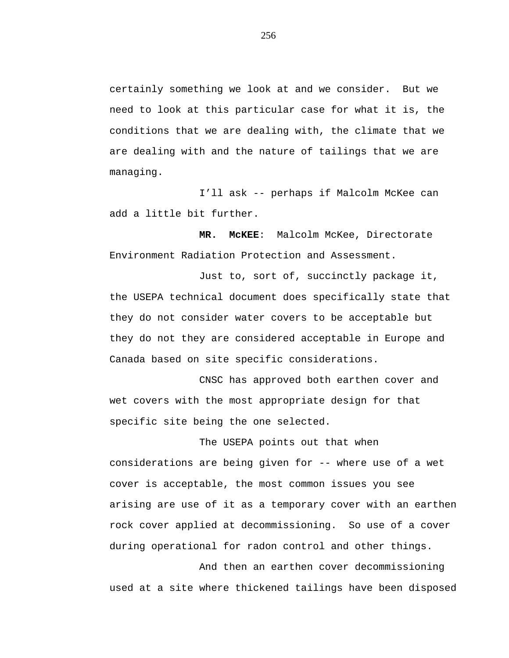certainly something we look at and we consider. But we need to look at this particular case for what it is, the conditions that we are dealing with, the climate that we are dealing with and the nature of tailings that we are managing.

I'll ask -- perhaps if Malcolm McKee can add a little bit further.

**MR. McKEE**: Malcolm McKee, Directorate Environment Radiation Protection and Assessment.

Just to, sort of, succinctly package it, the USEPA technical document does specifically state that they do not consider water covers to be acceptable but they do not they are considered acceptable in Europe and Canada based on site specific considerations.

CNSC has approved both earthen cover and wet covers with the most appropriate design for that specific site being the one selected.

The USEPA points out that when considerations are being given for -- where use of a wet cover is acceptable, the most common issues you see arising are use of it as a temporary cover with an earthen rock cover applied at decommissioning. So use of a cover during operational for radon control and other things.

And then an earthen cover decommissioning used at a site where thickened tailings have been disposed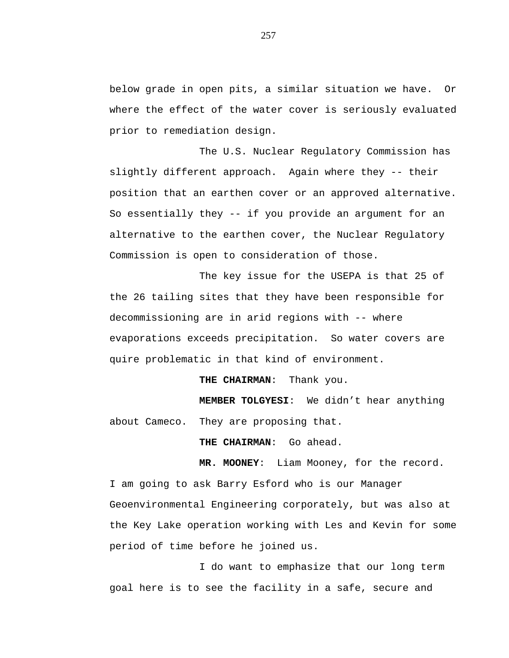below grade in open pits, a similar situation we have. Or where the effect of the water cover is seriously evaluated prior to remediation design.

The U.S. Nuclear Regulatory Commission has slightly different approach. Again where they -- their position that an earthen cover or an approved alternative. So essentially they -- if you provide an argument for an alternative to the earthen cover, the Nuclear Regulatory Commission is open to consideration of those.

The key issue for the USEPA is that 25 of the 26 tailing sites that they have been responsible for decommissioning are in arid regions with -- where evaporations exceeds precipitation. So water covers are quire problematic in that kind of environment.

**THE CHAIRMAN**: Thank you.

**MEMBER TOLGYESI**: We didn't hear anything about Cameco. They are proposing that.

**THE CHAIRMAN**: Go ahead.

**MR. MOONEY**: Liam Mooney, for the record.

I am going to ask Barry Esford who is our Manager Geoenvironmental Engineering corporately, but was also at the Key Lake operation working with Les and Kevin for some period of time before he joined us.

I do want to emphasize that our long term goal here is to see the facility in a safe, secure and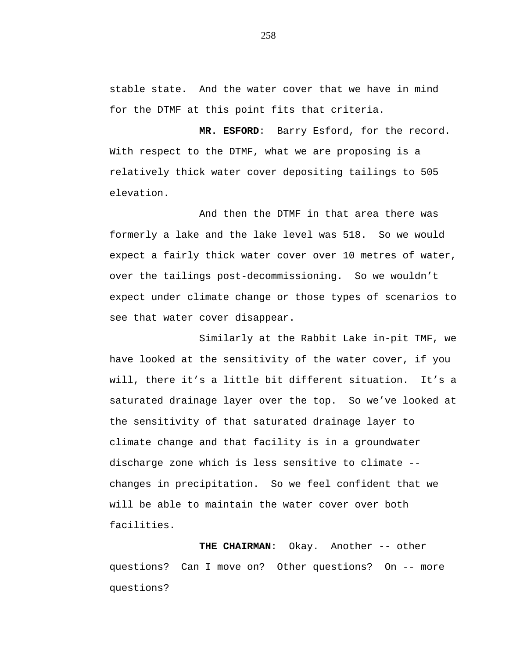stable state. And the water cover that we have in mind for the DTMF at this point fits that criteria.

**MR. ESFORD**: Barry Esford, for the record. With respect to the DTMF, what we are proposing is a relatively thick water cover depositing tailings to 505 elevation.

And then the DTMF in that area there was formerly a lake and the lake level was 518. So we would expect a fairly thick water cover over 10 metres of water, over the tailings post-decommissioning. So we wouldn't expect under climate change or those types of scenarios to see that water cover disappear.

Similarly at the Rabbit Lake in-pit TMF, we have looked at the sensitivity of the water cover, if you will, there it's a little bit different situation. It's a saturated drainage layer over the top. So we've looked at the sensitivity of that saturated drainage layer to climate change and that facility is in a groundwater discharge zone which is less sensitive to climate - changes in precipitation. So we feel confident that we will be able to maintain the water cover over both facilities.

**THE CHAIRMAN**: Okay. Another -- other questions? Can I move on? Other questions? On -- more questions?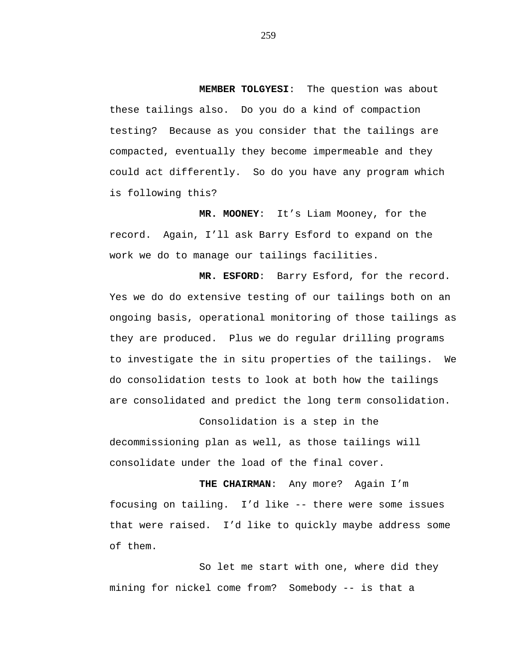**MEMBER TOLGYESI**: The question was about these tailings also. Do you do a kind of compaction testing? Because as you consider that the tailings are compacted, eventually they become impermeable and they could act differently. So do you have any program which is following this?

**MR. MOONEY**: It's Liam Mooney, for the record. Again, I'll ask Barry Esford to expand on the work we do to manage our tailings facilities.

**MR. ESFORD**: Barry Esford, for the record. Yes we do do extensive testing of our tailings both on an ongoing basis, operational monitoring of those tailings as they are produced. Plus we do regular drilling programs to investigate the in situ properties of the tailings. We do consolidation tests to look at both how the tailings are consolidated and predict the long term consolidation.

Consolidation is a step in the decommissioning plan as well, as those tailings will consolidate under the load of the final cover.

**THE CHAIRMAN**: Any more? Again I'm focusing on tailing. I'd like -- there were some issues that were raised. I'd like to quickly maybe address some of them.

So let me start with one, where did they mining for nickel come from? Somebody -- is that a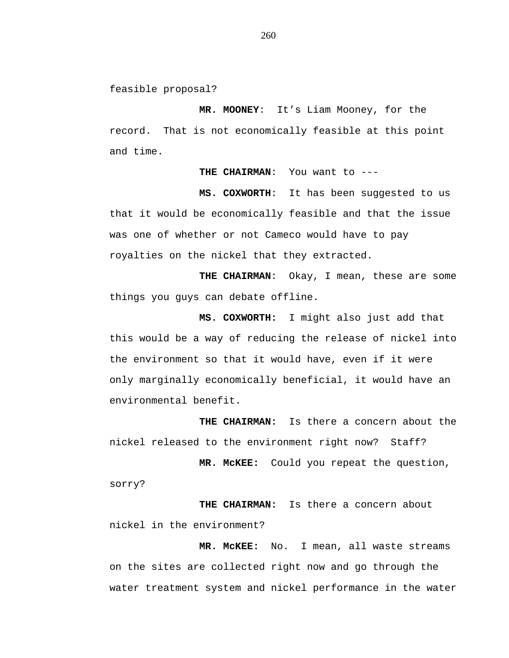feasible proposal?

**MR. MOONEY**: It's Liam Mooney, for the record. That is not economically feasible at this point and time.

**THE CHAIRMAN**: You want to ---

**MS. COXWORTH**: It has been suggested to us that it would be economically feasible and that the issue was one of whether or not Cameco would have to pay royalties on the nickel that they extracted.

**THE CHAIRMAN**: Okay, I mean, these are some things you guys can debate offline.

**MS. COXWORTH:** I might also just add that this would be a way of reducing the release of nickel into the environment so that it would have, even if it were only marginally economically beneficial, it would have an environmental benefit.

**THE CHAIRMAN:** Is there a concern about the nickel released to the environment right now? Staff?

**MR. McKEE:** Could you repeat the question, sorry?

**THE CHAIRMAN:** Is there a concern about nickel in the environment?

**MR. McKEE:** No. I mean, all waste streams on the sites are collected right now and go through the water treatment system and nickel performance in the water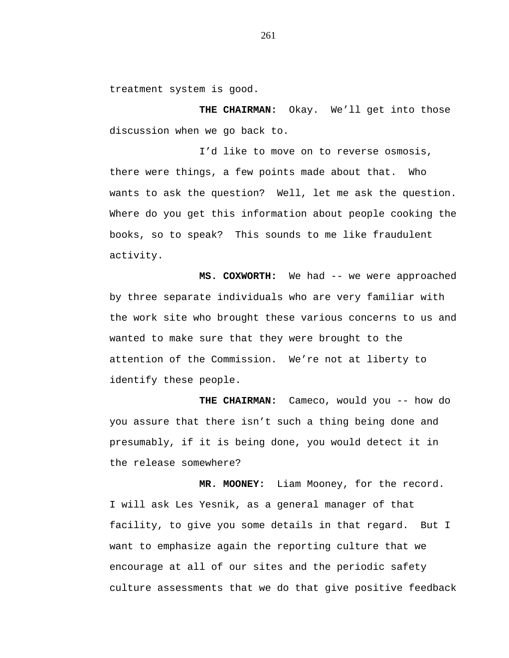treatment system is good.

**THE CHAIRMAN:** Okay. We'll get into those discussion when we go back to.

I'd like to move on to reverse osmosis, there were things, a few points made about that. Who wants to ask the question? Well, let me ask the question. Where do you get this information about people cooking the books, so to speak? This sounds to me like fraudulent activity.

**MS. COXWORTH:** We had -- we were approached by three separate individuals who are very familiar with the work site who brought these various concerns to us and wanted to make sure that they were brought to the attention of the Commission. We're not at liberty to identify these people.

**THE CHAIRMAN:** Cameco, would you -- how do you assure that there isn't such a thing being done and presumably, if it is being done, you would detect it in the release somewhere?

**MR. MOONEY:** Liam Mooney, for the record. I will ask Les Yesnik, as a general manager of that facility, to give you some details in that regard. But I want to emphasize again the reporting culture that we encourage at all of our sites and the periodic safety culture assessments that we do that give positive feedback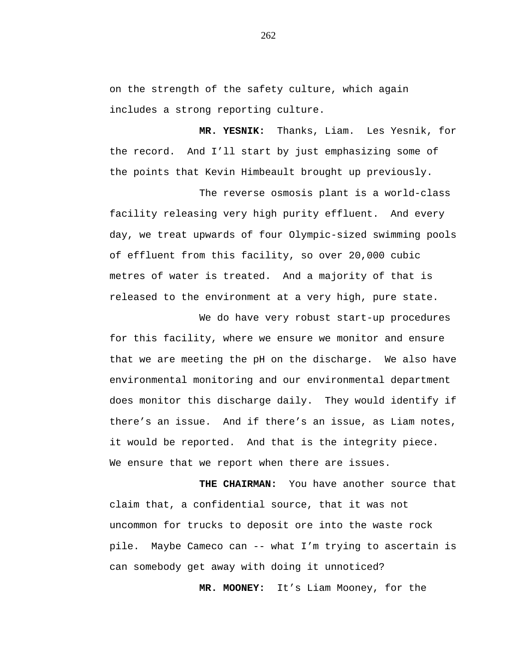on the strength of the safety culture, which again includes a strong reporting culture.

**MR. YESNIK:** Thanks, Liam. Les Yesnik, for the record. And I'll start by just emphasizing some of the points that Kevin Himbeault brought up previously.

The reverse osmosis plant is a world-class facility releasing very high purity effluent. And every day, we treat upwards of four Olympic-sized swimming pools of effluent from this facility, so over 20,000 cubic metres of water is treated. And a majority of that is released to the environment at a very high, pure state.

We do have very robust start-up procedures for this facility, where we ensure we monitor and ensure that we are meeting the pH on the discharge. We also have environmental monitoring and our environmental department does monitor this discharge daily. They would identify if there's an issue. And if there's an issue, as Liam notes, it would be reported. And that is the integrity piece. We ensure that we report when there are issues.

**THE CHAIRMAN:** You have another source that claim that, a confidential source, that it was not uncommon for trucks to deposit ore into the waste rock pile. Maybe Cameco can -- what I'm trying to ascertain is can somebody get away with doing it unnoticed?

**MR. MOONEY:** It's Liam Mooney, for the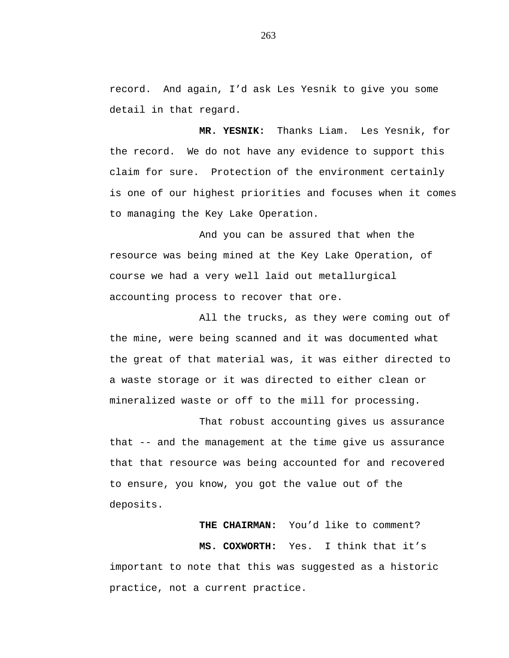record. And again, I'd ask Les Yesnik to give you some detail in that regard.

**MR. YESNIK:** Thanks Liam. Les Yesnik, for the record. We do not have any evidence to support this claim for sure. Protection of the environment certainly is one of our highest priorities and focuses when it comes to managing the Key Lake Operation.

And you can be assured that when the resource was being mined at the Key Lake Operation, of course we had a very well laid out metallurgical accounting process to recover that ore.

All the trucks, as they were coming out of the mine, were being scanned and it was documented what the great of that material was, it was either directed to a waste storage or it was directed to either clean or mineralized waste or off to the mill for processing.

That robust accounting gives us assurance that -- and the management at the time give us assurance that that resource was being accounted for and recovered to ensure, you know, you got the value out of the deposits.

**THE CHAIRMAN:** You'd like to comment?

**MS. COXWORTH:** Yes. I think that it's important to note that this was suggested as a historic practice, not a current practice.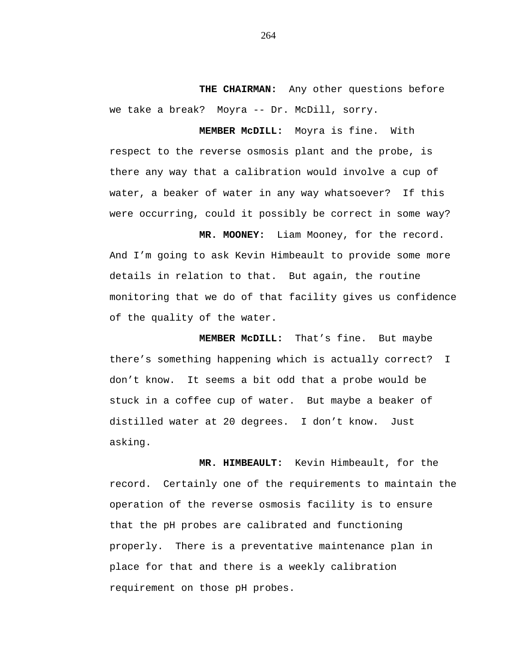**THE CHAIRMAN:** Any other questions before we take a break? Moyra -- Dr. McDill, sorry.

**MEMBER McDILL:** Moyra is fine. With respect to the reverse osmosis plant and the probe, is there any way that a calibration would involve a cup of water, a beaker of water in any way whatsoever? If this were occurring, could it possibly be correct in some way?

**MR. MOONEY:** Liam Mooney, for the record. And I'm going to ask Kevin Himbeault to provide some more details in relation to that. But again, the routine monitoring that we do of that facility gives us confidence of the quality of the water.

**MEMBER McDILL:** That's fine. But maybe there's something happening which is actually correct? I don't know. It seems a bit odd that a probe would be stuck in a coffee cup of water. But maybe a beaker of distilled water at 20 degrees. I don't know. Just asking.

**MR. HIMBEAULT:** Kevin Himbeault, for the record. Certainly one of the requirements to maintain the operation of the reverse osmosis facility is to ensure that the pH probes are calibrated and functioning properly. There is a preventative maintenance plan in place for that and there is a weekly calibration requirement on those pH probes.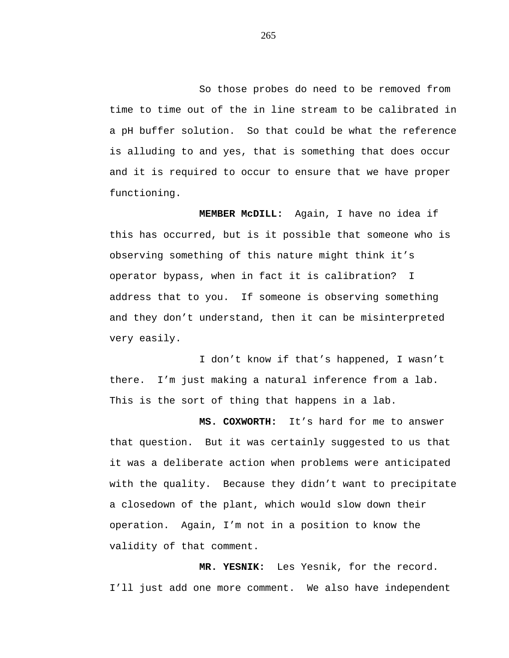So those probes do need to be removed from time to time out of the in line stream to be calibrated in a pH buffer solution. So that could be what the reference is alluding to and yes, that is something that does occur and it is required to occur to ensure that we have proper functioning.

**MEMBER McDILL:** Again, I have no idea if this has occurred, but is it possible that someone who is observing something of this nature might think it's operator bypass, when in fact it is calibration? I address that to you. If someone is observing something and they don't understand, then it can be misinterpreted very easily.

I don't know if that's happened, I wasn't there. I'm just making a natural inference from a lab. This is the sort of thing that happens in a lab.

**MS. COXWORTH:** It's hard for me to answer that question. But it was certainly suggested to us that it was a deliberate action when problems were anticipated with the quality. Because they didn't want to precipitate a closedown of the plant, which would slow down their operation. Again, I'm not in a position to know the validity of that comment.

**MR. YESNIK:** Les Yesnik, for the record. I'll just add one more comment. We also have independent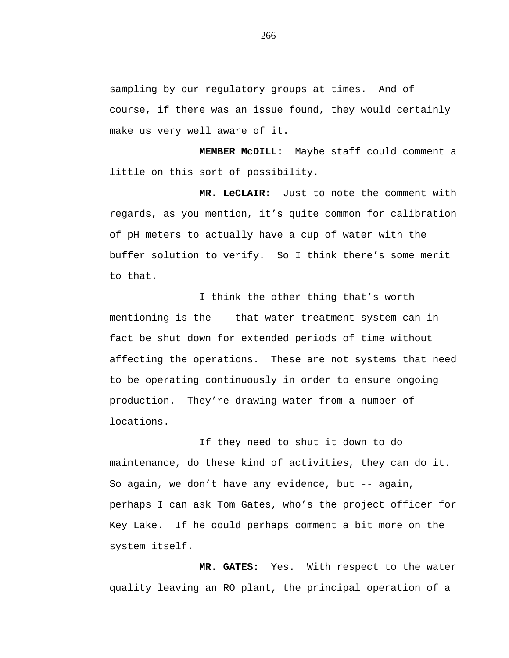sampling by our regulatory groups at times. And of course, if there was an issue found, they would certainly make us very well aware of it.

**MEMBER McDILL:** Maybe staff could comment a little on this sort of possibility.

**MR. LeCLAIR:** Just to note the comment with regards, as you mention, it's quite common for calibration of pH meters to actually have a cup of water with the buffer solution to verify. So I think there's some merit to that.

I think the other thing that's worth mentioning is the -- that water treatment system can in fact be shut down for extended periods of time without affecting the operations. These are not systems that need to be operating continuously in order to ensure ongoing production. They're drawing water from a number of locations.

If they need to shut it down to do maintenance, do these kind of activities, they can do it. So again, we don't have any evidence, but -- again, perhaps I can ask Tom Gates, who's the project officer for Key Lake. If he could perhaps comment a bit more on the system itself.

**MR. GATES:** Yes. With respect to the water quality leaving an RO plant, the principal operation of a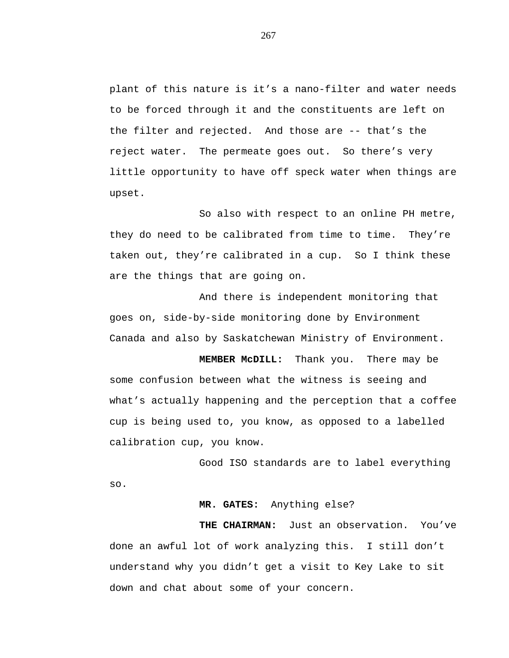plant of this nature is it's a nano-filter and water needs to be forced through it and the constituents are left on the filter and rejected. And those are -- that's the reject water. The permeate goes out. So there's very little opportunity to have off speck water when things are upset.

So also with respect to an online PH metre, they do need to be calibrated from time to time. They're taken out, they're calibrated in a cup. So I think these are the things that are going on.

And there is independent monitoring that goes on, side-by-side monitoring done by Environment Canada and also by Saskatchewan Ministry of Environment.

**MEMBER McDILL:** Thank you. There may be some confusion between what the witness is seeing and what's actually happening and the perception that a coffee cup is being used to, you know, as opposed to a labelled calibration cup, you know.

Good ISO standards are to label everything so.

# **MR. GATES:** Anything else?

**THE CHAIRMAN:** Just an observation. You've done an awful lot of work analyzing this. I still don't understand why you didn't get a visit to Key Lake to sit down and chat about some of your concern.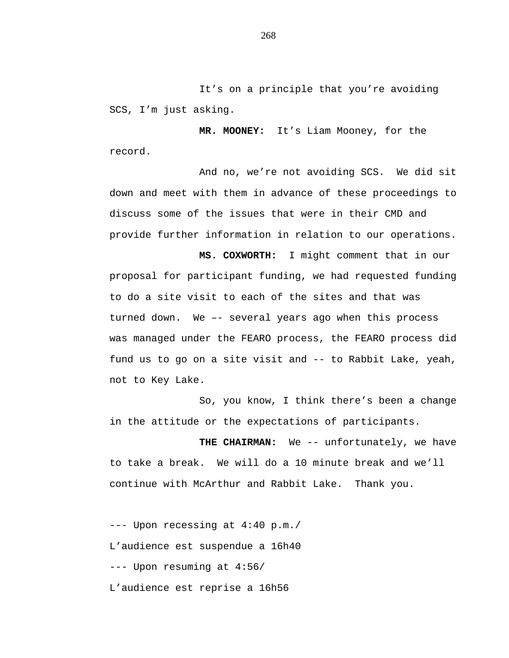It's on a principle that you're avoiding SCS, I'm just asking.

**MR. MOONEY:** It's Liam Mooney, for the record.

And no, we're not avoiding SCS. We did sit down and meet with them in advance of these proceedings to discuss some of the issues that were in their CMD and provide further information in relation to our operations.

**MS. COXWORTH:** I might comment that in our proposal for participant funding, we had requested funding to do a site visit to each of the sites and that was turned down. We –- several years ago when this process was managed under the FEARO process, the FEARO process did fund us to go on a site visit and -- to Rabbit Lake, yeah, not to Key Lake.

So, you know, I think there's been a change in the attitude or the expectations of participants.

THE CHAIRMAN: We -- unfortunately, we have to take a break. We will do a 10 minute break and we'll continue with McArthur and Rabbit Lake. Thank you.

--- Upon recessing at 4:40 p.m./ L'audience est suspendue a 16h40 --- Upon resuming at 4:56/ L'audience est reprise a 16h56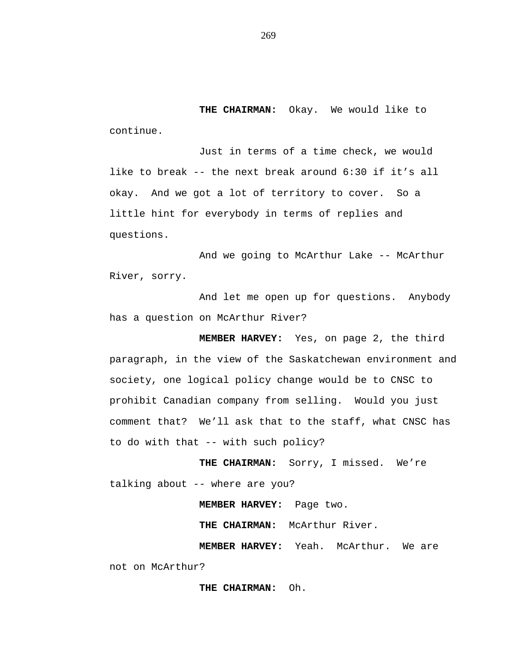**THE CHAIRMAN:** Okay. We would like to continue.

Just in terms of a time check, we would like to break -- the next break around 6:30 if it's all okay. And we got a lot of territory to cover. So a little hint for everybody in terms of replies and questions.

And we going to McArthur Lake -- McArthur River, sorry.

And let me open up for questions. Anybody has a question on McArthur River?

**MEMBER HARVEY:** Yes, on page 2, the third paragraph, in the view of the Saskatchewan environment and society, one logical policy change would be to CNSC to prohibit Canadian company from selling. Would you just comment that? We'll ask that to the staff, what CNSC has to do with that -- with such policy?

**THE CHAIRMAN:** Sorry, I missed. We're talking about -- where are you?

**MEMBER HARVEY:** Page two.

**THE CHAIRMAN:** McArthur River.

**MEMBER HARVEY:** Yeah. McArthur. We are not on McArthur?

**THE CHAIRMAN:** Oh.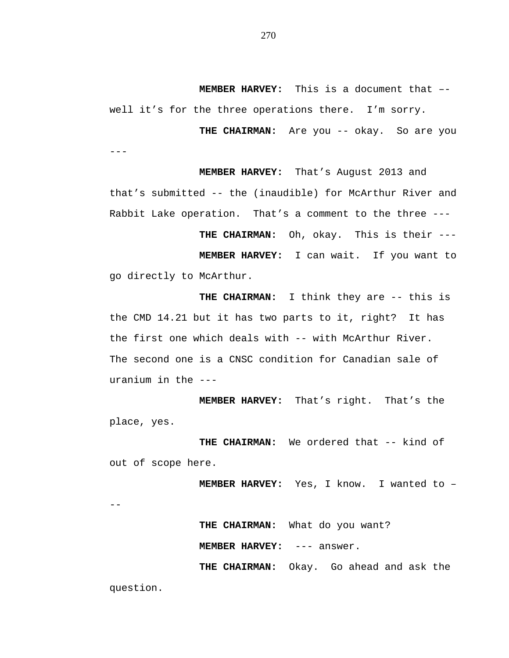**MEMBER HARVEY:** This is a document that – well it's for the three operations there. I'm sorry.

THE CHAIRMAN: Are you -- okay. So are you ---

**MEMBER HARVEY:** That's August 2013 and that's submitted -- the (inaudible) for McArthur River and Rabbit Lake operation. That's a comment to the three ---

**THE CHAIRMAN:** Oh, okay. This is their --- **MEMBER HARVEY:** I can wait. If you want to go directly to McArthur.

**THE CHAIRMAN:** I think they are -- this is the CMD 14.21 but it has two parts to it, right? It has the first one which deals with -- with McArthur River. The second one is a CNSC condition for Canadian sale of uranium in the ---

**MEMBER HARVEY:** That's right. That's the place, yes.

**THE CHAIRMAN:** We ordered that -- kind of out of scope here.

**MEMBER HARVEY:** Yes, I know. I wanted to –

--

**THE CHAIRMAN:** What do you want?

**MEMBER HARVEY:** --- answer.

**THE CHAIRMAN:** Okay. Go ahead and ask the

question.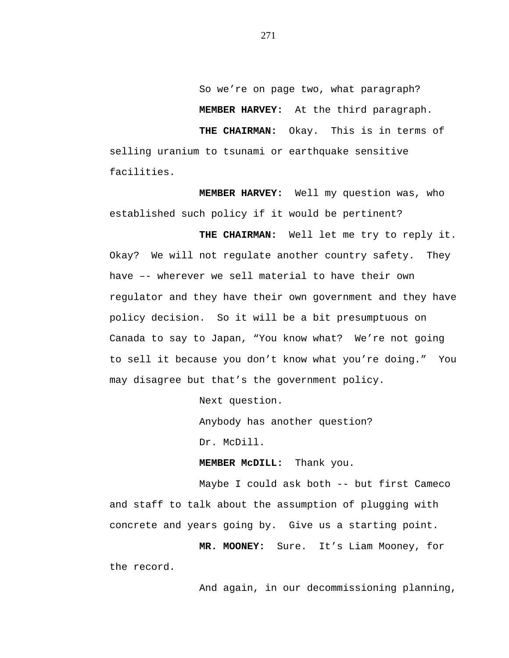So we're on page two, what paragraph? **MEMBER HARVEY:** At the third paragraph. **THE CHAIRMAN:** Okay. This is in terms of selling uranium to tsunami or earthquake sensitive facilities.

**MEMBER HARVEY:** Well my question was, who established such policy if it would be pertinent?

**THE CHAIRMAN:** Well let me try to reply it. Okay? We will not regulate another country safety. They have –- wherever we sell material to have their own regulator and they have their own government and they have policy decision. So it will be a bit presumptuous on Canada to say to Japan, "You know what? We're not going to sell it because you don't know what you're doing." You may disagree but that's the government policy.

Next question.

Anybody has another question?

Dr. McDill.

**MEMBER McDILL:** Thank you.

Maybe I could ask both -- but first Cameco and staff to talk about the assumption of plugging with concrete and years going by. Give us a starting point.

**MR. MOONEY:** Sure. It's Liam Mooney, for the record.

And again, in our decommissioning planning,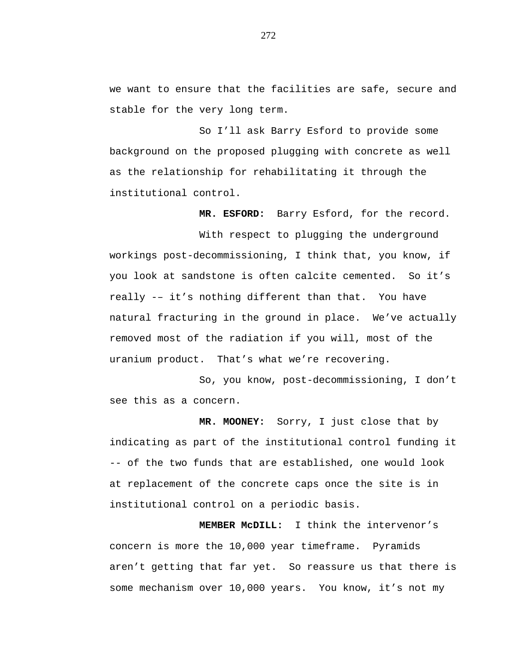we want to ensure that the facilities are safe, secure and stable for the very long term.

So I'll ask Barry Esford to provide some background on the proposed plugging with concrete as well as the relationship for rehabilitating it through the institutional control.

**MR. ESFORD:** Barry Esford, for the record.

With respect to plugging the underground workings post-decommissioning, I think that, you know, if you look at sandstone is often calcite cemented. So it's really -– it's nothing different than that. You have natural fracturing in the ground in place. We've actually removed most of the radiation if you will, most of the uranium product. That's what we're recovering.

So, you know, post-decommissioning, I don't see this as a concern.

**MR. MOONEY:** Sorry, I just close that by indicating as part of the institutional control funding it -- of the two funds that are established, one would look at replacement of the concrete caps once the site is in institutional control on a periodic basis.

**MEMBER McDILL:** I think the intervenor's concern is more the 10,000 year timeframe. Pyramids aren't getting that far yet. So reassure us that there is some mechanism over 10,000 years. You know, it's not my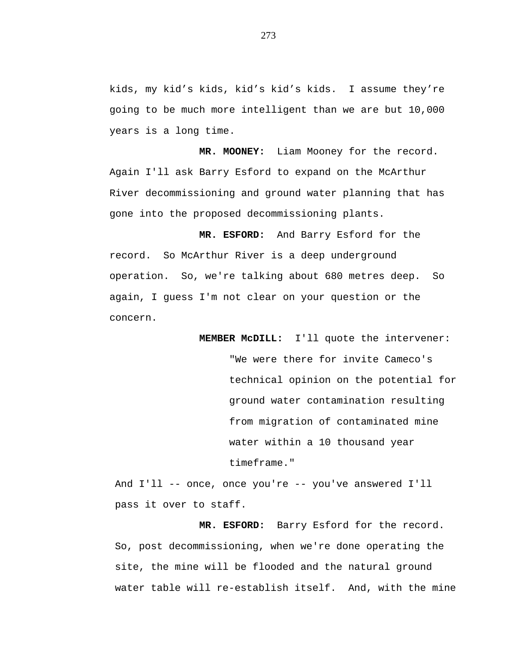kids, my kid's kids, kid's kid's kids. I assume they're going to be much more intelligent than we are but 10,000 years is a long time.

**MR. MOONEY:** Liam Mooney for the record. Again I'll ask Barry Esford to expand on the McArthur River decommissioning and ground water planning that has gone into the proposed decommissioning plants.

**MR. ESFORD:** And Barry Esford for the record. So McArthur River is a deep underground operation. So, we're talking about 680 metres deep. So again, I guess I'm not clear on your question or the concern.

> **MEMBER McDILL:** I'll quote the intervener: "We were there for invite Cameco's technical opinion on the potential for ground water contamination resulting from migration of contaminated mine water within a 10 thousand year timeframe."

And I'll -- once, once you're -- you've answered I'll pass it over to staff.

**MR. ESFORD:** Barry Esford for the record. So, post decommissioning, when we're done operating the site, the mine will be flooded and the natural ground water table will re-establish itself. And, with the mine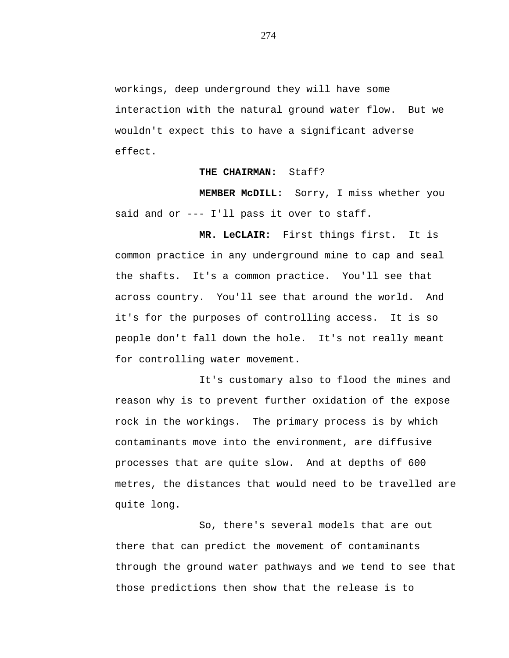workings, deep underground they will have some interaction with the natural ground water flow. But we wouldn't expect this to have a significant adverse effect.

### **THE CHAIRMAN:** Staff?

**MEMBER McDILL:** Sorry, I miss whether you said and or --- I'll pass it over to staff.

**MR. LeCLAIR:** First things first. It is common practice in any underground mine to cap and seal the shafts. It's a common practice. You'll see that across country. You'll see that around the world. And it's for the purposes of controlling access. It is so people don't fall down the hole. It's not really meant for controlling water movement.

It's customary also to flood the mines and reason why is to prevent further oxidation of the expose rock in the workings. The primary process is by which contaminants move into the environment, are diffusive processes that are quite slow. And at depths of 600 metres, the distances that would need to be travelled are quite long.

So, there's several models that are out there that can predict the movement of contaminants through the ground water pathways and we tend to see that those predictions then show that the release is to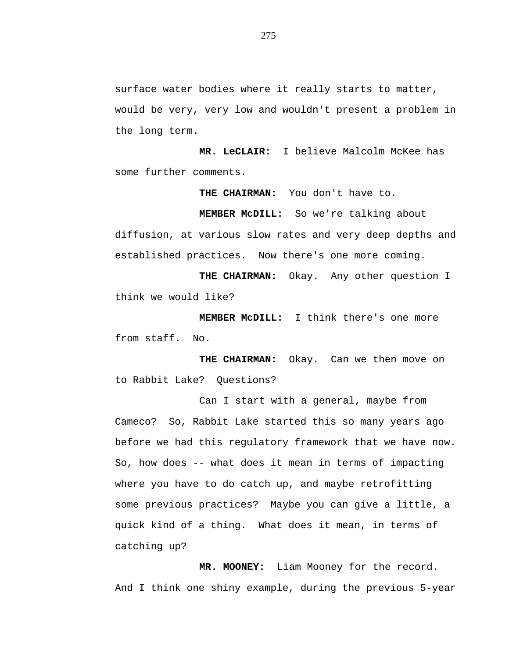surface water bodies where it really starts to matter, would be very, very low and wouldn't present a problem in the long term.

**MR. LeCLAIR:** I believe Malcolm McKee has some further comments.

**THE CHAIRMAN:** You don't have to.

**MEMBER McDILL:** So we're talking about

diffusion, at various slow rates and very deep depths and established practices. Now there's one more coming.

**THE CHAIRMAN:** Okay. Any other question I think we would like?

**MEMBER McDILL:** I think there's one more from staff. No.

**THE CHAIRMAN:** Okay. Can we then move on to Rabbit Lake? Questions?

Can I start with a general, maybe from Cameco? So, Rabbit Lake started this so many years ago before we had this regulatory framework that we have now. So, how does -- what does it mean in terms of impacting where you have to do catch up, and maybe retrofitting some previous practices? Maybe you can give a little, a quick kind of a thing. What does it mean, in terms of catching up?

**MR. MOONEY:** Liam Mooney for the record. And I think one shiny example, during the previous 5-year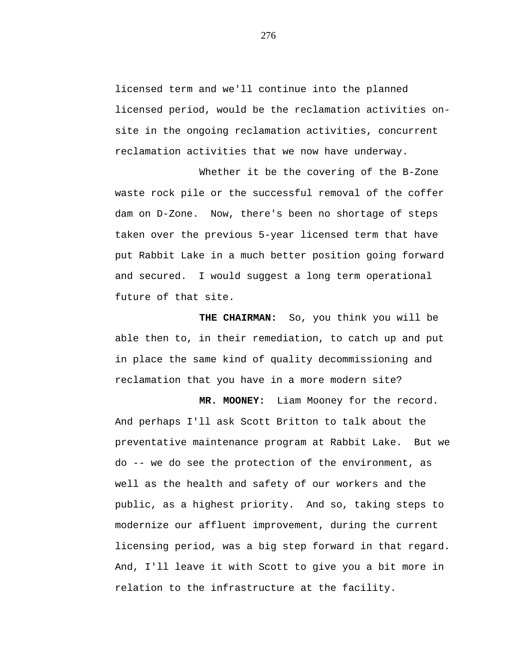licensed term and we'll continue into the planned licensed period, would be the reclamation activities onsite in the ongoing reclamation activities, concurrent reclamation activities that we now have underway.

Whether it be the covering of the B-Zone waste rock pile or the successful removal of the coffer dam on D-Zone. Now, there's been no shortage of steps taken over the previous 5-year licensed term that have put Rabbit Lake in a much better position going forward and secured. I would suggest a long term operational future of that site.

**THE CHAIRMAN:** So, you think you will be able then to, in their remediation, to catch up and put in place the same kind of quality decommissioning and reclamation that you have in a more modern site?

**MR. MOONEY:** Liam Mooney for the record. And perhaps I'll ask Scott Britton to talk about the preventative maintenance program at Rabbit Lake. But we do -- we do see the protection of the environment, as well as the health and safety of our workers and the public, as a highest priority. And so, taking steps to modernize our affluent improvement, during the current licensing period, was a big step forward in that regard. And, I'll leave it with Scott to give you a bit more in relation to the infrastructure at the facility.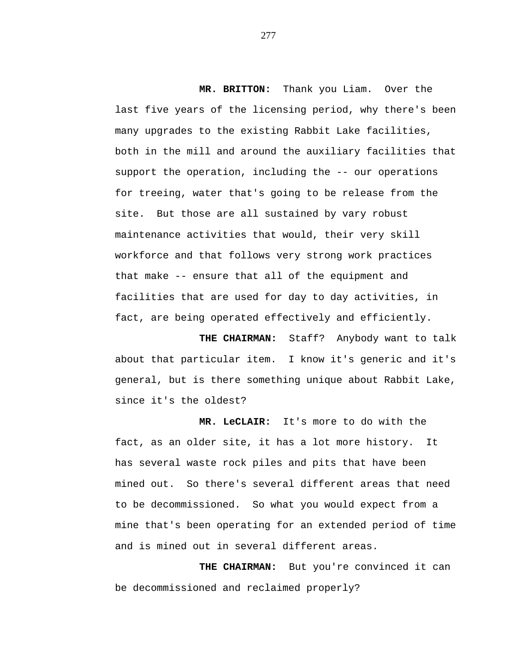**MR. BRITTON:** Thank you Liam. Over the last five years of the licensing period, why there's been many upgrades to the existing Rabbit Lake facilities, both in the mill and around the auxiliary facilities that support the operation, including the -- our operations for treeing, water that's going to be release from the site. But those are all sustained by vary robust maintenance activities that would, their very skill workforce and that follows very strong work practices that make -- ensure that all of the equipment and facilities that are used for day to day activities, in fact, are being operated effectively and efficiently.

**THE CHAIRMAN:** Staff? Anybody want to talk about that particular item. I know it's generic and it's general, but is there something unique about Rabbit Lake, since it's the oldest?

**MR. LeCLAIR:** It's more to do with the fact, as an older site, it has a lot more history. It has several waste rock piles and pits that have been mined out. So there's several different areas that need to be decommissioned. So what you would expect from a mine that's been operating for an extended period of time and is mined out in several different areas.

**THE CHAIRMAN:** But you're convinced it can be decommissioned and reclaimed properly?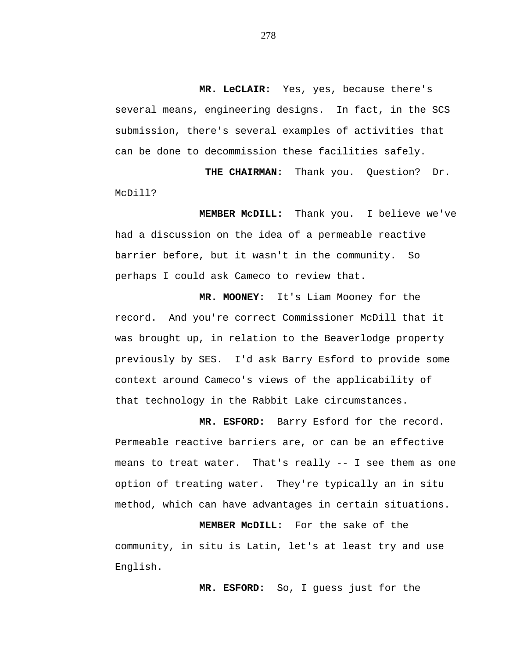**MR. LeCLAIR:** Yes, yes, because there's several means, engineering designs. In fact, in the SCS submission, there's several examples of activities that can be done to decommission these facilities safely.

**THE CHAIRMAN:** Thank you. Question? Dr. McDill?

**MEMBER McDILL:** Thank you. I believe we've had a discussion on the idea of a permeable reactive barrier before, but it wasn't in the community. So perhaps I could ask Cameco to review that.

**MR. MOONEY:** It's Liam Mooney for the record. And you're correct Commissioner McDill that it was brought up, in relation to the Beaverlodge property previously by SES. I'd ask Barry Esford to provide some context around Cameco's views of the applicability of that technology in the Rabbit Lake circumstances.

**MR. ESFORD:** Barry Esford for the record. Permeable reactive barriers are, or can be an effective means to treat water. That's really -- I see them as one option of treating water. They're typically an in situ method, which can have advantages in certain situations.

**MEMBER McDILL:** For the sake of the community, in situ is Latin, let's at least try and use English.

**MR. ESFORD:** So, I guess just for the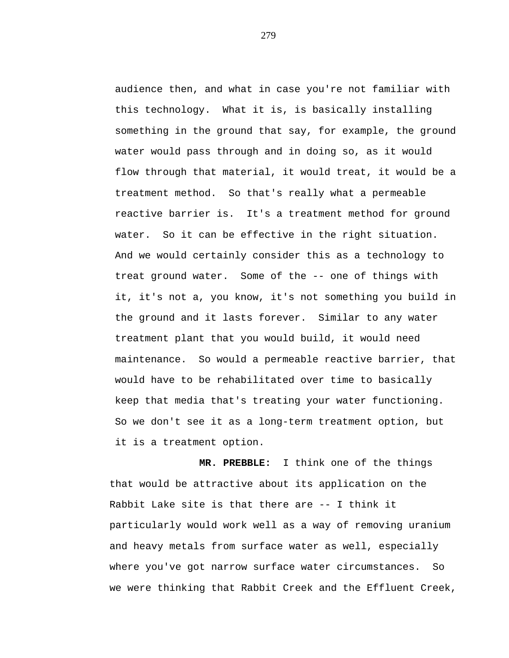audience then, and what in case you're not familiar with this technology. What it is, is basically installing something in the ground that say, for example, the ground water would pass through and in doing so, as it would flow through that material, it would treat, it would be a treatment method. So that's really what a permeable reactive barrier is. It's a treatment method for ground water. So it can be effective in the right situation. And we would certainly consider this as a technology to treat ground water. Some of the -- one of things with it, it's not a, you know, it's not something you build in the ground and it lasts forever. Similar to any water treatment plant that you would build, it would need maintenance. So would a permeable reactive barrier, that would have to be rehabilitated over time to basically keep that media that's treating your water functioning. So we don't see it as a long-term treatment option, but it is a treatment option.

**MR. PREBBLE:** I think one of the things that would be attractive about its application on the Rabbit Lake site is that there are -- I think it particularly would work well as a way of removing uranium and heavy metals from surface water as well, especially where you've got narrow surface water circumstances. So we were thinking that Rabbit Creek and the Effluent Creek,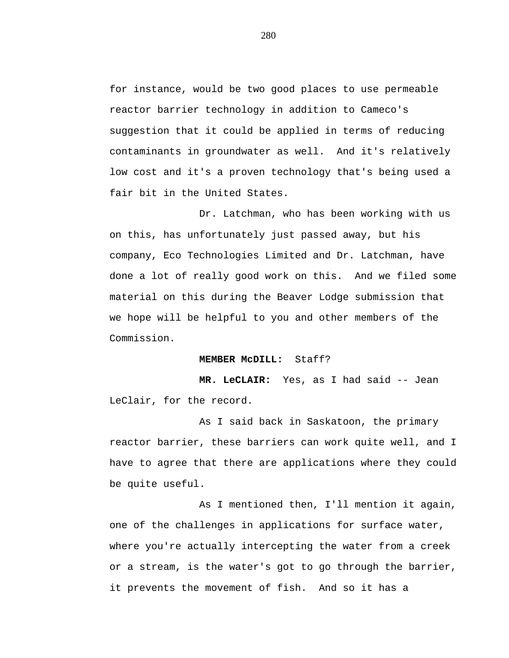for instance, would be two good places to use permeable reactor barrier technology in addition to Cameco's suggestion that it could be applied in terms of reducing contaminants in groundwater as well. And it's relatively low cost and it's a proven technology that's being used a fair bit in the United States.

Dr. Latchman, who has been working with us on this, has unfortunately just passed away, but his company, Eco Technologies Limited and Dr. Latchman, have done a lot of really good work on this. And we filed some material on this during the Beaver Lodge submission that we hope will be helpful to you and other members of the Commission.

#### **MEMBER McDILL:** Staff?

**MR. LeCLAIR:** Yes, as I had said -- Jean LeClair, for the record.

As I said back in Saskatoon, the primary reactor barrier, these barriers can work quite well, and I have to agree that there are applications where they could be quite useful.

As I mentioned then, I'll mention it again, one of the challenges in applications for surface water, where you're actually intercepting the water from a creek or a stream, is the water's got to go through the barrier, it prevents the movement of fish. And so it has a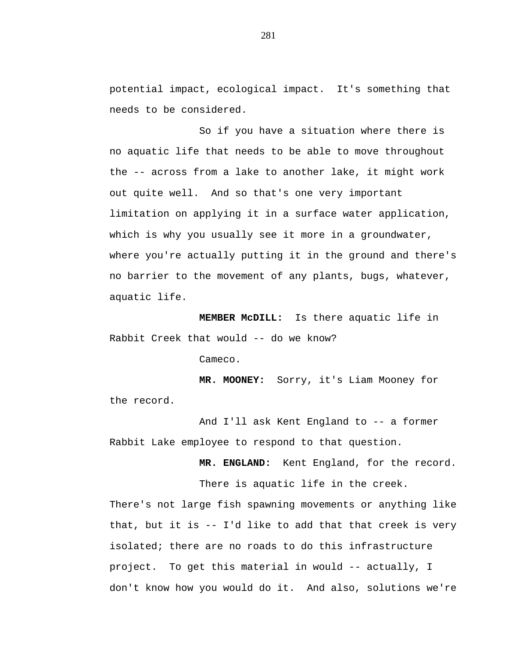potential impact, ecological impact. It's something that needs to be considered.

So if you have a situation where there is no aquatic life that needs to be able to move throughout the -- across from a lake to another lake, it might work out quite well. And so that's one very important limitation on applying it in a surface water application, which is why you usually see it more in a groundwater, where you're actually putting it in the ground and there's no barrier to the movement of any plants, bugs, whatever, aquatic life.

**MEMBER McDILL:** Is there aquatic life in Rabbit Creek that would -- do we know?

Cameco.

**MR. MOONEY:** Sorry, it's Liam Mooney for the record.

And I'll ask Kent England to -- a former Rabbit Lake employee to respond to that question.

**MR. ENGLAND:** Kent England, for the record.

There is aquatic life in the creek.

There's not large fish spawning movements or anything like that, but it is -- I'd like to add that that creek is very isolated; there are no roads to do this infrastructure project. To get this material in would -- actually, I don't know how you would do it. And also, solutions we're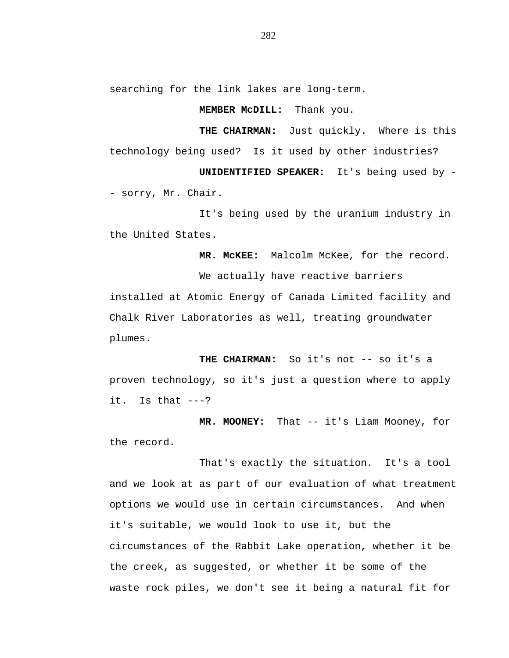searching for the link lakes are long-term.

## **MEMBER McDILL:** Thank you.

**THE CHAIRMAN:** Just quickly. Where is this technology being used? Is it used by other industries?

**UNIDENTIFIED SPEAKER:** It's being used by - - sorry, Mr. Chair.

It's being used by the uranium industry in the United States.

**MR. McKEE:** Malcolm McKee, for the record.

We actually have reactive barriers installed at Atomic Energy of Canada Limited facility and Chalk River Laboratories as well, treating groundwater plumes.

THE CHAIRMAN: So it's not -- so it's a proven technology, so it's just a question where to apply it. Is that  $---?$ 

**MR. MOONEY:** That -- it's Liam Mooney, for the record.

That's exactly the situation. It's a tool and we look at as part of our evaluation of what treatment options we would use in certain circumstances. And when it's suitable, we would look to use it, but the circumstances of the Rabbit Lake operation, whether it be the creek, as suggested, or whether it be some of the waste rock piles, we don't see it being a natural fit for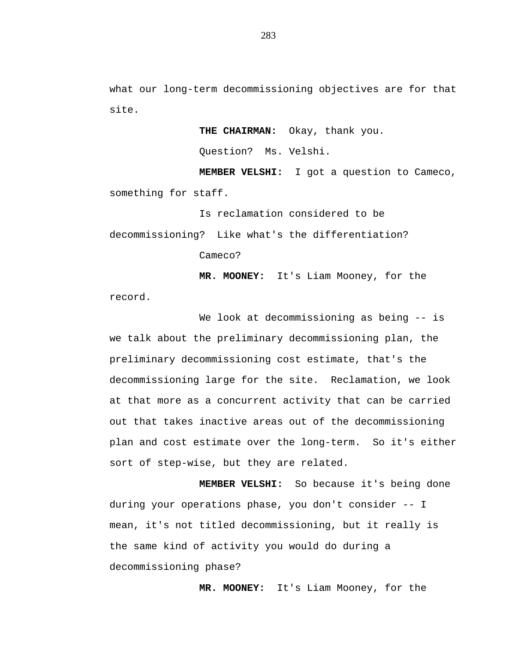what our long-term decommissioning objectives are for that site.

> **THE CHAIRMAN:** Okay, thank you. Question? Ms. Velshi.

**MEMBER VELSHI:** I got a question to Cameco, something for staff.

Is reclamation considered to be decommissioning? Like what's the differentiation? Cameco?

**MR. MOONEY:** It's Liam Mooney, for the

record.

We look at decommissioning as being -- is we talk about the preliminary decommissioning plan, the preliminary decommissioning cost estimate, that's the decommissioning large for the site. Reclamation, we look at that more as a concurrent activity that can be carried out that takes inactive areas out of the decommissioning plan and cost estimate over the long-term. So it's either sort of step-wise, but they are related.

**MEMBER VELSHI:** So because it's being done during your operations phase, you don't consider -- I mean, it's not titled decommissioning, but it really is the same kind of activity you would do during a decommissioning phase?

**MR. MOONEY:** It's Liam Mooney, for the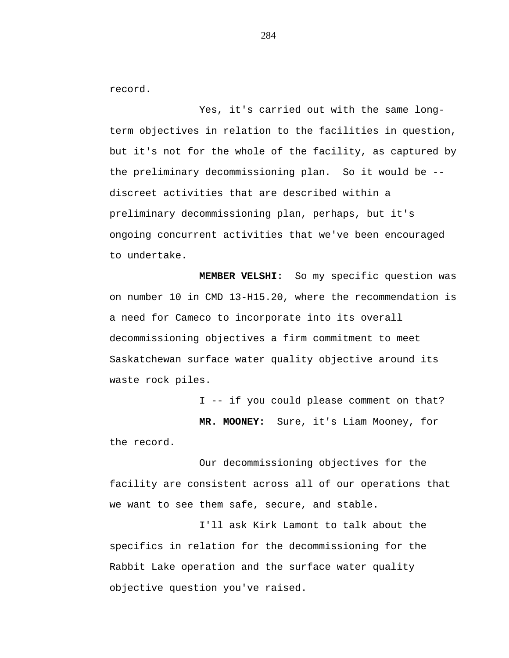record.

Yes, it's carried out with the same longterm objectives in relation to the facilities in question, but it's not for the whole of the facility, as captured by the preliminary decommissioning plan. So it would be - discreet activities that are described within a preliminary decommissioning plan, perhaps, but it's ongoing concurrent activities that we've been encouraged to undertake.

**MEMBER VELSHI:** So my specific question was on number 10 in CMD 13-H15.20, where the recommendation is a need for Cameco to incorporate into its overall decommissioning objectives a firm commitment to meet Saskatchewan surface water quality objective around its waste rock piles.

I -- if you could please comment on that? **MR. MOONEY:** Sure, it's Liam Mooney, for the record.

Our decommissioning objectives for the facility are consistent across all of our operations that we want to see them safe, secure, and stable.

I'll ask Kirk Lamont to talk about the specifics in relation for the decommissioning for the Rabbit Lake operation and the surface water quality objective question you've raised.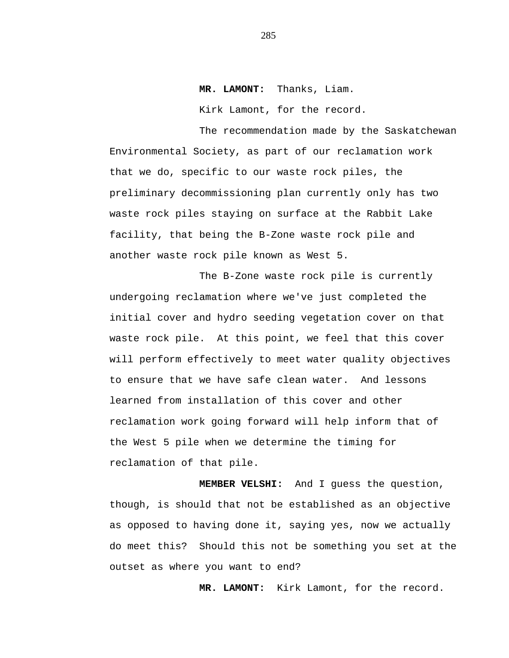## **MR. LAMONT:** Thanks, Liam.

Kirk Lamont, for the record.

The recommendation made by the Saskatchewan Environmental Society, as part of our reclamation work that we do, specific to our waste rock piles, the preliminary decommissioning plan currently only has two waste rock piles staying on surface at the Rabbit Lake facility, that being the B-Zone waste rock pile and another waste rock pile known as West 5.

The B-Zone waste rock pile is currently undergoing reclamation where we've just completed the initial cover and hydro seeding vegetation cover on that waste rock pile. At this point, we feel that this cover will perform effectively to meet water quality objectives to ensure that we have safe clean water. And lessons learned from installation of this cover and other reclamation work going forward will help inform that of the West 5 pile when we determine the timing for reclamation of that pile.

**MEMBER VELSHI:** And I guess the question, though, is should that not be established as an objective as opposed to having done it, saying yes, now we actually do meet this? Should this not be something you set at the outset as where you want to end?

**MR. LAMONT:** Kirk Lamont, for the record.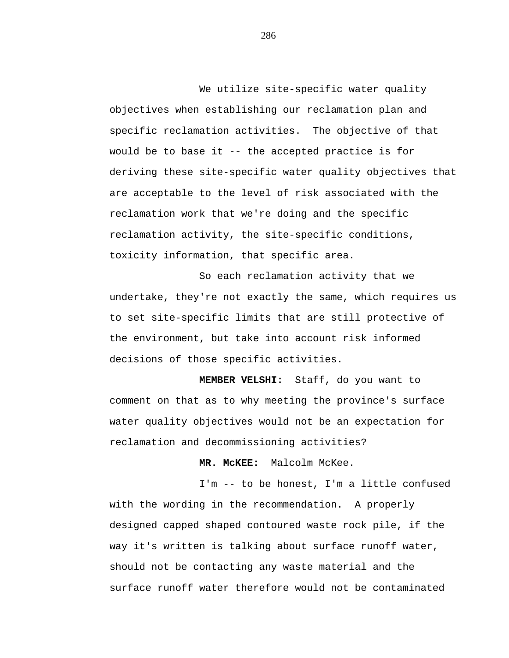We utilize site-specific water quality objectives when establishing our reclamation plan and specific reclamation activities. The objective of that would be to base it -- the accepted practice is for deriving these site-specific water quality objectives that are acceptable to the level of risk associated with the reclamation work that we're doing and the specific reclamation activity, the site-specific conditions, toxicity information, that specific area.

So each reclamation activity that we undertake, they're not exactly the same, which requires us to set site-specific limits that are still protective of the environment, but take into account risk informed decisions of those specific activities.

**MEMBER VELSHI:** Staff, do you want to comment on that as to why meeting the province's surface water quality objectives would not be an expectation for reclamation and decommissioning activities?

**MR. McKEE:** Malcolm McKee.

I'm -- to be honest, I'm a little confused with the wording in the recommendation. A properly designed capped shaped contoured waste rock pile, if the way it's written is talking about surface runoff water, should not be contacting any waste material and the surface runoff water therefore would not be contaminated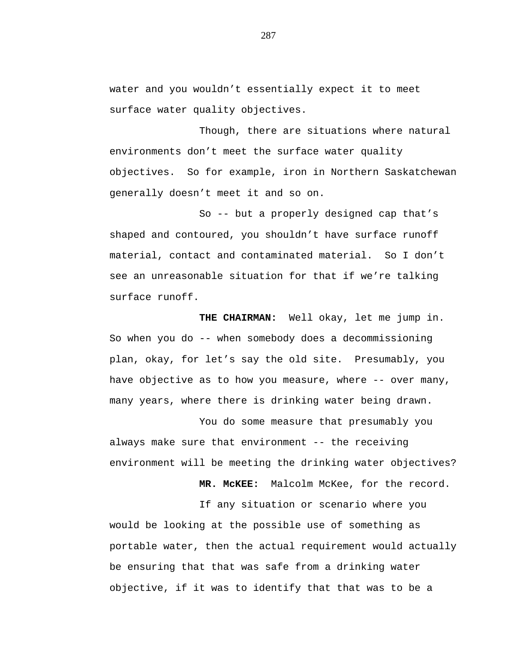water and you wouldn't essentially expect it to meet surface water quality objectives.

Though, there are situations where natural environments don't meet the surface water quality objectives. So for example, iron in Northern Saskatchewan generally doesn't meet it and so on.

So -- but a properly designed cap that's shaped and contoured, you shouldn't have surface runoff material, contact and contaminated material. So I don't see an unreasonable situation for that if we're talking surface runoff.

**THE CHAIRMAN:** Well okay, let me jump in. So when you do -- when somebody does a decommissioning plan, okay, for let's say the old site. Presumably, you have objective as to how you measure, where -- over many, many years, where there is drinking water being drawn.

You do some measure that presumably you always make sure that environment -- the receiving environment will be meeting the drinking water objectives?

**MR. McKEE:** Malcolm McKee, for the record.

If any situation or scenario where you would be looking at the possible use of something as portable water, then the actual requirement would actually be ensuring that that was safe from a drinking water objective, if it was to identify that that was to be a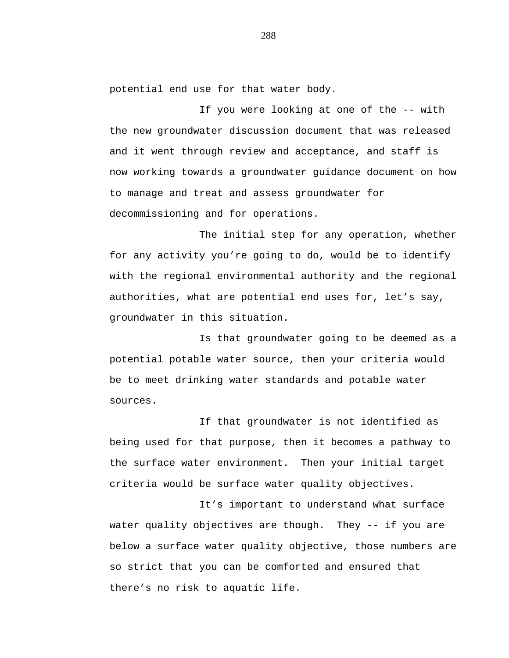potential end use for that water body.

If you were looking at one of the -- with the new groundwater discussion document that was released and it went through review and acceptance, and staff is now working towards a groundwater guidance document on how to manage and treat and assess groundwater for decommissioning and for operations.

The initial step for any operation, whether for any activity you're going to do, would be to identify with the regional environmental authority and the regional authorities, what are potential end uses for, let's say, groundwater in this situation.

Is that groundwater going to be deemed as a potential potable water source, then your criteria would be to meet drinking water standards and potable water sources.

If that groundwater is not identified as being used for that purpose, then it becomes a pathway to the surface water environment. Then your initial target criteria would be surface water quality objectives.

It's important to understand what surface water quality objectives are though. They -- if you are below a surface water quality objective, those numbers are so strict that you can be comforted and ensured that there's no risk to aquatic life.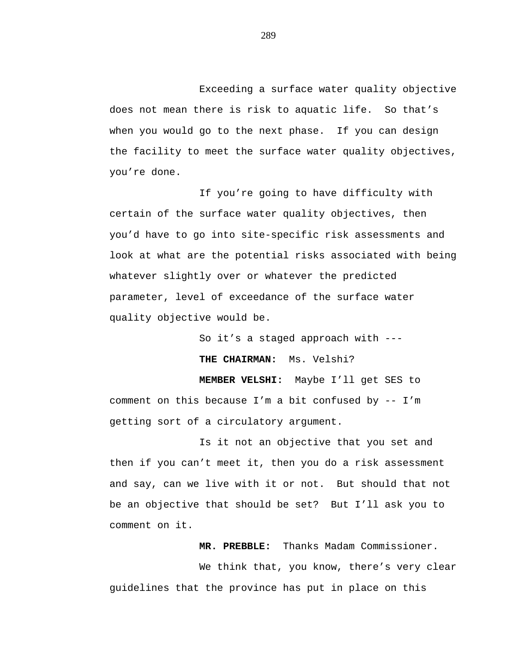Exceeding a surface water quality objective does not mean there is risk to aquatic life. So that's when you would go to the next phase. If you can design the facility to meet the surface water quality objectives, you're done.

If you're going to have difficulty with certain of the surface water quality objectives, then you'd have to go into site-specific risk assessments and look at what are the potential risks associated with being whatever slightly over or whatever the predicted parameter, level of exceedance of the surface water quality objective would be.

So it's a staged approach with --- **THE CHAIRMAN:** Ms. Velshi? **MEMBER VELSHI:** Maybe I'll get SES to comment on this because  $I'm$  a bit confused by  $-- I'm$ getting sort of a circulatory argument.

Is it not an objective that you set and then if you can't meet it, then you do a risk assessment and say, can we live with it or not. But should that not be an objective that should be set? But I'll ask you to comment on it.

**MR. PREBBLE:** Thanks Madam Commissioner.

We think that, you know, there's very clear guidelines that the province has put in place on this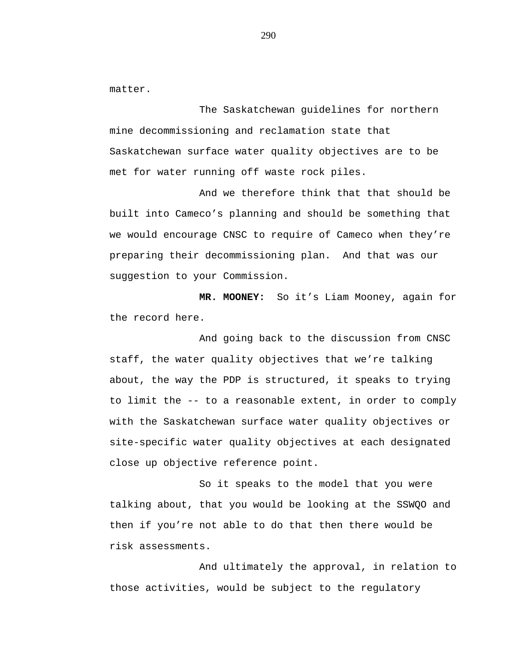matter.

The Saskatchewan guidelines for northern mine decommissioning and reclamation state that Saskatchewan surface water quality objectives are to be met for water running off waste rock piles.

And we therefore think that that should be built into Cameco's planning and should be something that we would encourage CNSC to require of Cameco when they're preparing their decommissioning plan. And that was our suggestion to your Commission.

**MR. MOONEY:** So it's Liam Mooney, again for the record here.

And going back to the discussion from CNSC staff, the water quality objectives that we're talking about, the way the PDP is structured, it speaks to trying to limit the -- to a reasonable extent, in order to comply with the Saskatchewan surface water quality objectives or site-specific water quality objectives at each designated close up objective reference point.

So it speaks to the model that you were talking about, that you would be looking at the SSWQO and then if you're not able to do that then there would be risk assessments.

And ultimately the approval, in relation to those activities, would be subject to the regulatory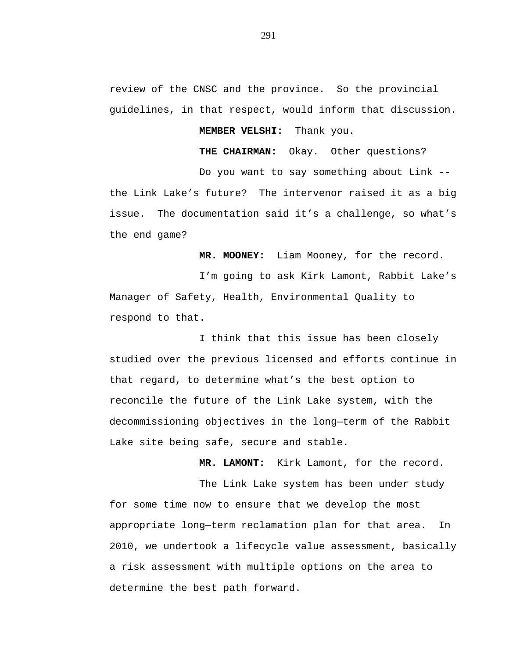review of the CNSC and the province. So the provincial guidelines, in that respect, would inform that discussion.

**MEMBER VELSHI:** Thank you.

**THE CHAIRMAN:** Okay. Other questions?

Do you want to say something about Link - the Link Lake's future? The intervenor raised it as a big issue. The documentation said it's a challenge, so what's the end game?

**MR. MOONEY:** Liam Mooney, for the record.

I'm going to ask Kirk Lamont, Rabbit Lake's Manager of Safety, Health, Environmental Quality to respond to that.

I think that this issue has been closely studied over the previous licensed and efforts continue in that regard, to determine what's the best option to reconcile the future of the Link Lake system, with the decommissioning objectives in the long—term of the Rabbit Lake site being safe, secure and stable.

**MR. LAMONT:** Kirk Lamont, for the record.

The Link Lake system has been under study for some time now to ensure that we develop the most appropriate long—term reclamation plan for that area. In 2010, we undertook a lifecycle value assessment, basically a risk assessment with multiple options on the area to determine the best path forward.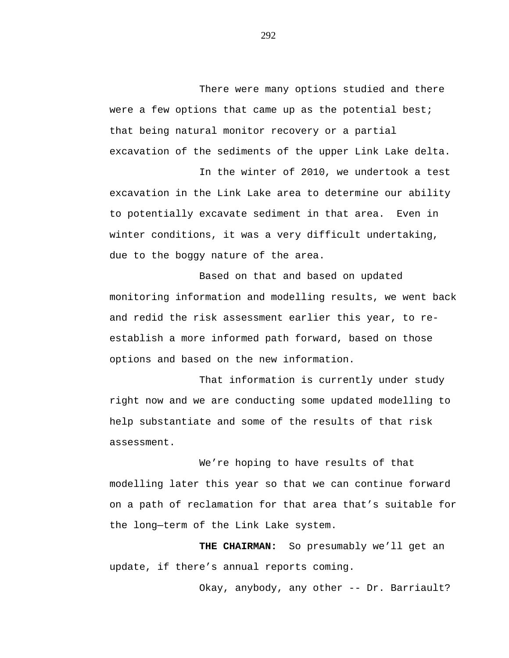There were many options studied and there were a few options that came up as the potential best; that being natural monitor recovery or a partial excavation of the sediments of the upper Link Lake delta.

In the winter of 2010, we undertook a test excavation in the Link Lake area to determine our ability to potentially excavate sediment in that area. Even in winter conditions, it was a very difficult undertaking, due to the boggy nature of the area.

Based on that and based on updated monitoring information and modelling results, we went back and redid the risk assessment earlier this year, to reestablish a more informed path forward, based on those options and based on the new information.

That information is currently under study right now and we are conducting some updated modelling to help substantiate and some of the results of that risk assessment.

We're hoping to have results of that modelling later this year so that we can continue forward on a path of reclamation for that area that's suitable for the long—term of the Link Lake system.

**THE CHAIRMAN:** So presumably we'll get an update, if there's annual reports coming.

Okay, anybody, any other -- Dr. Barriault?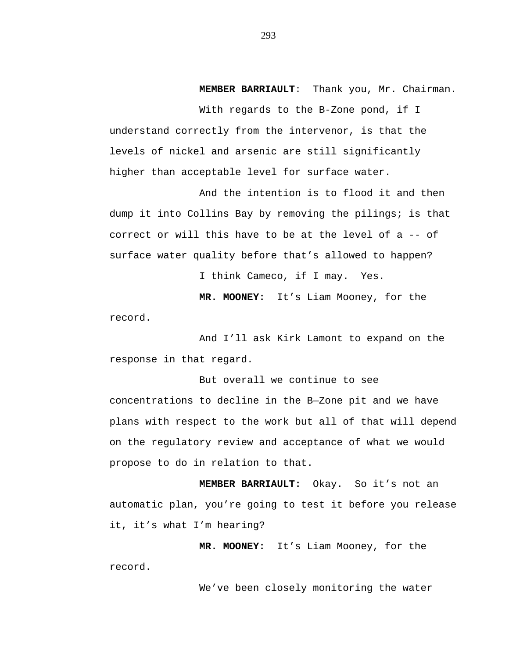**MEMBER BARRIAULT**: Thank you, Mr. Chairman.

With regards to the B-Zone pond, if I understand correctly from the intervenor, is that the levels of nickel and arsenic are still significantly higher than acceptable level for surface water.

And the intention is to flood it and then dump it into Collins Bay by removing the pilings; is that correct or will this have to be at the level of a -- of surface water quality before that's allowed to happen?

I think Cameco, if I may. Yes.

**MR. MOONEY:** It's Liam Mooney, for the

record.

And I'll ask Kirk Lamont to expand on the response in that regard.

But overall we continue to see concentrations to decline in the B—Zone pit and we have plans with respect to the work but all of that will depend on the regulatory review and acceptance of what we would propose to do in relation to that.

**MEMBER BARRIAULT:** Okay. So it's not an automatic plan, you're going to test it before you release it, it's what I'm hearing?

**MR. MOONEY:** It's Liam Mooney, for the record.

We've been closely monitoring the water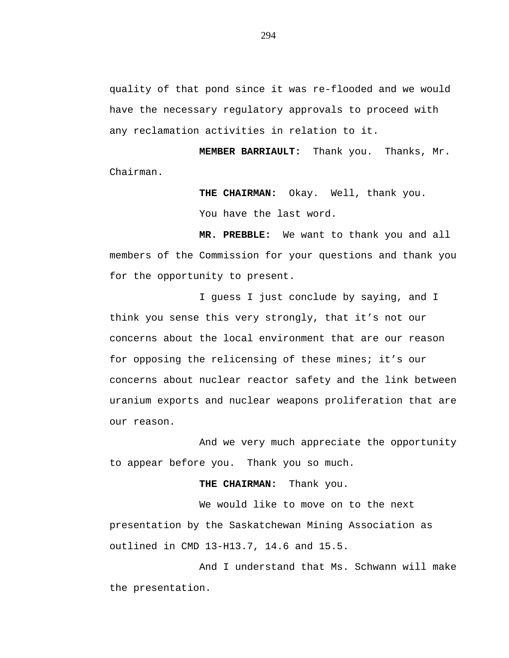quality of that pond since it was re-flooded and we would have the necessary regulatory approvals to proceed with any reclamation activities in relation to it.

**MEMBER BARRIAULT:** Thank you. Thanks, Mr. Chairman.

> **THE CHAIRMAN:** Okay. Well, thank you. You have the last word.

**MR. PREBBLE:** We want to thank you and all members of the Commission for your questions and thank you for the opportunity to present.

I guess I just conclude by saying, and I think you sense this very strongly, that it's not our concerns about the local environment that are our reason for opposing the relicensing of these mines; it's our concerns about nuclear reactor safety and the link between uranium exports and nuclear weapons proliferation that are our reason.

And we very much appreciate the opportunity to appear before you. Thank you so much.

**THE CHAIRMAN:** Thank you.

We would like to move on to the next presentation by the Saskatchewan Mining Association as outlined in CMD 13-H13.7, 14.6 and 15.5.

And I understand that Ms. Schwann will make the presentation.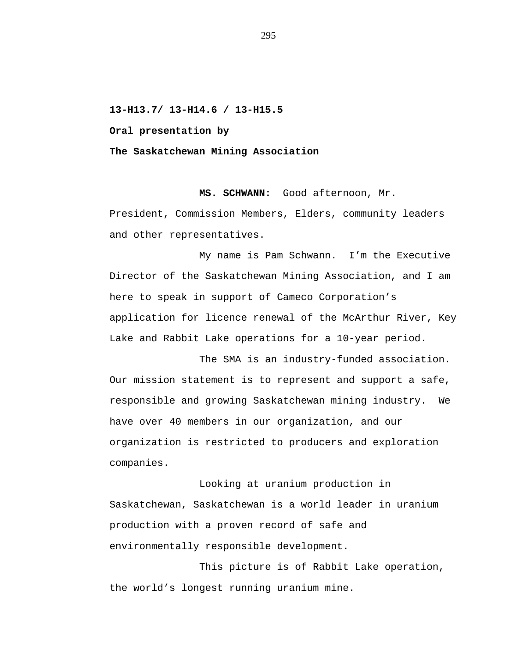**13-H13.7/ 13-H14.6 / 13-H15.5**

**Oral presentation by**

**The Saskatchewan Mining Association**

**MS. SCHWANN:** Good afternoon, Mr.

President, Commission Members, Elders, community leaders and other representatives.

My name is Pam Schwann. I'm the Executive Director of the Saskatchewan Mining Association, and I am here to speak in support of Cameco Corporation's application for licence renewal of the McArthur River, Key Lake and Rabbit Lake operations for a 10-year period.

The SMA is an industry-funded association. Our mission statement is to represent and support a safe, responsible and growing Saskatchewan mining industry. We have over 40 members in our organization, and our organization is restricted to producers and exploration companies.

Looking at uranium production in Saskatchewan, Saskatchewan is a world leader in uranium production with a proven record of safe and environmentally responsible development.

This picture is of Rabbit Lake operation, the world's longest running uranium mine.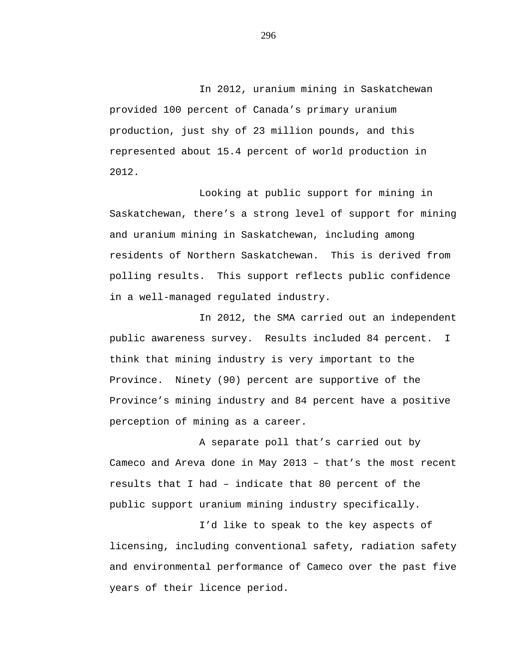In 2012, uranium mining in Saskatchewan provided 100 percent of Canada's primary uranium production, just shy of 23 million pounds, and this represented about 15.4 percent of world production in 2012.

Looking at public support for mining in Saskatchewan, there's a strong level of support for mining and uranium mining in Saskatchewan, including among residents of Northern Saskatchewan. This is derived from polling results. This support reflects public confidence in a well-managed regulated industry.

In 2012, the SMA carried out an independent public awareness survey. Results included 84 percent. I think that mining industry is very important to the Province. Ninety (90) percent are supportive of the Province's mining industry and 84 percent have a positive perception of mining as a career.

A separate poll that's carried out by Cameco and Areva done in May 2013 – that's the most recent results that I had – indicate that 80 percent of the public support uranium mining industry specifically.

I'd like to speak to the key aspects of licensing, including conventional safety, radiation safety and environmental performance of Cameco over the past five years of their licence period.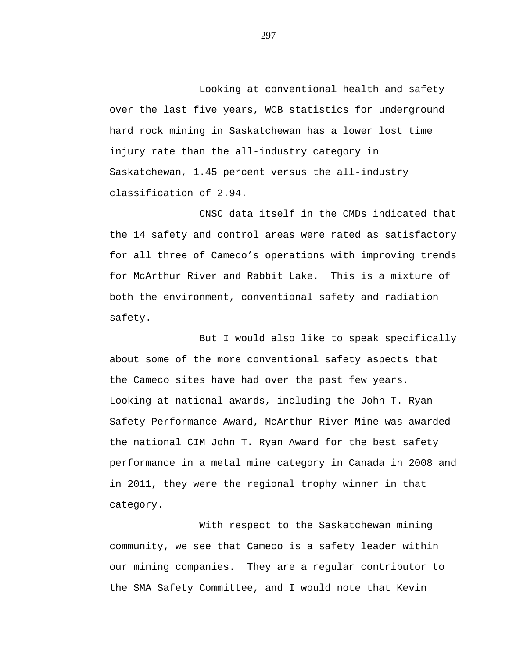Looking at conventional health and safety over the last five years, WCB statistics for underground hard rock mining in Saskatchewan has a lower lost time injury rate than the all-industry category in Saskatchewan, 1.45 percent versus the all-industry classification of 2.94.

CNSC data itself in the CMDs indicated that the 14 safety and control areas were rated as satisfactory for all three of Cameco's operations with improving trends for McArthur River and Rabbit Lake. This is a mixture of both the environment, conventional safety and radiation safety.

But I would also like to speak specifically about some of the more conventional safety aspects that the Cameco sites have had over the past few years. Looking at national awards, including the John T. Ryan Safety Performance Award, McArthur River Mine was awarded the national CIM John T. Ryan Award for the best safety performance in a metal mine category in Canada in 2008 and in 2011, they were the regional trophy winner in that category.

With respect to the Saskatchewan mining community, we see that Cameco is a safety leader within our mining companies. They are a regular contributor to the SMA Safety Committee, and I would note that Kevin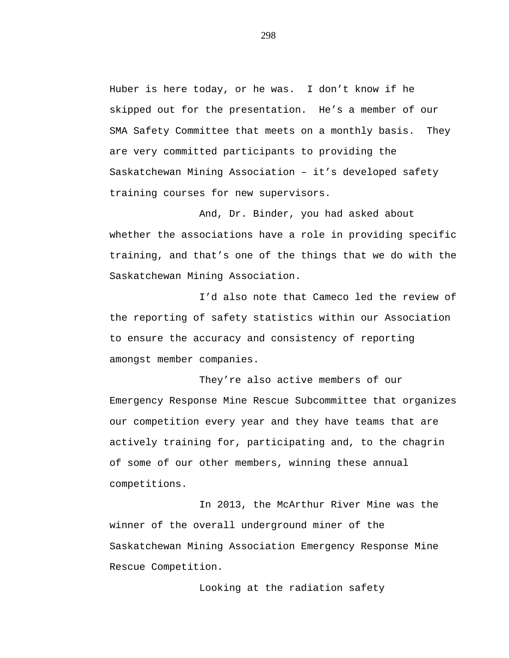Huber is here today, or he was. I don't know if he skipped out for the presentation. He's a member of our SMA Safety Committee that meets on a monthly basis. They are very committed participants to providing the Saskatchewan Mining Association – it's developed safety training courses for new supervisors.

And, Dr. Binder, you had asked about whether the associations have a role in providing specific training, and that's one of the things that we do with the Saskatchewan Mining Association.

I'd also note that Cameco led the review of the reporting of safety statistics within our Association to ensure the accuracy and consistency of reporting amongst member companies.

They're also active members of our Emergency Response Mine Rescue Subcommittee that organizes our competition every year and they have teams that are actively training for, participating and, to the chagrin of some of our other members, winning these annual competitions.

In 2013, the McArthur River Mine was the winner of the overall underground miner of the Saskatchewan Mining Association Emergency Response Mine Rescue Competition.

Looking at the radiation safety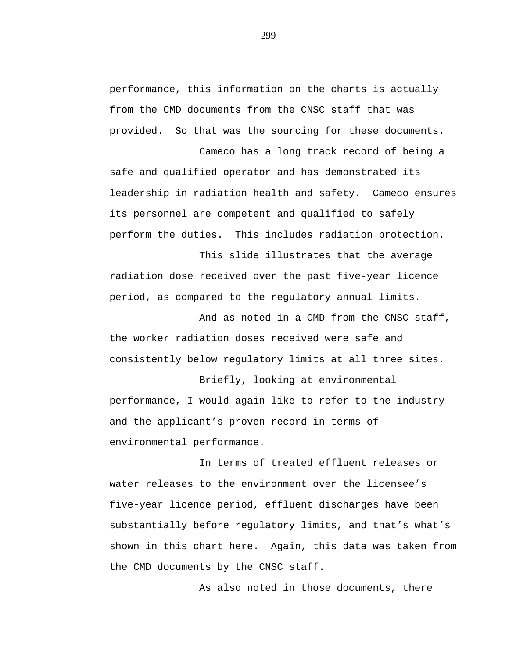performance, this information on the charts is actually from the CMD documents from the CNSC staff that was provided. So that was the sourcing for these documents.

Cameco has a long track record of being a safe and qualified operator and has demonstrated its leadership in radiation health and safety. Cameco ensures its personnel are competent and qualified to safely perform the duties. This includes radiation protection.

This slide illustrates that the average radiation dose received over the past five-year licence period, as compared to the regulatory annual limits.

And as noted in a CMD from the CNSC staff, the worker radiation doses received were safe and consistently below regulatory limits at all three sites.

Briefly, looking at environmental performance, I would again like to refer to the industry and the applicant's proven record in terms of environmental performance.

In terms of treated effluent releases or water releases to the environment over the licensee's five-year licence period, effluent discharges have been substantially before regulatory limits, and that's what's shown in this chart here. Again, this data was taken from the CMD documents by the CNSC staff.

As also noted in those documents, there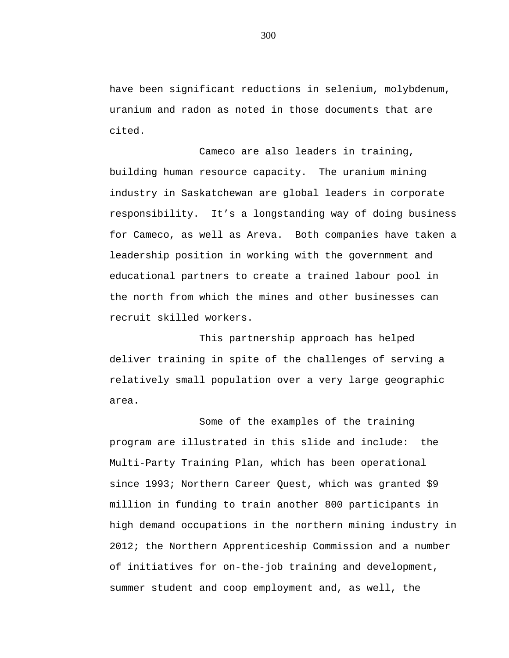have been significant reductions in selenium, molybdenum, uranium and radon as noted in those documents that are cited.

Cameco are also leaders in training, building human resource capacity. The uranium mining industry in Saskatchewan are global leaders in corporate responsibility. It's a longstanding way of doing business for Cameco, as well as Areva. Both companies have taken a leadership position in working with the government and educational partners to create a trained labour pool in the north from which the mines and other businesses can recruit skilled workers.

This partnership approach has helped deliver training in spite of the challenges of serving a relatively small population over a very large geographic area.

Some of the examples of the training program are illustrated in this slide and include: the Multi-Party Training Plan, which has been operational since 1993; Northern Career Quest, which was granted \$9 million in funding to train another 800 participants in high demand occupations in the northern mining industry in 2012; the Northern Apprenticeship Commission and a number of initiatives for on-the-job training and development, summer student and coop employment and, as well, the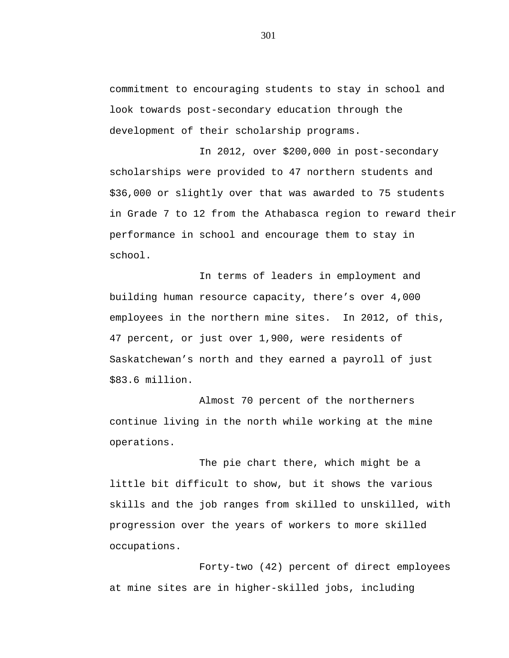commitment to encouraging students to stay in school and look towards post-secondary education through the development of their scholarship programs.

In 2012, over \$200,000 in post-secondary scholarships were provided to 47 northern students and \$36,000 or slightly over that was awarded to 75 students in Grade 7 to 12 from the Athabasca region to reward their performance in school and encourage them to stay in school.

In terms of leaders in employment and building human resource capacity, there's over 4,000 employees in the northern mine sites. In 2012, of this, 47 percent, or just over 1,900, were residents of Saskatchewan's north and they earned a payroll of just \$83.6 million.

Almost 70 percent of the northerners continue living in the north while working at the mine operations.

The pie chart there, which might be a little bit difficult to show, but it shows the various skills and the job ranges from skilled to unskilled, with progression over the years of workers to more skilled occupations.

Forty-two (42) percent of direct employees at mine sites are in higher-skilled jobs, including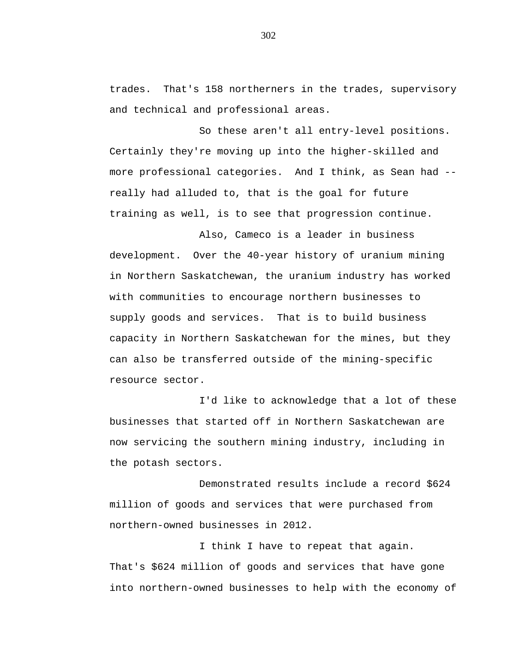trades. That's 158 northerners in the trades, supervisory and technical and professional areas.

So these aren't all entry-level positions. Certainly they're moving up into the higher-skilled and more professional categories. And I think, as Sean had - really had alluded to, that is the goal for future training as well, is to see that progression continue.

Also, Cameco is a leader in business development. Over the 40-year history of uranium mining in Northern Saskatchewan, the uranium industry has worked with communities to encourage northern businesses to supply goods and services. That is to build business capacity in Northern Saskatchewan for the mines, but they can also be transferred outside of the mining-specific resource sector.

I'd like to acknowledge that a lot of these businesses that started off in Northern Saskatchewan are now servicing the southern mining industry, including in the potash sectors.

Demonstrated results include a record \$624 million of goods and services that were purchased from northern-owned businesses in 2012.

I think I have to repeat that again. That's \$624 million of goods and services that have gone into northern-owned businesses to help with the economy of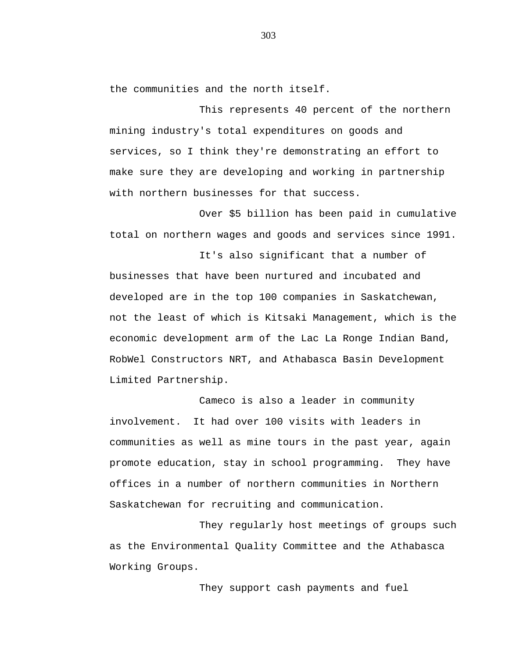the communities and the north itself.

This represents 40 percent of the northern mining industry's total expenditures on goods and services, so I think they're demonstrating an effort to make sure they are developing and working in partnership with northern businesses for that success.

Over \$5 billion has been paid in cumulative total on northern wages and goods and services since 1991.

It's also significant that a number of businesses that have been nurtured and incubated and developed are in the top 100 companies in Saskatchewan, not the least of which is Kitsaki Management, which is the economic development arm of the Lac La Ronge Indian Band, RobWel Constructors NRT, and Athabasca Basin Development Limited Partnership.

Cameco is also a leader in community involvement. It had over 100 visits with leaders in communities as well as mine tours in the past year, again promote education, stay in school programming. They have offices in a number of northern communities in Northern Saskatchewan for recruiting and communication.

They regularly host meetings of groups such as the Environmental Quality Committee and the Athabasca Working Groups.

They support cash payments and fuel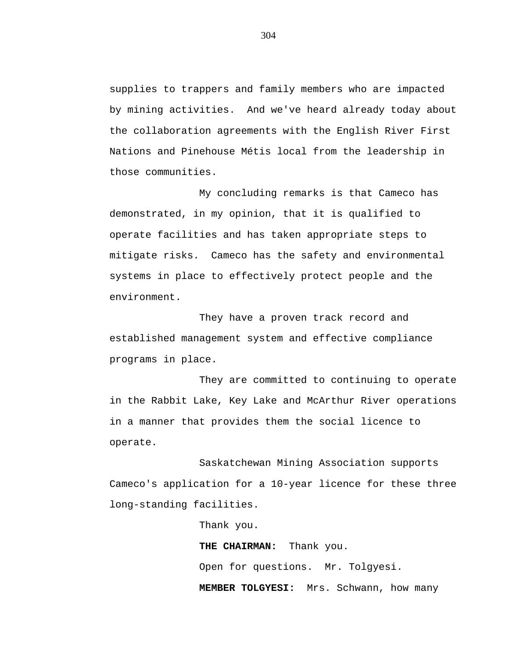supplies to trappers and family members who are impacted by mining activities. And we've heard already today about the collaboration agreements with the English River First Nations and Pinehouse Métis local from the leadership in those communities.

My concluding remarks is that Cameco has demonstrated, in my opinion, that it is qualified to operate facilities and has taken appropriate steps to mitigate risks. Cameco has the safety and environmental systems in place to effectively protect people and the environment.

They have a proven track record and established management system and effective compliance programs in place.

They are committed to continuing to operate in the Rabbit Lake, Key Lake and McArthur River operations in a manner that provides them the social licence to operate.

Saskatchewan Mining Association supports Cameco's application for a 10-year licence for these three long-standing facilities.

> Thank you. **THE CHAIRMAN:** Thank you. Open for questions. Mr. Tolgyesi. **MEMBER TOLGYESI:** Mrs. Schwann, how many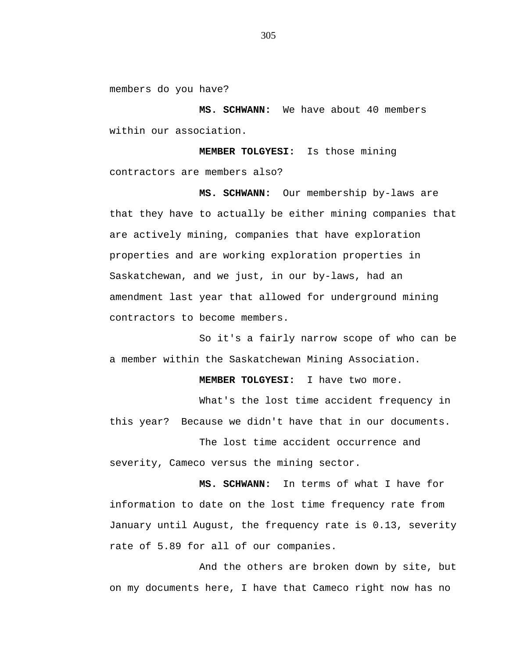members do you have?

**MS. SCHWANN:** We have about 40 members within our association.

**MEMBER TOLGYESI:** Is those mining contractors are members also?

**MS. SCHWANN:** Our membership by-laws are that they have to actually be either mining companies that are actively mining, companies that have exploration properties and are working exploration properties in Saskatchewan, and we just, in our by-laws, had an amendment last year that allowed for underground mining contractors to become members.

So it's a fairly narrow scope of who can be a member within the Saskatchewan Mining Association.

**MEMBER TOLGYESI:** I have two more.

What's the lost time accident frequency in this year? Because we didn't have that in our documents.

The lost time accident occurrence and severity, Cameco versus the mining sector.

**MS. SCHWANN:** In terms of what I have for information to date on the lost time frequency rate from January until August, the frequency rate is 0.13, severity rate of 5.89 for all of our companies.

And the others are broken down by site, but on my documents here, I have that Cameco right now has no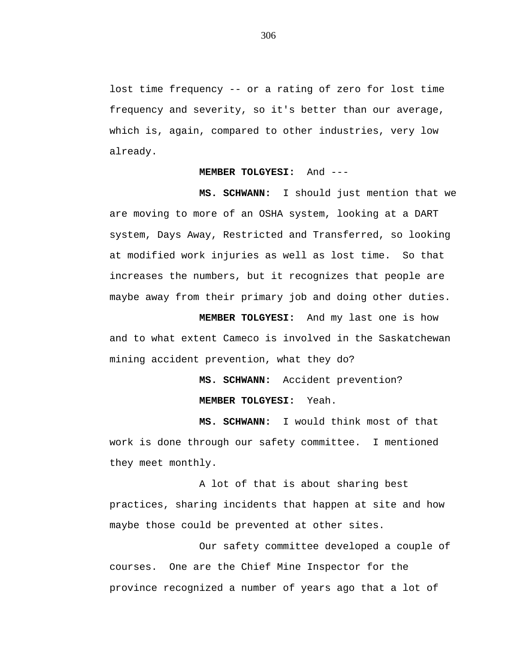lost time frequency -- or a rating of zero for lost time frequency and severity, so it's better than our average, which is, again, compared to other industries, very low already.

## **MEMBER TOLGYESI:** And ---

**MS. SCHWANN:** I should just mention that we are moving to more of an OSHA system, looking at a DART system, Days Away, Restricted and Transferred, so looking at modified work injuries as well as lost time. So that increases the numbers, but it recognizes that people are maybe away from their primary job and doing other duties.

**MEMBER TOLGYESI:** And my last one is how and to what extent Cameco is involved in the Saskatchewan mining accident prevention, what they do?

> **MS. SCHWANN:** Accident prevention? **MEMBER TOLGYESI:** Yeah.

**MS. SCHWANN:** I would think most of that work is done through our safety committee. I mentioned they meet monthly.

A lot of that is about sharing best practices, sharing incidents that happen at site and how maybe those could be prevented at other sites.

Our safety committee developed a couple of courses. One are the Chief Mine Inspector for the province recognized a number of years ago that a lot of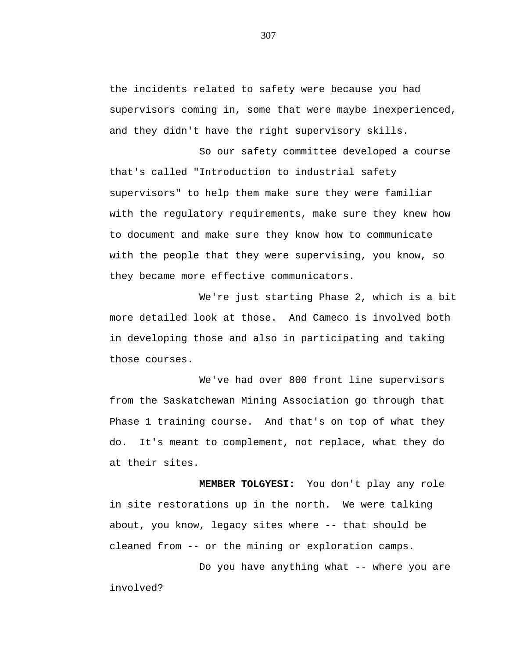the incidents related to safety were because you had supervisors coming in, some that were maybe inexperienced, and they didn't have the right supervisory skills.

So our safety committee developed a course that's called "Introduction to industrial safety supervisors" to help them make sure they were familiar with the regulatory requirements, make sure they knew how to document and make sure they know how to communicate with the people that they were supervising, you know, so they became more effective communicators.

We're just starting Phase 2, which is a bit more detailed look at those. And Cameco is involved both in developing those and also in participating and taking those courses.

We've had over 800 front line supervisors from the Saskatchewan Mining Association go through that Phase 1 training course. And that's on top of what they do. It's meant to complement, not replace, what they do at their sites.

**MEMBER TOLGYESI:** You don't play any role in site restorations up in the north. We were talking about, you know, legacy sites where -- that should be cleaned from -- or the mining or exploration camps.

Do you have anything what -- where you are involved?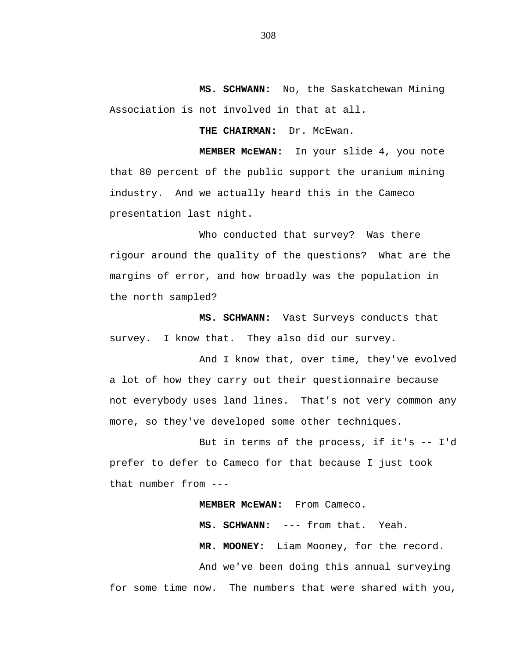**MS. SCHWANN:** No, the Saskatchewan Mining Association is not involved in that at all.

THE CHAIRMAN: Dr. McEwan.

**MEMBER McEWAN:** In your slide 4, you note that 80 percent of the public support the uranium mining industry. And we actually heard this in the Cameco presentation last night.

Who conducted that survey? Was there rigour around the quality of the questions? What are the margins of error, and how broadly was the population in the north sampled?

**MS. SCHWANN:** Vast Surveys conducts that survey. I know that. They also did our survey.

And I know that, over time, they've evolved a lot of how they carry out their questionnaire because not everybody uses land lines. That's not very common any more, so they've developed some other techniques.

But in terms of the process, if it's -- I'd prefer to defer to Cameco for that because I just took that number from ---

**MEMBER McEWAN:** From Cameco.

**MS. SCHWANN:** --- from that. Yeah. **MR. MOONEY:** Liam Mooney, for the record. And we've been doing this annual surveying for some time now. The numbers that were shared with you,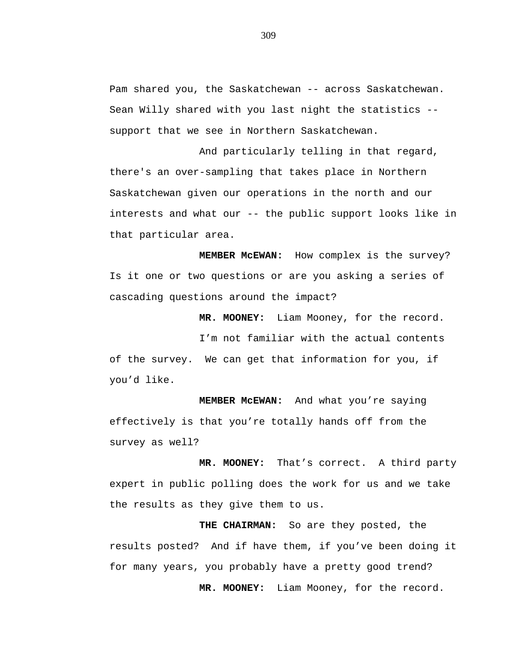Pam shared you, the Saskatchewan -- across Saskatchewan. Sean Willy shared with you last night the statistics - support that we see in Northern Saskatchewan.

And particularly telling in that regard, there's an over-sampling that takes place in Northern Saskatchewan given our operations in the north and our interests and what our -- the public support looks like in that particular area.

**MEMBER McEWAN:** How complex is the survey? Is it one or two questions or are you asking a series of cascading questions around the impact?

**MR. MOONEY:** Liam Mooney, for the record.

I'm not familiar with the actual contents of the survey. We can get that information for you, if you'd like.

**MEMBER McEWAN:** And what you're saying effectively is that you're totally hands off from the survey as well?

**MR. MOONEY:** That's correct. A third party expert in public polling does the work for us and we take the results as they give them to us.

**THE CHAIRMAN:** So are they posted, the results posted? And if have them, if you've been doing it for many years, you probably have a pretty good trend? **MR. MOONEY:** Liam Mooney, for the record.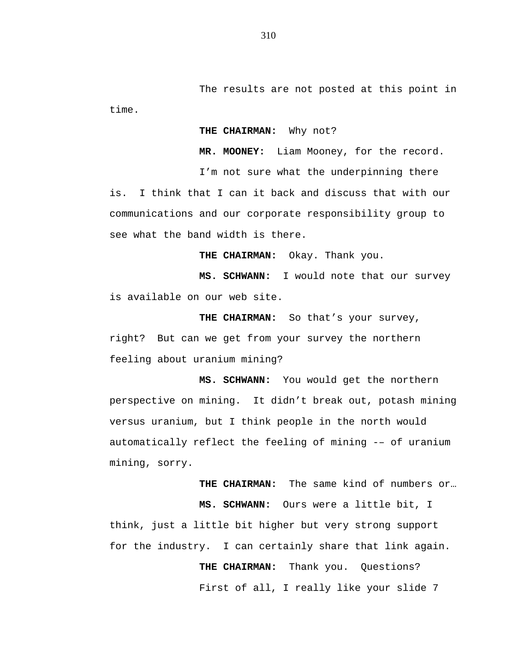The results are not posted at this point in time.

## **THE CHAIRMAN:** Why not?

**MR. MOONEY:** Liam Mooney, for the record.

I'm not sure what the underpinning there is. I think that I can it back and discuss that with our communications and our corporate responsibility group to see what the band width is there.

**THE CHAIRMAN:** Okay. Thank you.

**MS. SCHWANN:** I would note that our survey is available on our web site.

**THE CHAIRMAN:** So that's your survey, right? But can we get from your survey the northern feeling about uranium mining?

**MS. SCHWANN:** You would get the northern perspective on mining. It didn't break out, potash mining versus uranium, but I think people in the north would automatically reflect the feeling of mining -– of uranium mining, sorry.

**THE CHAIRMAN:** The same kind of numbers or… **MS. SCHWANN:** Ours were a little bit, I think, just a little bit higher but very strong support for the industry. I can certainly share that link again. THE CHAIRMAN: Thank you. Questions?

First of all, I really like your slide 7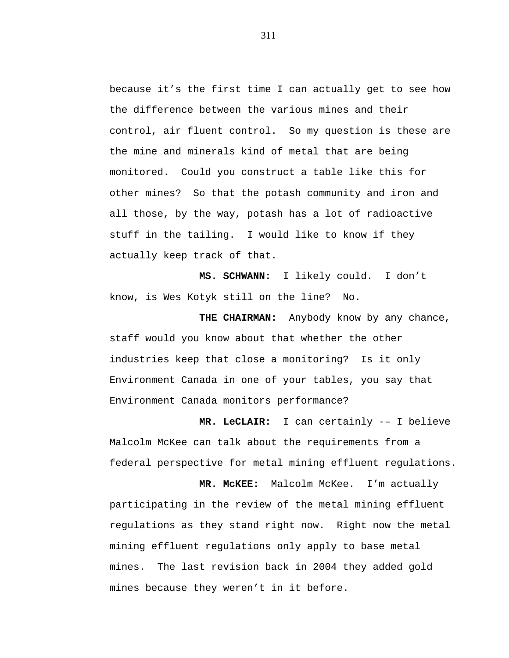because it's the first time I can actually get to see how the difference between the various mines and their control, air fluent control. So my question is these are the mine and minerals kind of metal that are being monitored. Could you construct a table like this for other mines? So that the potash community and iron and all those, by the way, potash has a lot of radioactive stuff in the tailing. I would like to know if they actually keep track of that.

**MS. SCHWANN:** I likely could. I don't know, is Wes Kotyk still on the line? No.

**THE CHAIRMAN:** Anybody know by any chance, staff would you know about that whether the other industries keep that close a monitoring? Is it only Environment Canada in one of your tables, you say that Environment Canada monitors performance?

**MR. LeCLAIR:** I can certainly -– I believe Malcolm McKee can talk about the requirements from a federal perspective for metal mining effluent regulations.

**MR. McKEE:** Malcolm McKee. I'm actually participating in the review of the metal mining effluent regulations as they stand right now. Right now the metal mining effluent regulations only apply to base metal mines. The last revision back in 2004 they added gold mines because they weren't in it before.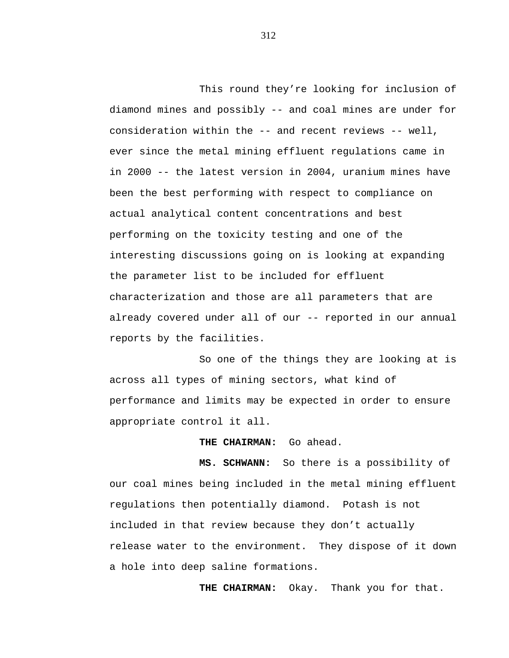This round they're looking for inclusion of diamond mines and possibly -- and coal mines are under for consideration within the -- and recent reviews -- well, ever since the metal mining effluent regulations came in in 2000 -- the latest version in 2004, uranium mines have been the best performing with respect to compliance on actual analytical content concentrations and best performing on the toxicity testing and one of the interesting discussions going on is looking at expanding the parameter list to be included for effluent characterization and those are all parameters that are already covered under all of our -- reported in our annual reports by the facilities.

So one of the things they are looking at is across all types of mining sectors, what kind of performance and limits may be expected in order to ensure appropriate control it all.

## **THE CHAIRMAN:** Go ahead.

**MS. SCHWANN:** So there is a possibility of our coal mines being included in the metal mining effluent regulations then potentially diamond. Potash is not included in that review because they don't actually release water to the environment. They dispose of it down a hole into deep saline formations.

**THE CHAIRMAN:** Okay. Thank you for that.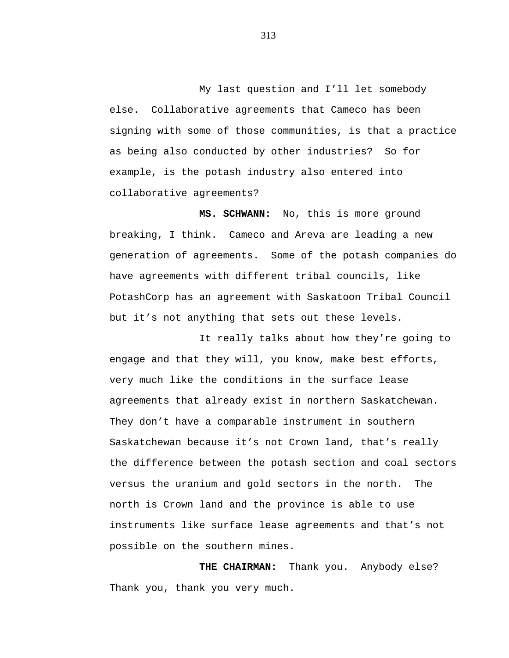My last question and I'll let somebody else. Collaborative agreements that Cameco has been signing with some of those communities, is that a practice as being also conducted by other industries? So for example, is the potash industry also entered into collaborative agreements?

**MS. SCHWANN:** No, this is more ground breaking, I think. Cameco and Areva are leading a new generation of agreements. Some of the potash companies do have agreements with different tribal councils, like PotashCorp has an agreement with Saskatoon Tribal Council but it's not anything that sets out these levels.

It really talks about how they're going to engage and that they will, you know, make best efforts, very much like the conditions in the surface lease agreements that already exist in northern Saskatchewan. They don't have a comparable instrument in southern Saskatchewan because it's not Crown land, that's really the difference between the potash section and coal sectors versus the uranium and gold sectors in the north. The north is Crown land and the province is able to use instruments like surface lease agreements and that's not possible on the southern mines.

**THE CHAIRMAN:** Thank you. Anybody else? Thank you, thank you very much.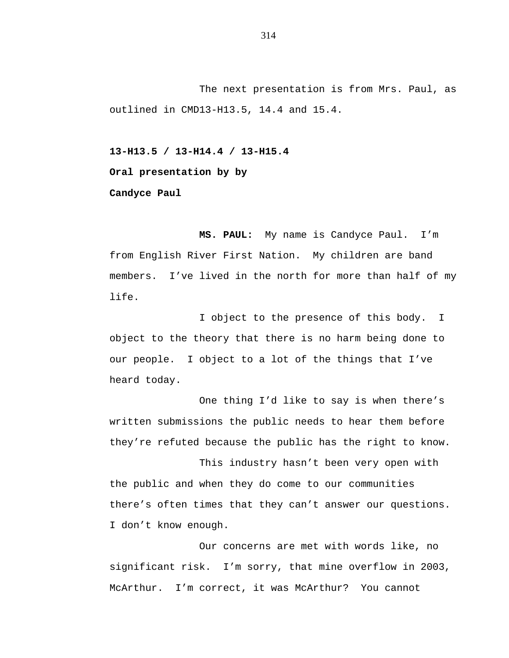The next presentation is from Mrs. Paul, as outlined in CMD13-H13.5, 14.4 and 15.4.

**13-H13.5 / 13-H14.4 / 13-H15.4**

**Oral presentation by by**

**Candyce Paul**

**MS. PAUL:** My name is Candyce Paul. I'm from English River First Nation. My children are band members. I've lived in the north for more than half of my life.

I object to the presence of this body. I object to the theory that there is no harm being done to our people. I object to a lot of the things that I've heard today.

One thing I'd like to say is when there's written submissions the public needs to hear them before they're refuted because the public has the right to know.

This industry hasn't been very open with the public and when they do come to our communities there's often times that they can't answer our questions. I don't know enough.

Our concerns are met with words like, no significant risk. I'm sorry, that mine overflow in 2003, McArthur. I'm correct, it was McArthur? You cannot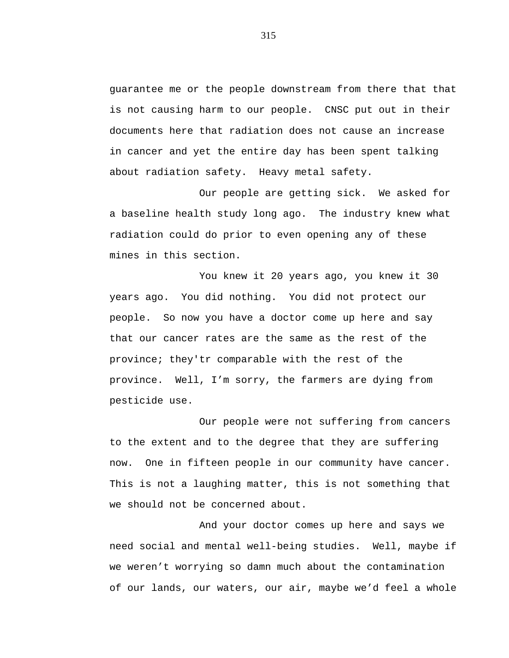guarantee me or the people downstream from there that that is not causing harm to our people. CNSC put out in their documents here that radiation does not cause an increase in cancer and yet the entire day has been spent talking about radiation safety. Heavy metal safety.

Our people are getting sick. We asked for a baseline health study long ago. The industry knew what radiation could do prior to even opening any of these mines in this section.

You knew it 20 years ago, you knew it 30 years ago. You did nothing. You did not protect our people. So now you have a doctor come up here and say that our cancer rates are the same as the rest of the province; they'tr comparable with the rest of the province. Well, I'm sorry, the farmers are dying from pesticide use.

Our people were not suffering from cancers to the extent and to the degree that they are suffering now. One in fifteen people in our community have cancer. This is not a laughing matter, this is not something that we should not be concerned about.

And your doctor comes up here and says we need social and mental well-being studies. Well, maybe if we weren't worrying so damn much about the contamination of our lands, our waters, our air, maybe we'd feel a whole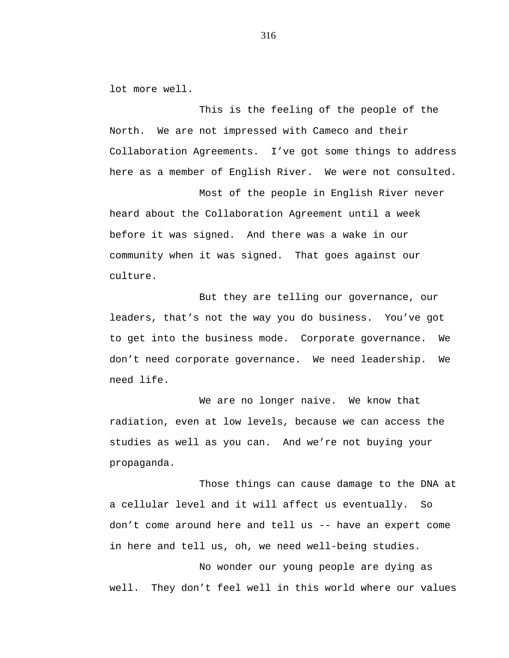lot more well.

This is the feeling of the people of the North. We are not impressed with Cameco and their Collaboration Agreements. I've got some things to address here as a member of English River. We were not consulted.

Most of the people in English River never heard about the Collaboration Agreement until a week before it was signed. And there was a wake in our community when it was signed. That goes against our culture.

But they are telling our governance, our leaders, that's not the way you do business. You've got to get into the business mode. Corporate governance. We don't need corporate governance. We need leadership. We need life.

We are no longer naive. We know that radiation, even at low levels, because we can access the studies as well as you can. And we're not buying your propaganda.

Those things can cause damage to the DNA at a cellular level and it will affect us eventually. So don't come around here and tell us -- have an expert come in here and tell us, oh, we need well-being studies.

No wonder our young people are dying as well. They don't feel well in this world where our values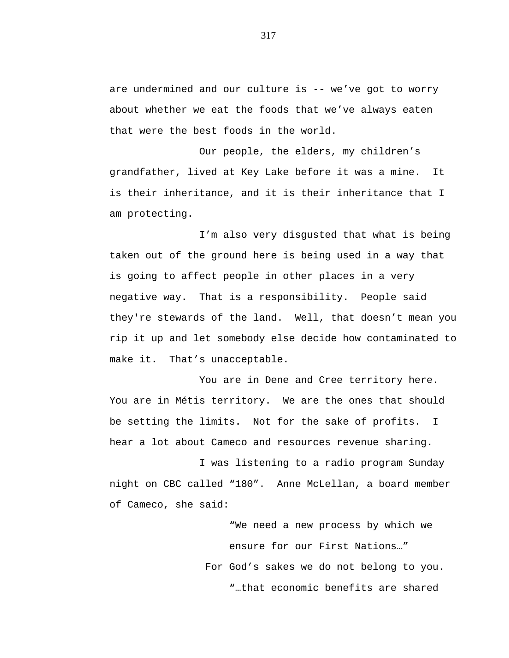are undermined and our culture is -- we've got to worry about whether we eat the foods that we've always eaten that were the best foods in the world.

Our people, the elders, my children's grandfather, lived at Key Lake before it was a mine. It is their inheritance, and it is their inheritance that I am protecting.

I'm also very disgusted that what is being taken out of the ground here is being used in a way that is going to affect people in other places in a very negative way. That is a responsibility. People said they're stewards of the land. Well, that doesn't mean you rip it up and let somebody else decide how contaminated to make it. That's unacceptable.

You are in Dene and Cree territory here. You are in Métis territory. We are the ones that should be setting the limits. Not for the sake of profits. I hear a lot about Cameco and resources revenue sharing.

I was listening to a radio program Sunday night on CBC called "180". Anne McLellan, a board member of Cameco, she said:

> "We need a new process by which we ensure for our First Nations…" For God's sakes we do not belong to you. "…that economic benefits are shared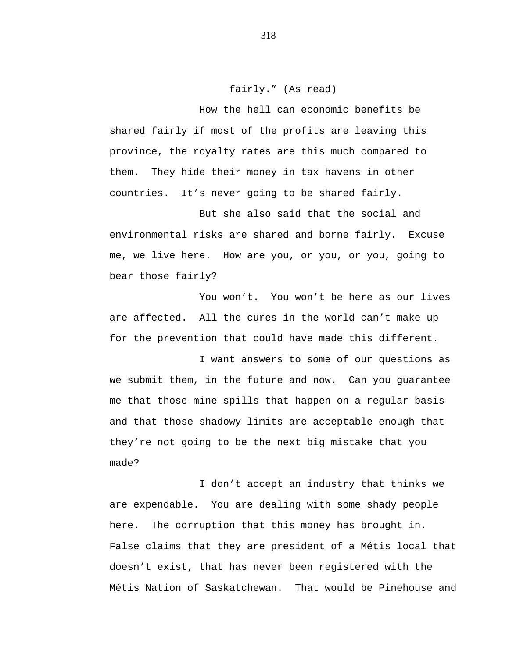fairly." (As read)

How the hell can economic benefits be shared fairly if most of the profits are leaving this province, the royalty rates are this much compared to them. They hide their money in tax havens in other countries. It's never going to be shared fairly.

But she also said that the social and environmental risks are shared and borne fairly. Excuse me, we live here. How are you, or you, or you, going to bear those fairly?

You won't. You won't be here as our lives are affected. All the cures in the world can't make up for the prevention that could have made this different.

I want answers to some of our questions as we submit them, in the future and now. Can you guarantee me that those mine spills that happen on a regular basis and that those shadowy limits are acceptable enough that they're not going to be the next big mistake that you made?

I don't accept an industry that thinks we are expendable. You are dealing with some shady people here. The corruption that this money has brought in. False claims that they are president of a Métis local that doesn't exist, that has never been registered with the Métis Nation of Saskatchewan. That would be Pinehouse and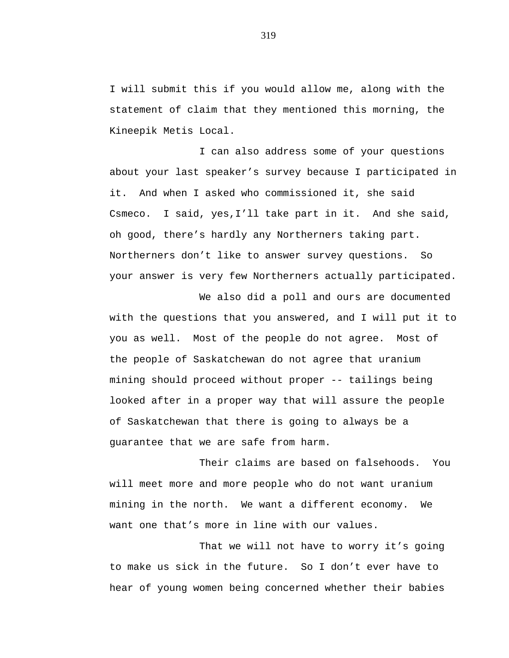I will submit this if you would allow me, along with the statement of claim that they mentioned this morning, the Kineepik Metis Local.

I can also address some of your questions about your last speaker's survey because I participated in it. And when I asked who commissioned it, she said Csmeco. I said, yes,I'll take part in it. And she said, oh good, there's hardly any Northerners taking part. Northerners don't like to answer survey questions. So your answer is very few Northerners actually participated.

We also did a poll and ours are documented with the questions that you answered, and I will put it to you as well. Most of the people do not agree. Most of the people of Saskatchewan do not agree that uranium mining should proceed without proper -- tailings being looked after in a proper way that will assure the people of Saskatchewan that there is going to always be a guarantee that we are safe from harm.

Their claims are based on falsehoods. You will meet more and more people who do not want uranium mining in the north. We want a different economy. We want one that's more in line with our values.

That we will not have to worry it's going to make us sick in the future. So I don't ever have to hear of young women being concerned whether their babies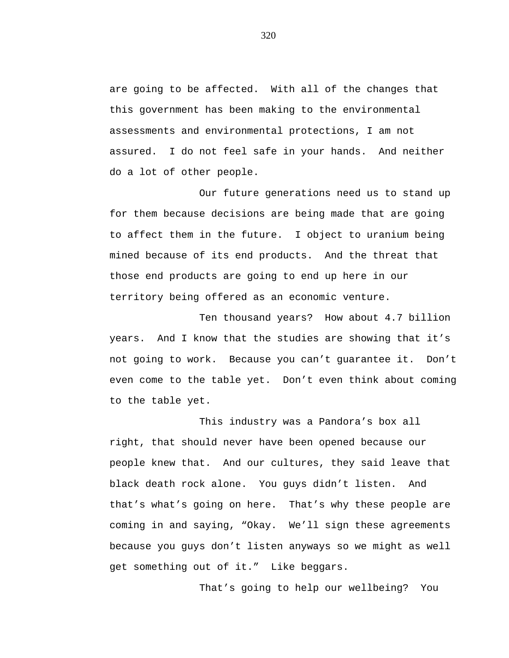are going to be affected. With all of the changes that this government has been making to the environmental assessments and environmental protections, I am not assured. I do not feel safe in your hands. And neither do a lot of other people.

Our future generations need us to stand up for them because decisions are being made that are going to affect them in the future. I object to uranium being mined because of its end products. And the threat that those end products are going to end up here in our territory being offered as an economic venture.

Ten thousand years? How about 4.7 billion years. And I know that the studies are showing that it's not going to work. Because you can't guarantee it. Don't even come to the table yet. Don't even think about coming to the table yet.

This industry was a Pandora's box all right, that should never have been opened because our people knew that. And our cultures, they said leave that black death rock alone. You guys didn't listen. And that's what's going on here. That's why these people are coming in and saying, "Okay. We'll sign these agreements because you guys don't listen anyways so we might as well get something out of it." Like beggars.

That's going to help our wellbeing? You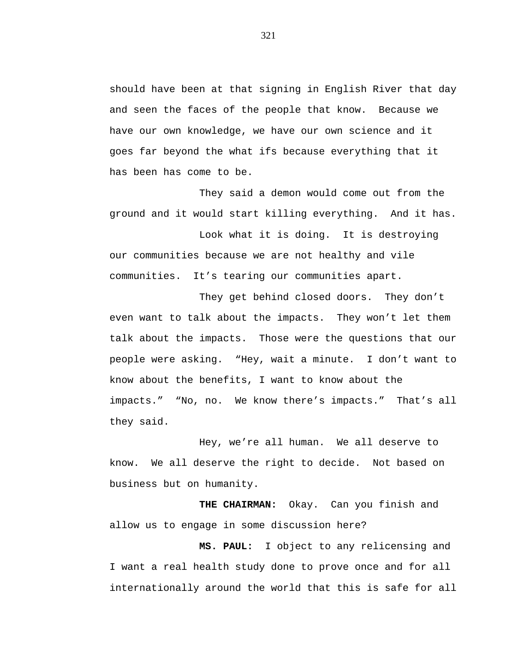should have been at that signing in English River that day and seen the faces of the people that know. Because we have our own knowledge, we have our own science and it goes far beyond the what ifs because everything that it has been has come to be.

They said a demon would come out from the ground and it would start killing everything. And it has.

Look what it is doing. It is destroying our communities because we are not healthy and vile communities. It's tearing our communities apart.

They get behind closed doors. They don't even want to talk about the impacts. They won't let them talk about the impacts. Those were the questions that our people were asking. "Hey, wait a minute. I don't want to know about the benefits, I want to know about the impacts." "No, no. We know there's impacts." That's all they said.

Hey, we're all human. We all deserve to know. We all deserve the right to decide. Not based on business but on humanity.

**THE CHAIRMAN:** Okay. Can you finish and allow us to engage in some discussion here?

**MS. PAUL:** I object to any relicensing and I want a real health study done to prove once and for all internationally around the world that this is safe for all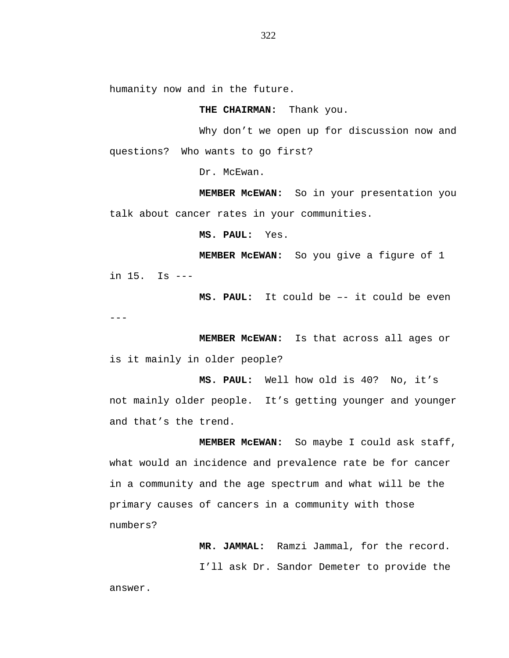humanity now and in the future.

**THE CHAIRMAN:** Thank you.

Why don't we open up for discussion now and questions? Who wants to go first?

Dr. McEwan.

**MEMBER McEWAN:** So in your presentation you talk about cancer rates in your communities.

**MS. PAUL:** Yes.

**MEMBER McEWAN:** So you give a figure of 1

in 15. Is ---

**MS. PAUL:** It could be –- it could be even ---

**MEMBER McEWAN:** Is that across all ages or is it mainly in older people?

**MS. PAUL:** Well how old is 40? No, it's not mainly older people. It's getting younger and younger and that's the trend.

**MEMBER McEWAN:** So maybe I could ask staff, what would an incidence and prevalence rate be for cancer in a community and the age spectrum and what will be the primary causes of cancers in a community with those numbers?

> **MR. JAMMAL:** Ramzi Jammal, for the record. I'll ask Dr. Sandor Demeter to provide the

answer.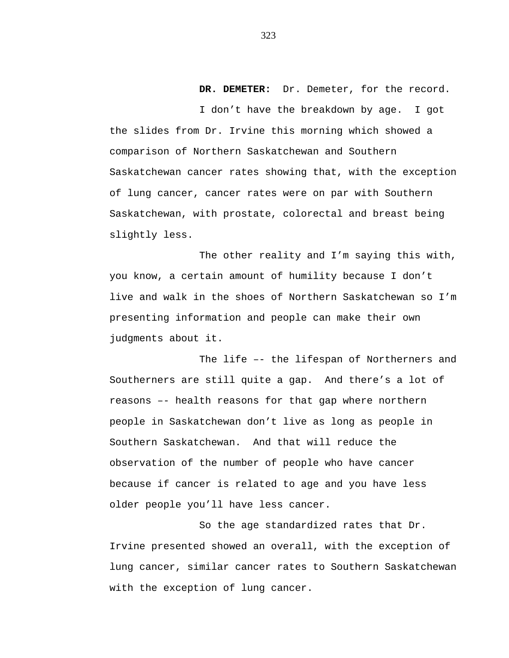### **DR. DEMETER:** Dr. Demeter, for the record.

I don't have the breakdown by age. I got the slides from Dr. Irvine this morning which showed a comparison of Northern Saskatchewan and Southern Saskatchewan cancer rates showing that, with the exception of lung cancer, cancer rates were on par with Southern Saskatchewan, with prostate, colorectal and breast being slightly less.

The other reality and I'm saying this with, you know, a certain amount of humility because I don't live and walk in the shoes of Northern Saskatchewan so I'm presenting information and people can make their own judgments about it.

The life –- the lifespan of Northerners and Southerners are still quite a gap. And there's a lot of reasons –- health reasons for that gap where northern people in Saskatchewan don't live as long as people in Southern Saskatchewan. And that will reduce the observation of the number of people who have cancer because if cancer is related to age and you have less older people you'll have less cancer.

So the age standardized rates that Dr. Irvine presented showed an overall, with the exception of lung cancer, similar cancer rates to Southern Saskatchewan with the exception of lung cancer.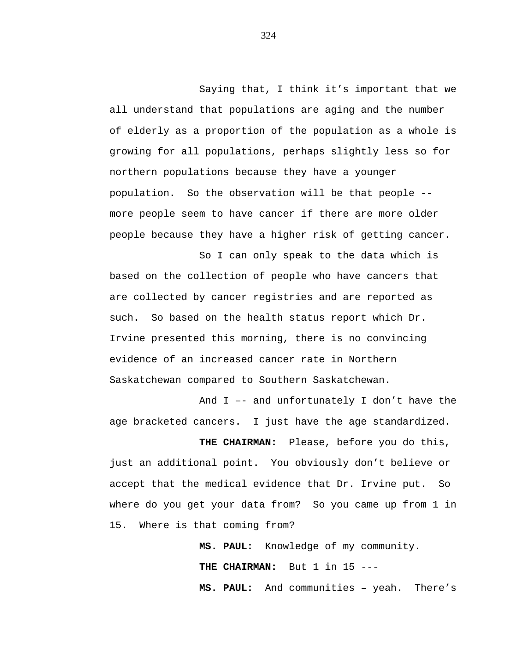Saying that, I think it's important that we all understand that populations are aging and the number of elderly as a proportion of the population as a whole is growing for all populations, perhaps slightly less so for northern populations because they have a younger population. So the observation will be that people - more people seem to have cancer if there are more older people because they have a higher risk of getting cancer.

So I can only speak to the data which is based on the collection of people who have cancers that are collected by cancer registries and are reported as such. So based on the health status report which Dr. Irvine presented this morning, there is no convincing evidence of an increased cancer rate in Northern Saskatchewan compared to Southern Saskatchewan.

And I –- and unfortunately I don't have the age bracketed cancers. I just have the age standardized.

**THE CHAIRMAN:** Please, before you do this, just an additional point. You obviously don't believe or accept that the medical evidence that Dr. Irvine put. So where do you get your data from? So you came up from 1 in 15. Where is that coming from?

> **MS. PAUL:** Knowledge of my community. THE CHAIRMAN: But 1 in 15 ---**MS. PAUL:** And communities – yeah. There's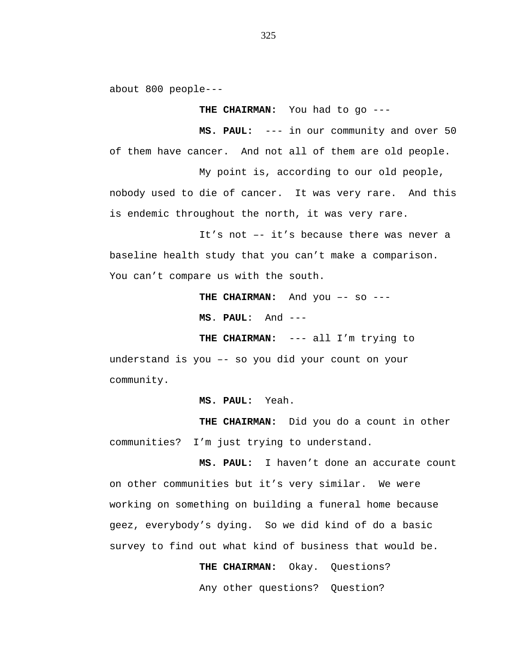about 800 people---

**THE CHAIRMAN:** You had to go ---

**MS. PAUL:** --- in our community and over 50 of them have cancer. And not all of them are old people.

My point is, according to our old people, nobody used to die of cancer. It was very rare. And this is endemic throughout the north, it was very rare.

It's not –- it's because there was never a baseline health study that you can't make a comparison. You can't compare us with the south.

THE CHAIRMAN: And you -- so ---

**MS**. **PAUL**: And ---

**THE CHAIRMAN:** --- all I'm trying to

understand is you –- so you did your count on your community.

**MS. PAUL:** Yeah.

**THE CHAIRMAN:** Did you do a count in other communities? I'm just trying to understand.

**MS. PAUL:** I haven't done an accurate count on other communities but it's very similar. We were working on something on building a funeral home because geez, everybody's dying. So we did kind of do a basic survey to find out what kind of business that would be.

**THE CHAIRMAN:** Okay. Questions?

Any other questions? Question?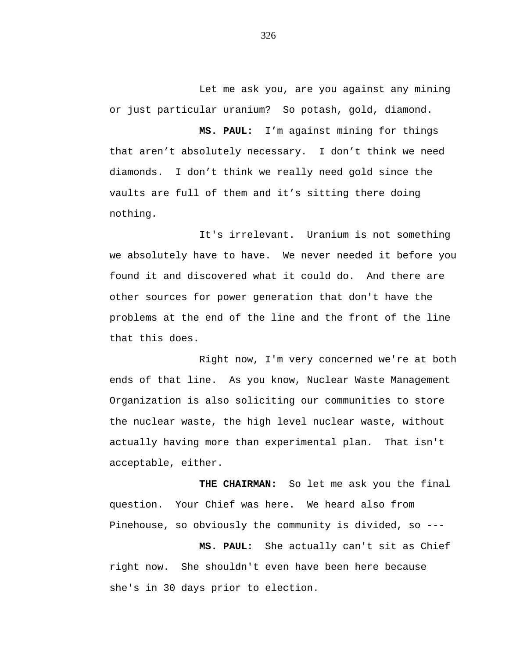Let me ask you, are you against any mining or just particular uranium? So potash, gold, diamond.

**MS. PAUL:** I'm against mining for things that aren't absolutely necessary. I don't think we need diamonds. I don't think we really need gold since the vaults are full of them and it's sitting there doing nothing.

It's irrelevant. Uranium is not something we absolutely have to have. We never needed it before you found it and discovered what it could do. And there are other sources for power generation that don't have the problems at the end of the line and the front of the line that this does.

Right now, I'm very concerned we're at both ends of that line. As you know, Nuclear Waste Management Organization is also soliciting our communities to store the nuclear waste, the high level nuclear waste, without actually having more than experimental plan. That isn't acceptable, either.

**THE CHAIRMAN:** So let me ask you the final question. Your Chief was here. We heard also from Pinehouse, so obviously the community is divided, so ---

**MS. PAUL:** She actually can't sit as Chief right now. She shouldn't even have been here because she's in 30 days prior to election.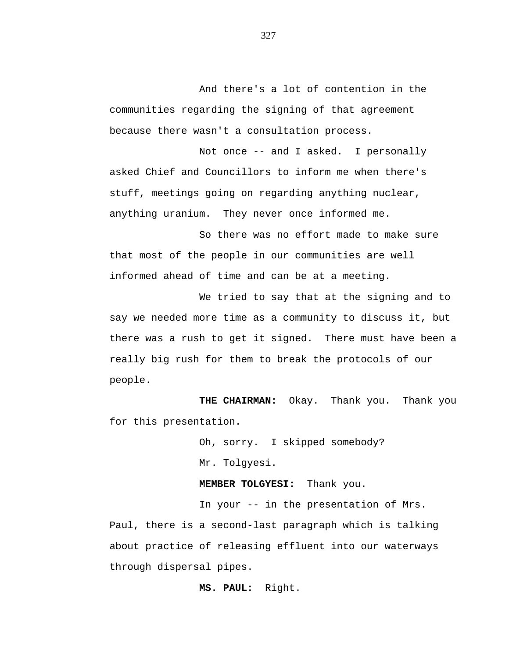And there's a lot of contention in the communities regarding the signing of that agreement because there wasn't a consultation process.

Not once -- and I asked. I personally asked Chief and Councillors to inform me when there's stuff, meetings going on regarding anything nuclear, anything uranium. They never once informed me.

So there was no effort made to make sure that most of the people in our communities are well informed ahead of time and can be at a meeting.

We tried to say that at the signing and to say we needed more time as a community to discuss it, but there was a rush to get it signed. There must have been a really big rush for them to break the protocols of our people.

**THE CHAIRMAN:** Okay. Thank you. Thank you for this presentation.

> Oh, sorry. I skipped somebody? Mr. Tolgyesi.

**MEMBER TOLGYESI:** Thank you.

In your -- in the presentation of Mrs.

Paul, there is a second-last paragraph which is talking about practice of releasing effluent into our waterways through dispersal pipes.

**MS. PAUL:** Right.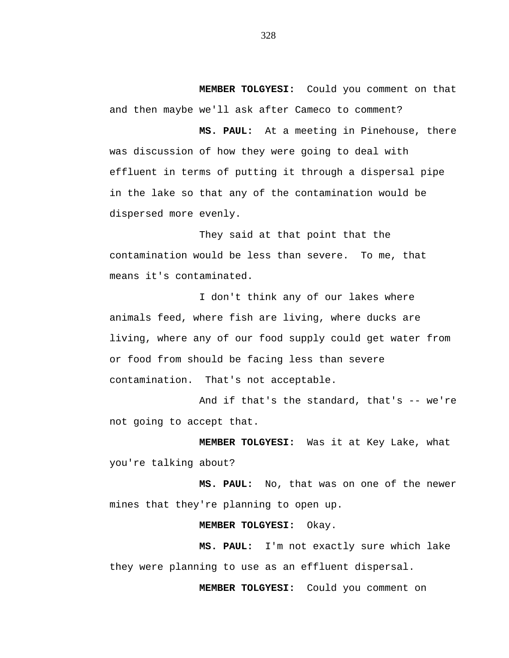**MEMBER TOLGYESI:** Could you comment on that and then maybe we'll ask after Cameco to comment?

**MS. PAUL:** At a meeting in Pinehouse, there was discussion of how they were going to deal with effluent in terms of putting it through a dispersal pipe in the lake so that any of the contamination would be dispersed more evenly.

They said at that point that the contamination would be less than severe. To me, that means it's contaminated.

I don't think any of our lakes where animals feed, where fish are living, where ducks are living, where any of our food supply could get water from or food from should be facing less than severe contamination. That's not acceptable.

And if that's the standard, that's -- we're not going to accept that.

**MEMBER TOLGYESI:** Was it at Key Lake, what you're talking about?

**MS. PAUL:** No, that was on one of the newer mines that they're planning to open up.

# **MEMBER TOLGYESI:** Okay.

**MS. PAUL:** I'm not exactly sure which lake they were planning to use as an effluent dispersal.

**MEMBER TOLGYESI:** Could you comment on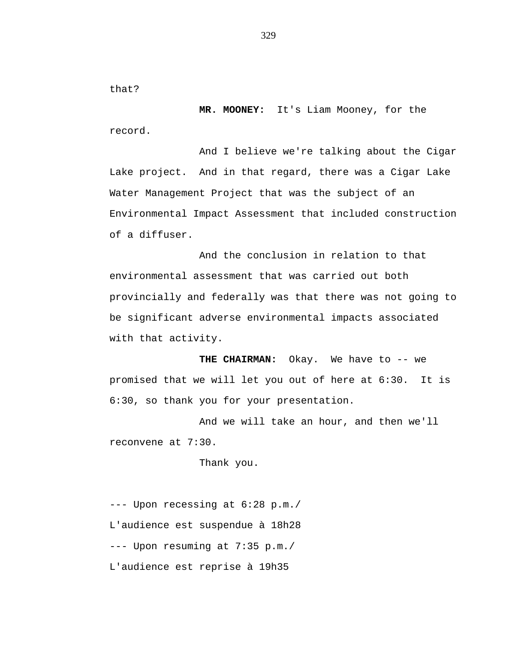that?

**MR. MOONEY:** It's Liam Mooney, for the record.

And I believe we're talking about the Cigar Lake project. And in that regard, there was a Cigar Lake Water Management Project that was the subject of an Environmental Impact Assessment that included construction of a diffuser.

And the conclusion in relation to that environmental assessment that was carried out both provincially and federally was that there was not going to be significant adverse environmental impacts associated with that activity.

**THE CHAIRMAN:** Okay. We have to -- we promised that we will let you out of here at 6:30. It is 6:30, so thank you for your presentation.

And we will take an hour, and then we'll reconvene at 7:30.

Thank you.

--- Upon recessing at 6:28 p.m./ L'audience est suspendue à 18h28 --- Upon resuming at 7:35 p.m./ L'audience est reprise à 19h35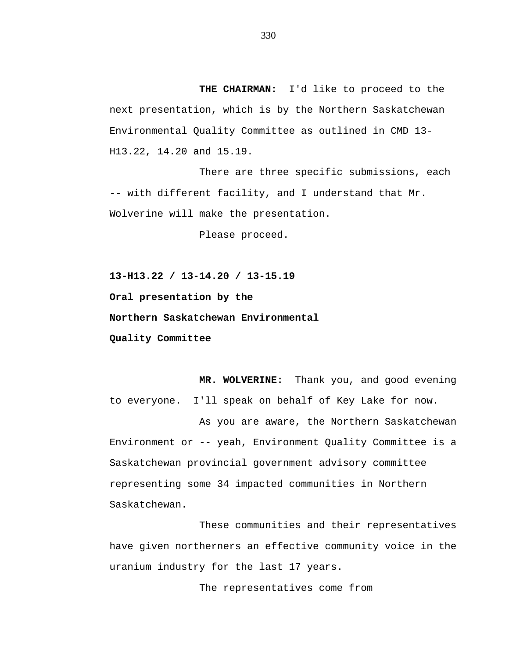**THE CHAIRMAN:** I'd like to proceed to the next presentation, which is by the Northern Saskatchewan Environmental Quality Committee as outlined in CMD 13- H13.22, 14.20 and 15.19.

There are three specific submissions, each -- with different facility, and I understand that Mr. Wolverine will make the presentation.

Please proceed.

**13-H13.22 / 13-14.20 / 13-15.19 Oral presentation by the Northern Saskatchewan Environmental Quality Committee**

**MR. WOLVERINE:** Thank you, and good evening to everyone. I'll speak on behalf of Key Lake for now.

As you are aware, the Northern Saskatchewan Environment or -- yeah, Environment Quality Committee is a Saskatchewan provincial government advisory committee representing some 34 impacted communities in Northern Saskatchewan.

These communities and their representatives have given northerners an effective community voice in the uranium industry for the last 17 years.

The representatives come from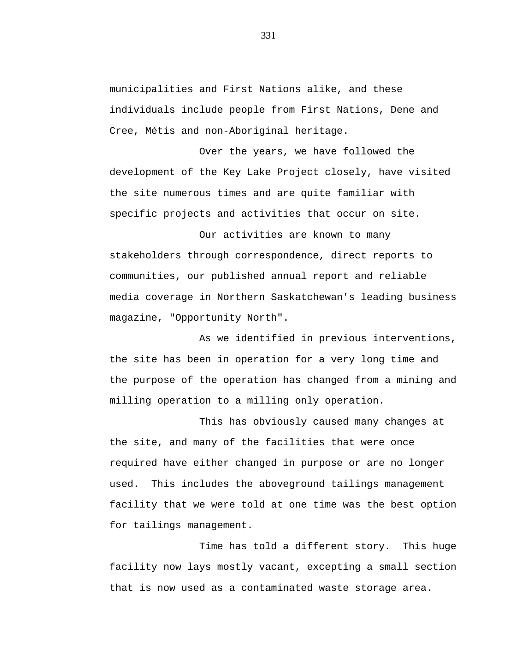municipalities and First Nations alike, and these individuals include people from First Nations, Dene and Cree, Métis and non-Aboriginal heritage.

Over the years, we have followed the development of the Key Lake Project closely, have visited the site numerous times and are quite familiar with specific projects and activities that occur on site.

Our activities are known to many stakeholders through correspondence, direct reports to communities, our published annual report and reliable media coverage in Northern Saskatchewan's leading business magazine, "Opportunity North".

As we identified in previous interventions, the site has been in operation for a very long time and the purpose of the operation has changed from a mining and milling operation to a milling only operation.

This has obviously caused many changes at the site, and many of the facilities that were once required have either changed in purpose or are no longer used. This includes the aboveground tailings management facility that we were told at one time was the best option for tailings management.

Time has told a different story. This huge facility now lays mostly vacant, excepting a small section that is now used as a contaminated waste storage area.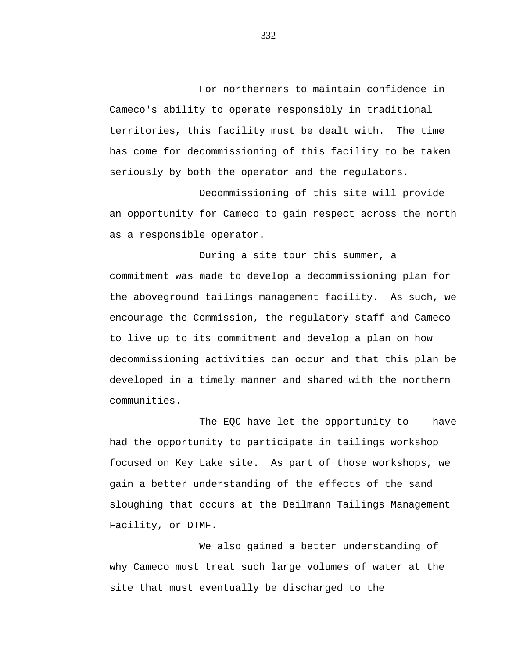For northerners to maintain confidence in Cameco's ability to operate responsibly in traditional territories, this facility must be dealt with. The time has come for decommissioning of this facility to be taken seriously by both the operator and the regulators.

Decommissioning of this site will provide an opportunity for Cameco to gain respect across the north as a responsible operator.

During a site tour this summer, a commitment was made to develop a decommissioning plan for the aboveground tailings management facility. As such, we encourage the Commission, the regulatory staff and Cameco to live up to its commitment and develop a plan on how decommissioning activities can occur and that this plan be developed in a timely manner and shared with the northern communities.

The EQC have let the opportunity to  $-$ - have had the opportunity to participate in tailings workshop focused on Key Lake site. As part of those workshops, we gain a better understanding of the effects of the sand sloughing that occurs at the Deilmann Tailings Management Facility, or DTMF.

We also gained a better understanding of why Cameco must treat such large volumes of water at the site that must eventually be discharged to the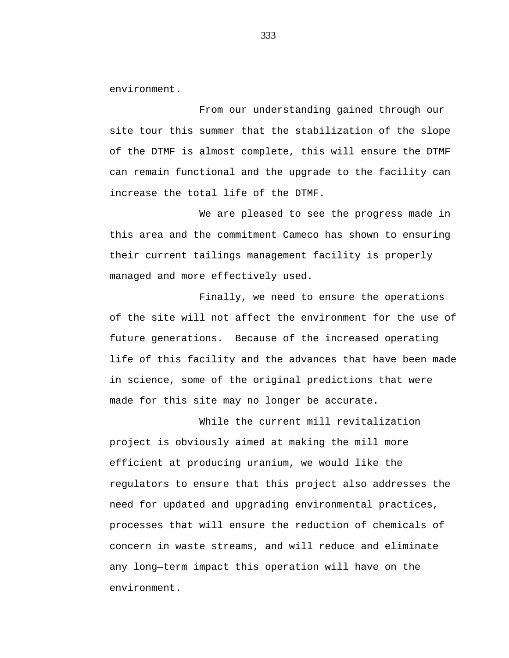environment.

From our understanding gained through our site tour this summer that the stabilization of the slope of the DTMF is almost complete, this will ensure the DTMF can remain functional and the upgrade to the facility can increase the total life of the DTMF.

We are pleased to see the progress made in this area and the commitment Cameco has shown to ensuring their current tailings management facility is properly managed and more effectively used.

Finally, we need to ensure the operations of the site will not affect the environment for the use of future generations. Because of the increased operating life of this facility and the advances that have been made in science, some of the original predictions that were made for this site may no longer be accurate.

While the current mill revitalization project is obviously aimed at making the mill more efficient at producing uranium, we would like the regulators to ensure that this project also addresses the need for updated and upgrading environmental practices, processes that will ensure the reduction of chemicals of concern in waste streams, and will reduce and eliminate any long—term impact this operation will have on the environment.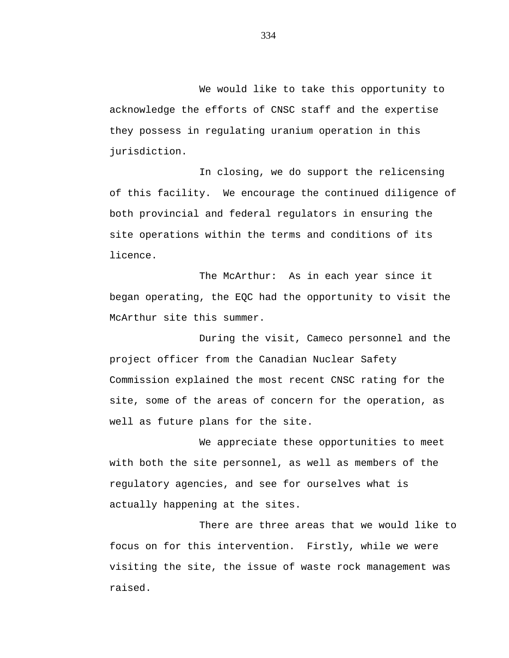We would like to take this opportunity to acknowledge the efforts of CNSC staff and the expertise they possess in regulating uranium operation in this jurisdiction.

In closing, we do support the relicensing of this facility. We encourage the continued diligence of both provincial and federal regulators in ensuring the site operations within the terms and conditions of its licence.

The McArthur: As in each year since it began operating, the EQC had the opportunity to visit the McArthur site this summer.

During the visit, Cameco personnel and the project officer from the Canadian Nuclear Safety Commission explained the most recent CNSC rating for the site, some of the areas of concern for the operation, as well as future plans for the site.

We appreciate these opportunities to meet with both the site personnel, as well as members of the regulatory agencies, and see for ourselves what is actually happening at the sites.

There are three areas that we would like to focus on for this intervention. Firstly, while we were visiting the site, the issue of waste rock management was raised.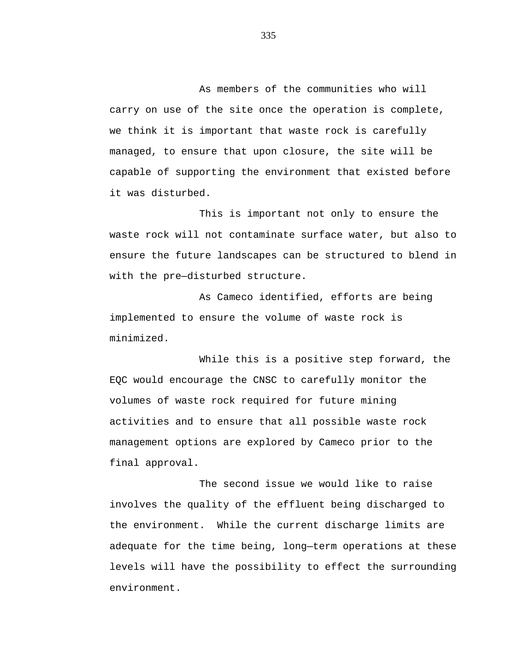As members of the communities who will carry on use of the site once the operation is complete, we think it is important that waste rock is carefully managed, to ensure that upon closure, the site will be capable of supporting the environment that existed before it was disturbed.

This is important not only to ensure the waste rock will not contaminate surface water, but also to ensure the future landscapes can be structured to blend in with the pre—disturbed structure.

As Cameco identified, efforts are being implemented to ensure the volume of waste rock is minimized.

While this is a positive step forward, the EQC would encourage the CNSC to carefully monitor the volumes of waste rock required for future mining activities and to ensure that all possible waste rock management options are explored by Cameco prior to the final approval.

The second issue we would like to raise involves the quality of the effluent being discharged to the environment. While the current discharge limits are adequate for the time being, long—term operations at these levels will have the possibility to effect the surrounding environment.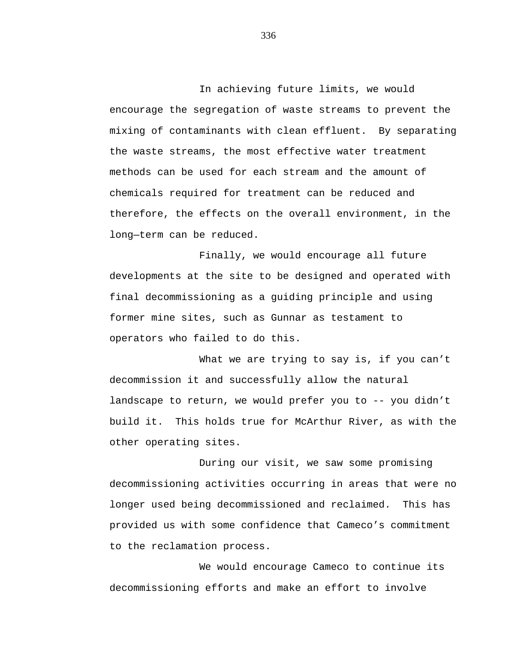In achieving future limits, we would encourage the segregation of waste streams to prevent the mixing of contaminants with clean effluent. By separating the waste streams, the most effective water treatment methods can be used for each stream and the amount of chemicals required for treatment can be reduced and therefore, the effects on the overall environment, in the long—term can be reduced.

Finally, we would encourage all future developments at the site to be designed and operated with final decommissioning as a guiding principle and using former mine sites, such as Gunnar as testament to operators who failed to do this.

What we are trying to say is, if you can't decommission it and successfully allow the natural landscape to return, we would prefer you to -- you didn't build it. This holds true for McArthur River, as with the other operating sites.

During our visit, we saw some promising decommissioning activities occurring in areas that were no longer used being decommissioned and reclaimed. This has provided us with some confidence that Cameco's commitment to the reclamation process.

We would encourage Cameco to continue its decommissioning efforts and make an effort to involve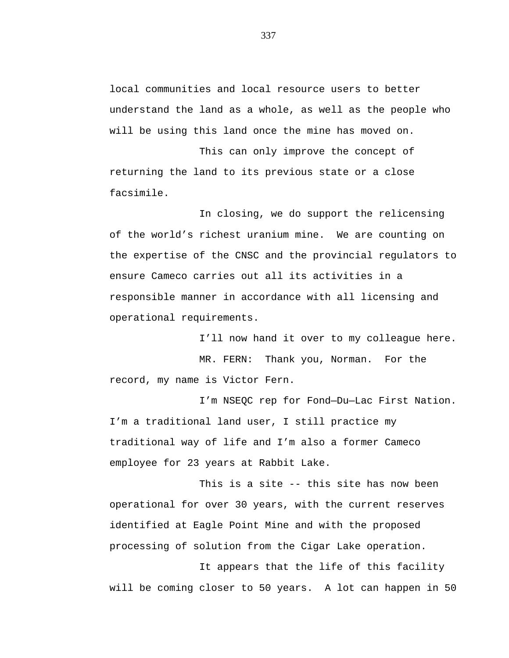local communities and local resource users to better understand the land as a whole, as well as the people who will be using this land once the mine has moved on.

This can only improve the concept of returning the land to its previous state or a close facsimile.

In closing, we do support the relicensing of the world's richest uranium mine. We are counting on the expertise of the CNSC and the provincial regulators to ensure Cameco carries out all its activities in a responsible manner in accordance with all licensing and operational requirements.

I'll now hand it over to my colleague here. MR. FERN: Thank you, Norman. For the record, my name is Victor Fern.

I'm NSEQC rep for Fond—Du—Lac First Nation. I'm a traditional land user, I still practice my traditional way of life and I'm also a former Cameco employee for 23 years at Rabbit Lake.

This is a site -- this site has now been operational for over 30 years, with the current reserves identified at Eagle Point Mine and with the proposed processing of solution from the Cigar Lake operation.

It appears that the life of this facility will be coming closer to 50 years. A lot can happen in 50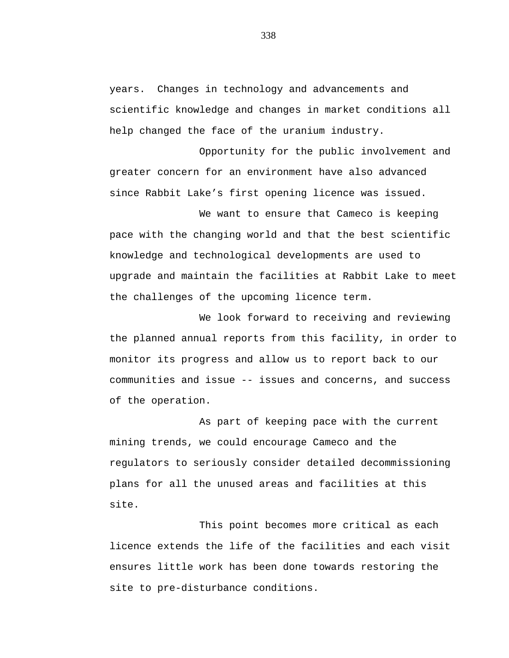years. Changes in technology and advancements and scientific knowledge and changes in market conditions all help changed the face of the uranium industry.

Opportunity for the public involvement and greater concern for an environment have also advanced since Rabbit Lake's first opening licence was issued.

We want to ensure that Cameco is keeping pace with the changing world and that the best scientific knowledge and technological developments are used to upgrade and maintain the facilities at Rabbit Lake to meet the challenges of the upcoming licence term.

We look forward to receiving and reviewing the planned annual reports from this facility, in order to monitor its progress and allow us to report back to our communities and issue -- issues and concerns, and success of the operation.

As part of keeping pace with the current mining trends, we could encourage Cameco and the regulators to seriously consider detailed decommissioning plans for all the unused areas and facilities at this site.

This point becomes more critical as each licence extends the life of the facilities and each visit ensures little work has been done towards restoring the site to pre-disturbance conditions.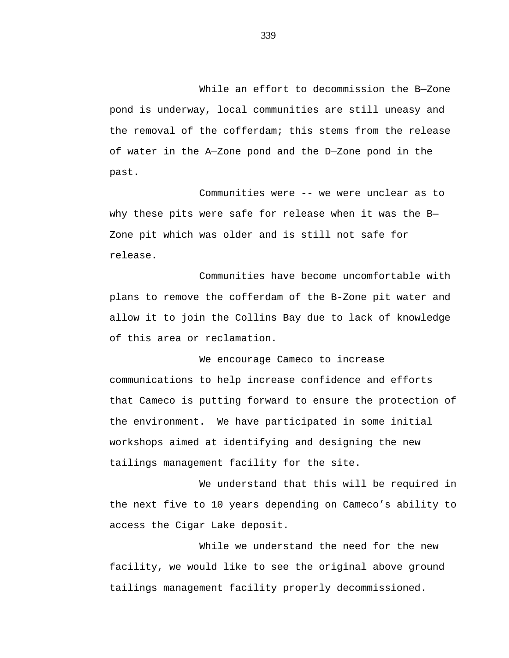While an effort to decommission the B—Zone pond is underway, local communities are still uneasy and the removal of the cofferdam; this stems from the release of water in the A—Zone pond and the D—Zone pond in the past.

Communities were -- we were unclear as to why these pits were safe for release when it was the B— Zone pit which was older and is still not safe for release.

Communities have become uncomfortable with plans to remove the cofferdam of the B-Zone pit water and allow it to join the Collins Bay due to lack of knowledge of this area or reclamation.

We encourage Cameco to increase communications to help increase confidence and efforts that Cameco is putting forward to ensure the protection of the environment. We have participated in some initial workshops aimed at identifying and designing the new tailings management facility for the site.

We understand that this will be required in the next five to 10 years depending on Cameco's ability to access the Cigar Lake deposit.

While we understand the need for the new facility, we would like to see the original above ground tailings management facility properly decommissioned.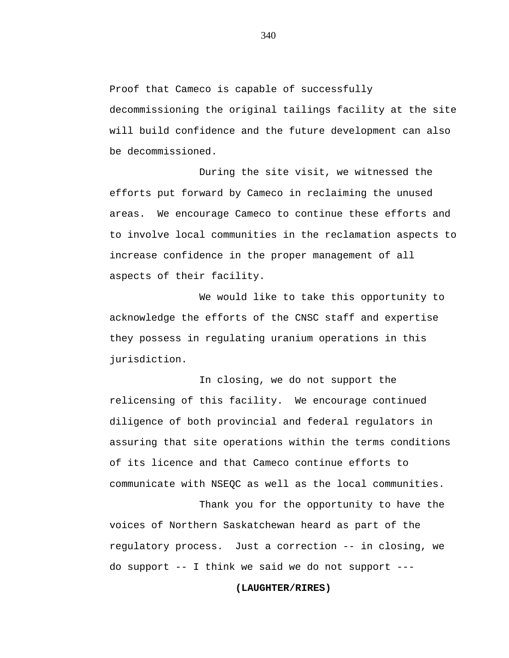Proof that Cameco is capable of successfully decommissioning the original tailings facility at the site will build confidence and the future development can also be decommissioned.

During the site visit, we witnessed the efforts put forward by Cameco in reclaiming the unused areas. We encourage Cameco to continue these efforts and to involve local communities in the reclamation aspects to increase confidence in the proper management of all aspects of their facility.

We would like to take this opportunity to acknowledge the efforts of the CNSC staff and expertise they possess in regulating uranium operations in this jurisdiction.

In closing, we do not support the relicensing of this facility. We encourage continued diligence of both provincial and federal regulators in assuring that site operations within the terms conditions of its licence and that Cameco continue efforts to communicate with NSEQC as well as the local communities.

Thank you for the opportunity to have the voices of Northern Saskatchewan heard as part of the regulatory process. Just a correction -- in closing, we do support -- I think we said we do not support ---

# **(LAUGHTER/RIRES)**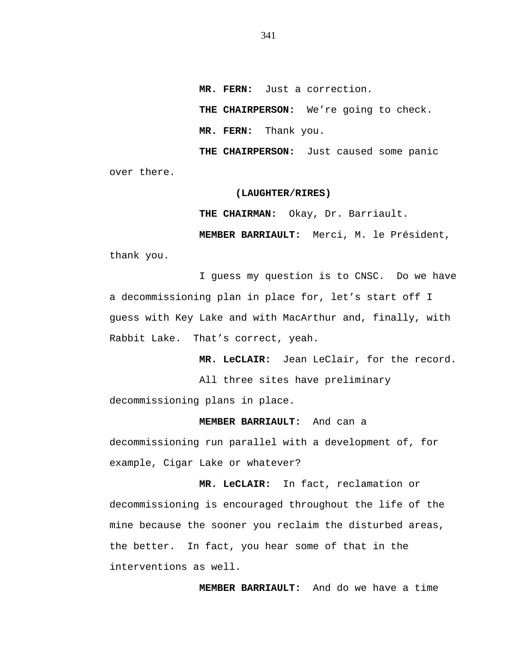**MR. FERN:** Just a correction.

**THE CHAIRPERSON:** We're going to check.

**MR. FERN:** Thank you.

**THE CHAIRPERSON:** Just caused some panic over there.

#### **(LAUGHTER/RIRES)**

**THE CHAIRMAN:** Okay, Dr. Barriault.

**MEMBER BARRIAULT:** Merci, M. le Président,

thank you.

I guess my question is to CNSC. Do we have a decommissioning plan in place for, let's start off I guess with Key Lake and with MacArthur and, finally, with Rabbit Lake. That's correct, yeah.

**MR. LeCLAIR:** Jean LeClair, for the record.

All three sites have preliminary

decommissioning plans in place.

**MEMBER BARRIAULT:** And can a

decommissioning run parallel with a development of, for example, Cigar Lake or whatever?

**MR. LeCLAIR:** In fact, reclamation or decommissioning is encouraged throughout the life of the mine because the sooner you reclaim the disturbed areas, the better. In fact, you hear some of that in the interventions as well.

**MEMBER BARRIAULT:** And do we have a time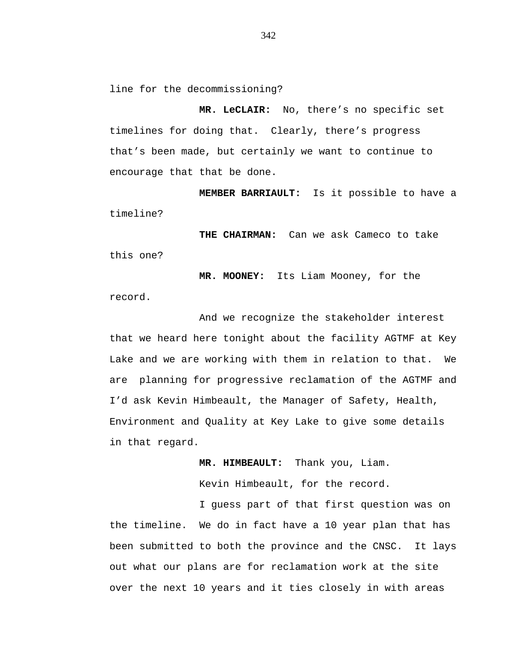line for the decommissioning?

**MR. LeCLAIR:** No, there's no specific set timelines for doing that. Clearly, there's progress that's been made, but certainly we want to continue to encourage that that be done.

**MEMBER BARRIAULT:** Is it possible to have a timeline?

**THE CHAIRMAN:** Can we ask Cameco to take this one?

**MR. MOONEY:** Its Liam Mooney, for the record.

And we recognize the stakeholder interest that we heard here tonight about the facility AGTMF at Key Lake and we are working with them in relation to that. We are planning for progressive reclamation of the AGTMF and I'd ask Kevin Himbeault, the Manager of Safety, Health, Environment and Quality at Key Lake to give some details in that regard.

**MR. HIMBEAULT:** Thank you, Liam.

Kevin Himbeault, for the record.

I guess part of that first question was on the timeline. We do in fact have a 10 year plan that has been submitted to both the province and the CNSC. It lays out what our plans are for reclamation work at the site over the next 10 years and it ties closely in with areas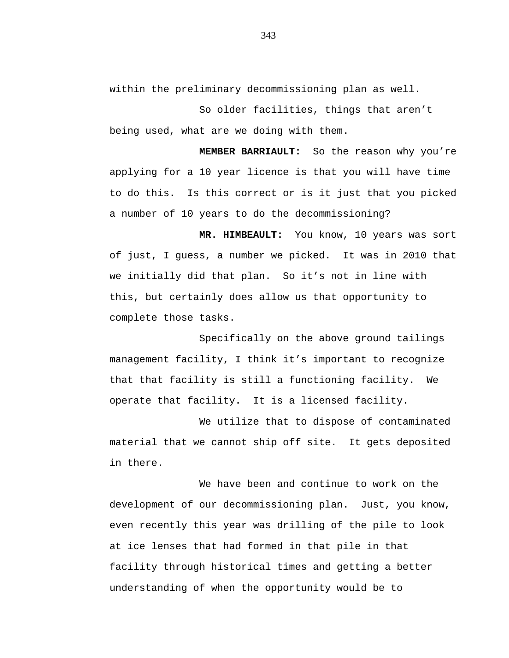within the preliminary decommissioning plan as well.

So older facilities, things that aren't being used, what are we doing with them.

**MEMBER BARRIAULT:** So the reason why you're applying for a 10 year licence is that you will have time to do this. Is this correct or is it just that you picked a number of 10 years to do the decommissioning?

**MR. HIMBEAULT:** You know, 10 years was sort of just, I guess, a number we picked. It was in 2010 that we initially did that plan. So it's not in line with this, but certainly does allow us that opportunity to complete those tasks.

Specifically on the above ground tailings management facility, I think it's important to recognize that that facility is still a functioning facility. We operate that facility. It is a licensed facility.

We utilize that to dispose of contaminated material that we cannot ship off site. It gets deposited in there.

We have been and continue to work on the development of our decommissioning plan. Just, you know, even recently this year was drilling of the pile to look at ice lenses that had formed in that pile in that facility through historical times and getting a better understanding of when the opportunity would be to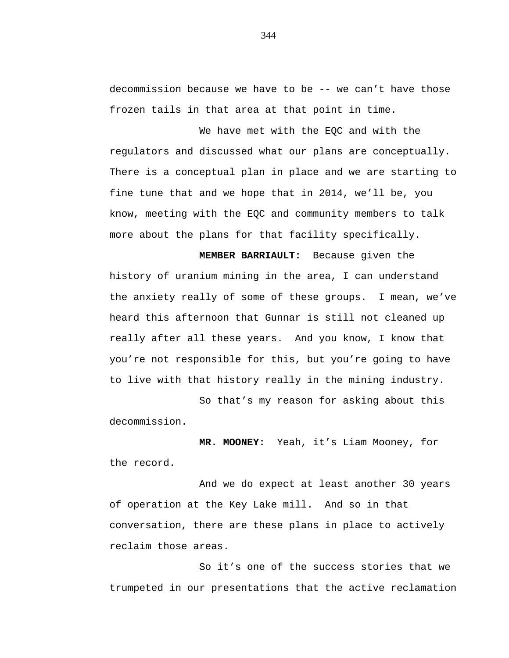decommission because we have to be -- we can't have those frozen tails in that area at that point in time.

We have met with the EQC and with the regulators and discussed what our plans are conceptually. There is a conceptual plan in place and we are starting to fine tune that and we hope that in 2014, we'll be, you know, meeting with the EQC and community members to talk more about the plans for that facility specifically.

**MEMBER BARRIAULT:** Because given the history of uranium mining in the area, I can understand the anxiety really of some of these groups. I mean, we've heard this afternoon that Gunnar is still not cleaned up really after all these years. And you know, I know that you're not responsible for this, but you're going to have to live with that history really in the mining industry.

So that's my reason for asking about this decommission.

**MR. MOONEY:** Yeah, it's Liam Mooney, for the record.

And we do expect at least another 30 years of operation at the Key Lake mill. And so in that conversation, there are these plans in place to actively reclaim those areas.

So it's one of the success stories that we trumpeted in our presentations that the active reclamation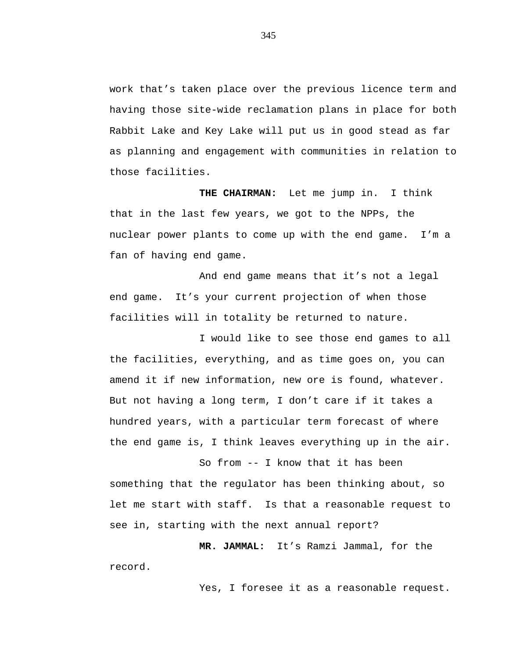work that's taken place over the previous licence term and having those site-wide reclamation plans in place for both Rabbit Lake and Key Lake will put us in good stead as far as planning and engagement with communities in relation to those facilities.

**THE CHAIRMAN:** Let me jump in. I think that in the last few years, we got to the NPPs, the nuclear power plants to come up with the end game. I'm a fan of having end game.

And end game means that it's not a legal end game. It's your current projection of when those facilities will in totality be returned to nature.

I would like to see those end games to all the facilities, everything, and as time goes on, you can amend it if new information, new ore is found, whatever. But not having a long term, I don't care if it takes a hundred years, with a particular term forecast of where the end game is, I think leaves everything up in the air.

So from -- I know that it has been something that the regulator has been thinking about, so let me start with staff. Is that a reasonable request to see in, starting with the next annual report?

**MR. JAMMAL:** It's Ramzi Jammal, for the record.

Yes, I foresee it as a reasonable request.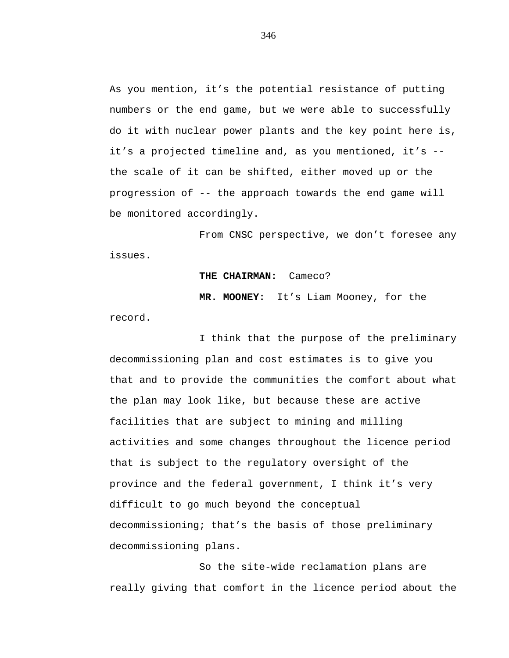As you mention, it's the potential resistance of putting numbers or the end game, but we were able to successfully do it with nuclear power plants and the key point here is, it's a projected timeline and, as you mentioned, it's - the scale of it can be shifted, either moved up or the progression of -- the approach towards the end game will be monitored accordingly.

From CNSC perspective, we don't foresee any issues.

### **THE CHAIRMAN:** Cameco?

**MR. MOONEY:** It's Liam Mooney, for the record.

I think that the purpose of the preliminary decommissioning plan and cost estimates is to give you that and to provide the communities the comfort about what the plan may look like, but because these are active facilities that are subject to mining and milling activities and some changes throughout the licence period that is subject to the regulatory oversight of the province and the federal government, I think it's very difficult to go much beyond the conceptual decommissioning; that's the basis of those preliminary decommissioning plans.

So the site-wide reclamation plans are really giving that comfort in the licence period about the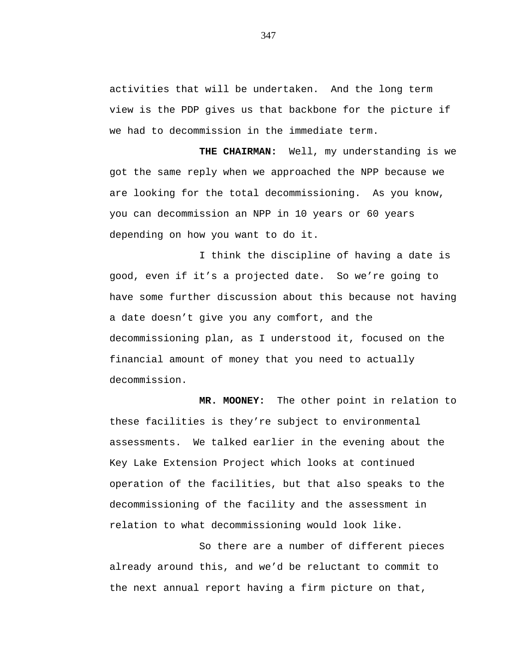activities that will be undertaken. And the long term view is the PDP gives us that backbone for the picture if we had to decommission in the immediate term.

**THE CHAIRMAN:** Well, my understanding is we got the same reply when we approached the NPP because we are looking for the total decommissioning. As you know, you can decommission an NPP in 10 years or 60 years depending on how you want to do it.

I think the discipline of having a date is good, even if it's a projected date. So we're going to have some further discussion about this because not having a date doesn't give you any comfort, and the decommissioning plan, as I understood it, focused on the financial amount of money that you need to actually decommission.

**MR. MOONEY:** The other point in relation to these facilities is they're subject to environmental assessments. We talked earlier in the evening about the Key Lake Extension Project which looks at continued operation of the facilities, but that also speaks to the decommissioning of the facility and the assessment in relation to what decommissioning would look like.

So there are a number of different pieces already around this, and we'd be reluctant to commit to the next annual report having a firm picture on that,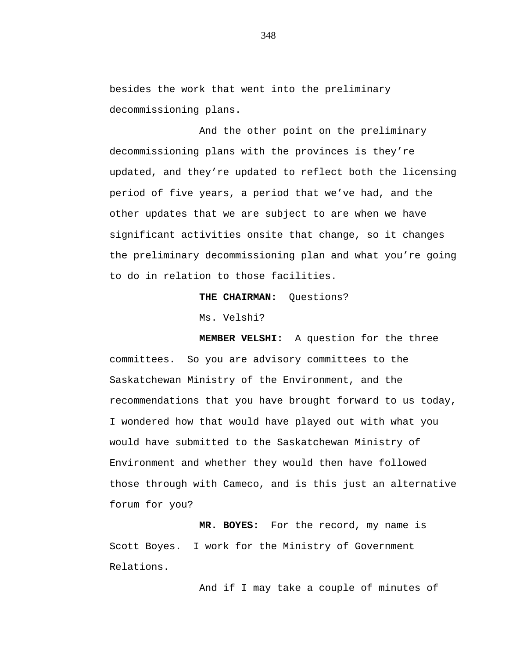besides the work that went into the preliminary decommissioning plans.

And the other point on the preliminary decommissioning plans with the provinces is they're updated, and they're updated to reflect both the licensing period of five years, a period that we've had, and the other updates that we are subject to are when we have significant activities onsite that change, so it changes the preliminary decommissioning plan and what you're going to do in relation to those facilities.

## **THE CHAIRMAN:** Questions?

Ms. Velshi?

**MEMBER VELSHI:** A question for the three committees. So you are advisory committees to the Saskatchewan Ministry of the Environment, and the recommendations that you have brought forward to us today, I wondered how that would have played out with what you would have submitted to the Saskatchewan Ministry of Environment and whether they would then have followed those through with Cameco, and is this just an alternative forum for you?

**MR. BOYES:** For the record, my name is Scott Boyes. I work for the Ministry of Government Relations.

And if I may take a couple of minutes of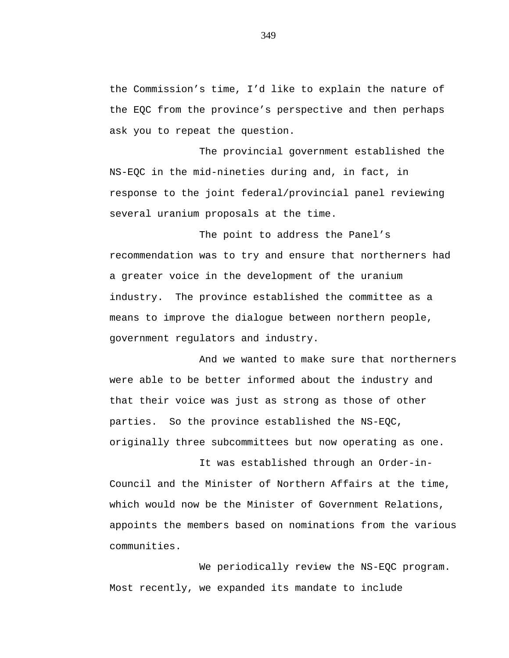the Commission's time, I'd like to explain the nature of the EQC from the province's perspective and then perhaps ask you to repeat the question.

The provincial government established the NS-EQC in the mid-nineties during and, in fact, in response to the joint federal/provincial panel reviewing several uranium proposals at the time.

The point to address the Panel's recommendation was to try and ensure that northerners had a greater voice in the development of the uranium industry. The province established the committee as a means to improve the dialogue between northern people, government regulators and industry.

And we wanted to make sure that northerners were able to be better informed about the industry and that their voice was just as strong as those of other parties. So the province established the NS-EQC, originally three subcommittees but now operating as one.

It was established through an Order-in-Council and the Minister of Northern Affairs at the time, which would now be the Minister of Government Relations, appoints the members based on nominations from the various communities.

We periodically review the NS-EQC program. Most recently, we expanded its mandate to include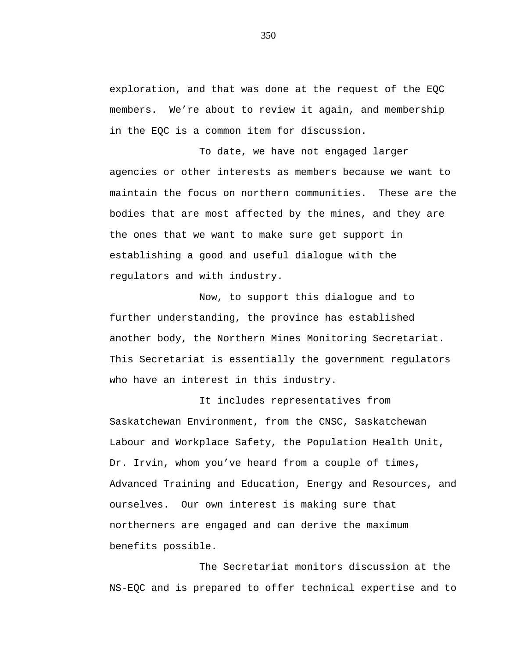exploration, and that was done at the request of the EQC members. We're about to review it again, and membership in the EQC is a common item for discussion.

To date, we have not engaged larger agencies or other interests as members because we want to maintain the focus on northern communities. These are the bodies that are most affected by the mines, and they are the ones that we want to make sure get support in establishing a good and useful dialogue with the regulators and with industry.

Now, to support this dialogue and to further understanding, the province has established another body, the Northern Mines Monitoring Secretariat. This Secretariat is essentially the government regulators who have an interest in this industry.

It includes representatives from Saskatchewan Environment, from the CNSC, Saskatchewan Labour and Workplace Safety, the Population Health Unit, Dr. Irvin, whom you've heard from a couple of times, Advanced Training and Education, Energy and Resources, and ourselves. Our own interest is making sure that northerners are engaged and can derive the maximum benefits possible.

The Secretariat monitors discussion at the NS-EQC and is prepared to offer technical expertise and to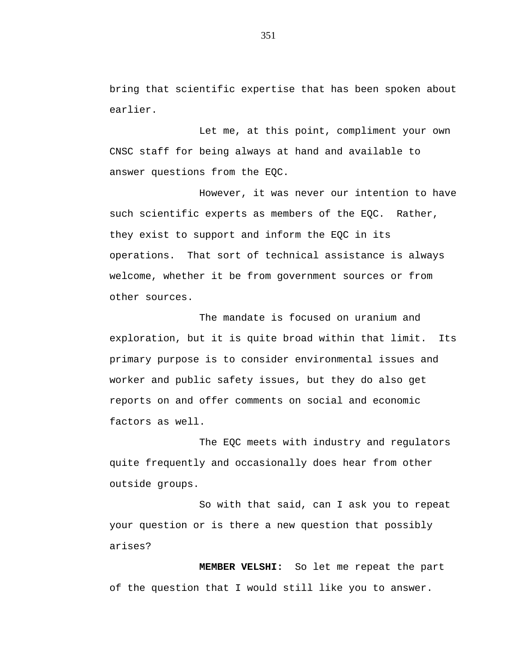bring that scientific expertise that has been spoken about earlier.

Let me, at this point, compliment your own CNSC staff for being always at hand and available to answer questions from the EQC.

However, it was never our intention to have such scientific experts as members of the EQC. Rather, they exist to support and inform the EQC in its operations. That sort of technical assistance is always welcome, whether it be from government sources or from other sources.

The mandate is focused on uranium and exploration, but it is quite broad within that limit. Its primary purpose is to consider environmental issues and worker and public safety issues, but they do also get reports on and offer comments on social and economic factors as well.

The EQC meets with industry and regulators quite frequently and occasionally does hear from other outside groups.

So with that said, can I ask you to repeat your question or is there a new question that possibly arises?

**MEMBER VELSHI:** So let me repeat the part of the question that I would still like you to answer.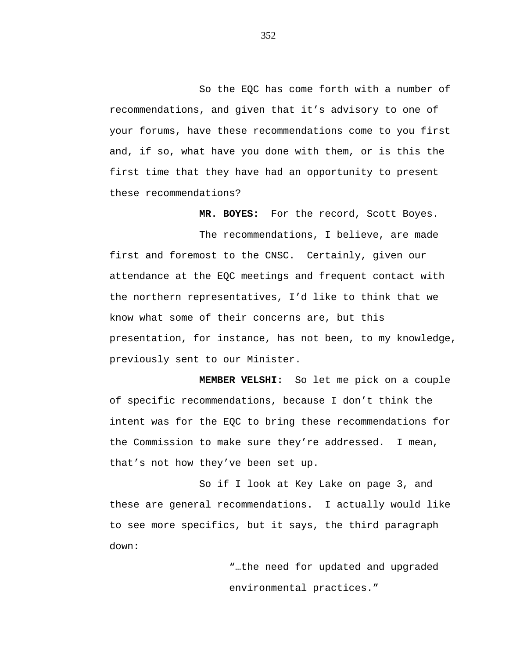So the EQC has come forth with a number of recommendations, and given that it's advisory to one of your forums, have these recommendations come to you first and, if so, what have you done with them, or is this the first time that they have had an opportunity to present these recommendations?

**MR. BOYES:** For the record, Scott Boyes.

The recommendations, I believe, are made first and foremost to the CNSC. Certainly, given our attendance at the EQC meetings and frequent contact with the northern representatives, I'd like to think that we know what some of their concerns are, but this presentation, for instance, has not been, to my knowledge, previously sent to our Minister.

**MEMBER VELSHI:** So let me pick on a couple of specific recommendations, because I don't think the intent was for the EQC to bring these recommendations for the Commission to make sure they're addressed. I mean, that's not how they've been set up.

So if I look at Key Lake on page 3, and these are general recommendations. I actually would like to see more specifics, but it says, the third paragraph down:

> "…the need for updated and upgraded environmental practices."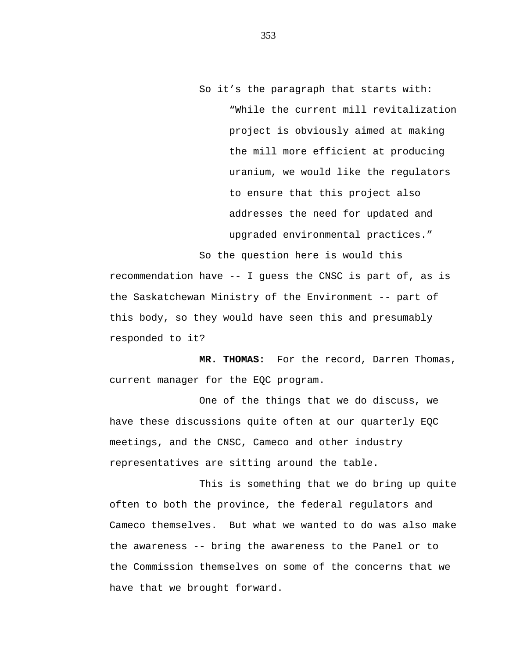So it's the paragraph that starts with: "While the current mill revitalization project is obviously aimed at making the mill more efficient at producing uranium, we would like the regulators to ensure that this project also addresses the need for updated and upgraded environmental practices."

So the question here is would this recommendation have -- I guess the CNSC is part of, as is the Saskatchewan Ministry of the Environment -- part of this body, so they would have seen this and presumably responded to it?

**MR. THOMAS:** For the record, Darren Thomas, current manager for the EQC program.

One of the things that we do discuss, we have these discussions quite often at our quarterly EQC meetings, and the CNSC, Cameco and other industry representatives are sitting around the table.

This is something that we do bring up quite often to both the province, the federal regulators and Cameco themselves. But what we wanted to do was also make the awareness -- bring the awareness to the Panel or to the Commission themselves on some of the concerns that we have that we brought forward.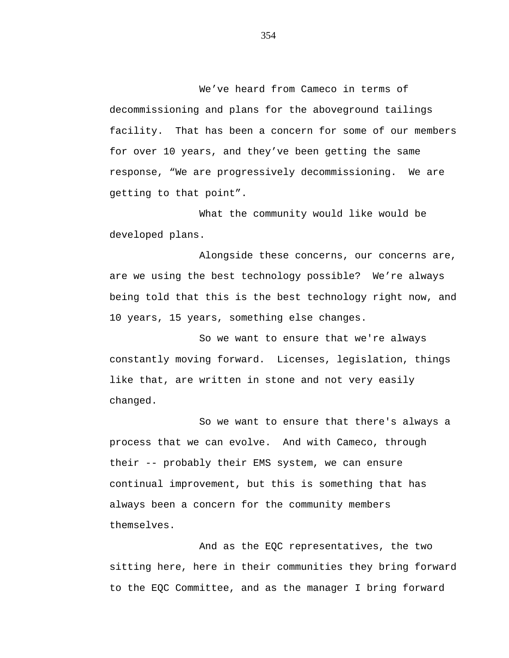We've heard from Cameco in terms of decommissioning and plans for the aboveground tailings facility. That has been a concern for some of our members for over 10 years, and they've been getting the same response, "We are progressively decommissioning. We are getting to that point".

What the community would like would be developed plans.

Alongside these concerns, our concerns are, are we using the best technology possible? We're always being told that this is the best technology right now, and 10 years, 15 years, something else changes.

So we want to ensure that we're always constantly moving forward. Licenses, legislation, things like that, are written in stone and not very easily changed.

So we want to ensure that there's always a process that we can evolve. And with Cameco, through their -- probably their EMS system, we can ensure continual improvement, but this is something that has always been a concern for the community members themselves.

And as the EQC representatives, the two sitting here, here in their communities they bring forward to the EQC Committee, and as the manager I bring forward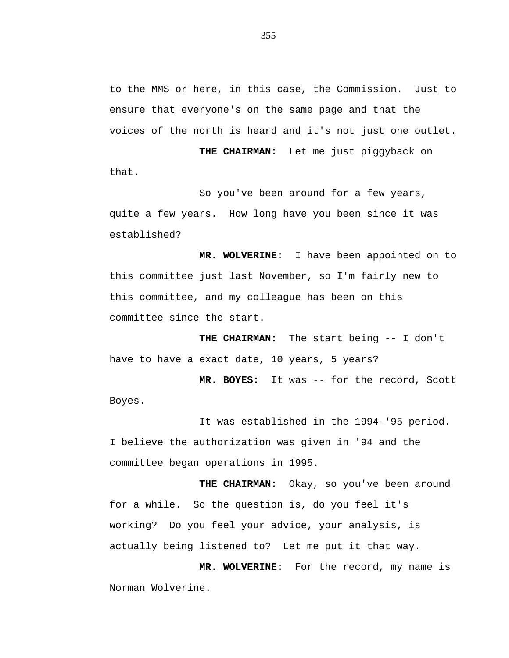to the MMS or here, in this case, the Commission. Just to ensure that everyone's on the same page and that the voices of the north is heard and it's not just one outlet.

**THE CHAIRMAN:** Let me just piggyback on that.

So you've been around for a few years, quite a few years. How long have you been since it was established?

**MR. WOLVERINE:** I have been appointed on to this committee just last November, so I'm fairly new to this committee, and my colleague has been on this committee since the start.

**THE CHAIRMAN:** The start being -- I don't have to have a exact date, 10 years, 5 years?

**MR. BOYES:** It was -- for the record, Scott Boyes.

It was established in the 1994-'95 period. I believe the authorization was given in '94 and the committee began operations in 1995.

**THE CHAIRMAN:** Okay, so you've been around for a while. So the question is, do you feel it's working? Do you feel your advice, your analysis, is actually being listened to? Let me put it that way.

**MR. WOLVERINE:** For the record, my name is Norman Wolverine.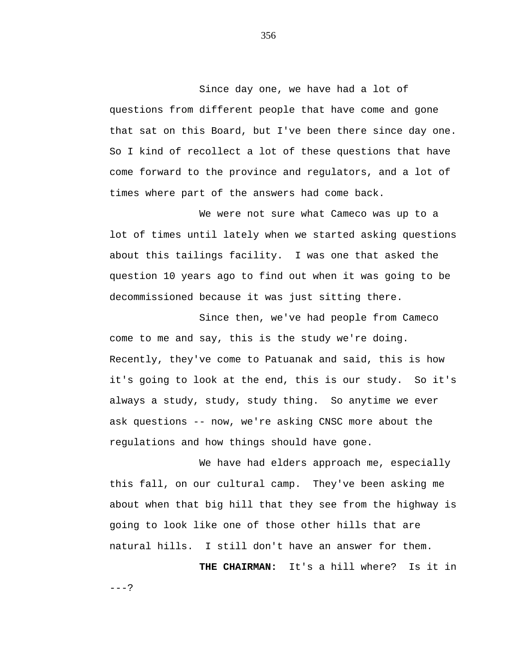Since day one, we have had a lot of questions from different people that have come and gone that sat on this Board, but I've been there since day one. So I kind of recollect a lot of these questions that have come forward to the province and regulators, and a lot of times where part of the answers had come back.

We were not sure what Cameco was up to a lot of times until lately when we started asking questions about this tailings facility. I was one that asked the question 10 years ago to find out when it was going to be decommissioned because it was just sitting there.

Since then, we've had people from Cameco come to me and say, this is the study we're doing. Recently, they've come to Patuanak and said, this is how it's going to look at the end, this is our study. So it's always a study, study, study thing. So anytime we ever ask questions -- now, we're asking CNSC more about the regulations and how things should have gone.

We have had elders approach me, especially this fall, on our cultural camp. They've been asking me about when that big hill that they see from the highway is going to look like one of those other hills that are natural hills. I still don't have an answer for them.

**THE CHAIRMAN:** It's a hill where? Is it in

356

 $---?$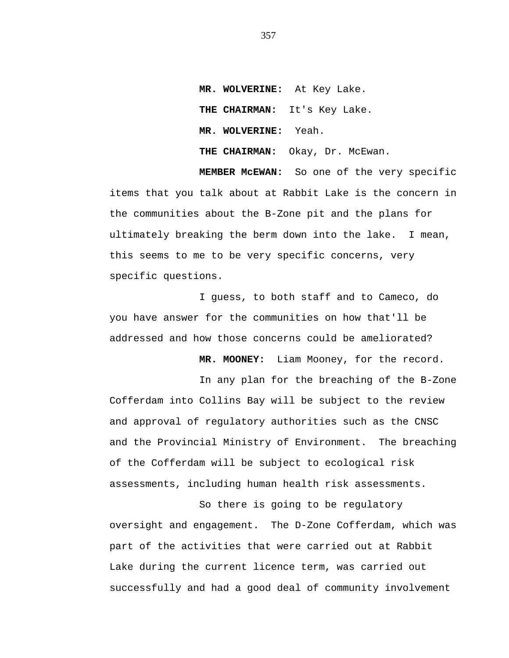**MR. WOLVERINE:** At Key Lake. **THE CHAIRMAN:** It's Key Lake. **MR. WOLVERINE:** Yeah. **THE CHAIRMAN:** Okay, Dr. McEwan.

**MEMBER McEWAN:** So one of the very specific items that you talk about at Rabbit Lake is the concern in the communities about the B-Zone pit and the plans for ultimately breaking the berm down into the lake. I mean, this seems to me to be very specific concerns, very specific questions.

I guess, to both staff and to Cameco, do you have answer for the communities on how that'll be addressed and how those concerns could be ameliorated?

**MR. MOONEY:** Liam Mooney, for the record.

In any plan for the breaching of the B-Zone Cofferdam into Collins Bay will be subject to the review and approval of regulatory authorities such as the CNSC and the Provincial Ministry of Environment. The breaching of the Cofferdam will be subject to ecological risk assessments, including human health risk assessments.

So there is going to be regulatory oversight and engagement. The D-Zone Cofferdam, which was part of the activities that were carried out at Rabbit Lake during the current licence term, was carried out successfully and had a good deal of community involvement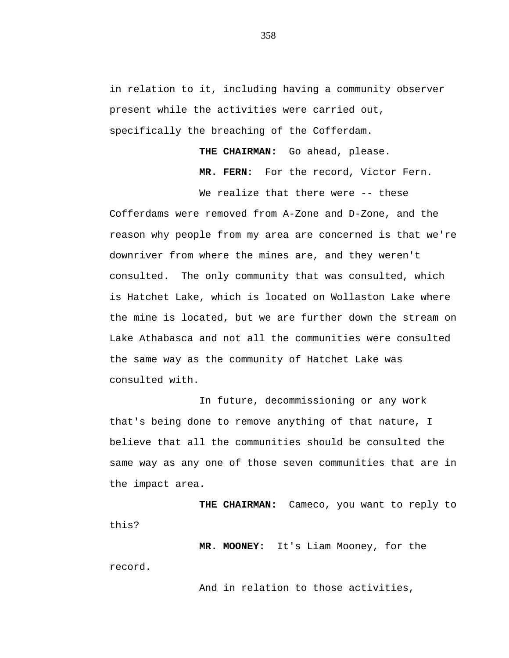in relation to it, including having a community observer present while the activities were carried out, specifically the breaching of the Cofferdam.

**THE CHAIRMAN:** Go ahead, please.

**MR. FERN:** For the record, Victor Fern.

We realize that there were -- these Cofferdams were removed from A-Zone and D-Zone, and the reason why people from my area are concerned is that we're downriver from where the mines are, and they weren't consulted. The only community that was consulted, which is Hatchet Lake, which is located on Wollaston Lake where the mine is located, but we are further down the stream on Lake Athabasca and not all the communities were consulted the same way as the community of Hatchet Lake was consulted with.

In future, decommissioning or any work that's being done to remove anything of that nature, I believe that all the communities should be consulted the same way as any one of those seven communities that are in the impact area.

**THE CHAIRMAN:** Cameco, you want to reply to this?

**MR. MOONEY:** It's Liam Mooney, for the record.

And in relation to those activities,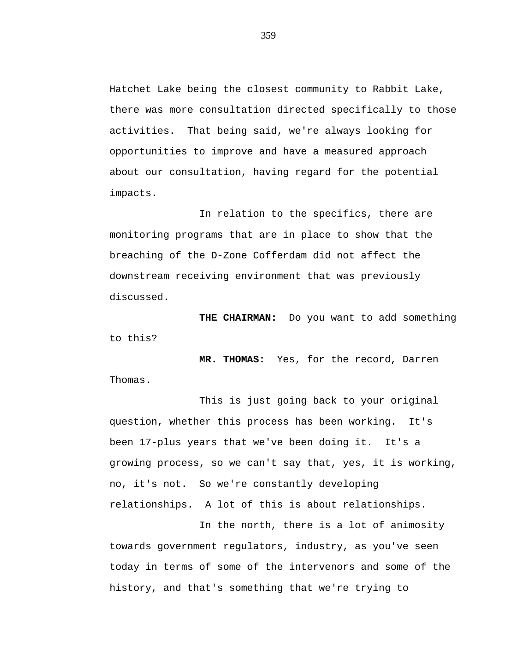Hatchet Lake being the closest community to Rabbit Lake, there was more consultation directed specifically to those activities. That being said, we're always looking for opportunities to improve and have a measured approach about our consultation, having regard for the potential impacts.

In relation to the specifics, there are monitoring programs that are in place to show that the breaching of the D-Zone Cofferdam did not affect the downstream receiving environment that was previously discussed.

**THE CHAIRMAN:** Do you want to add something to this?

**MR. THOMAS:** Yes, for the record, Darren Thomas.

This is just going back to your original question, whether this process has been working. It's been 17-plus years that we've been doing it. It's a growing process, so we can't say that, yes, it is working, no, it's not. So we're constantly developing relationships. A lot of this is about relationships.

In the north, there is a lot of animosity towards government regulators, industry, as you've seen today in terms of some of the intervenors and some of the history, and that's something that we're trying to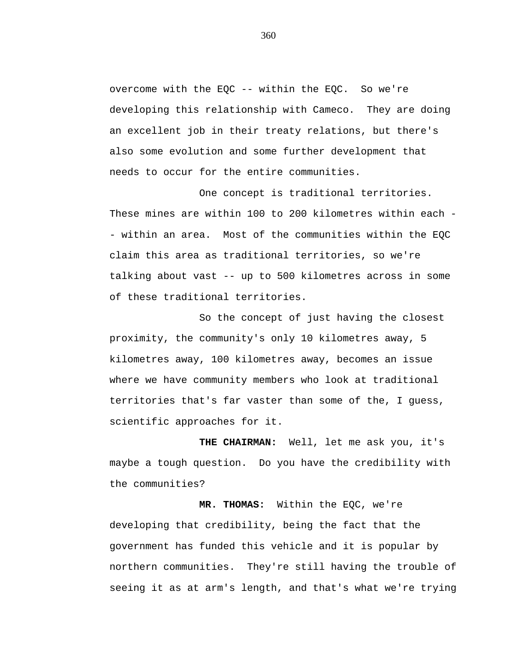overcome with the EQC -- within the EQC. So we're developing this relationship with Cameco. They are doing an excellent job in their treaty relations, but there's also some evolution and some further development that needs to occur for the entire communities.

One concept is traditional territories. These mines are within 100 to 200 kilometres within each - - within an area. Most of the communities within the EQC claim this area as traditional territories, so we're talking about vast -- up to 500 kilometres across in some of these traditional territories.

So the concept of just having the closest proximity, the community's only 10 kilometres away, 5 kilometres away, 100 kilometres away, becomes an issue where we have community members who look at traditional territories that's far vaster than some of the, I guess, scientific approaches for it.

**THE CHAIRMAN:** Well, let me ask you, it's maybe a tough question. Do you have the credibility with the communities?

**MR. THOMAS:** Within the EQC, we're developing that credibility, being the fact that the government has funded this vehicle and it is popular by northern communities. They're still having the trouble of seeing it as at arm's length, and that's what we're trying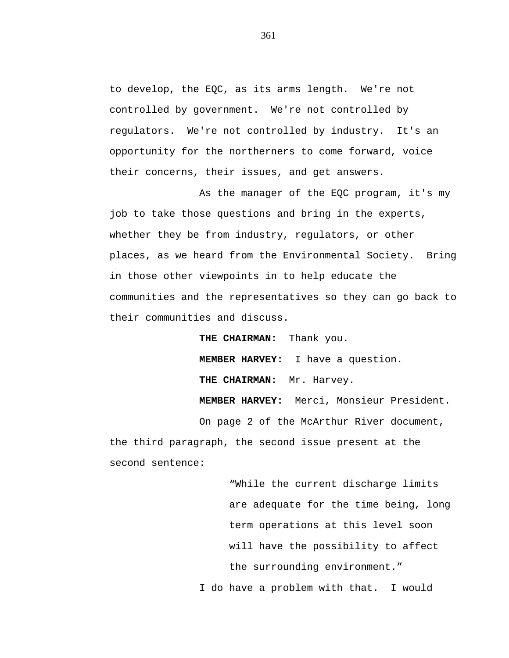to develop, the EQC, as its arms length. We're not controlled by government. We're not controlled by regulators. We're not controlled by industry. It's an opportunity for the northerners to come forward, voice their concerns, their issues, and get answers.

As the manager of the EQC program, it's my job to take those questions and bring in the experts, whether they be from industry, regulators, or other places, as we heard from the Environmental Society. Bring in those other viewpoints in to help educate the communities and the representatives so they can go back to their communities and discuss.

**THE CHAIRMAN:** Thank you. **MEMBER HARVEY:** I have a question. **THE CHAIRMAN:** Mr. Harvey. **MEMBER HARVEY:** Merci, Monsieur President. On page 2 of the McArthur River document, the third paragraph, the second issue present at the second sentence:

> "While the current discharge limits are adequate for the time being, long term operations at this level soon will have the possibility to affect the surrounding environment."

I do have a problem with that. I would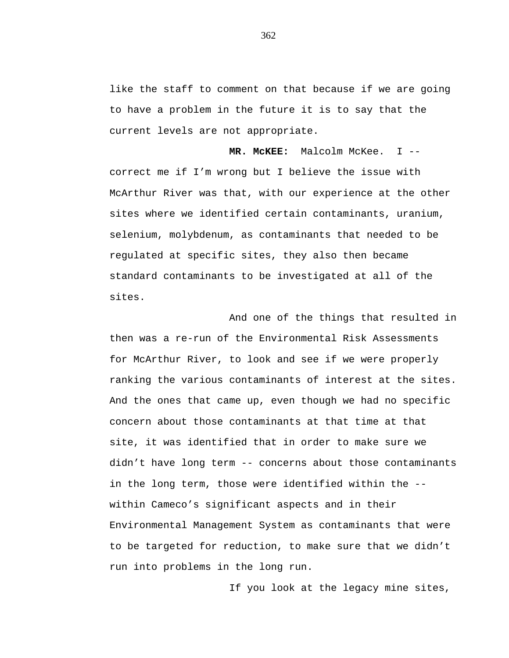like the staff to comment on that because if we are going to have a problem in the future it is to say that the current levels are not appropriate.

**MR. McKEE:** Malcolm McKee. I - correct me if I'm wrong but I believe the issue with McArthur River was that, with our experience at the other sites where we identified certain contaminants, uranium, selenium, molybdenum, as contaminants that needed to be regulated at specific sites, they also then became standard contaminants to be investigated at all of the sites.

And one of the things that resulted in then was a re-run of the Environmental Risk Assessments for McArthur River, to look and see if we were properly ranking the various contaminants of interest at the sites. And the ones that came up, even though we had no specific concern about those contaminants at that time at that site, it was identified that in order to make sure we didn't have long term -- concerns about those contaminants in the long term, those were identified within the - within Cameco's significant aspects and in their Environmental Management System as contaminants that were to be targeted for reduction, to make sure that we didn't run into problems in the long run.

If you look at the legacy mine sites,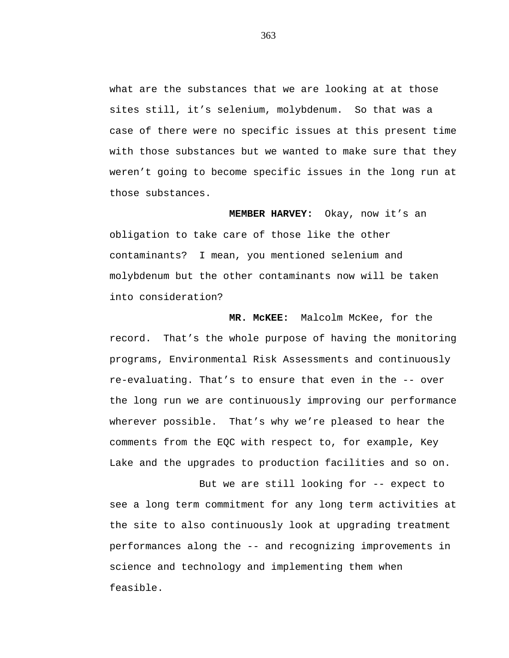what are the substances that we are looking at at those sites still, it's selenium, molybdenum. So that was a case of there were no specific issues at this present time with those substances but we wanted to make sure that they weren't going to become specific issues in the long run at those substances.

**MEMBER HARVEY:** Okay, now it's an obligation to take care of those like the other contaminants? I mean, you mentioned selenium and molybdenum but the other contaminants now will be taken into consideration?

**MR. McKEE:** Malcolm McKee, for the record. That's the whole purpose of having the monitoring programs, Environmental Risk Assessments and continuously re-evaluating. That's to ensure that even in the -- over the long run we are continuously improving our performance wherever possible. That's why we're pleased to hear the comments from the EQC with respect to, for example, Key Lake and the upgrades to production facilities and so on.

But we are still looking for -- expect to see a long term commitment for any long term activities at the site to also continuously look at upgrading treatment performances along the -- and recognizing improvements in science and technology and implementing them when feasible.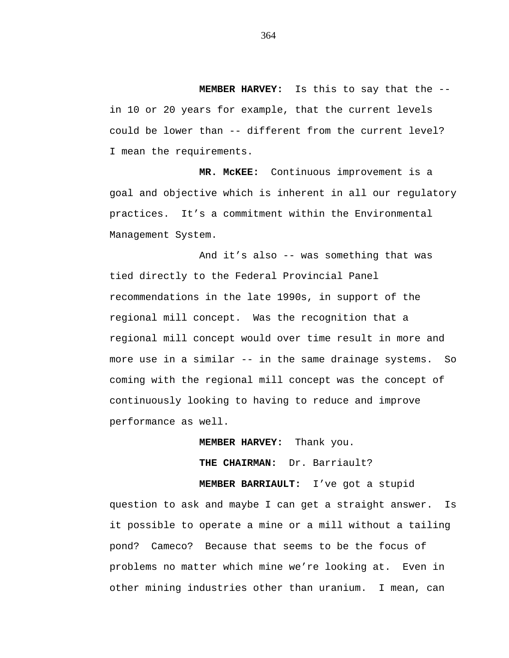**MEMBER HARVEY:** Is this to say that the - in 10 or 20 years for example, that the current levels could be lower than -- different from the current level? I mean the requirements.

**MR. McKEE:** Continuous improvement is a goal and objective which is inherent in all our regulatory practices. It's a commitment within the Environmental Management System.

And it's also -- was something that was tied directly to the Federal Provincial Panel recommendations in the late 1990s, in support of the regional mill concept. Was the recognition that a regional mill concept would over time result in more and more use in a similar -- in the same drainage systems. So coming with the regional mill concept was the concept of continuously looking to having to reduce and improve performance as well.

**MEMBER HARVEY:** Thank you.

**THE CHAIRMAN:** Dr. Barriault?

**MEMBER BARRIAULT:** I've got a stupid question to ask and maybe I can get a straight answer. Is it possible to operate a mine or a mill without a tailing pond? Cameco? Because that seems to be the focus of problems no matter which mine we're looking at. Even in other mining industries other than uranium. I mean, can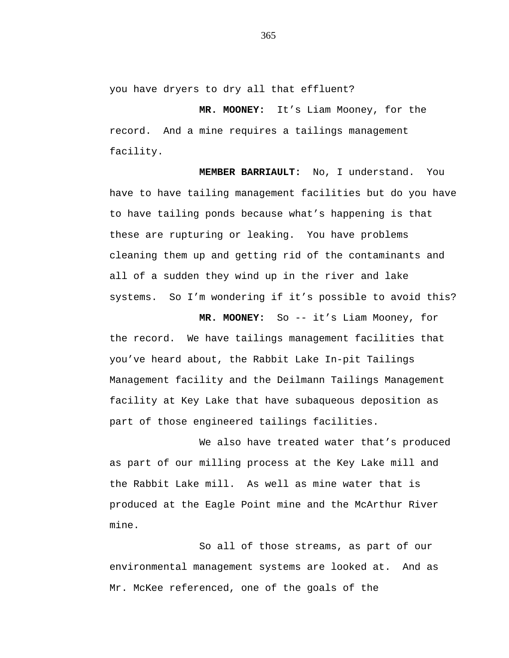you have dryers to dry all that effluent?

**MR. MOONEY:** It's Liam Mooney, for the record. And a mine requires a tailings management facility.

**MEMBER BARRIAULT:** No, I understand. You have to have tailing management facilities but do you have to have tailing ponds because what's happening is that these are rupturing or leaking. You have problems cleaning them up and getting rid of the contaminants and all of a sudden they wind up in the river and lake systems. So I'm wondering if it's possible to avoid this?

**MR. MOONEY:** So -- it's Liam Mooney, for the record. We have tailings management facilities that you've heard about, the Rabbit Lake In-pit Tailings Management facility and the Deilmann Tailings Management facility at Key Lake that have subaqueous deposition as part of those engineered tailings facilities.

We also have treated water that's produced as part of our milling process at the Key Lake mill and the Rabbit Lake mill. As well as mine water that is produced at the Eagle Point mine and the McArthur River mine.

So all of those streams, as part of our environmental management systems are looked at. And as Mr. McKee referenced, one of the goals of the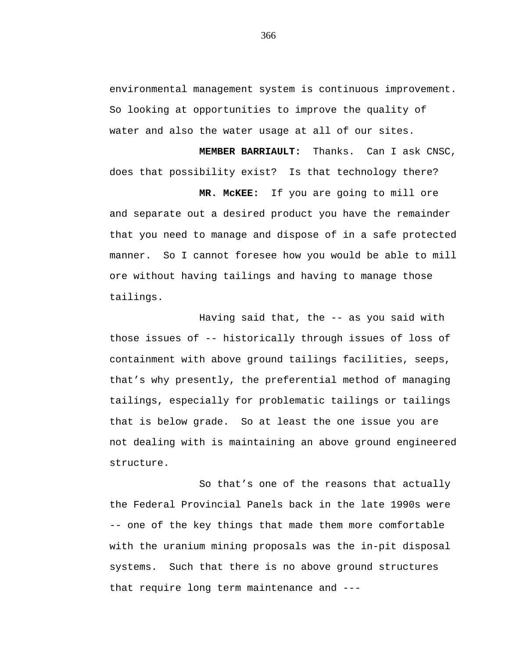environmental management system is continuous improvement. So looking at opportunities to improve the quality of water and also the water usage at all of our sites.

**MEMBER BARRIAULT:** Thanks. Can I ask CNSC, does that possibility exist? Is that technology there?

**MR. McKEE:** If you are going to mill ore and separate out a desired product you have the remainder that you need to manage and dispose of in a safe protected manner. So I cannot foresee how you would be able to mill ore without having tailings and having to manage those tailings.

Having said that, the -- as you said with those issues of -- historically through issues of loss of containment with above ground tailings facilities, seeps, that's why presently, the preferential method of managing tailings, especially for problematic tailings or tailings that is below grade. So at least the one issue you are not dealing with is maintaining an above ground engineered structure.

So that's one of the reasons that actually the Federal Provincial Panels back in the late 1990s were -- one of the key things that made them more comfortable with the uranium mining proposals was the in-pit disposal systems. Such that there is no above ground structures that require long term maintenance and ---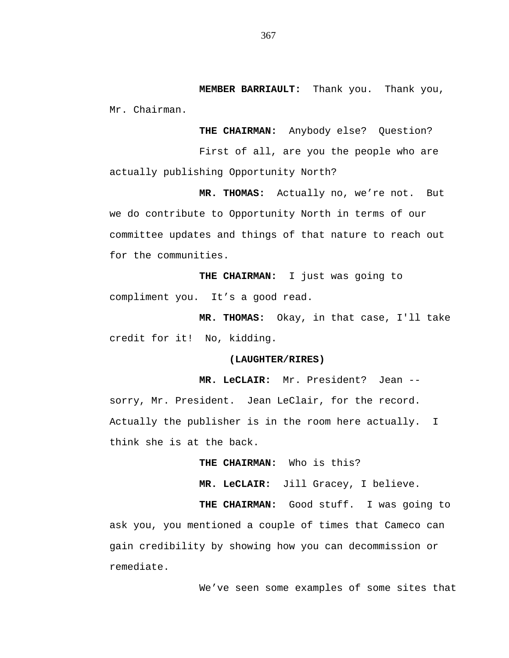**MEMBER BARRIAULT:** Thank you. Thank you, Mr. Chairman.

**THE CHAIRMAN:** Anybody else? Question? First of all, are you the people who are actually publishing Opportunity North?

**MR. THOMAS:** Actually no, we're not. But we do contribute to Opportunity North in terms of our committee updates and things of that nature to reach out for the communities.

**THE CHAIRMAN:** I just was going to compliment you. It's a good read.

**MR. THOMAS:** Okay, in that case, I'll take credit for it! No, kidding.

## **(LAUGHTER/RIRES)**

**MR. LeCLAIR:** Mr. President? Jean - sorry, Mr. President. Jean LeClair, for the record. Actually the publisher is in the room here actually. I think she is at the back.

**THE CHAIRMAN:** Who is this?

**MR. LeCLAIR:** Jill Gracey, I believe.

**THE CHAIRMAN:** Good stuff. I was going to ask you, you mentioned a couple of times that Cameco can gain credibility by showing how you can decommission or remediate.

We've seen some examples of some sites that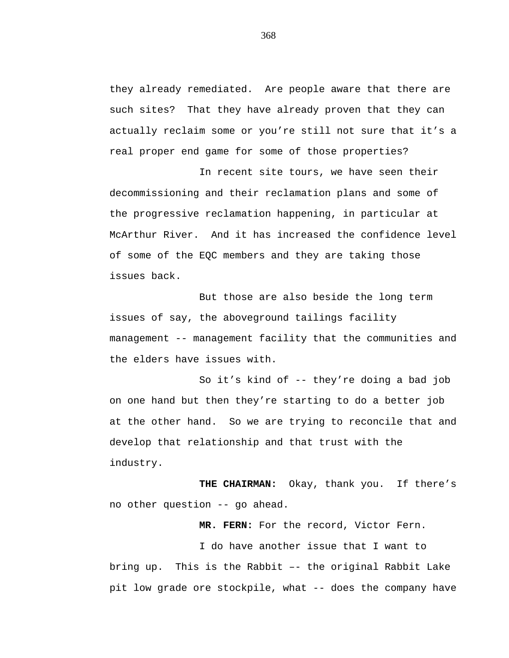they already remediated. Are people aware that there are such sites? That they have already proven that they can actually reclaim some or you're still not sure that it's a real proper end game for some of those properties?

In recent site tours, we have seen their decommissioning and their reclamation plans and some of the progressive reclamation happening, in particular at McArthur River. And it has increased the confidence level of some of the EQC members and they are taking those issues back.

But those are also beside the long term issues of say, the aboveground tailings facility management -- management facility that the communities and the elders have issues with.

So it's kind of -- they're doing a bad job on one hand but then they're starting to do a better job at the other hand. So we are trying to reconcile that and develop that relationship and that trust with the industry.

**THE CHAIRMAN:** Okay, thank you. If there's no other question -- go ahead.

**MR. FERN:** For the record, Victor Fern.

I do have another issue that I want to bring up. This is the Rabbit –- the original Rabbit Lake pit low grade ore stockpile, what -- does the company have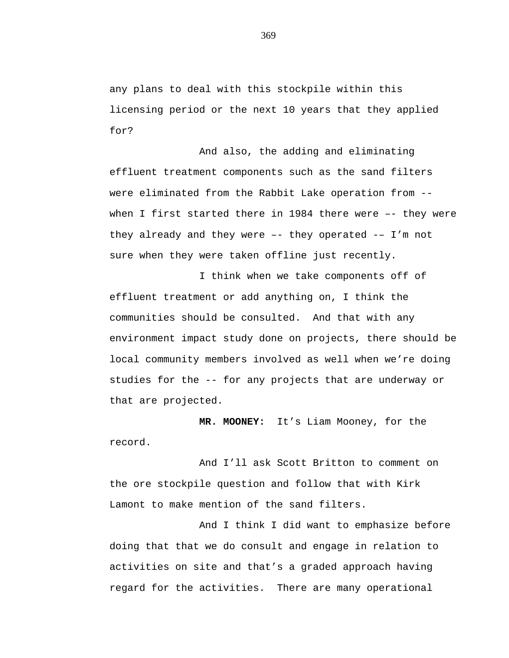any plans to deal with this stockpile within this licensing period or the next 10 years that they applied for?

And also, the adding and eliminating effluent treatment components such as the sand filters were eliminated from the Rabbit Lake operation from - when I first started there in 1984 there were –- they were they already and they were  $-$ - they operated  $-$ - I'm not sure when they were taken offline just recently.

I think when we take components off of effluent treatment or add anything on, I think the communities should be consulted. And that with any environment impact study done on projects, there should be local community members involved as well when we're doing studies for the -- for any projects that are underway or that are projected.

**MR. MOONEY:** It's Liam Mooney, for the record.

And I'll ask Scott Britton to comment on the ore stockpile question and follow that with Kirk Lamont to make mention of the sand filters.

And I think I did want to emphasize before doing that that we do consult and engage in relation to activities on site and that's a graded approach having regard for the activities. There are many operational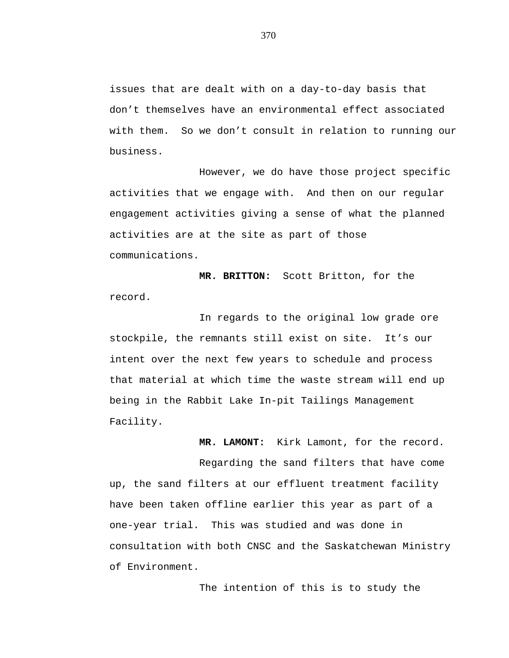issues that are dealt with on a day-to-day basis that don't themselves have an environmental effect associated with them. So we don't consult in relation to running our business.

However, we do have those project specific activities that we engage with. And then on our regular engagement activities giving a sense of what the planned activities are at the site as part of those communications.

**MR. BRITTON:** Scott Britton, for the record.

In regards to the original low grade ore stockpile, the remnants still exist on site. It's our intent over the next few years to schedule and process that material at which time the waste stream will end up being in the Rabbit Lake In-pit Tailings Management Facility.

**MR. LAMONT:** Kirk Lamont, for the record.

Regarding the sand filters that have come up, the sand filters at our effluent treatment facility have been taken offline earlier this year as part of a one-year trial. This was studied and was done in consultation with both CNSC and the Saskatchewan Ministry of Environment.

The intention of this is to study the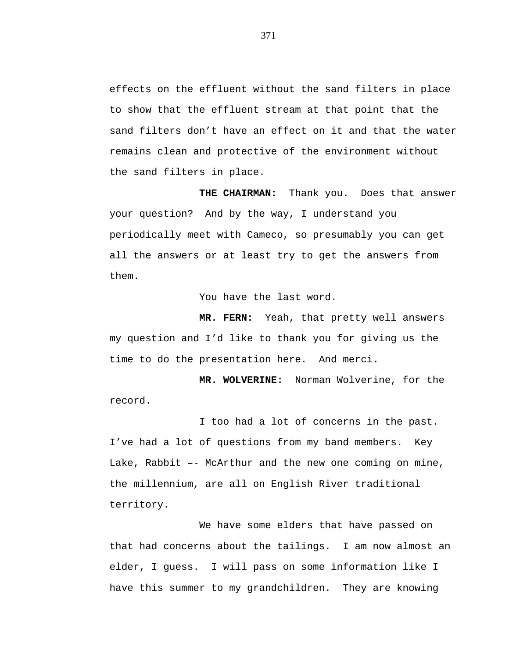effects on the effluent without the sand filters in place to show that the effluent stream at that point that the sand filters don't have an effect on it and that the water remains clean and protective of the environment without the sand filters in place.

**THE CHAIRMAN:** Thank you. Does that answer your question? And by the way, I understand you periodically meet with Cameco, so presumably you can get all the answers or at least try to get the answers from them.

You have the last word.

**MR. FERN:** Yeah, that pretty well answers my question and I'd like to thank you for giving us the time to do the presentation here. And merci.

**MR. WOLVERINE:** Norman Wolverine, for the record.

I too had a lot of concerns in the past. I've had a lot of questions from my band members. Key Lake, Rabbit –- McArthur and the new one coming on mine, the millennium, are all on English River traditional territory.

We have some elders that have passed on that had concerns about the tailings. I am now almost an elder, I guess. I will pass on some information like I have this summer to my grandchildren. They are knowing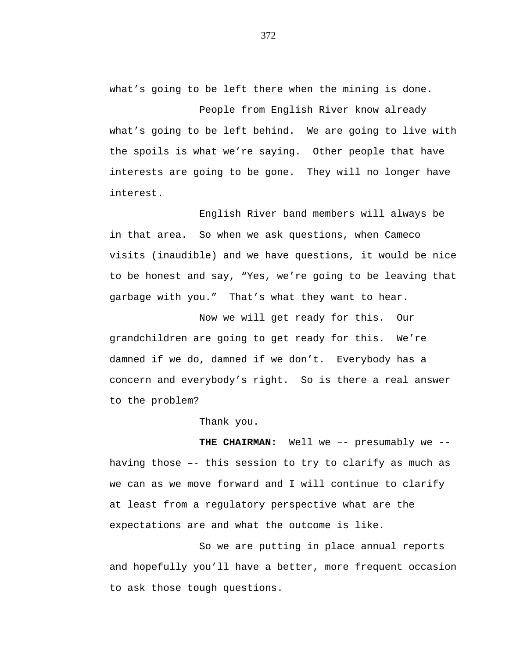what's going to be left there when the mining is done.

People from English River know already what's going to be left behind. We are going to live with the spoils is what we're saying. Other people that have interests are going to be gone. They will no longer have interest.

English River band members will always be in that area. So when we ask questions, when Cameco visits (inaudible) and we have questions, it would be nice to be honest and say, "Yes, we're going to be leaving that garbage with you." That's what they want to hear.

Now we will get ready for this. Our grandchildren are going to get ready for this. We're damned if we do, damned if we don't. Everybody has a concern and everybody's right. So is there a real answer to the problem?

Thank you.

**THE CHAIRMAN:** Well we –- presumably we - having those –- this session to try to clarify as much as we can as we move forward and I will continue to clarify at least from a regulatory perspective what are the expectations are and what the outcome is like.

So we are putting in place annual reports and hopefully you'll have a better, more frequent occasion to ask those tough questions.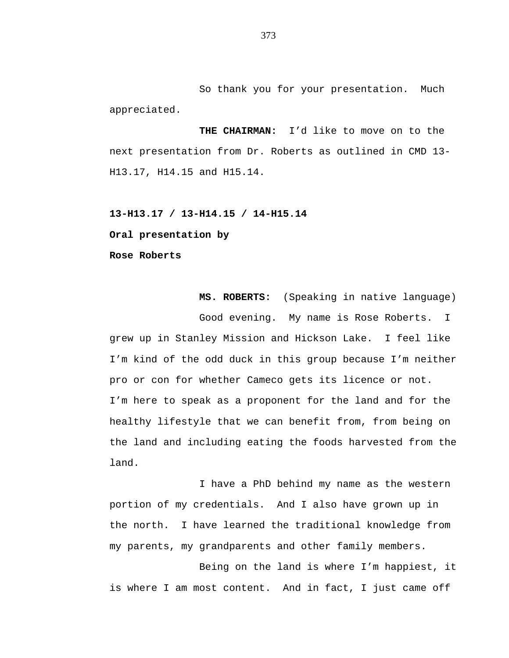So thank you for your presentation. Much appreciated.

**THE CHAIRMAN:** I'd like to move on to the next presentation from Dr. Roberts as outlined in CMD 13- H13.17, H14.15 and H15.14.

**13-H13.17 / 13-H14.15 / 14-H15.14**

**Oral presentation by**

**Rose Roberts**

**MS. ROBERTS:** (Speaking in native language) Good evening. My name is Rose Roberts. I grew up in Stanley Mission and Hickson Lake. I feel like I'm kind of the odd duck in this group because I'm neither pro or con for whether Cameco gets its licence or not. I'm here to speak as a proponent for the land and for the healthy lifestyle that we can benefit from, from being on the land and including eating the foods harvested from the land.

I have a PhD behind my name as the western portion of my credentials. And I also have grown up in the north. I have learned the traditional knowledge from my parents, my grandparents and other family members.

Being on the land is where I'm happiest, it is where I am most content. And in fact, I just came off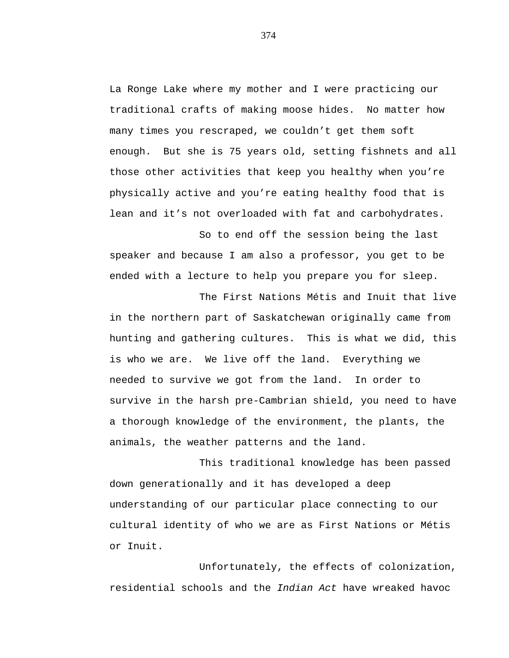La Ronge Lake where my mother and I were practicing our traditional crafts of making moose hides. No matter how many times you rescraped, we couldn't get them soft enough. But she is 75 years old, setting fishnets and all those other activities that keep you healthy when you're physically active and you're eating healthy food that is lean and it's not overloaded with fat and carbohydrates.

So to end off the session being the last speaker and because I am also a professor, you get to be ended with a lecture to help you prepare you for sleep.

The First Nations Métis and Inuit that live in the northern part of Saskatchewan originally came from hunting and gathering cultures. This is what we did, this is who we are. We live off the land. Everything we needed to survive we got from the land. In order to survive in the harsh pre-Cambrian shield, you need to have a thorough knowledge of the environment, the plants, the animals, the weather patterns and the land.

This traditional knowledge has been passed down generationally and it has developed a deep understanding of our particular place connecting to our cultural identity of who we are as First Nations or Métis or Inuit.

Unfortunately, the effects of colonization, residential schools and the *Indian Act* have wreaked havoc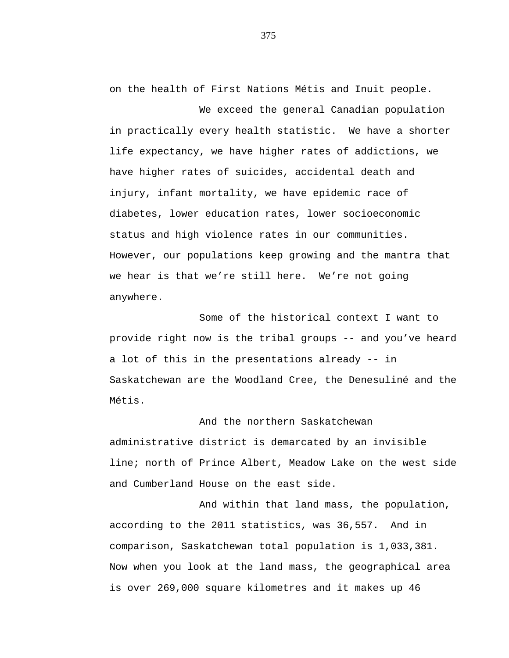on the health of First Nations Métis and Inuit people.

We exceed the general Canadian population in practically every health statistic. We have a shorter life expectancy, we have higher rates of addictions, we have higher rates of suicides, accidental death and injury, infant mortality, we have epidemic race of diabetes, lower education rates, lower socioeconomic status and high violence rates in our communities. However, our populations keep growing and the mantra that we hear is that we're still here. We're not going anywhere.

Some of the historical context I want to provide right now is the tribal groups -- and you've heard a lot of this in the presentations already -- in Saskatchewan are the Woodland Cree, the Denesuliné and the Métis.

And the northern Saskatchewan administrative district is demarcated by an invisible line; north of Prince Albert, Meadow Lake on the west side and Cumberland House on the east side.

And within that land mass, the population, according to the 2011 statistics, was 36,557. And in comparison, Saskatchewan total population is 1,033,381. Now when you look at the land mass, the geographical area is over 269,000 square kilometres and it makes up 46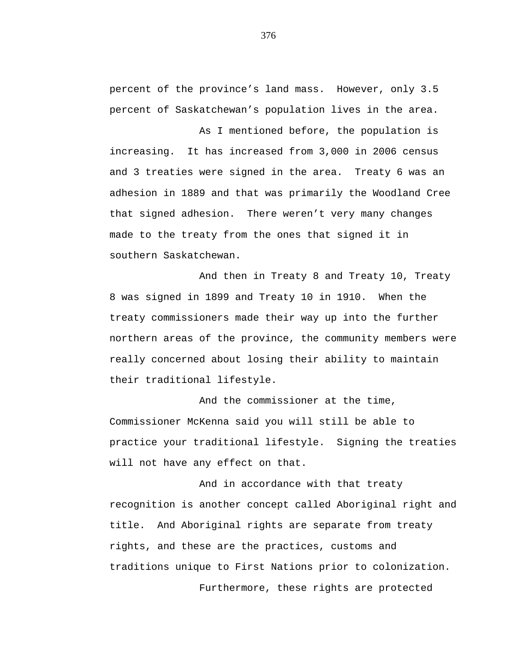percent of the province's land mass. However, only 3.5 percent of Saskatchewan's population lives in the area.

As I mentioned before, the population is increasing. It has increased from 3,000 in 2006 census and 3 treaties were signed in the area. Treaty 6 was an adhesion in 1889 and that was primarily the Woodland Cree that signed adhesion. There weren't very many changes made to the treaty from the ones that signed it in southern Saskatchewan.

And then in Treaty 8 and Treaty 10, Treaty 8 was signed in 1899 and Treaty 10 in 1910. When the treaty commissioners made their way up into the further northern areas of the province, the community members were really concerned about losing their ability to maintain their traditional lifestyle.

And the commissioner at the time, Commissioner McKenna said you will still be able to practice your traditional lifestyle. Signing the treaties will not have any effect on that.

And in accordance with that treaty recognition is another concept called Aboriginal right and title. And Aboriginal rights are separate from treaty rights, and these are the practices, customs and traditions unique to First Nations prior to colonization.

Furthermore, these rights are protected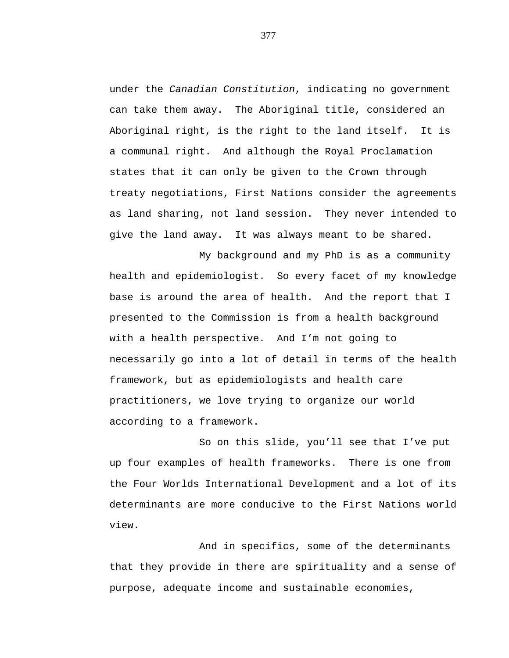under the *Canadian Constitution*, indicating no government can take them away. The Aboriginal title, considered an Aboriginal right, is the right to the land itself. It is a communal right. And although the Royal Proclamation states that it can only be given to the Crown through treaty negotiations, First Nations consider the agreements as land sharing, not land session. They never intended to give the land away. It was always meant to be shared.

My background and my PhD is as a community health and epidemiologist. So every facet of my knowledge base is around the area of health. And the report that I presented to the Commission is from a health background with a health perspective. And I'm not going to necessarily go into a lot of detail in terms of the health framework, but as epidemiologists and health care practitioners, we love trying to organize our world according to a framework.

So on this slide, you'll see that I've put up four examples of health frameworks. There is one from the Four Worlds International Development and a lot of its determinants are more conducive to the First Nations world view.

And in specifics, some of the determinants that they provide in there are spirituality and a sense of purpose, adequate income and sustainable economies,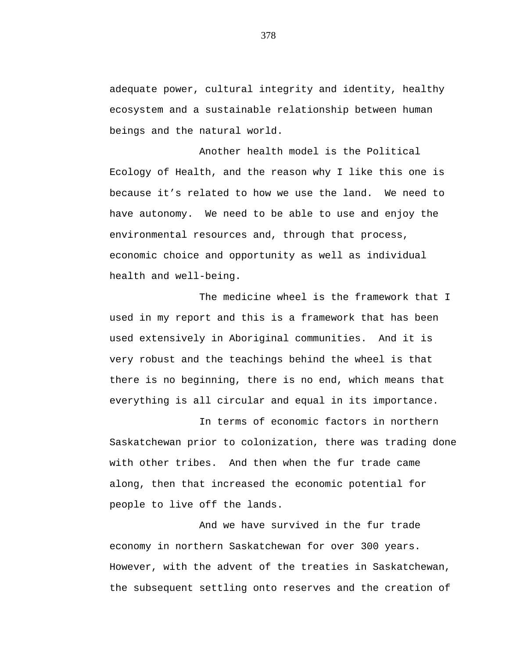adequate power, cultural integrity and identity, healthy ecosystem and a sustainable relationship between human beings and the natural world.

Another health model is the Political Ecology of Health, and the reason why I like this one is because it's related to how we use the land. We need to have autonomy. We need to be able to use and enjoy the environmental resources and, through that process, economic choice and opportunity as well as individual health and well-being.

The medicine wheel is the framework that I used in my report and this is a framework that has been used extensively in Aboriginal communities. And it is very robust and the teachings behind the wheel is that there is no beginning, there is no end, which means that everything is all circular and equal in its importance.

In terms of economic factors in northern Saskatchewan prior to colonization, there was trading done with other tribes. And then when the fur trade came along, then that increased the economic potential for people to live off the lands.

And we have survived in the fur trade economy in northern Saskatchewan for over 300 years. However, with the advent of the treaties in Saskatchewan, the subsequent settling onto reserves and the creation of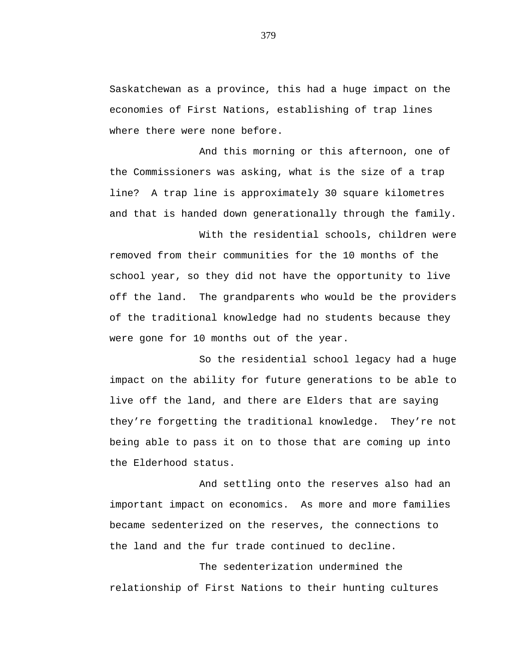Saskatchewan as a province, this had a huge impact on the economies of First Nations, establishing of trap lines where there were none before.

And this morning or this afternoon, one of the Commissioners was asking, what is the size of a trap line? A trap line is approximately 30 square kilometres and that is handed down generationally through the family.

With the residential schools, children were removed from their communities for the 10 months of the school year, so they did not have the opportunity to live off the land. The grandparents who would be the providers of the traditional knowledge had no students because they were gone for 10 months out of the year.

So the residential school legacy had a huge impact on the ability for future generations to be able to live off the land, and there are Elders that are saying they're forgetting the traditional knowledge. They're not being able to pass it on to those that are coming up into the Elderhood status.

And settling onto the reserves also had an important impact on economics. As more and more families became sedenterized on the reserves, the connections to the land and the fur trade continued to decline.

The sedenterization undermined the relationship of First Nations to their hunting cultures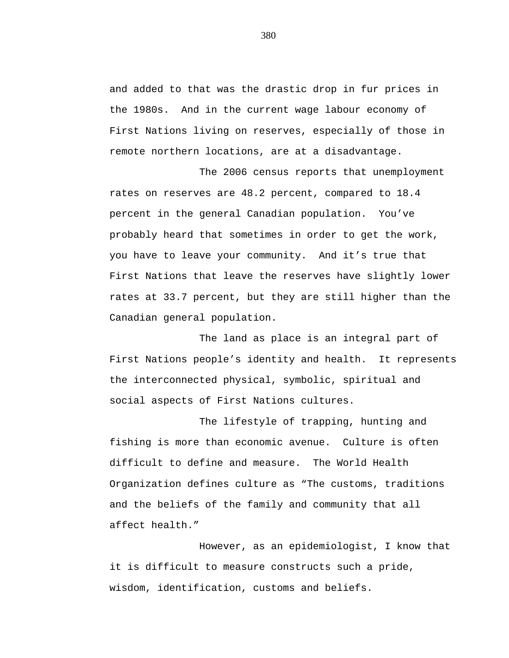and added to that was the drastic drop in fur prices in the 1980s. And in the current wage labour economy of First Nations living on reserves, especially of those in remote northern locations, are at a disadvantage.

The 2006 census reports that unemployment rates on reserves are 48.2 percent, compared to 18.4 percent in the general Canadian population. You've probably heard that sometimes in order to get the work, you have to leave your community. And it's true that First Nations that leave the reserves have slightly lower rates at 33.7 percent, but they are still higher than the Canadian general population.

The land as place is an integral part of First Nations people's identity and health. It represents the interconnected physical, symbolic, spiritual and social aspects of First Nations cultures.

The lifestyle of trapping, hunting and fishing is more than economic avenue. Culture is often difficult to define and measure. The World Health Organization defines culture as "The customs, traditions and the beliefs of the family and community that all affect health."

However, as an epidemiologist, I know that it is difficult to measure constructs such a pride, wisdom, identification, customs and beliefs.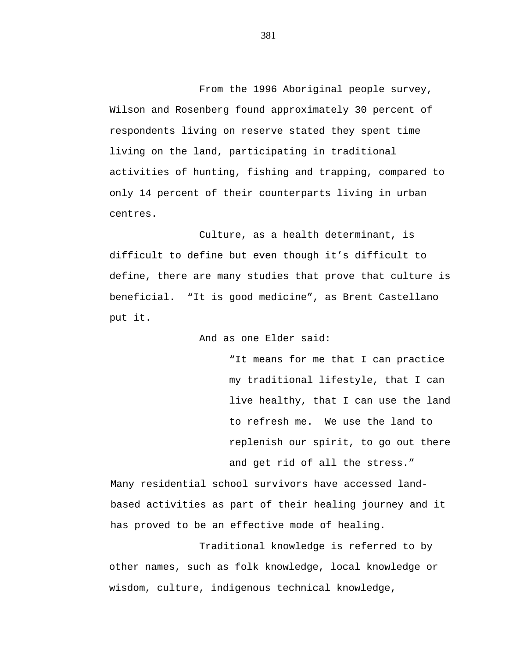From the 1996 Aboriginal people survey, Wilson and Rosenberg found approximately 30 percent of respondents living on reserve stated they spent time living on the land, participating in traditional activities of hunting, fishing and trapping, compared to only 14 percent of their counterparts living in urban centres.

Culture, as a health determinant, is difficult to define but even though it's difficult to define, there are many studies that prove that culture is beneficial. "It is good medicine", as Brent Castellano put it.

And as one Elder said:

"It means for me that I can practice my traditional lifestyle, that I can live healthy, that I can use the land to refresh me. We use the land to replenish our spirit, to go out there and get rid of all the stress."

Many residential school survivors have accessed landbased activities as part of their healing journey and it has proved to be an effective mode of healing.

Traditional knowledge is referred to by other names, such as folk knowledge, local knowledge or wisdom, culture, indigenous technical knowledge,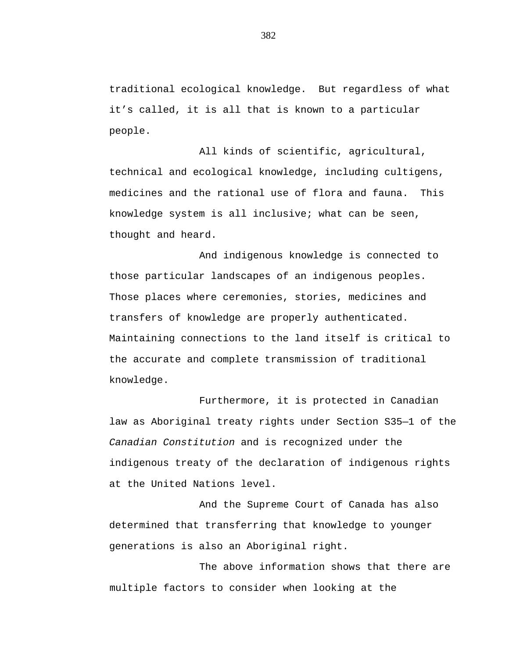traditional ecological knowledge. But regardless of what it's called, it is all that is known to a particular people.

All kinds of scientific, agricultural, technical and ecological knowledge, including cultigens, medicines and the rational use of flora and fauna. This knowledge system is all inclusive; what can be seen, thought and heard.

And indigenous knowledge is connected to those particular landscapes of an indigenous peoples. Those places where ceremonies, stories, medicines and transfers of knowledge are properly authenticated. Maintaining connections to the land itself is critical to the accurate and complete transmission of traditional knowledge.

Furthermore, it is protected in Canadian law as Aboriginal treaty rights under Section S35—1 of the *Canadian Constitution* and is recognized under the indigenous treaty of the declaration of indigenous rights at the United Nations level.

And the Supreme Court of Canada has also determined that transferring that knowledge to younger generations is also an Aboriginal right.

The above information shows that there are multiple factors to consider when looking at the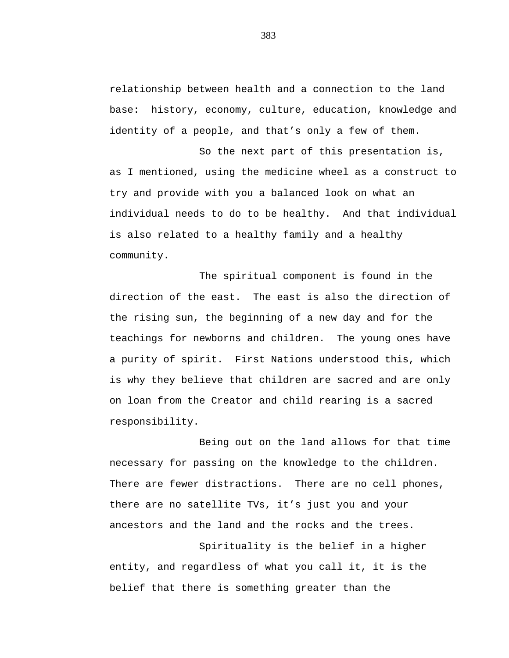relationship between health and a connection to the land base: history, economy, culture, education, knowledge and identity of a people, and that's only a few of them.

So the next part of this presentation is, as I mentioned, using the medicine wheel as a construct to try and provide with you a balanced look on what an individual needs to do to be healthy. And that individual is also related to a healthy family and a healthy community.

The spiritual component is found in the direction of the east. The east is also the direction of the rising sun, the beginning of a new day and for the teachings for newborns and children. The young ones have a purity of spirit. First Nations understood this, which is why they believe that children are sacred and are only on loan from the Creator and child rearing is a sacred responsibility.

Being out on the land allows for that time necessary for passing on the knowledge to the children. There are fewer distractions. There are no cell phones, there are no satellite TVs, it's just you and your ancestors and the land and the rocks and the trees.

Spirituality is the belief in a higher entity, and regardless of what you call it, it is the belief that there is something greater than the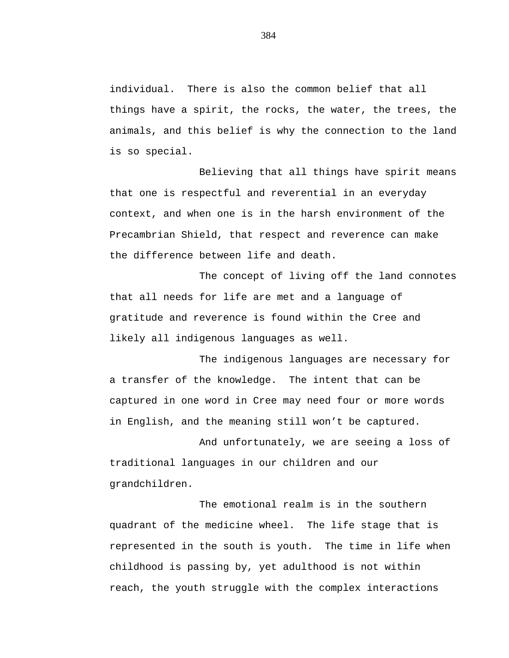individual. There is also the common belief that all things have a spirit, the rocks, the water, the trees, the animals, and this belief is why the connection to the land is so special.

Believing that all things have spirit means that one is respectful and reverential in an everyday context, and when one is in the harsh environment of the Precambrian Shield, that respect and reverence can make the difference between life and death.

The concept of living off the land connotes that all needs for life are met and a language of gratitude and reverence is found within the Cree and likely all indigenous languages as well.

The indigenous languages are necessary for a transfer of the knowledge. The intent that can be captured in one word in Cree may need four or more words in English, and the meaning still won't be captured.

And unfortunately, we are seeing a loss of traditional languages in our children and our grandchildren.

The emotional realm is in the southern quadrant of the medicine wheel. The life stage that is represented in the south is youth. The time in life when childhood is passing by, yet adulthood is not within reach, the youth struggle with the complex interactions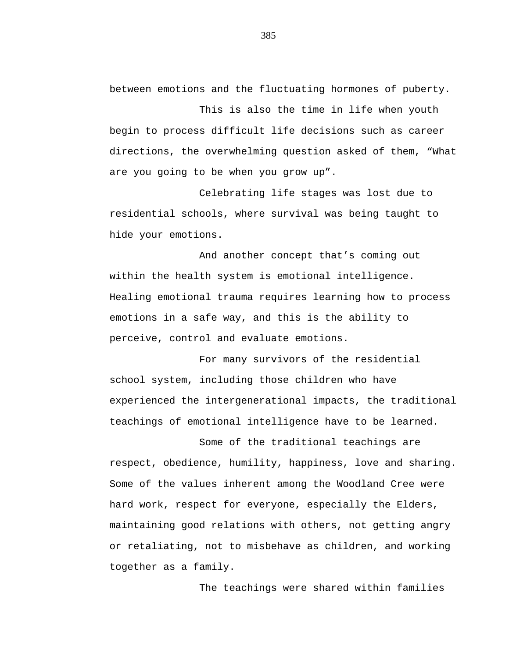between emotions and the fluctuating hormones of puberty.

This is also the time in life when youth begin to process difficult life decisions such as career directions, the overwhelming question asked of them, "What are you going to be when you grow up".

Celebrating life stages was lost due to residential schools, where survival was being taught to hide your emotions.

And another concept that's coming out within the health system is emotional intelligence. Healing emotional trauma requires learning how to process emotions in a safe way, and this is the ability to perceive, control and evaluate emotions.

For many survivors of the residential school system, including those children who have experienced the intergenerational impacts, the traditional teachings of emotional intelligence have to be learned.

Some of the traditional teachings are respect, obedience, humility, happiness, love and sharing. Some of the values inherent among the Woodland Cree were hard work, respect for everyone, especially the Elders, maintaining good relations with others, not getting angry or retaliating, not to misbehave as children, and working together as a family.

The teachings were shared within families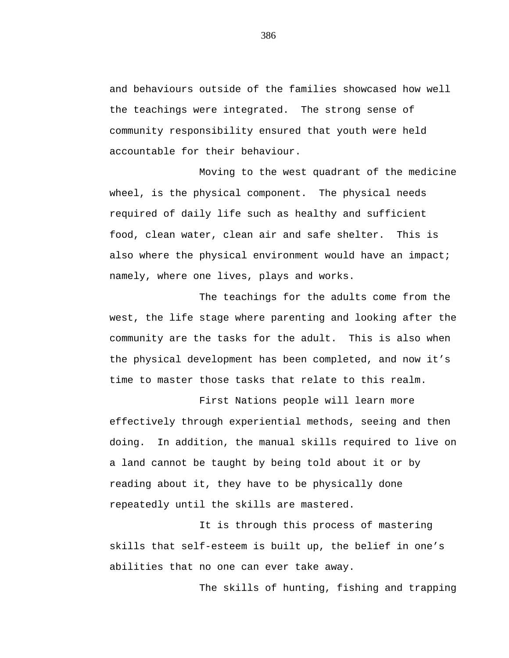and behaviours outside of the families showcased how well the teachings were integrated. The strong sense of community responsibility ensured that youth were held accountable for their behaviour.

Moving to the west quadrant of the medicine wheel, is the physical component. The physical needs required of daily life such as healthy and sufficient food, clean water, clean air and safe shelter. This is also where the physical environment would have an impact; namely, where one lives, plays and works.

The teachings for the adults come from the west, the life stage where parenting and looking after the community are the tasks for the adult. This is also when the physical development has been completed, and now it's time to master those tasks that relate to this realm.

First Nations people will learn more effectively through experiential methods, seeing and then doing. In addition, the manual skills required to live on a land cannot be taught by being told about it or by reading about it, they have to be physically done repeatedly until the skills are mastered.

It is through this process of mastering skills that self-esteem is built up, the belief in one's abilities that no one can ever take away.

The skills of hunting, fishing and trapping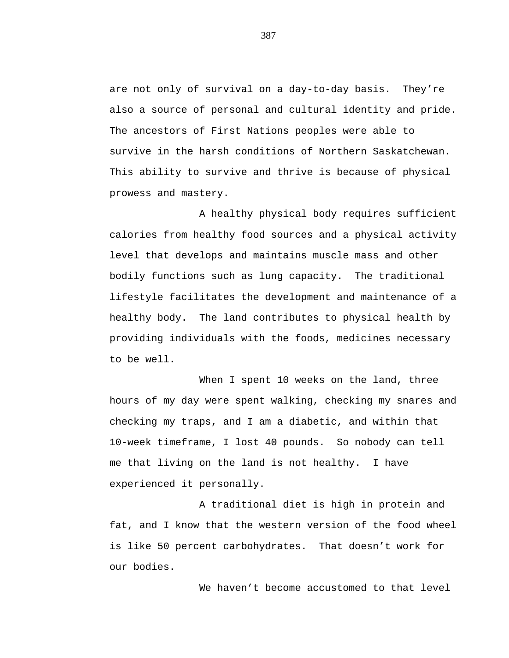are not only of survival on a day-to-day basis. They're also a source of personal and cultural identity and pride. The ancestors of First Nations peoples were able to survive in the harsh conditions of Northern Saskatchewan. This ability to survive and thrive is because of physical prowess and mastery.

A healthy physical body requires sufficient calories from healthy food sources and a physical activity level that develops and maintains muscle mass and other bodily functions such as lung capacity. The traditional lifestyle facilitates the development and maintenance of a healthy body. The land contributes to physical health by providing individuals with the foods, medicines necessary to be well.

When I spent 10 weeks on the land, three hours of my day were spent walking, checking my snares and checking my traps, and I am a diabetic, and within that 10-week timeframe, I lost 40 pounds. So nobody can tell me that living on the land is not healthy. I have experienced it personally.

A traditional diet is high in protein and fat, and I know that the western version of the food wheel is like 50 percent carbohydrates. That doesn't work for our bodies.

We haven't become accustomed to that level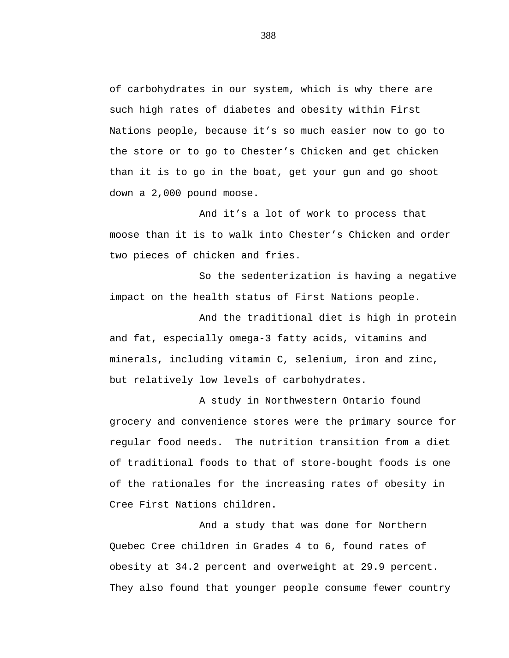of carbohydrates in our system, which is why there are such high rates of diabetes and obesity within First Nations people, because it's so much easier now to go to the store or to go to Chester's Chicken and get chicken than it is to go in the boat, get your gun and go shoot down a 2,000 pound moose.

And it's a lot of work to process that moose than it is to walk into Chester's Chicken and order two pieces of chicken and fries.

So the sedenterization is having a negative impact on the health status of First Nations people.

And the traditional diet is high in protein and fat, especially omega-3 fatty acids, vitamins and minerals, including vitamin C, selenium, iron and zinc, but relatively low levels of carbohydrates.

A study in Northwestern Ontario found grocery and convenience stores were the primary source for regular food needs. The nutrition transition from a diet of traditional foods to that of store-bought foods is one of the rationales for the increasing rates of obesity in Cree First Nations children.

And a study that was done for Northern Quebec Cree children in Grades 4 to 6, found rates of obesity at 34.2 percent and overweight at 29.9 percent. They also found that younger people consume fewer country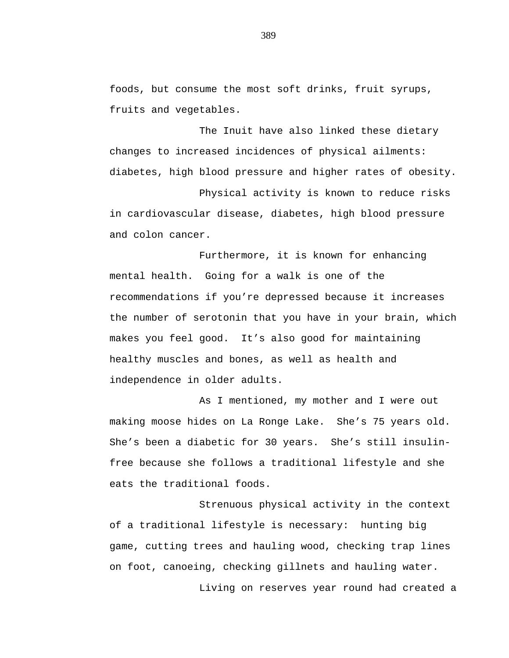foods, but consume the most soft drinks, fruit syrups, fruits and vegetables.

The Inuit have also linked these dietary changes to increased incidences of physical ailments: diabetes, high blood pressure and higher rates of obesity.

Physical activity is known to reduce risks in cardiovascular disease, diabetes, high blood pressure and colon cancer.

Furthermore, it is known for enhancing mental health. Going for a walk is one of the recommendations if you're depressed because it increases the number of serotonin that you have in your brain, which makes you feel good. It's also good for maintaining healthy muscles and bones, as well as health and independence in older adults.

As I mentioned, my mother and I were out making moose hides on La Ronge Lake. She's 75 years old. She's been a diabetic for 30 years. She's still insulinfree because she follows a traditional lifestyle and she eats the traditional foods.

Strenuous physical activity in the context of a traditional lifestyle is necessary: hunting big game, cutting trees and hauling wood, checking trap lines on foot, canoeing, checking gillnets and hauling water.

Living on reserves year round had created a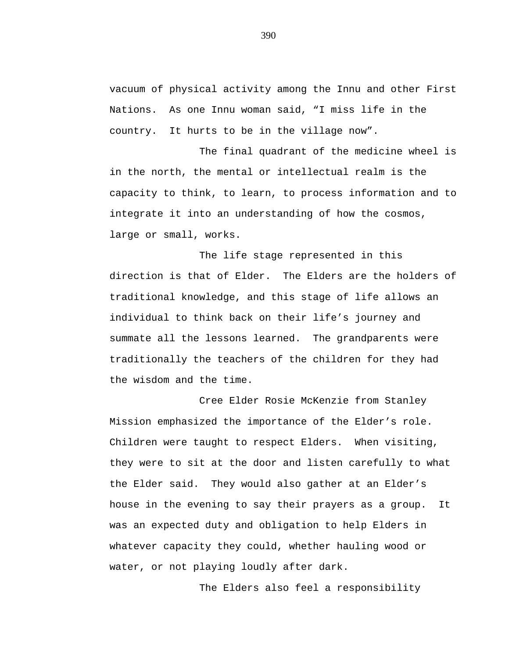vacuum of physical activity among the Innu and other First Nations. As one Innu woman said, "I miss life in the country. It hurts to be in the village now".

The final quadrant of the medicine wheel is in the north, the mental or intellectual realm is the capacity to think, to learn, to process information and to integrate it into an understanding of how the cosmos, large or small, works.

The life stage represented in this direction is that of Elder. The Elders are the holders of traditional knowledge, and this stage of life allows an individual to think back on their life's journey and summate all the lessons learned. The grandparents were traditionally the teachers of the children for they had the wisdom and the time.

Cree Elder Rosie McKenzie from Stanley Mission emphasized the importance of the Elder's role. Children were taught to respect Elders. When visiting, they were to sit at the door and listen carefully to what the Elder said. They would also gather at an Elder's house in the evening to say their prayers as a group. It was an expected duty and obligation to help Elders in whatever capacity they could, whether hauling wood or water, or not playing loudly after dark.

The Elders also feel a responsibility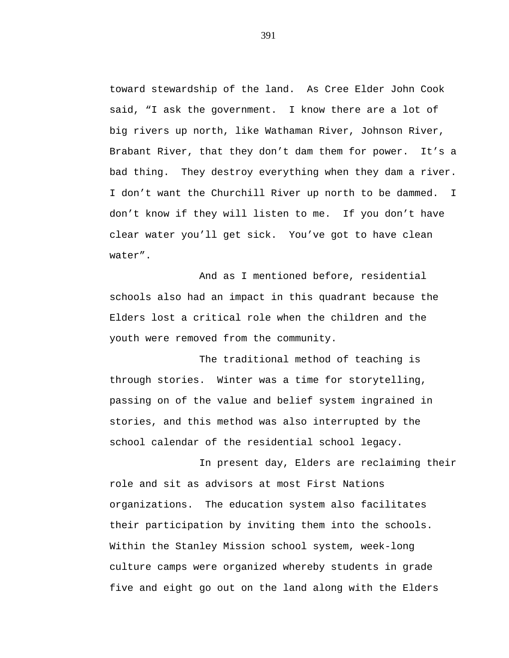toward stewardship of the land. As Cree Elder John Cook said, "I ask the government. I know there are a lot of big rivers up north, like Wathaman River, Johnson River, Brabant River, that they don't dam them for power. It's a bad thing. They destroy everything when they dam a river. I don't want the Churchill River up north to be dammed. I don't know if they will listen to me. If you don't have clear water you'll get sick. You've got to have clean water".

And as I mentioned before, residential schools also had an impact in this quadrant because the Elders lost a critical role when the children and the youth were removed from the community.

The traditional method of teaching is through stories. Winter was a time for storytelling, passing on of the value and belief system ingrained in stories, and this method was also interrupted by the school calendar of the residential school legacy.

In present day, Elders are reclaiming their role and sit as advisors at most First Nations organizations. The education system also facilitates their participation by inviting them into the schools. Within the Stanley Mission school system, week-long culture camps were organized whereby students in grade five and eight go out on the land along with the Elders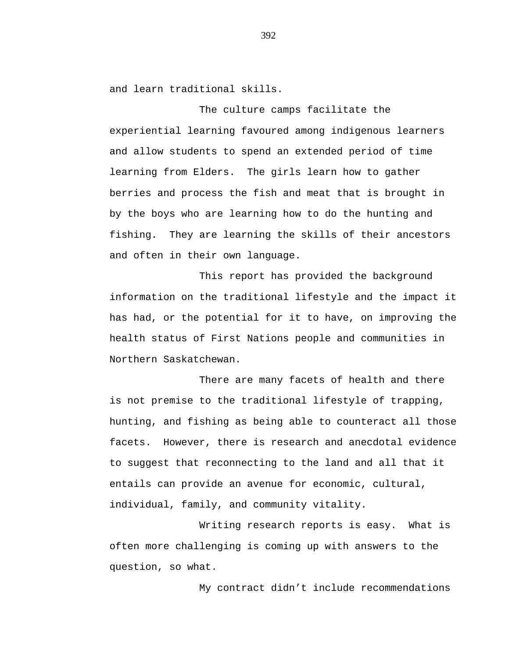and learn traditional skills.

The culture camps facilitate the experiential learning favoured among indigenous learners and allow students to spend an extended period of time learning from Elders. The girls learn how to gather berries and process the fish and meat that is brought in by the boys who are learning how to do the hunting and fishing. They are learning the skills of their ancestors and often in their own language.

This report has provided the background information on the traditional lifestyle and the impact it has had, or the potential for it to have, on improving the health status of First Nations people and communities in Northern Saskatchewan.

There are many facets of health and there is not premise to the traditional lifestyle of trapping, hunting, and fishing as being able to counteract all those facets. However, there is research and anecdotal evidence to suggest that reconnecting to the land and all that it entails can provide an avenue for economic, cultural, individual, family, and community vitality.

Writing research reports is easy. What is often more challenging is coming up with answers to the question, so what.

My contract didn't include recommendations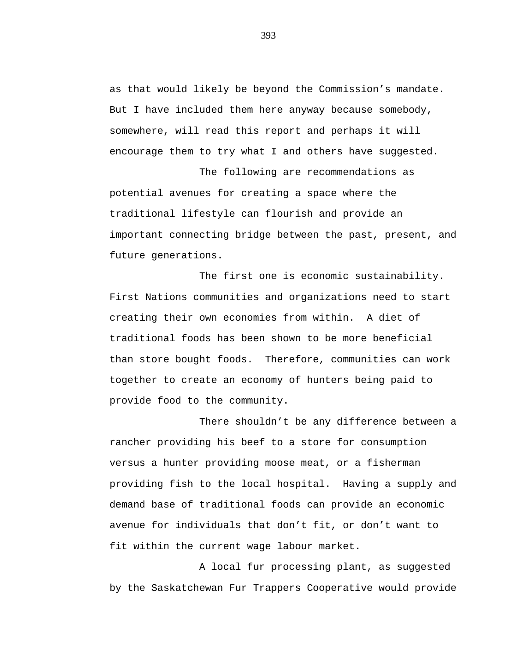as that would likely be beyond the Commission's mandate. But I have included them here anyway because somebody, somewhere, will read this report and perhaps it will encourage them to try what I and others have suggested.

The following are recommendations as potential avenues for creating a space where the traditional lifestyle can flourish and provide an important connecting bridge between the past, present, and future generations.

The first one is economic sustainability. First Nations communities and organizations need to start creating their own economies from within. A diet of traditional foods has been shown to be more beneficial than store bought foods. Therefore, communities can work together to create an economy of hunters being paid to provide food to the community.

There shouldn't be any difference between a rancher providing his beef to a store for consumption versus a hunter providing moose meat, or a fisherman providing fish to the local hospital. Having a supply and demand base of traditional foods can provide an economic avenue for individuals that don't fit, or don't want to fit within the current wage labour market.

A local fur processing plant, as suggested by the Saskatchewan Fur Trappers Cooperative would provide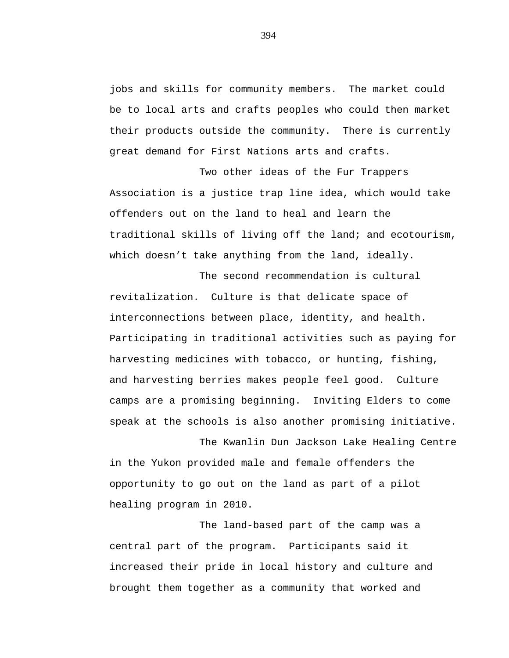jobs and skills for community members. The market could be to local arts and crafts peoples who could then market their products outside the community. There is currently great demand for First Nations arts and crafts.

Two other ideas of the Fur Trappers Association is a justice trap line idea, which would take offenders out on the land to heal and learn the traditional skills of living off the land; and ecotourism, which doesn't take anything from the land, ideally.

The second recommendation is cultural revitalization. Culture is that delicate space of interconnections between place, identity, and health. Participating in traditional activities such as paying for harvesting medicines with tobacco, or hunting, fishing, and harvesting berries makes people feel good. Culture camps are a promising beginning. Inviting Elders to come speak at the schools is also another promising initiative.

The Kwanlin Dun Jackson Lake Healing Centre in the Yukon provided male and female offenders the opportunity to go out on the land as part of a pilot healing program in 2010.

The land-based part of the camp was a central part of the program. Participants said it increased their pride in local history and culture and brought them together as a community that worked and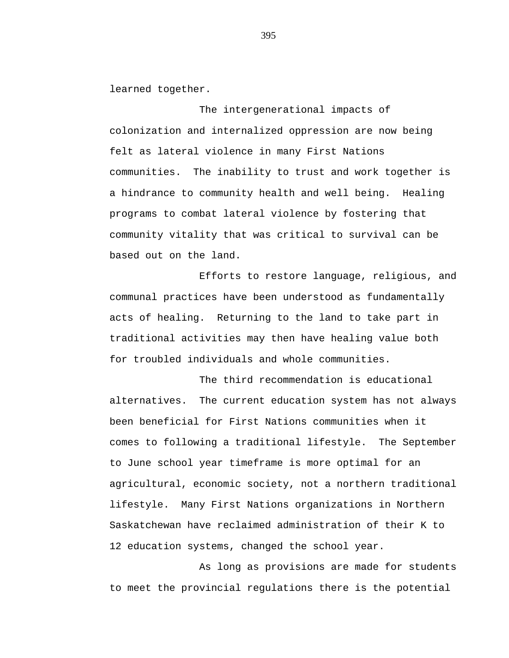learned together.

The intergenerational impacts of colonization and internalized oppression are now being felt as lateral violence in many First Nations communities. The inability to trust and work together is a hindrance to community health and well being. Healing programs to combat lateral violence by fostering that community vitality that was critical to survival can be based out on the land.

Efforts to restore language, religious, and communal practices have been understood as fundamentally acts of healing. Returning to the land to take part in traditional activities may then have healing value both for troubled individuals and whole communities.

The third recommendation is educational alternatives. The current education system has not always been beneficial for First Nations communities when it comes to following a traditional lifestyle. The September to June school year timeframe is more optimal for an agricultural, economic society, not a northern traditional lifestyle. Many First Nations organizations in Northern Saskatchewan have reclaimed administration of their K to 12 education systems, changed the school year.

As long as provisions are made for students to meet the provincial regulations there is the potential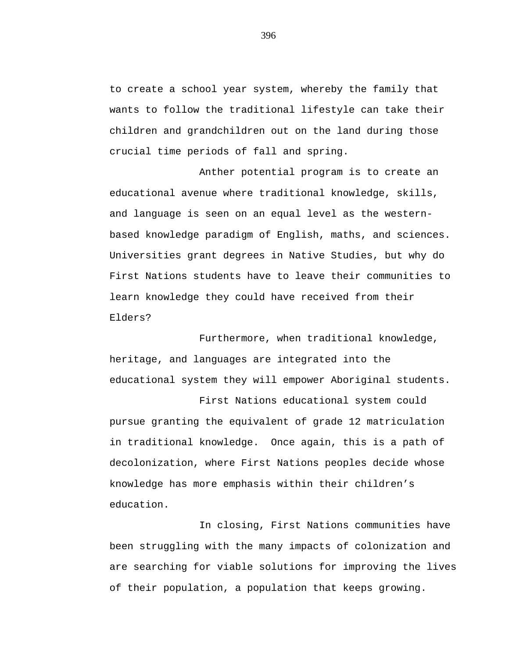to create a school year system, whereby the family that wants to follow the traditional lifestyle can take their children and grandchildren out on the land during those crucial time periods of fall and spring.

Anther potential program is to create an educational avenue where traditional knowledge, skills, and language is seen on an equal level as the westernbased knowledge paradigm of English, maths, and sciences. Universities grant degrees in Native Studies, but why do First Nations students have to leave their communities to learn knowledge they could have received from their Elders?

Furthermore, when traditional knowledge, heritage, and languages are integrated into the educational system they will empower Aboriginal students.

First Nations educational system could pursue granting the equivalent of grade 12 matriculation in traditional knowledge. Once again, this is a path of decolonization, where First Nations peoples decide whose knowledge has more emphasis within their children's education.

In closing, First Nations communities have been struggling with the many impacts of colonization and are searching for viable solutions for improving the lives of their population, a population that keeps growing.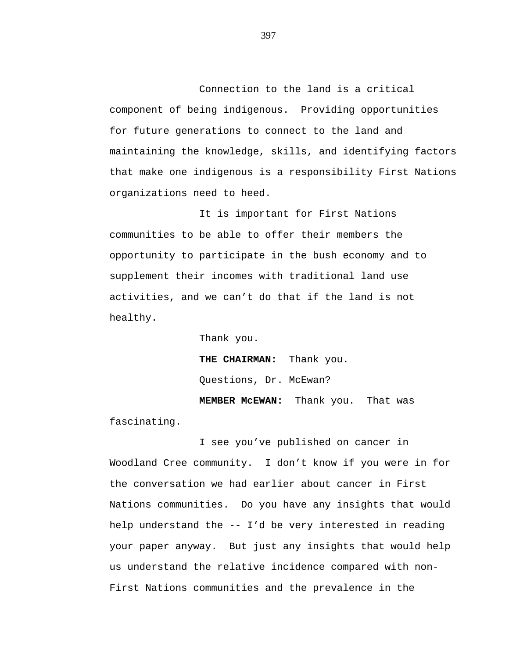Connection to the land is a critical component of being indigenous. Providing opportunities for future generations to connect to the land and maintaining the knowledge, skills, and identifying factors that make one indigenous is a responsibility First Nations organizations need to heed.

It is important for First Nations communities to be able to offer their members the opportunity to participate in the bush economy and to supplement their incomes with traditional land use activities, and we can't do that if the land is not healthy.

> Thank you. **THE CHAIRMAN:** Thank you. Questions, Dr. McEwan? **MEMBER McEWAN:** Thank you. That was

fascinating.

I see you've published on cancer in Woodland Cree community. I don't know if you were in for the conversation we had earlier about cancer in First Nations communities. Do you have any insights that would help understand the -- I'd be very interested in reading your paper anyway. But just any insights that would help us understand the relative incidence compared with non-First Nations communities and the prevalence in the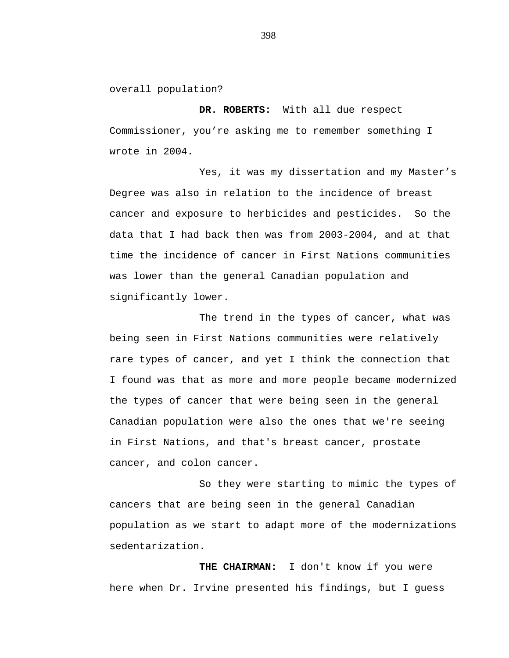overall population?

**DR. ROBERTS:** With all due respect Commissioner, you're asking me to remember something I wrote in 2004.

Yes, it was my dissertation and my Master's Degree was also in relation to the incidence of breast cancer and exposure to herbicides and pesticides. So the data that I had back then was from 2003-2004, and at that time the incidence of cancer in First Nations communities was lower than the general Canadian population and significantly lower.

The trend in the types of cancer, what was being seen in First Nations communities were relatively rare types of cancer, and yet I think the connection that I found was that as more and more people became modernized the types of cancer that were being seen in the general Canadian population were also the ones that we're seeing in First Nations, and that's breast cancer, prostate cancer, and colon cancer.

So they were starting to mimic the types of cancers that are being seen in the general Canadian population as we start to adapt more of the modernizations sedentarization.

**THE CHAIRMAN:** I don't know if you were here when Dr. Irvine presented his findings, but I guess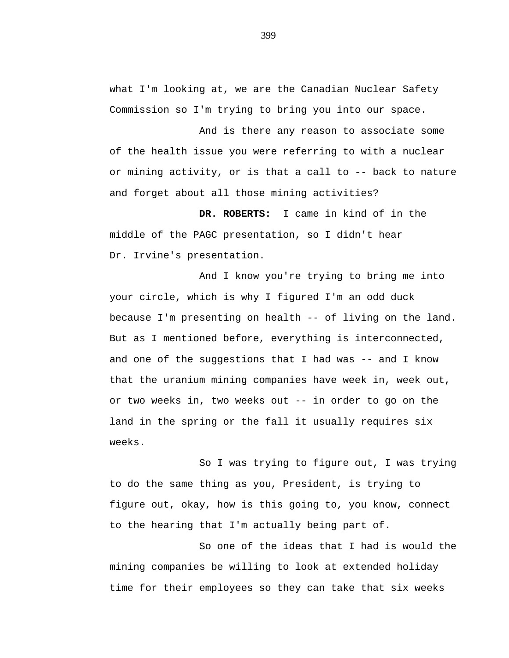what I'm looking at, we are the Canadian Nuclear Safety Commission so I'm trying to bring you into our space.

And is there any reason to associate some of the health issue you were referring to with a nuclear or mining activity, or is that a call to -- back to nature and forget about all those mining activities?

**DR. ROBERTS:** I came in kind of in the middle of the PAGC presentation, so I didn't hear Dr. Irvine's presentation.

And I know you're trying to bring me into your circle, which is why I figured I'm an odd duck because I'm presenting on health -- of living on the land. But as I mentioned before, everything is interconnected, and one of the suggestions that I had was  $-$ - and I know that the uranium mining companies have week in, week out, or two weeks in, two weeks out -- in order to go on the land in the spring or the fall it usually requires six weeks.

So I was trying to figure out, I was trying to do the same thing as you, President, is trying to figure out, okay, how is this going to, you know, connect to the hearing that I'm actually being part of.

So one of the ideas that I had is would the mining companies be willing to look at extended holiday time for their employees so they can take that six weeks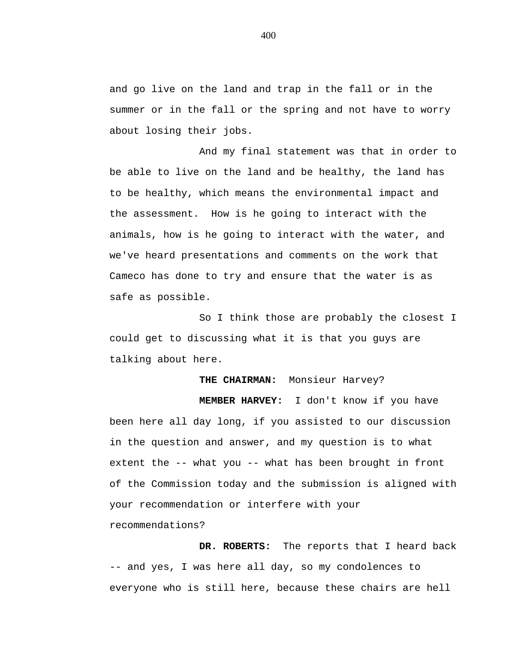and go live on the land and trap in the fall or in the summer or in the fall or the spring and not have to worry about losing their jobs.

And my final statement was that in order to be able to live on the land and be healthy, the land has to be healthy, which means the environmental impact and the assessment. How is he going to interact with the animals, how is he going to interact with the water, and we've heard presentations and comments on the work that Cameco has done to try and ensure that the water is as safe as possible.

So I think those are probably the closest I could get to discussing what it is that you guys are talking about here.

**THE CHAIRMAN:** Monsieur Harvey?

**MEMBER HARVEY:** I don't know if you have been here all day long, if you assisted to our discussion in the question and answer, and my question is to what extent the -- what you -- what has been brought in front of the Commission today and the submission is aligned with your recommendation or interfere with your recommendations?

**DR. ROBERTS:** The reports that I heard back -- and yes, I was here all day, so my condolences to everyone who is still here, because these chairs are hell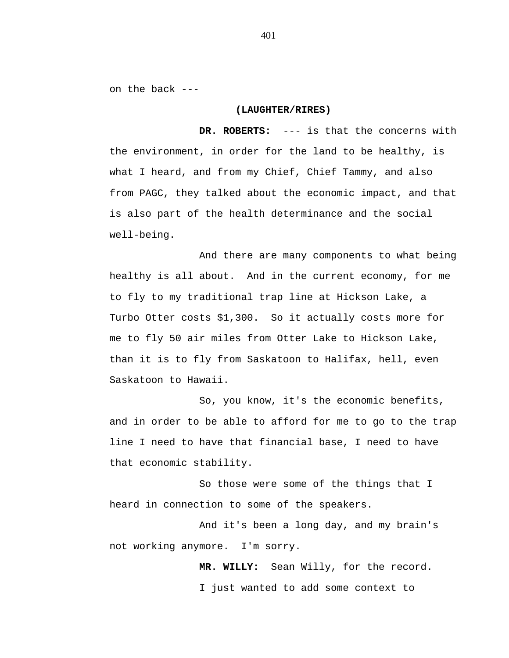on the back ---

## **(LAUGHTER/RIRES)**

**DR. ROBERTS:** --- is that the concerns with the environment, in order for the land to be healthy, is what I heard, and from my Chief, Chief Tammy, and also from PAGC, they talked about the economic impact, and that is also part of the health determinance and the social well-being.

And there are many components to what being healthy is all about. And in the current economy, for me to fly to my traditional trap line at Hickson Lake, a Turbo Otter costs \$1,300. So it actually costs more for me to fly 50 air miles from Otter Lake to Hickson Lake, than it is to fly from Saskatoon to Halifax, hell, even Saskatoon to Hawaii.

So, you know, it's the economic benefits, and in order to be able to afford for me to go to the trap line I need to have that financial base, I need to have that economic stability.

So those were some of the things that I heard in connection to some of the speakers.

And it's been a long day, and my brain's not working anymore. I'm sorry.

> **MR. WILLY:** Sean Willy, for the record. I just wanted to add some context to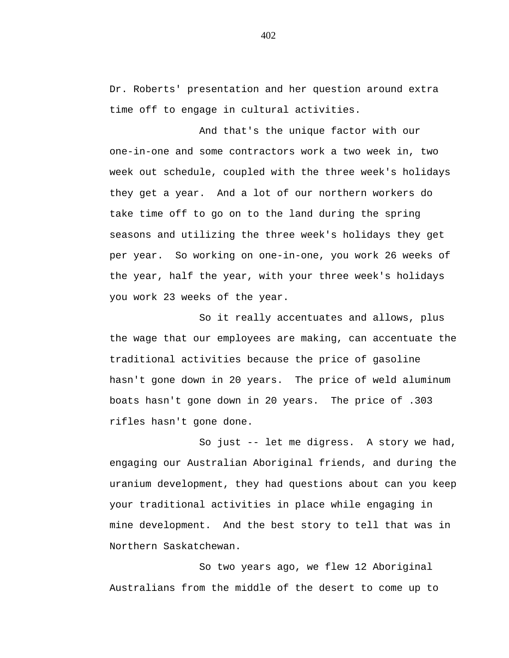Dr. Roberts' presentation and her question around extra time off to engage in cultural activities.

And that's the unique factor with our one-in-one and some contractors work a two week in, two week out schedule, coupled with the three week's holidays they get a year. And a lot of our northern workers do take time off to go on to the land during the spring seasons and utilizing the three week's holidays they get per year. So working on one-in-one, you work 26 weeks of the year, half the year, with your three week's holidays you work 23 weeks of the year.

So it really accentuates and allows, plus the wage that our employees are making, can accentuate the traditional activities because the price of gasoline hasn't gone down in 20 years. The price of weld aluminum boats hasn't gone down in 20 years. The price of .303 rifles hasn't gone done.

So just -- let me digress. A story we had, engaging our Australian Aboriginal friends, and during the uranium development, they had questions about can you keep your traditional activities in place while engaging in mine development. And the best story to tell that was in Northern Saskatchewan.

So two years ago, we flew 12 Aboriginal Australians from the middle of the desert to come up to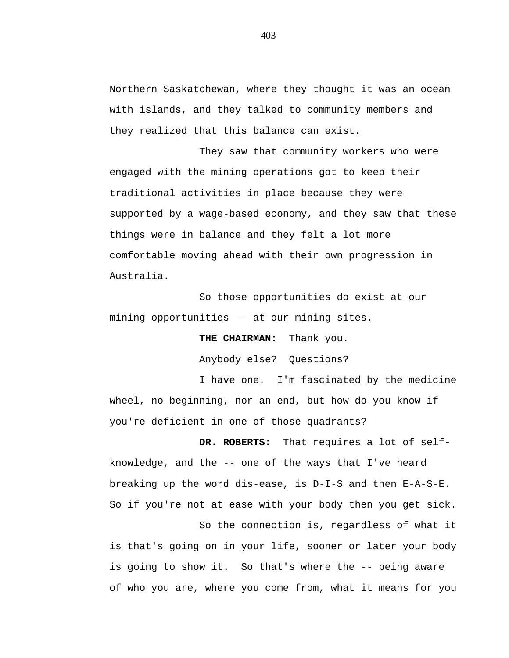Northern Saskatchewan, where they thought it was an ocean with islands, and they talked to community members and they realized that this balance can exist.

They saw that community workers who were engaged with the mining operations got to keep their traditional activities in place because they were supported by a wage-based economy, and they saw that these things were in balance and they felt a lot more comfortable moving ahead with their own progression in Australia.

So those opportunities do exist at our mining opportunities -- at our mining sites.

**THE CHAIRMAN:** Thank you.

Anybody else? Questions?

I have one. I'm fascinated by the medicine wheel, no beginning, nor an end, but how do you know if you're deficient in one of those quadrants?

**DR. ROBERTS:** That requires a lot of selfknowledge, and the -- one of the ways that I've heard breaking up the word dis-ease, is D-I-S and then E-A-S-E. So if you're not at ease with your body then you get sick. So the connection is, regardless of what it is that's going on in your life, sooner or later your body is going to show it. So that's where the -- being aware

of who you are, where you come from, what it means for you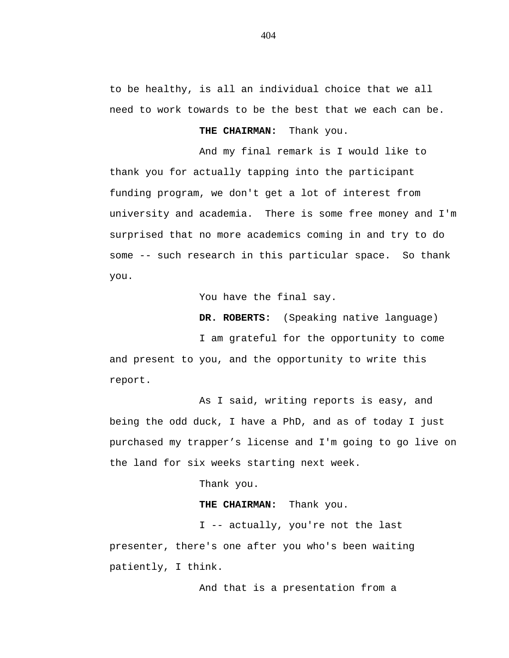to be healthy, is all an individual choice that we all need to work towards to be the best that we each can be.

**THE CHAIRMAN:** Thank you.

And my final remark is I would like to thank you for actually tapping into the participant funding program, we don't get a lot of interest from university and academia. There is some free money and I'm surprised that no more academics coming in and try to do some -- such research in this particular space. So thank you.

You have the final say.

**DR. ROBERTS:** (Speaking native language)

I am grateful for the opportunity to come and present to you, and the opportunity to write this report.

As I said, writing reports is easy, and being the odd duck, I have a PhD, and as of today I just purchased my trapper's license and I'm going to go live on the land for six weeks starting next week.

Thank you.

**THE CHAIRMAN:** Thank you.

I -- actually, you're not the last presenter, there's one after you who's been waiting patiently, I think.

And that is a presentation from a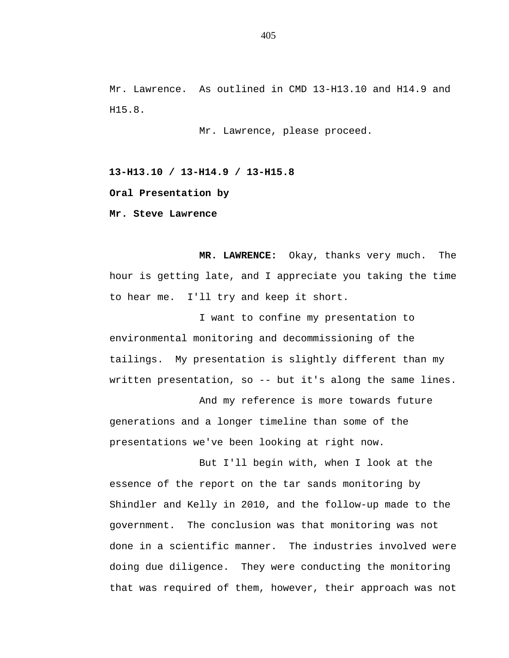Mr. Lawrence. As outlined in CMD 13-H13.10 and H14.9 and H15.8.

Mr. Lawrence, please proceed.

**13-H13.10 / 13-H14.9 / 13-H15.8 Oral Presentation by Mr. Steve Lawrence**

**MR. LAWRENCE:** Okay, thanks very much. The hour is getting late, and I appreciate you taking the time to hear me. I'll try and keep it short.

I want to confine my presentation to environmental monitoring and decommissioning of the tailings. My presentation is slightly different than my written presentation, so -- but it's along the same lines.

And my reference is more towards future generations and a longer timeline than some of the presentations we've been looking at right now.

But I'll begin with, when I look at the essence of the report on the tar sands monitoring by Shindler and Kelly in 2010, and the follow-up made to the government. The conclusion was that monitoring was not done in a scientific manner. The industries involved were doing due diligence. They were conducting the monitoring that was required of them, however, their approach was not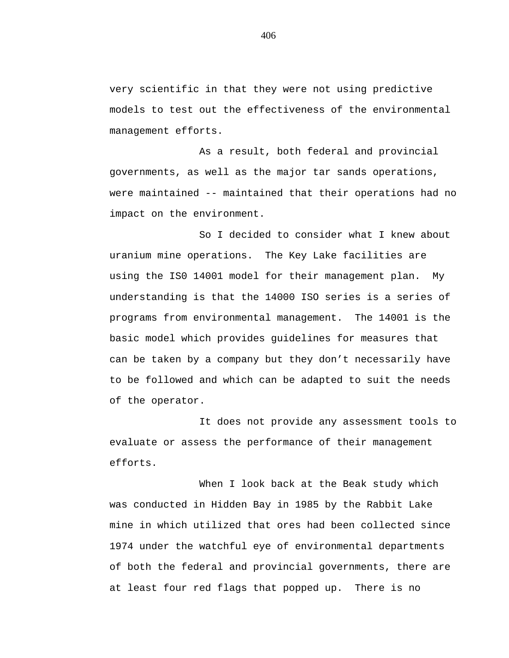very scientific in that they were not using predictive models to test out the effectiveness of the environmental management efforts.

As a result, both federal and provincial governments, as well as the major tar sands operations, were maintained -- maintained that their operations had no impact on the environment.

So I decided to consider what I knew about uranium mine operations. The Key Lake facilities are using the IS0 14001 model for their management plan. My understanding is that the 14000 ISO series is a series of programs from environmental management. The 14001 is the basic model which provides guidelines for measures that can be taken by a company but they don't necessarily have to be followed and which can be adapted to suit the needs of the operator.

It does not provide any assessment tools to evaluate or assess the performance of their management efforts.

When I look back at the Beak study which was conducted in Hidden Bay in 1985 by the Rabbit Lake mine in which utilized that ores had been collected since 1974 under the watchful eye of environmental departments of both the federal and provincial governments, there are at least four red flags that popped up. There is no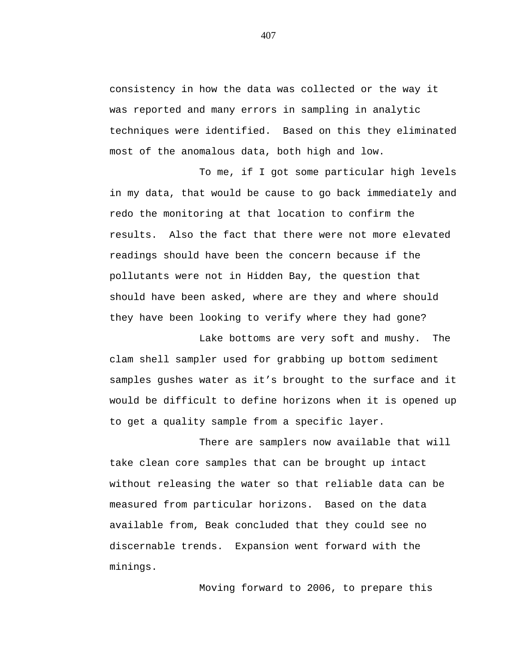consistency in how the data was collected or the way it was reported and many errors in sampling in analytic techniques were identified. Based on this they eliminated most of the anomalous data, both high and low.

To me, if I got some particular high levels in my data, that would be cause to go back immediately and redo the monitoring at that location to confirm the results. Also the fact that there were not more elevated readings should have been the concern because if the pollutants were not in Hidden Bay, the question that should have been asked, where are they and where should they have been looking to verify where they had gone?

Lake bottoms are very soft and mushy. The clam shell sampler used for grabbing up bottom sediment samples gushes water as it's brought to the surface and it would be difficult to define horizons when it is opened up to get a quality sample from a specific layer.

There are samplers now available that will take clean core samples that can be brought up intact without releasing the water so that reliable data can be measured from particular horizons. Based on the data available from, Beak concluded that they could see no discernable trends. Expansion went forward with the minings.

Moving forward to 2006, to prepare this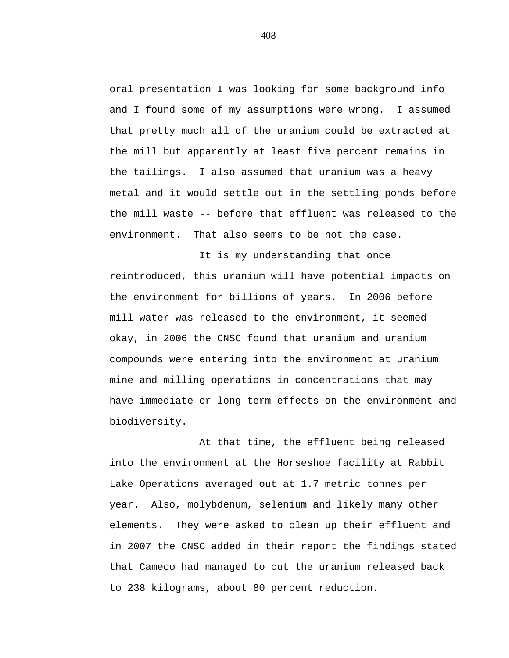oral presentation I was looking for some background info and I found some of my assumptions were wrong. I assumed that pretty much all of the uranium could be extracted at the mill but apparently at least five percent remains in the tailings. I also assumed that uranium was a heavy metal and it would settle out in the settling ponds before the mill waste -- before that effluent was released to the environment. That also seems to be not the case.

It is my understanding that once reintroduced, this uranium will have potential impacts on the environment for billions of years. In 2006 before mill water was released to the environment, it seemed - okay, in 2006 the CNSC found that uranium and uranium compounds were entering into the environment at uranium mine and milling operations in concentrations that may have immediate or long term effects on the environment and biodiversity.

At that time, the effluent being released into the environment at the Horseshoe facility at Rabbit Lake Operations averaged out at 1.7 metric tonnes per year. Also, molybdenum, selenium and likely many other elements. They were asked to clean up their effluent and in 2007 the CNSC added in their report the findings stated that Cameco had managed to cut the uranium released back to 238 kilograms, about 80 percent reduction.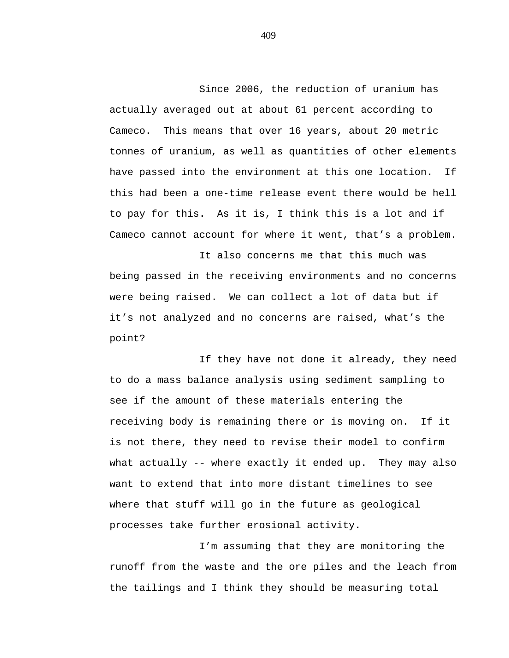Since 2006, the reduction of uranium has actually averaged out at about 61 percent according to Cameco. This means that over 16 years, about 20 metric tonnes of uranium, as well as quantities of other elements have passed into the environment at this one location. If this had been a one-time release event there would be hell to pay for this. As it is, I think this is a lot and if Cameco cannot account for where it went, that's a problem.

It also concerns me that this much was being passed in the receiving environments and no concerns were being raised. We can collect a lot of data but if it's not analyzed and no concerns are raised, what's the point?

If they have not done it already, they need to do a mass balance analysis using sediment sampling to see if the amount of these materials entering the receiving body is remaining there or is moving on. If it is not there, they need to revise their model to confirm what actually -- where exactly it ended up. They may also want to extend that into more distant timelines to see where that stuff will go in the future as geological processes take further erosional activity.

I'm assuming that they are monitoring the runoff from the waste and the ore piles and the leach from the tailings and I think they should be measuring total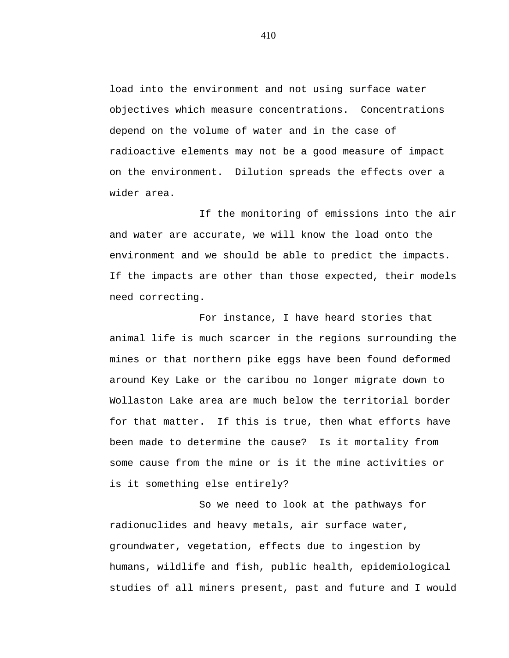load into the environment and not using surface water objectives which measure concentrations. Concentrations depend on the volume of water and in the case of radioactive elements may not be a good measure of impact on the environment. Dilution spreads the effects over a wider area.

If the monitoring of emissions into the air and water are accurate, we will know the load onto the environment and we should be able to predict the impacts. If the impacts are other than those expected, their models need correcting.

For instance, I have heard stories that animal life is much scarcer in the regions surrounding the mines or that northern pike eggs have been found deformed around Key Lake or the caribou no longer migrate down to Wollaston Lake area are much below the territorial border for that matter. If this is true, then what efforts have been made to determine the cause? Is it mortality from some cause from the mine or is it the mine activities or is it something else entirely?

So we need to look at the pathways for radionuclides and heavy metals, air surface water, groundwater, vegetation, effects due to ingestion by humans, wildlife and fish, public health, epidemiological studies of all miners present, past and future and I would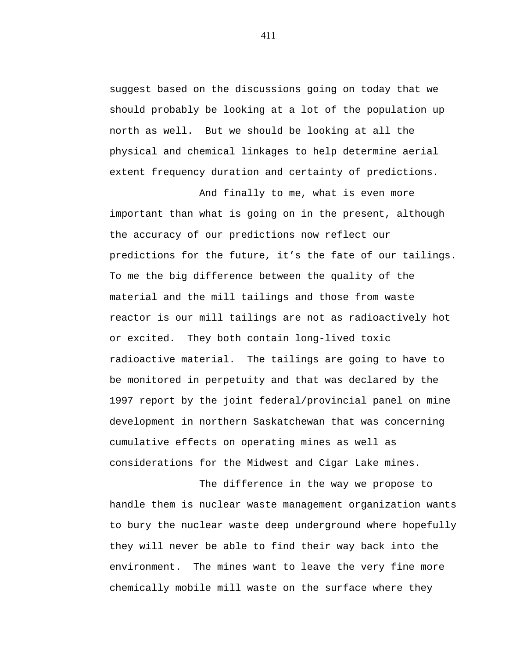suggest based on the discussions going on today that we should probably be looking at a lot of the population up north as well. But we should be looking at all the physical and chemical linkages to help determine aerial extent frequency duration and certainty of predictions.

And finally to me, what is even more important than what is going on in the present, although the accuracy of our predictions now reflect our predictions for the future, it's the fate of our tailings. To me the big difference between the quality of the material and the mill tailings and those from waste reactor is our mill tailings are not as radioactively hot or excited. They both contain long-lived toxic radioactive material. The tailings are going to have to be monitored in perpetuity and that was declared by the 1997 report by the joint federal/provincial panel on mine development in northern Saskatchewan that was concerning cumulative effects on operating mines as well as considerations for the Midwest and Cigar Lake mines.

The difference in the way we propose to handle them is nuclear waste management organization wants to bury the nuclear waste deep underground where hopefully they will never be able to find their way back into the environment. The mines want to leave the very fine more chemically mobile mill waste on the surface where they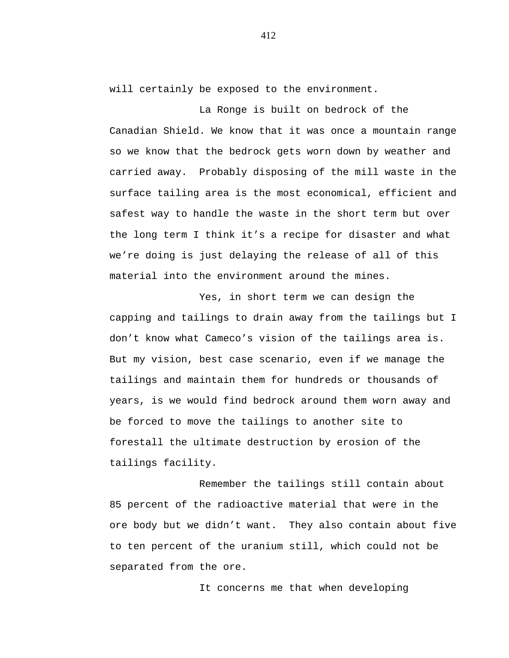will certainly be exposed to the environment.

La Ronge is built on bedrock of the Canadian Shield. We know that it was once a mountain range so we know that the bedrock gets worn down by weather and carried away. Probably disposing of the mill waste in the surface tailing area is the most economical, efficient and safest way to handle the waste in the short term but over the long term I think it's a recipe for disaster and what we're doing is just delaying the release of all of this material into the environment around the mines.

Yes, in short term we can design the capping and tailings to drain away from the tailings but I don't know what Cameco's vision of the tailings area is. But my vision, best case scenario, even if we manage the tailings and maintain them for hundreds or thousands of years, is we would find bedrock around them worn away and be forced to move the tailings to another site to forestall the ultimate destruction by erosion of the tailings facility.

Remember the tailings still contain about 85 percent of the radioactive material that were in the ore body but we didn't want. They also contain about five to ten percent of the uranium still, which could not be separated from the ore.

It concerns me that when developing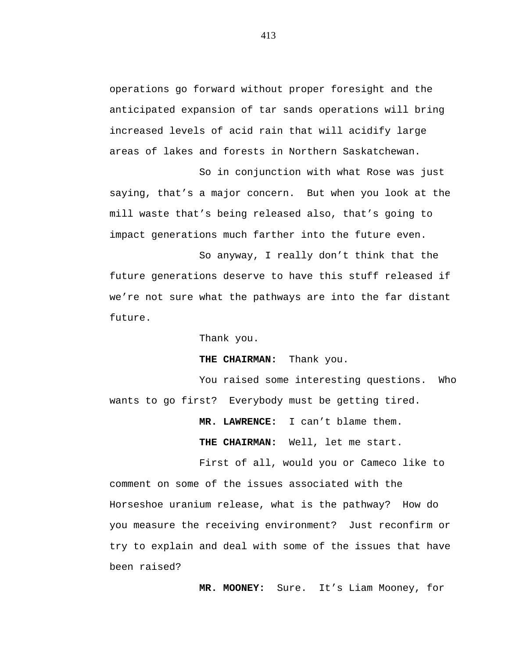operations go forward without proper foresight and the anticipated expansion of tar sands operations will bring increased levels of acid rain that will acidify large areas of lakes and forests in Northern Saskatchewan.

So in conjunction with what Rose was just saying, that's a major concern. But when you look at the mill waste that's being released also, that's going to impact generations much farther into the future even.

So anyway, I really don't think that the future generations deserve to have this stuff released if we're not sure what the pathways are into the far distant future.

Thank you.

**THE CHAIRMAN:** Thank you.

You raised some interesting questions. Who wants to go first? Everybody must be getting tired.

**MR. LAWRENCE:** I can't blame them.

**THE CHAIRMAN:** Well, let me start.

First of all, would you or Cameco like to comment on some of the issues associated with the Horseshoe uranium release, what is the pathway? How do you measure the receiving environment? Just reconfirm or try to explain and deal with some of the issues that have been raised?

**MR. MOONEY:** Sure. It's Liam Mooney, for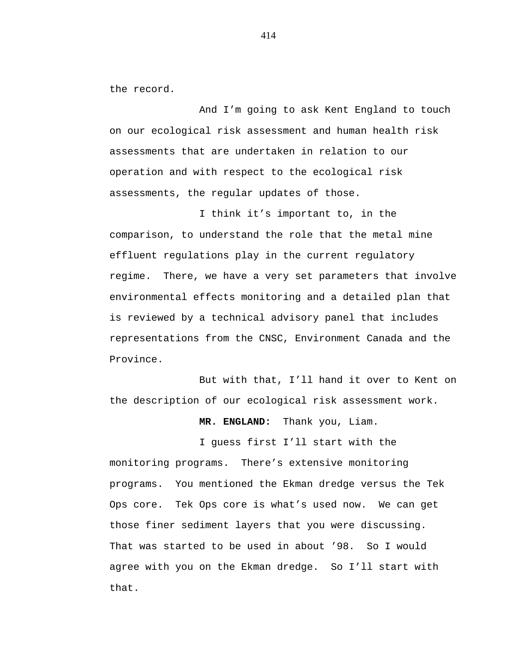the record.

And I'm going to ask Kent England to touch on our ecological risk assessment and human health risk assessments that are undertaken in relation to our operation and with respect to the ecological risk assessments, the regular updates of those.

I think it's important to, in the comparison, to understand the role that the metal mine effluent regulations play in the current regulatory regime. There, we have a very set parameters that involve environmental effects monitoring and a detailed plan that is reviewed by a technical advisory panel that includes representations from the CNSC, Environment Canada and the Province.

But with that, I'll hand it over to Kent on the description of our ecological risk assessment work.

**MR. ENGLAND:** Thank you, Liam.

I guess first I'll start with the monitoring programs. There's extensive monitoring programs. You mentioned the Ekman dredge versus the Tek Ops core. Tek Ops core is what's used now. We can get those finer sediment layers that you were discussing. That was started to be used in about '98. So I would agree with you on the Ekman dredge. So I'll start with that.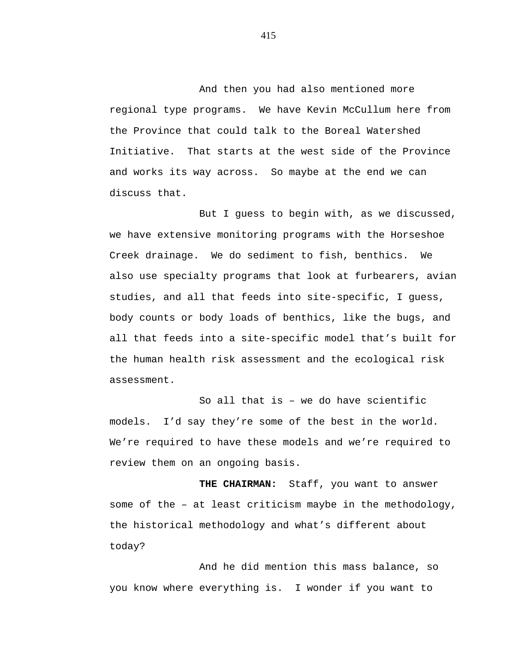And then you had also mentioned more regional type programs. We have Kevin McCullum here from the Province that could talk to the Boreal Watershed Initiative. That starts at the west side of the Province and works its way across. So maybe at the end we can discuss that.

But I guess to begin with, as we discussed, we have extensive monitoring programs with the Horseshoe Creek drainage. We do sediment to fish, benthics. We also use specialty programs that look at furbearers, avian studies, and all that feeds into site-specific, I guess, body counts or body loads of benthics, like the bugs, and all that feeds into a site-specific model that's built for the human health risk assessment and the ecological risk assessment.

So all that is – we do have scientific models. I'd say they're some of the best in the world. We're required to have these models and we're required to review them on an ongoing basis.

**THE CHAIRMAN:** Staff, you want to answer some of the – at least criticism maybe in the methodology, the historical methodology and what's different about today?

And he did mention this mass balance, so you know where everything is. I wonder if you want to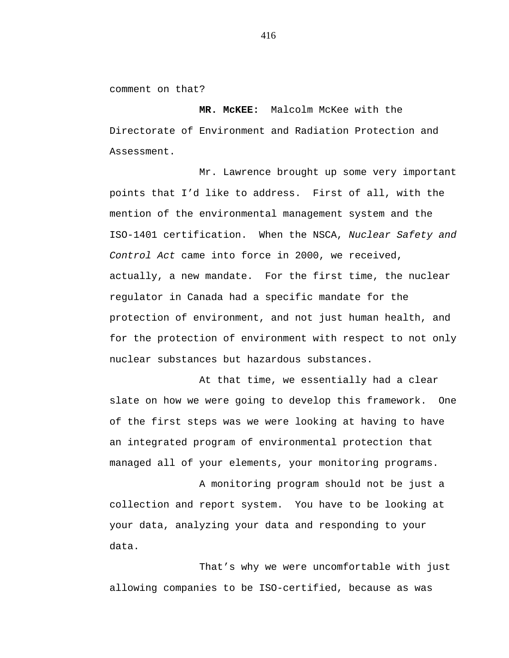comment on that?

**MR. McKEE:** Malcolm McKee with the Directorate of Environment and Radiation Protection and Assessment.

Mr. Lawrence brought up some very important points that I'd like to address. First of all, with the mention of the environmental management system and the ISO-1401 certification. When the NSCA, *Nuclear Safety and Control Act* came into force in 2000, we received, actually, a new mandate. For the first time, the nuclear regulator in Canada had a specific mandate for the protection of environment, and not just human health, and for the protection of environment with respect to not only nuclear substances but hazardous substances.

At that time, we essentially had a clear slate on how we were going to develop this framework. One of the first steps was we were looking at having to have an integrated program of environmental protection that managed all of your elements, your monitoring programs.

A monitoring program should not be just a collection and report system. You have to be looking at your data, analyzing your data and responding to your data.

That's why we were uncomfortable with just allowing companies to be ISO-certified, because as was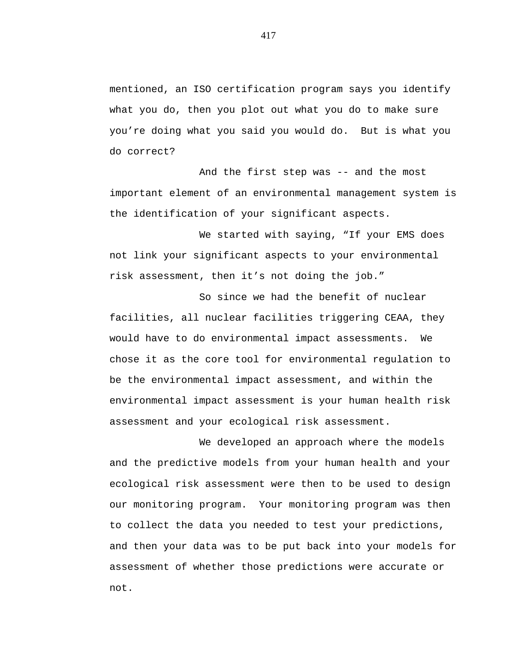mentioned, an ISO certification program says you identify what you do, then you plot out what you do to make sure you're doing what you said you would do. But is what you do correct?

And the first step was -- and the most important element of an environmental management system is the identification of your significant aspects.

We started with saying, "If your EMS does not link your significant aspects to your environmental risk assessment, then it's not doing the job."

So since we had the benefit of nuclear facilities, all nuclear facilities triggering CEAA, they would have to do environmental impact assessments. We chose it as the core tool for environmental regulation to be the environmental impact assessment, and within the environmental impact assessment is your human health risk assessment and your ecological risk assessment.

We developed an approach where the models and the predictive models from your human health and your ecological risk assessment were then to be used to design our monitoring program. Your monitoring program was then to collect the data you needed to test your predictions, and then your data was to be put back into your models for assessment of whether those predictions were accurate or not.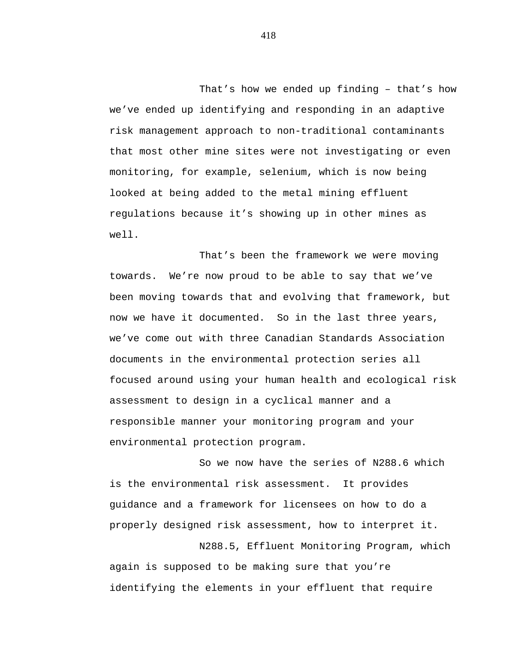That's how we ended up finding – that's how we've ended up identifying and responding in an adaptive risk management approach to non-traditional contaminants that most other mine sites were not investigating or even monitoring, for example, selenium, which is now being looked at being added to the metal mining effluent regulations because it's showing up in other mines as well.

That's been the framework we were moving towards. We're now proud to be able to say that we've been moving towards that and evolving that framework, but now we have it documented. So in the last three years, we've come out with three Canadian Standards Association documents in the environmental protection series all focused around using your human health and ecological risk assessment to design in a cyclical manner and a responsible manner your monitoring program and your environmental protection program.

So we now have the series of N288.6 which is the environmental risk assessment. It provides guidance and a framework for licensees on how to do a properly designed risk assessment, how to interpret it.

N288.5, Effluent Monitoring Program, which again is supposed to be making sure that you're identifying the elements in your effluent that require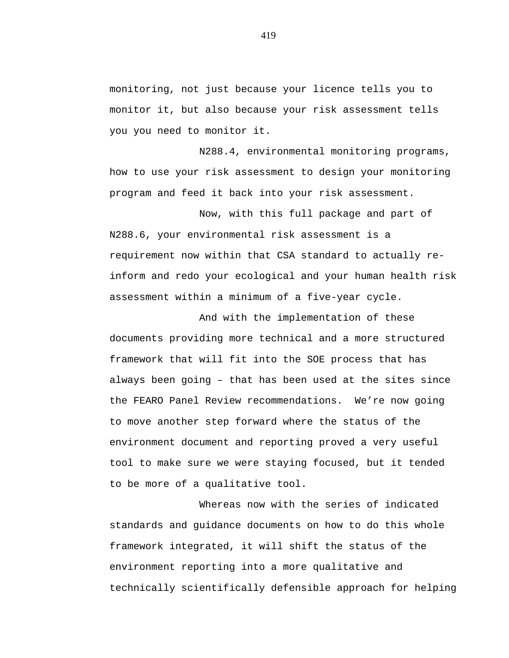monitoring, not just because your licence tells you to monitor it, but also because your risk assessment tells you you need to monitor it.

N288.4, environmental monitoring programs, how to use your risk assessment to design your monitoring program and feed it back into your risk assessment.

Now, with this full package and part of N288.6, your environmental risk assessment is a requirement now within that CSA standard to actually reinform and redo your ecological and your human health risk assessment within a minimum of a five-year cycle.

And with the implementation of these documents providing more technical and a more structured framework that will fit into the SOE process that has always been going – that has been used at the sites since the FEARO Panel Review recommendations. We're now going to move another step forward where the status of the environment document and reporting proved a very useful tool to make sure we were staying focused, but it tended to be more of a qualitative tool.

Whereas now with the series of indicated standards and guidance documents on how to do this whole framework integrated, it will shift the status of the environment reporting into a more qualitative and technically scientifically defensible approach for helping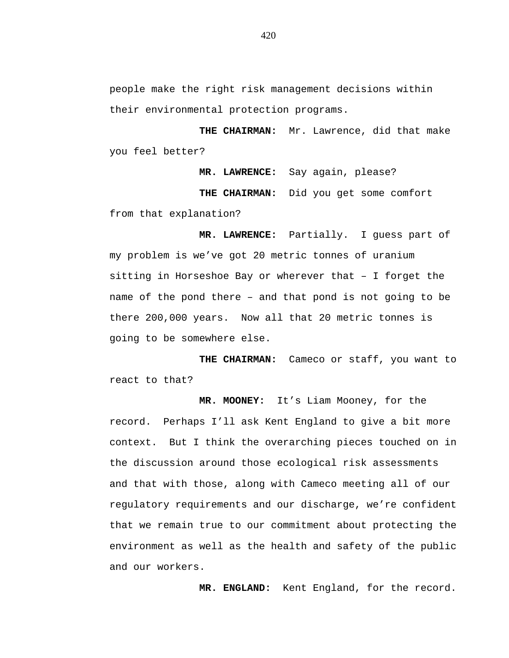people make the right risk management decisions within their environmental protection programs.

**THE CHAIRMAN:** Mr. Lawrence, did that make you feel better?

**MR. LAWRENCE:** Say again, please? **THE CHAIRMAN:** Did you get some comfort from that explanation?

**MR. LAWRENCE:** Partially. I guess part of my problem is we've got 20 metric tonnes of uranium sitting in Horseshoe Bay or wherever that – I forget the name of the pond there – and that pond is not going to be there 200,000 years. Now all that 20 metric tonnes is going to be somewhere else.

**THE CHAIRMAN:** Cameco or staff, you want to react to that?

**MR. MOONEY:** It's Liam Mooney, for the record. Perhaps I'll ask Kent England to give a bit more context. But I think the overarching pieces touched on in the discussion around those ecological risk assessments and that with those, along with Cameco meeting all of our regulatory requirements and our discharge, we're confident that we remain true to our commitment about protecting the environment as well as the health and safety of the public and our workers.

**MR. ENGLAND:** Kent England, for the record.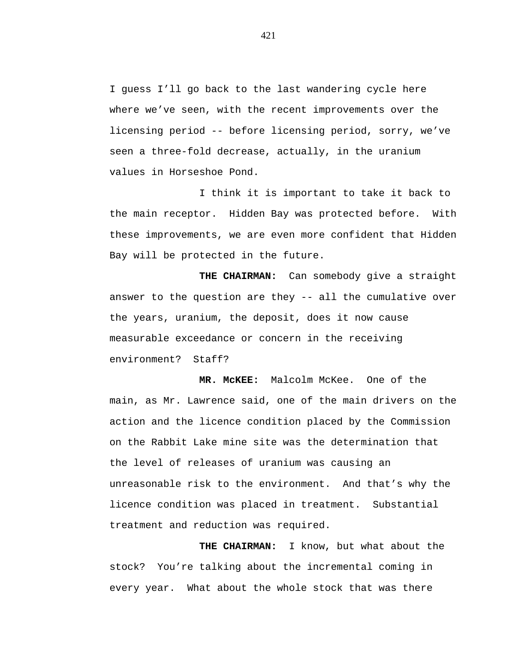I guess I'll go back to the last wandering cycle here where we've seen, with the recent improvements over the licensing period -- before licensing period, sorry, we've seen a three-fold decrease, actually, in the uranium values in Horseshoe Pond.

I think it is important to take it back to the main receptor. Hidden Bay was protected before. With these improvements, we are even more confident that Hidden Bay will be protected in the future.

**THE CHAIRMAN:** Can somebody give a straight answer to the question are they -- all the cumulative over the years, uranium, the deposit, does it now cause measurable exceedance or concern in the receiving environment? Staff?

**MR. McKEE:** Malcolm McKee. One of the main, as Mr. Lawrence said, one of the main drivers on the action and the licence condition placed by the Commission on the Rabbit Lake mine site was the determination that the level of releases of uranium was causing an unreasonable risk to the environment. And that's why the licence condition was placed in treatment. Substantial treatment and reduction was required.

**THE CHAIRMAN:** I know, but what about the stock? You're talking about the incremental coming in every year. What about the whole stock that was there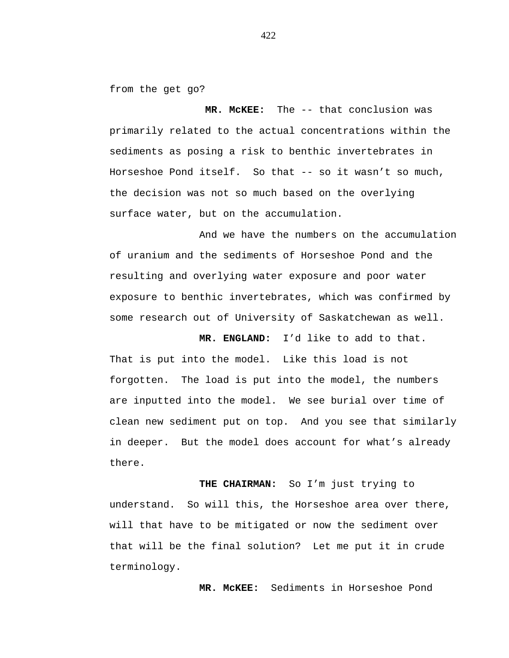from the get go?

**MR. McKEE:** The -- that conclusion was primarily related to the actual concentrations within the sediments as posing a risk to benthic invertebrates in Horseshoe Pond itself. So that -- so it wasn't so much, the decision was not so much based on the overlying surface water, but on the accumulation.

And we have the numbers on the accumulation of uranium and the sediments of Horseshoe Pond and the resulting and overlying water exposure and poor water exposure to benthic invertebrates, which was confirmed by some research out of University of Saskatchewan as well.

**MR. ENGLAND:** I'd like to add to that. That is put into the model. Like this load is not forgotten. The load is put into the model, the numbers are inputted into the model. We see burial over time of clean new sediment put on top. And you see that similarly in deeper. But the model does account for what's already there.

**THE CHAIRMAN:** So I'm just trying to understand. So will this, the Horseshoe area over there, will that have to be mitigated or now the sediment over that will be the final solution? Let me put it in crude terminology.

**MR. McKEE:** Sediments in Horseshoe Pond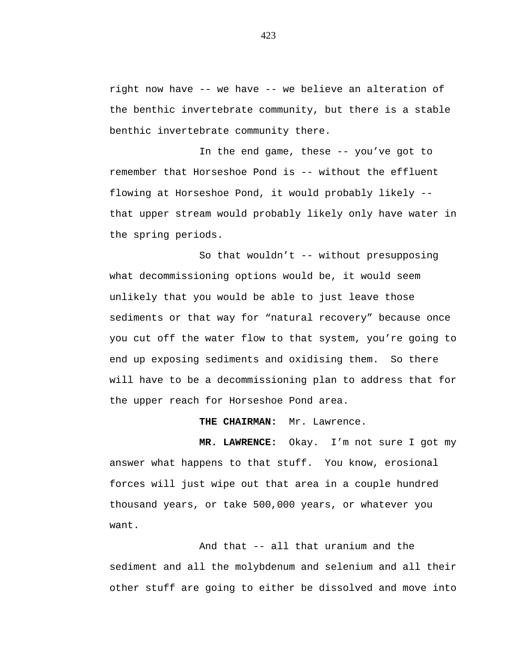right now have -- we have -- we believe an alteration of the benthic invertebrate community, but there is a stable benthic invertebrate community there.

In the end game, these -- you've got to remember that Horseshoe Pond is -- without the effluent flowing at Horseshoe Pond, it would probably likely - that upper stream would probably likely only have water in the spring periods.

So that wouldn't -- without presupposing what decommissioning options would be, it would seem unlikely that you would be able to just leave those sediments or that way for "natural recovery" because once you cut off the water flow to that system, you're going to end up exposing sediments and oxidising them. So there will have to be a decommissioning plan to address that for the upper reach for Horseshoe Pond area.

**THE CHAIRMAN:** Mr. Lawrence.

**MR. LAWRENCE:** Okay. I'm not sure I got my answer what happens to that stuff. You know, erosional forces will just wipe out that area in a couple hundred thousand years, or take 500,000 years, or whatever you want.

And that -- all that uranium and the sediment and all the molybdenum and selenium and all their other stuff are going to either be dissolved and move into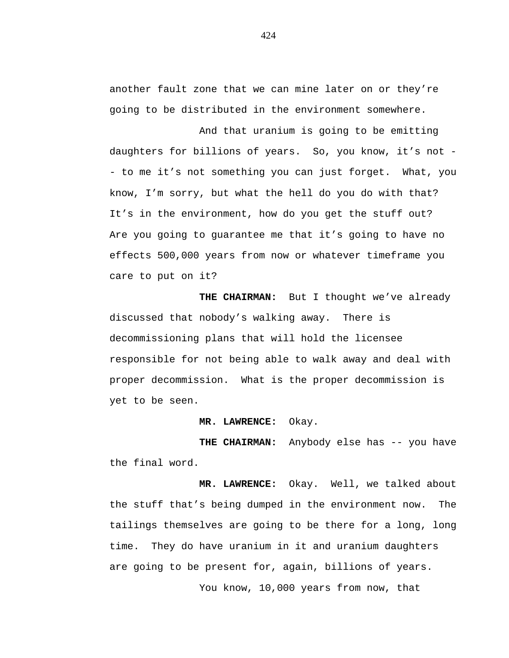another fault zone that we can mine later on or they're going to be distributed in the environment somewhere.

And that uranium is going to be emitting daughters for billions of years. So, you know, it's not - - to me it's not something you can just forget. What, you know, I'm sorry, but what the hell do you do with that? It's in the environment, how do you get the stuff out? Are you going to guarantee me that it's going to have no effects 500,000 years from now or whatever timeframe you care to put on it?

**THE CHAIRMAN:** But I thought we've already discussed that nobody's walking away. There is decommissioning plans that will hold the licensee responsible for not being able to walk away and deal with proper decommission. What is the proper decommission is yet to be seen.

**MR. LAWRENCE:** Okay.

THE CHAIRMAN: Anybody else has -- you have the final word.

**MR. LAWRENCE:** Okay. Well, we talked about the stuff that's being dumped in the environment now. The tailings themselves are going to be there for a long, long time. They do have uranium in it and uranium daughters are going to be present for, again, billions of years.

You know, 10,000 years from now, that